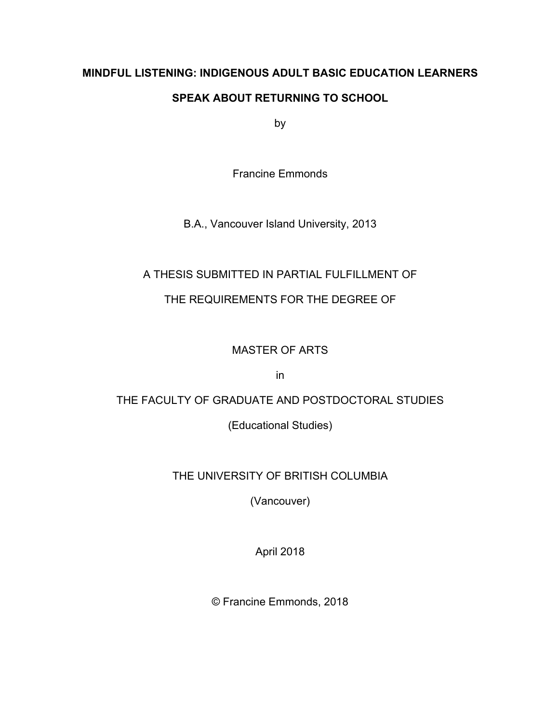# **MINDFUL LISTENING: INDIGENOUS ADULT BASIC EDUCATION LEARNERS SPEAK ABOUT RETURNING TO SCHOOL**

by

Francine Emmonds

B.A., Vancouver Island University, 2013

### A THESIS SUBMITTED IN PARTIAL FULFILLMENT OF

### THE REQUIREMENTS FOR THE DEGREE OF

## MASTER OF ARTS

in

### THE FACULTY OF GRADUATE AND POSTDOCTORAL STUDIES

(Educational Studies)

## THE UNIVERSITY OF BRITISH COLUMBIA

(Vancouver)

April 2018

© Francine Emmonds, 2018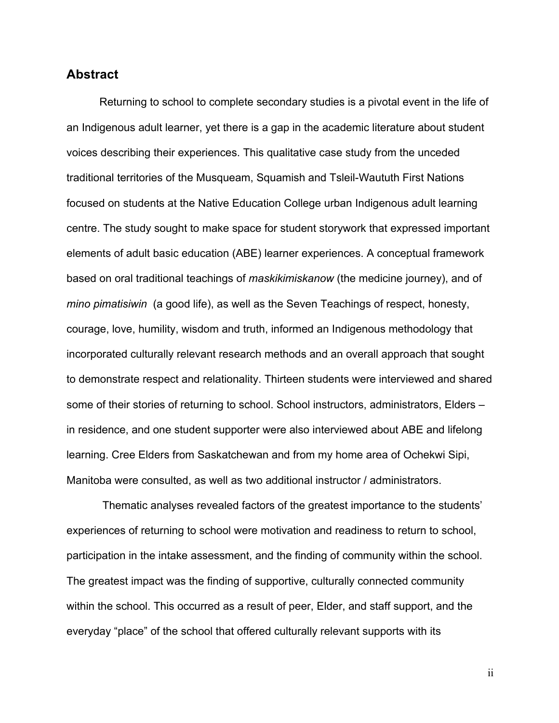### **Abstract**

Returning to school to complete secondary studies is a pivotal event in the life of an Indigenous adult learner, yet there is a gap in the academic literature about student voices describing their experiences. This qualitative case study from the unceded traditional territories of the Musqueam, Squamish and Tsleil-Waututh First Nations focused on students at the Native Education College urban Indigenous adult learning centre. The study sought to make space for student storywork that expressed important elements of adult basic education (ABE) learner experiences. A conceptual framework based on oral traditional teachings of *maskikimiskanow* (the medicine journey), and of *mino pimatisiwin* (a good life), as well as the Seven Teachings of respect, honesty, courage, love, humility, wisdom and truth, informed an Indigenous methodology that incorporated culturally relevant research methods and an overall approach that sought to demonstrate respect and relationality. Thirteen students were interviewed and shared some of their stories of returning to school. School instructors, administrators, Elders – in residence, and one student supporter were also interviewed about ABE and lifelong learning. Cree Elders from Saskatchewan and from my home area of Ochekwi Sipi, Manitoba were consulted, as well as two additional instructor / administrators.

Thematic analyses revealed factors of the greatest importance to the students' experiences of returning to school were motivation and readiness to return to school, participation in the intake assessment, and the finding of community within the school. The greatest impact was the finding of supportive, culturally connected community within the school. This occurred as a result of peer, Elder, and staff support, and the everyday "place" of the school that offered culturally relevant supports with its

ii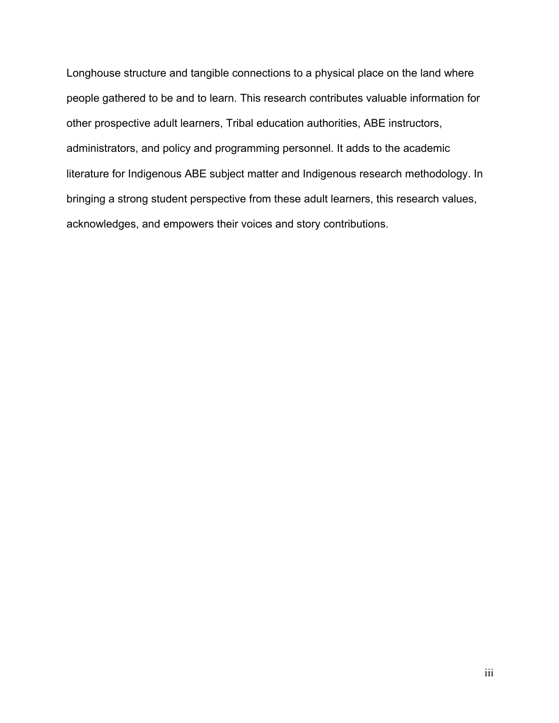Longhouse structure and tangible connections to a physical place on the land where people gathered to be and to learn. This research contributes valuable information for other prospective adult learners, Tribal education authorities, ABE instructors, administrators, and policy and programming personnel. It adds to the academic literature for Indigenous ABE subject matter and Indigenous research methodology. In bringing a strong student perspective from these adult learners, this research values, acknowledges, and empowers their voices and story contributions.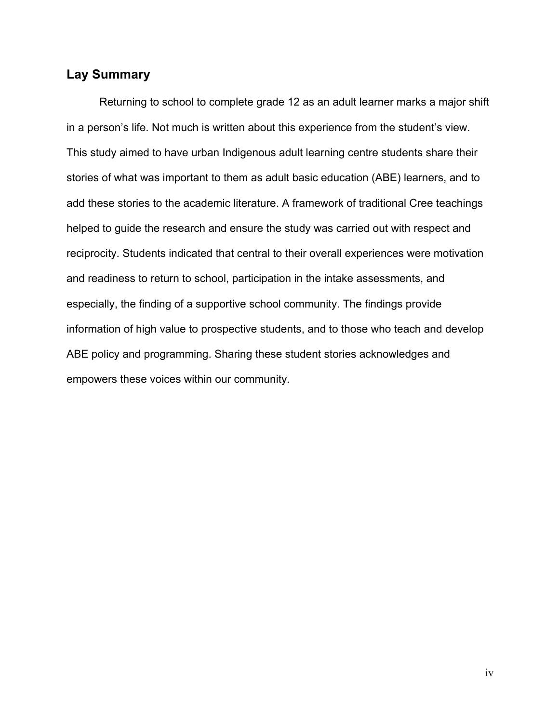### **Lay Summary**

Returning to school to complete grade 12 as an adult learner marks a major shift in a person's life. Not much is written about this experience from the student's view. This study aimed to have urban Indigenous adult learning centre students share their stories of what was important to them as adult basic education (ABE) learners, and to add these stories to the academic literature. A framework of traditional Cree teachings helped to guide the research and ensure the study was carried out with respect and reciprocity. Students indicated that central to their overall experiences were motivation and readiness to return to school, participation in the intake assessments, and especially, the finding of a supportive school community. The findings provide information of high value to prospective students, and to those who teach and develop ABE policy and programming. Sharing these student stories acknowledges and empowers these voices within our community.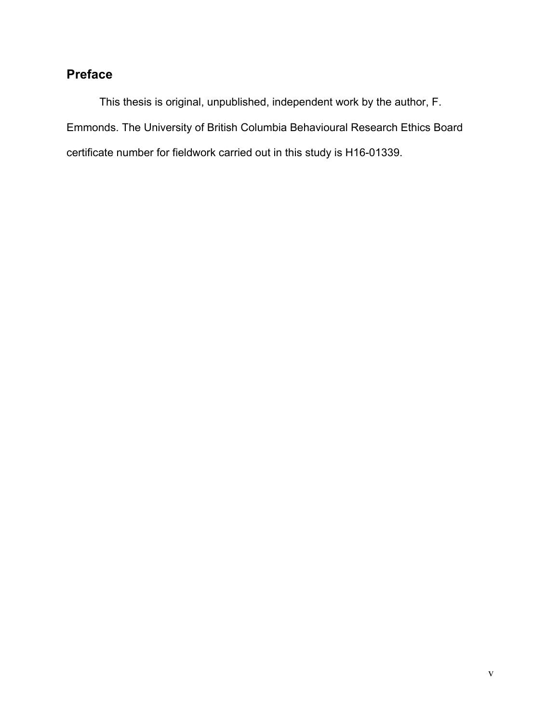# **Preface**

This thesis is original, unpublished, independent work by the author, F. Emmonds. The University of British Columbia Behavioural Research Ethics Board certificate number for fieldwork carried out in this study is H16-01339.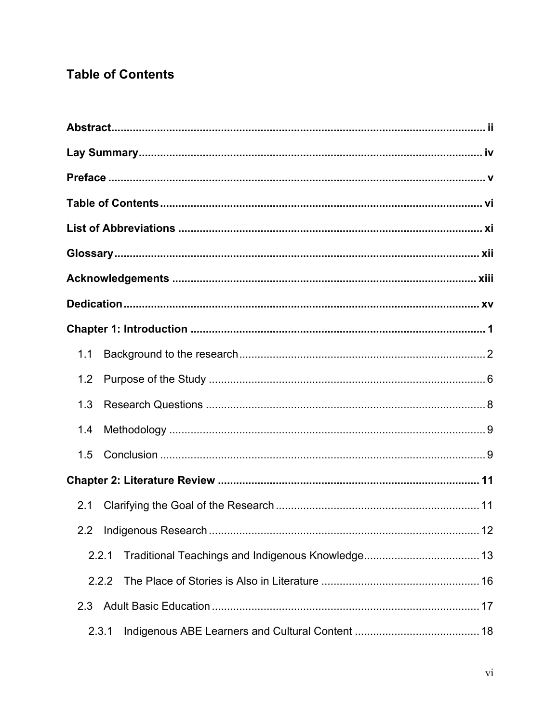# **Table of Contents**

| 1.1 |       |  |
|-----|-------|--|
| 1.2 |       |  |
| 1.3 |       |  |
| 1.4 |       |  |
| 1.5 |       |  |
|     |       |  |
| 2.1 |       |  |
|     |       |  |
|     | 2.2.1 |  |
|     | 2.2.2 |  |
| 2.3 |       |  |
|     | 2.3.1 |  |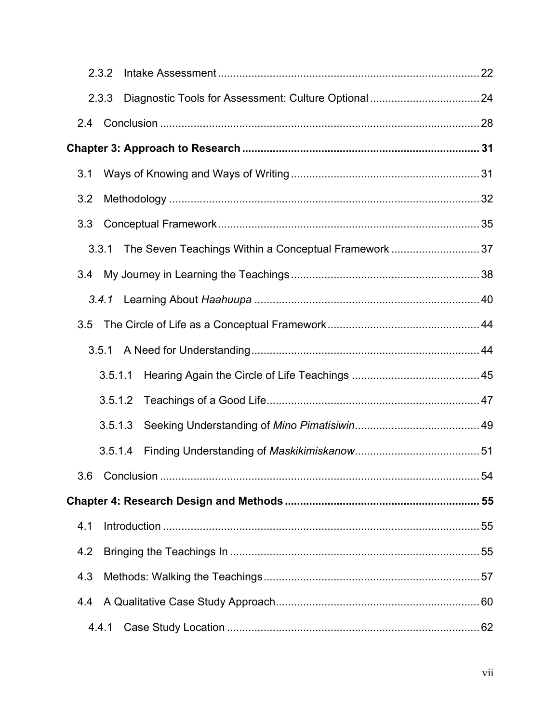| 2.3.2   |  |
|---------|--|
| 2.3.3   |  |
| 2.4     |  |
|         |  |
| 3.1     |  |
| 3.2     |  |
| 3.3     |  |
| 3.3.1   |  |
|         |  |
|         |  |
|         |  |
| 3.5.1   |  |
| 3.5.1.1 |  |
| 3.5.1.2 |  |
| 3.5.1.3 |  |
| 3.5.1.4 |  |
| 3.6     |  |
|         |  |
| 4.1     |  |
| 4.2     |  |
| 4.3     |  |
| 4.4     |  |
| 4.4.1   |  |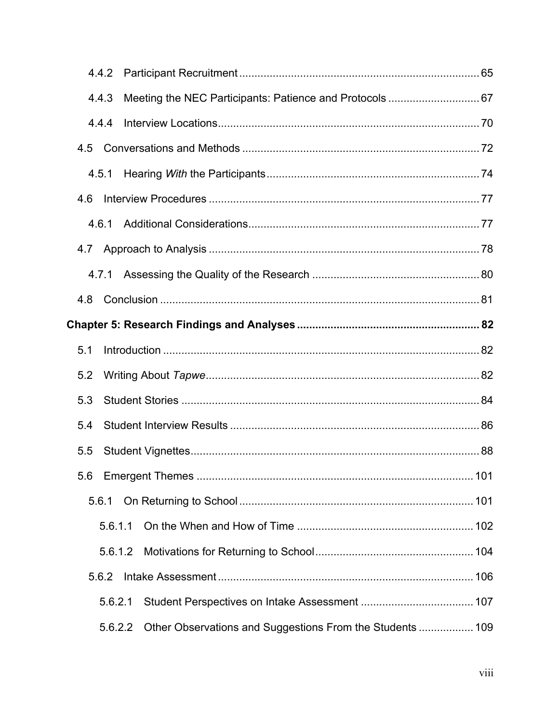|     | 4.4.2   |                                                           |  |
|-----|---------|-----------------------------------------------------------|--|
|     | 4.4.3   |                                                           |  |
|     | 4.4.4   |                                                           |  |
| 4.5 |         |                                                           |  |
|     | 4.5.1   |                                                           |  |
| 4.6 |         |                                                           |  |
|     | 4.6.1   |                                                           |  |
|     |         |                                                           |  |
|     |         |                                                           |  |
| 4.8 |         |                                                           |  |
|     |         |                                                           |  |
| 5.1 |         |                                                           |  |
| 5.2 |         |                                                           |  |
| 5.3 |         |                                                           |  |
| 5.4 |         |                                                           |  |
| 5.5 |         |                                                           |  |
|     |         |                                                           |  |
|     | 5.6.1   |                                                           |  |
|     | 5.6.1.1 |                                                           |  |
|     | 5.6.1.2 |                                                           |  |
|     | 5.6.2   |                                                           |  |
|     | 5.6.2.1 |                                                           |  |
|     | 5.6.2.2 | Other Observations and Suggestions From the Students  109 |  |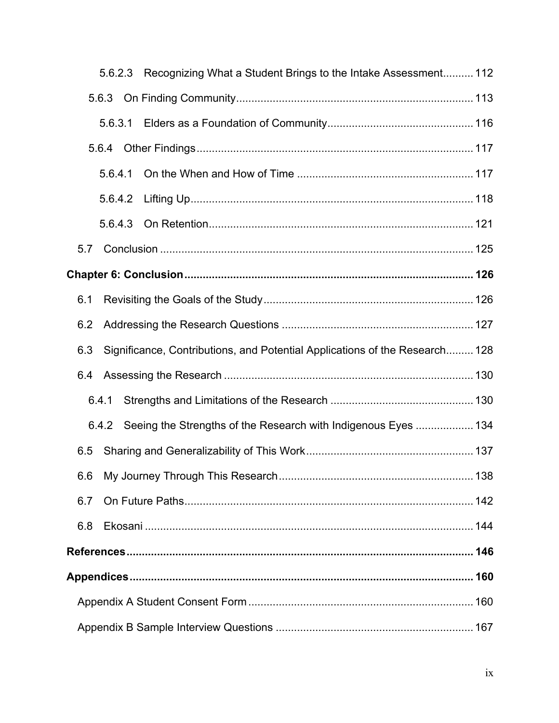|     | 5.6.2.3 | Recognizing What a Student Brings to the Intake Assessment 112              |  |  |  |
|-----|---------|-----------------------------------------------------------------------------|--|--|--|
|     | 5.6.3   |                                                                             |  |  |  |
|     | 5.6.3.1 |                                                                             |  |  |  |
|     |         |                                                                             |  |  |  |
|     | 5.6.4.1 |                                                                             |  |  |  |
|     |         |                                                                             |  |  |  |
|     |         |                                                                             |  |  |  |
| 5.7 |         |                                                                             |  |  |  |
|     |         |                                                                             |  |  |  |
| 6.1 |         |                                                                             |  |  |  |
| 6.2 |         |                                                                             |  |  |  |
| 6.3 |         | Significance, Contributions, and Potential Applications of the Research 128 |  |  |  |
| 6.4 |         |                                                                             |  |  |  |
|     | 6.4.1   |                                                                             |  |  |  |
|     | 6.4.2   | Seeing the Strengths of the Research with Indigenous Eyes  134              |  |  |  |
| 6.5 |         |                                                                             |  |  |  |
| 6.6 |         |                                                                             |  |  |  |
| 6.7 |         |                                                                             |  |  |  |
| 6.8 |         |                                                                             |  |  |  |
|     |         |                                                                             |  |  |  |
|     |         |                                                                             |  |  |  |
|     |         |                                                                             |  |  |  |
|     |         |                                                                             |  |  |  |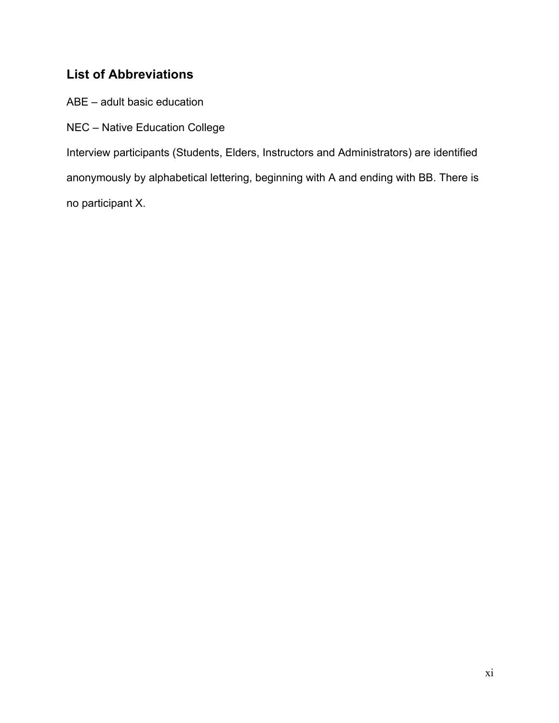# **List of Abbreviations**

ABE – adult basic education

NEC – Native Education College

Interview participants (Students, Elders, Instructors and Administrators) are identified anonymously by alphabetical lettering, beginning with A and ending with BB. There is no participant X.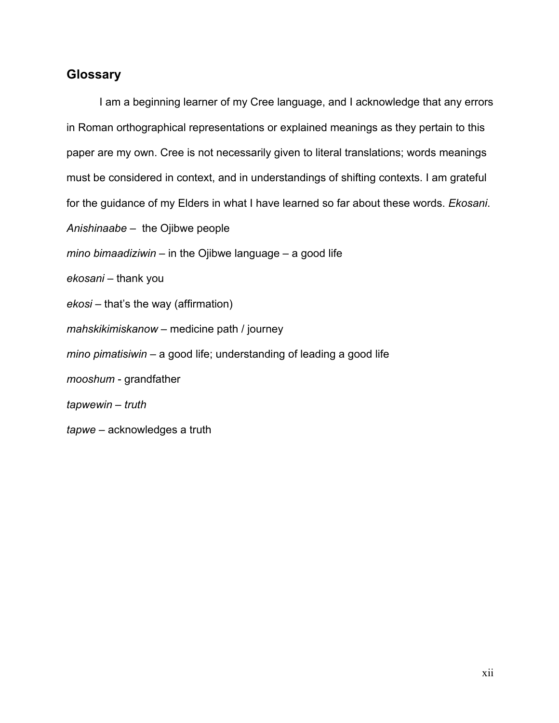### **Glossary**

I am a beginning learner of my Cree language, and I acknowledge that any errors in Roman orthographical representations or explained meanings as they pertain to this paper are my own. Cree is not necessarily given to literal translations; words meanings must be considered in context, and in understandings of shifting contexts. I am grateful for the guidance of my Elders in what I have learned so far about these words. *Ekosani*. *Anishinaabe* – the Ojibwe people *mino bimaadiziwin* – in the Ojibwe language – a good life *ekosani* – thank you *ekosi* – that's the way (affirmation) *mahskikimiskanow* – medicine path / journey *mino pimatisiwin* – a good life; understanding of leading a good life *mooshum* - grandfather *tapwewin – truth tapwe* – acknowledges a truth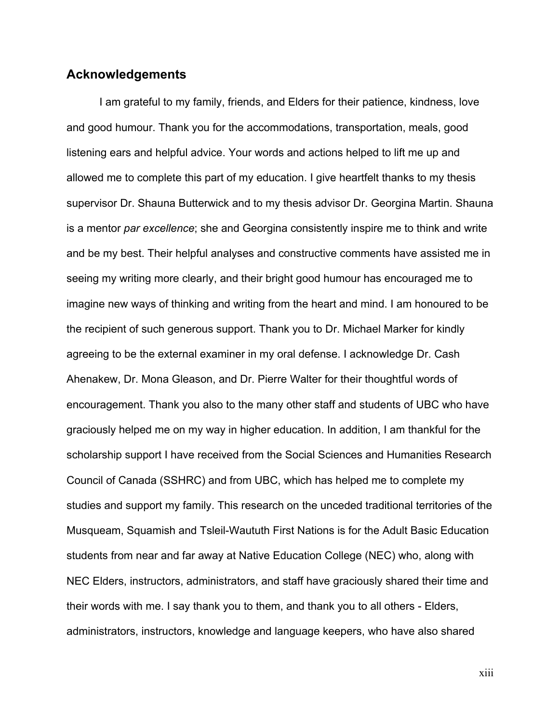### **Acknowledgements**

I am grateful to my family, friends, and Elders for their patience, kindness, love and good humour. Thank you for the accommodations, transportation, meals, good listening ears and helpful advice. Your words and actions helped to lift me up and allowed me to complete this part of my education. I give heartfelt thanks to my thesis supervisor Dr. Shauna Butterwick and to my thesis advisor Dr. Georgina Martin. Shauna is a mentor *par excellence*; she and Georgina consistently inspire me to think and write and be my best. Their helpful analyses and constructive comments have assisted me in seeing my writing more clearly, and their bright good humour has encouraged me to imagine new ways of thinking and writing from the heart and mind. I am honoured to be the recipient of such generous support. Thank you to Dr. Michael Marker for kindly agreeing to be the external examiner in my oral defense. I acknowledge Dr. Cash Ahenakew, Dr. Mona Gleason, and Dr. Pierre Walter for their thoughtful words of encouragement. Thank you also to the many other staff and students of UBC who have graciously helped me on my way in higher education. In addition, I am thankful for the scholarship support I have received from the Social Sciences and Humanities Research Council of Canada (SSHRC) and from UBC, which has helped me to complete my studies and support my family. This research on the unceded traditional territories of the Musqueam, Squamish and Tsleil-Waututh First Nations is for the Adult Basic Education students from near and far away at Native Education College (NEC) who, along with NEC Elders, instructors, administrators, and staff have graciously shared their time and their words with me. I say thank you to them, and thank you to all others - Elders, administrators, instructors, knowledge and language keepers, who have also shared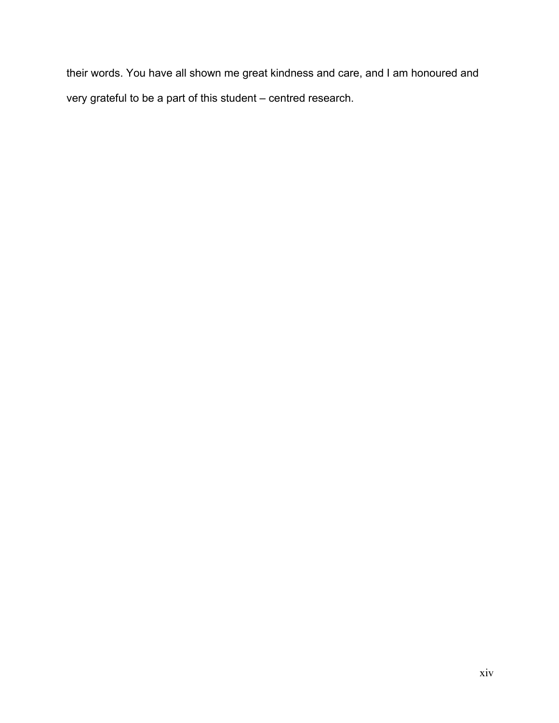their words. You have all shown me great kindness and care, and I am honoured and very grateful to be a part of this student – centred research.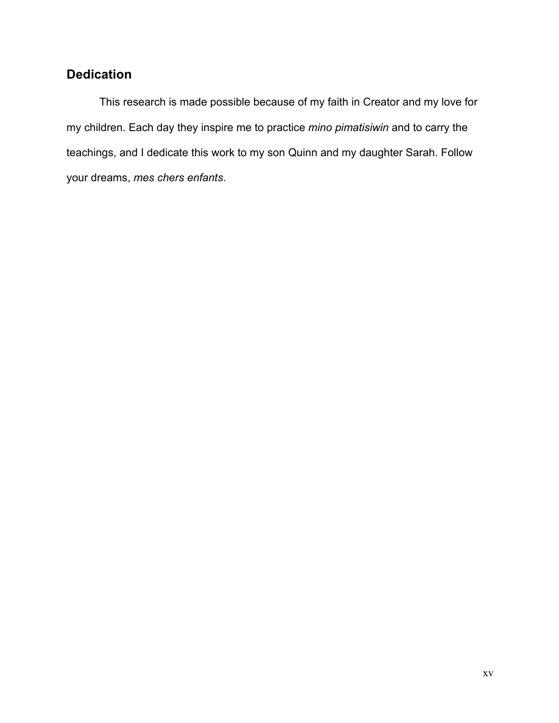# **Dedication**

This research is made possible because of my faith in Creator and my love for my children. Each day they inspire me to practice *mino pimatisiwin* and to carry the teachings, and I dedicate this work to my son Quinn and my daughter Sarah. Follow your dreams, *mes chers enfants*.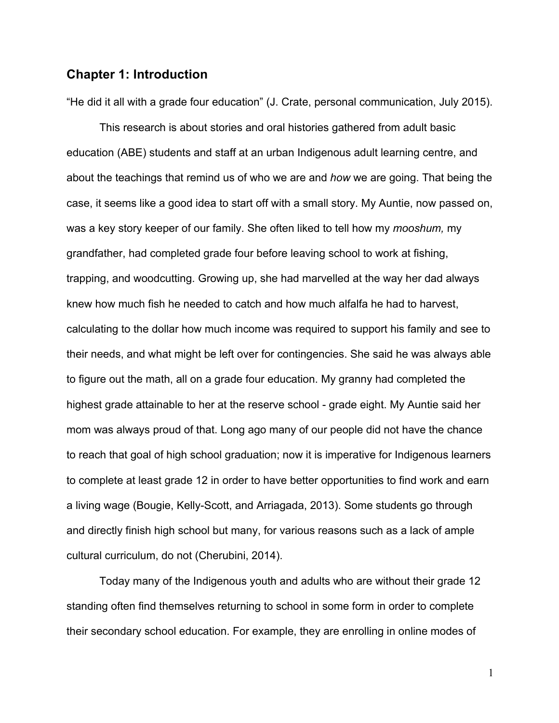### **Chapter 1: Introduction**

"He did it all with a grade four education" (J. Crate, personal communication, July 2015).

This research is about stories and oral histories gathered from adult basic education (ABE) students and staff at an urban Indigenous adult learning centre, and about the teachings that remind us of who we are and *how* we are going. That being the case, it seems like a good idea to start off with a small story. My Auntie, now passed on, was a key story keeper of our family. She often liked to tell how my *mooshum,* my grandfather, had completed grade four before leaving school to work at fishing, trapping, and woodcutting. Growing up, she had marvelled at the way her dad always knew how much fish he needed to catch and how much alfalfa he had to harvest, calculating to the dollar how much income was required to support his family and see to their needs, and what might be left over for contingencies. She said he was always able to figure out the math, all on a grade four education. My granny had completed the highest grade attainable to her at the reserve school - grade eight. My Auntie said her mom was always proud of that. Long ago many of our people did not have the chance to reach that goal of high school graduation; now it is imperative for Indigenous learners to complete at least grade 12 in order to have better opportunities to find work and earn a living wage (Bougie, Kelly-Scott, and Arriagada, 2013). Some students go through and directly finish high school but many, for various reasons such as a lack of ample cultural curriculum, do not (Cherubini, 2014).

Today many of the Indigenous youth and adults who are without their grade 12 standing often find themselves returning to school in some form in order to complete their secondary school education. For example, they are enrolling in online modes of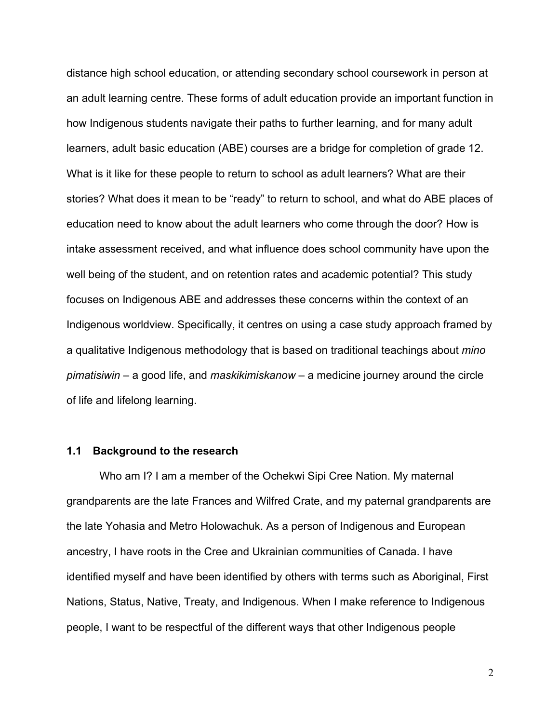distance high school education, or attending secondary school coursework in person at an adult learning centre. These forms of adult education provide an important function in how Indigenous students navigate their paths to further learning, and for many adult learners, adult basic education (ABE) courses are a bridge for completion of grade 12. What is it like for these people to return to school as adult learners? What are their stories? What does it mean to be "ready" to return to school, and what do ABE places of education need to know about the adult learners who come through the door? How is intake assessment received, and what influence does school community have upon the well being of the student, and on retention rates and academic potential? This study focuses on Indigenous ABE and addresses these concerns within the context of an Indigenous worldview. Specifically, it centres on using a case study approach framed by a qualitative Indigenous methodology that is based on traditional teachings about *mino pimatisiwin* – a good life, and *maskikimiskanow* – a medicine journey around the circle of life and lifelong learning.

#### **1.1 Background to the research**

Who am I? I am a member of the Ochekwi Sipi Cree Nation. My maternal grandparents are the late Frances and Wilfred Crate, and my paternal grandparents are the late Yohasia and Metro Holowachuk. As a person of Indigenous and European ancestry, I have roots in the Cree and Ukrainian communities of Canada. I have identified myself and have been identified by others with terms such as Aboriginal, First Nations, Status, Native, Treaty, and Indigenous. When I make reference to Indigenous people, I want to be respectful of the different ways that other Indigenous people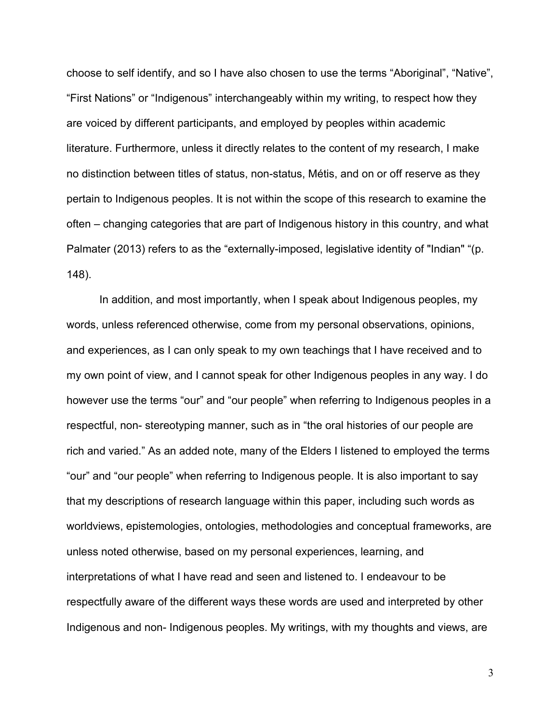choose to self identify, and so I have also chosen to use the terms "Aboriginal", "Native", "First Nations" or "Indigenous" interchangeably within my writing, to respect how they are voiced by different participants, and employed by peoples within academic literature. Furthermore, unless it directly relates to the content of my research, I make no distinction between titles of status, non-status, Métis, and on or off reserve as they pertain to Indigenous peoples. It is not within the scope of this research to examine the often – changing categories that are part of Indigenous history in this country, and what Palmater (2013) refers to as the "externally-imposed, legislative identity of "Indian" "(p. 148).

In addition, and most importantly, when I speak about Indigenous peoples, my words, unless referenced otherwise, come from my personal observations, opinions, and experiences, as I can only speak to my own teachings that I have received and to my own point of view, and I cannot speak for other Indigenous peoples in any way. I do however use the terms "our" and "our people" when referring to Indigenous peoples in a respectful, non- stereotyping manner, such as in "the oral histories of our people are rich and varied." As an added note, many of the Elders I listened to employed the terms "our" and "our people" when referring to Indigenous people. It is also important to say that my descriptions of research language within this paper, including such words as worldviews, epistemologies, ontologies, methodologies and conceptual frameworks, are unless noted otherwise, based on my personal experiences, learning, and interpretations of what I have read and seen and listened to. I endeavour to be respectfully aware of the different ways these words are used and interpreted by other Indigenous and non- Indigenous peoples. My writings, with my thoughts and views, are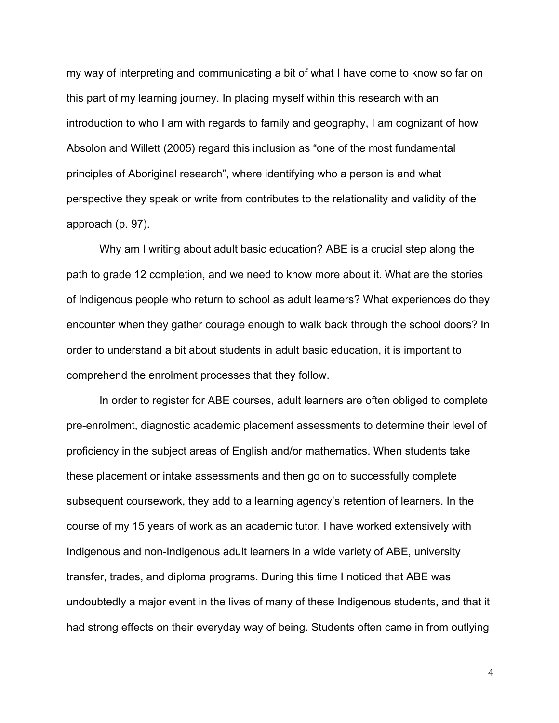my way of interpreting and communicating a bit of what I have come to know so far on this part of my learning journey. In placing myself within this research with an introduction to who I am with regards to family and geography, I am cognizant of how Absolon and Willett (2005) regard this inclusion as "one of the most fundamental principles of Aboriginal research", where identifying who a person is and what perspective they speak or write from contributes to the relationality and validity of the approach (p. 97).

Why am I writing about adult basic education? ABE is a crucial step along the path to grade 12 completion, and we need to know more about it. What are the stories of Indigenous people who return to school as adult learners? What experiences do they encounter when they gather courage enough to walk back through the school doors? In order to understand a bit about students in adult basic education, it is important to comprehend the enrolment processes that they follow.

In order to register for ABE courses, adult learners are often obliged to complete pre-enrolment, diagnostic academic placement assessments to determine their level of proficiency in the subject areas of English and/or mathematics. When students take these placement or intake assessments and then go on to successfully complete subsequent coursework, they add to a learning agency's retention of learners. In the course of my 15 years of work as an academic tutor, I have worked extensively with Indigenous and non-Indigenous adult learners in a wide variety of ABE, university transfer, trades, and diploma programs. During this time I noticed that ABE was undoubtedly a major event in the lives of many of these Indigenous students, and that it had strong effects on their everyday way of being. Students often came in from outlying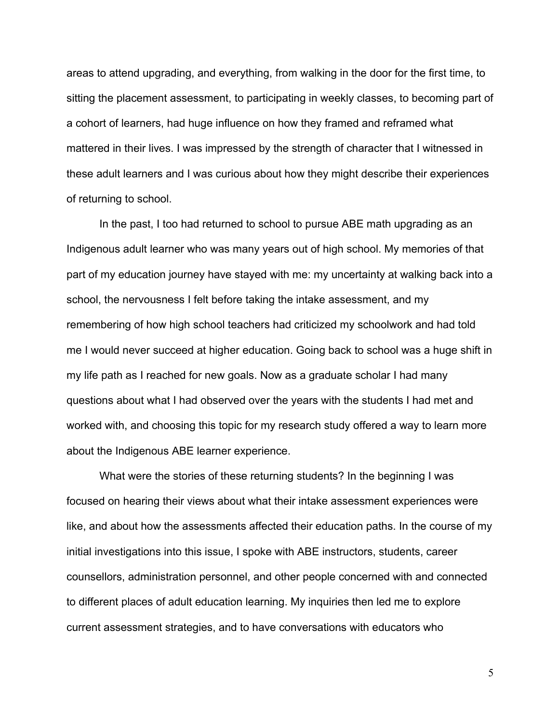areas to attend upgrading, and everything, from walking in the door for the first time, to sitting the placement assessment, to participating in weekly classes, to becoming part of a cohort of learners, had huge influence on how they framed and reframed what mattered in their lives. I was impressed by the strength of character that I witnessed in these adult learners and I was curious about how they might describe their experiences of returning to school.

In the past, I too had returned to school to pursue ABE math upgrading as an Indigenous adult learner who was many years out of high school. My memories of that part of my education journey have stayed with me: my uncertainty at walking back into a school, the nervousness I felt before taking the intake assessment, and my remembering of how high school teachers had criticized my schoolwork and had told me I would never succeed at higher education. Going back to school was a huge shift in my life path as I reached for new goals. Now as a graduate scholar I had many questions about what I had observed over the years with the students I had met and worked with, and choosing this topic for my research study offered a way to learn more about the Indigenous ABE learner experience.

What were the stories of these returning students? In the beginning I was focused on hearing their views about what their intake assessment experiences were like, and about how the assessments affected their education paths. In the course of my initial investigations into this issue, I spoke with ABE instructors, students, career counsellors, administration personnel, and other people concerned with and connected to different places of adult education learning. My inquiries then led me to explore current assessment strategies, and to have conversations with educators who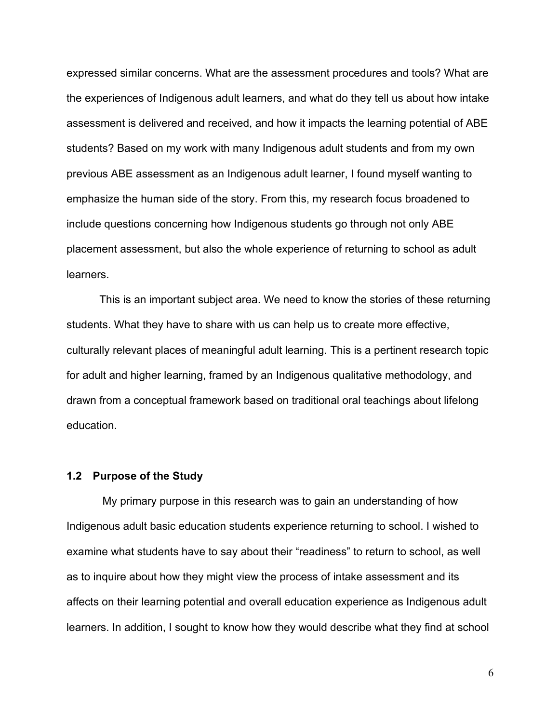expressed similar concerns. What are the assessment procedures and tools? What are the experiences of Indigenous adult learners, and what do they tell us about how intake assessment is delivered and received, and how it impacts the learning potential of ABE students? Based on my work with many Indigenous adult students and from my own previous ABE assessment as an Indigenous adult learner, I found myself wanting to emphasize the human side of the story. From this, my research focus broadened to include questions concerning how Indigenous students go through not only ABE placement assessment, but also the whole experience of returning to school as adult learners.

This is an important subject area. We need to know the stories of these returning students. What they have to share with us can help us to create more effective, culturally relevant places of meaningful adult learning. This is a pertinent research topic for adult and higher learning, framed by an Indigenous qualitative methodology, and drawn from a conceptual framework based on traditional oral teachings about lifelong education.

#### **1.2 Purpose of the Study**

My primary purpose in this research was to gain an understanding of how Indigenous adult basic education students experience returning to school. I wished to examine what students have to say about their "readiness" to return to school, as well as to inquire about how they might view the process of intake assessment and its affects on their learning potential and overall education experience as Indigenous adult learners. In addition, I sought to know how they would describe what they find at school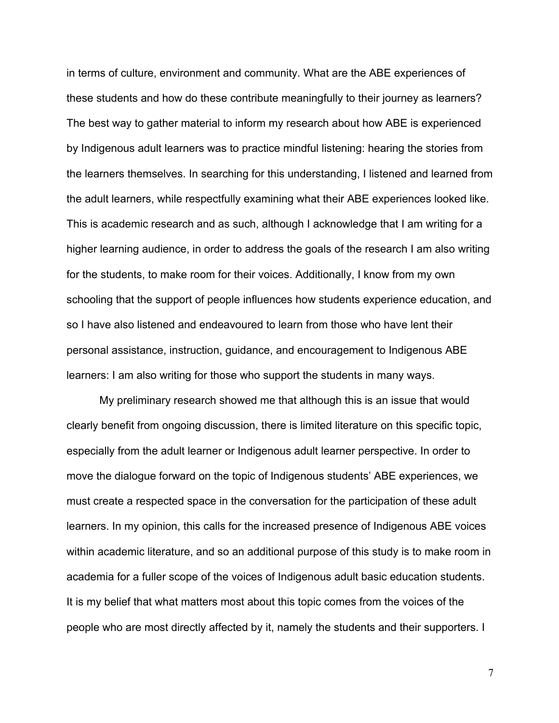in terms of culture, environment and community. What are the ABE experiences of these students and how do these contribute meaningfully to their journey as learners? The best way to gather material to inform my research about how ABE is experienced by Indigenous adult learners was to practice mindful listening: hearing the stories from the learners themselves. In searching for this understanding, I listened and learned from the adult learners, while respectfully examining what their ABE experiences looked like. This is academic research and as such, although I acknowledge that I am writing for a higher learning audience, in order to address the goals of the research I am also writing for the students, to make room for their voices. Additionally, I know from my own schooling that the support of people influences how students experience education, and so I have also listened and endeavoured to learn from those who have lent their personal assistance, instruction, guidance, and encouragement to Indigenous ABE learners: I am also writing for those who support the students in many ways.

My preliminary research showed me that although this is an issue that would clearly benefit from ongoing discussion, there is limited literature on this specific topic, especially from the adult learner or Indigenous adult learner perspective. In order to move the dialogue forward on the topic of Indigenous students' ABE experiences, we must create a respected space in the conversation for the participation of these adult learners. In my opinion, this calls for the increased presence of Indigenous ABE voices within academic literature, and so an additional purpose of this study is to make room in academia for a fuller scope of the voices of Indigenous adult basic education students. It is my belief that what matters most about this topic comes from the voices of the people who are most directly affected by it, namely the students and their supporters. I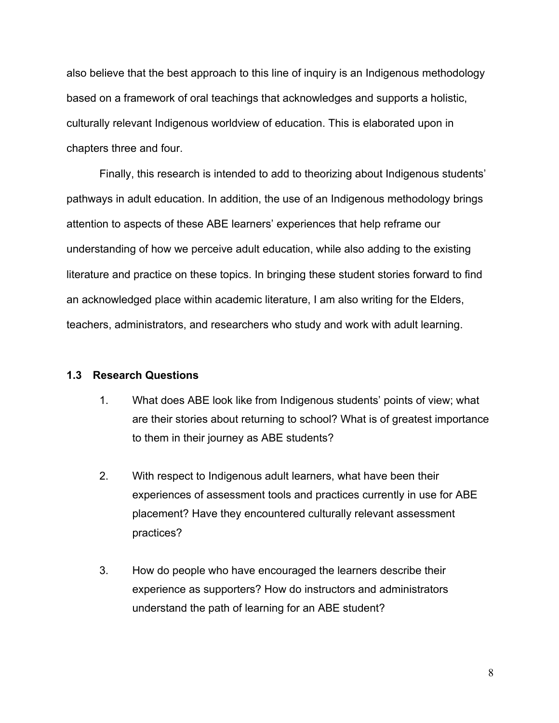also believe that the best approach to this line of inquiry is an Indigenous methodology based on a framework of oral teachings that acknowledges and supports a holistic, culturally relevant Indigenous worldview of education. This is elaborated upon in chapters three and four.

Finally, this research is intended to add to theorizing about Indigenous students' pathways in adult education. In addition, the use of an Indigenous methodology brings attention to aspects of these ABE learners' experiences that help reframe our understanding of how we perceive adult education, while also adding to the existing literature and practice on these topics. In bringing these student stories forward to find an acknowledged place within academic literature, I am also writing for the Elders, teachers, administrators, and researchers who study and work with adult learning.

### **1.3 Research Questions**

- 1. What does ABE look like from Indigenous students' points of view; what are their stories about returning to school? What is of greatest importance to them in their journey as ABE students?
- 2. With respect to Indigenous adult learners, what have been their experiences of assessment tools and practices currently in use for ABE placement? Have they encountered culturally relevant assessment practices?
- 3. How do people who have encouraged the learners describe their experience as supporters? How do instructors and administrators understand the path of learning for an ABE student?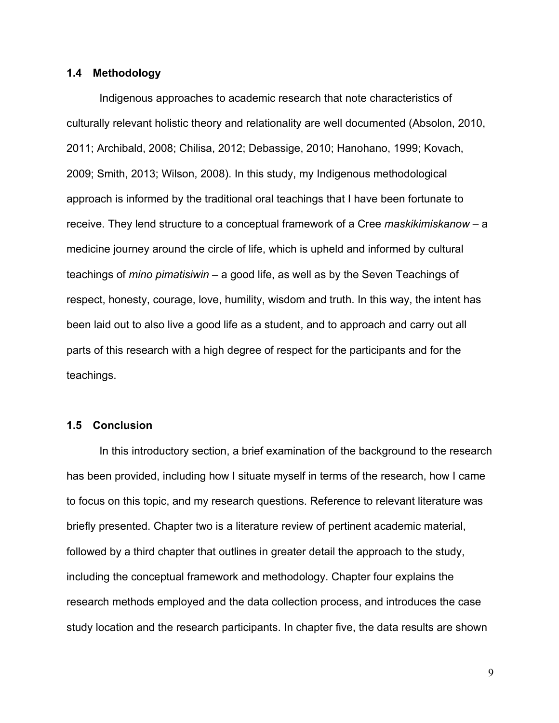#### **1.4 Methodology**

Indigenous approaches to academic research that note characteristics of culturally relevant holistic theory and relationality are well documented (Absolon, 2010, 2011; Archibald, 2008; Chilisa, 2012; Debassige, 2010; Hanohano, 1999; Kovach, 2009; Smith, 2013; Wilson, 2008). In this study, my Indigenous methodological approach is informed by the traditional oral teachings that I have been fortunate to receive. They lend structure to a conceptual framework of a Cree *maskikimiskanow* – a medicine journey around the circle of life, which is upheld and informed by cultural teachings of *mino pimatisiwin* – a good life, as well as by the Seven Teachings of respect, honesty, courage, love, humility, wisdom and truth. In this way, the intent has been laid out to also live a good life as a student, and to approach and carry out all parts of this research with a high degree of respect for the participants and for the teachings.

#### **1.5 Conclusion**

In this introductory section, a brief examination of the background to the research has been provided, including how I situate myself in terms of the research, how I came to focus on this topic, and my research questions. Reference to relevant literature was briefly presented. Chapter two is a literature review of pertinent academic material, followed by a third chapter that outlines in greater detail the approach to the study, including the conceptual framework and methodology. Chapter four explains the research methods employed and the data collection process, and introduces the case study location and the research participants. In chapter five, the data results are shown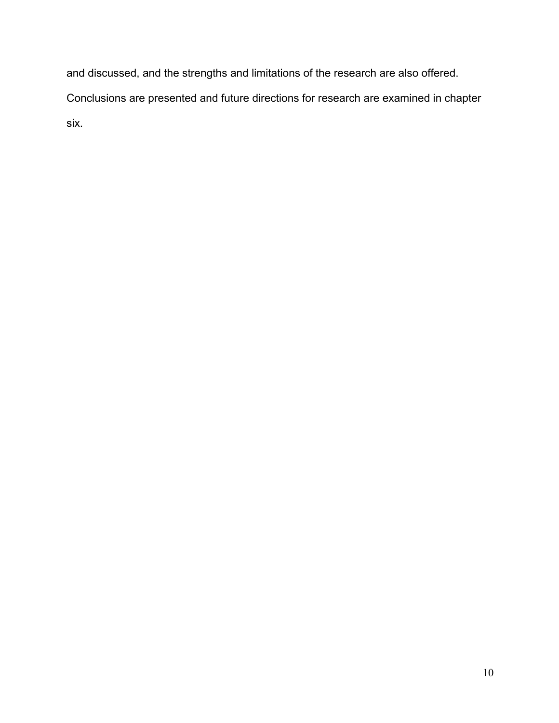and discussed, and the strengths and limitations of the research are also offered.

Conclusions are presented and future directions for research are examined in chapter

six.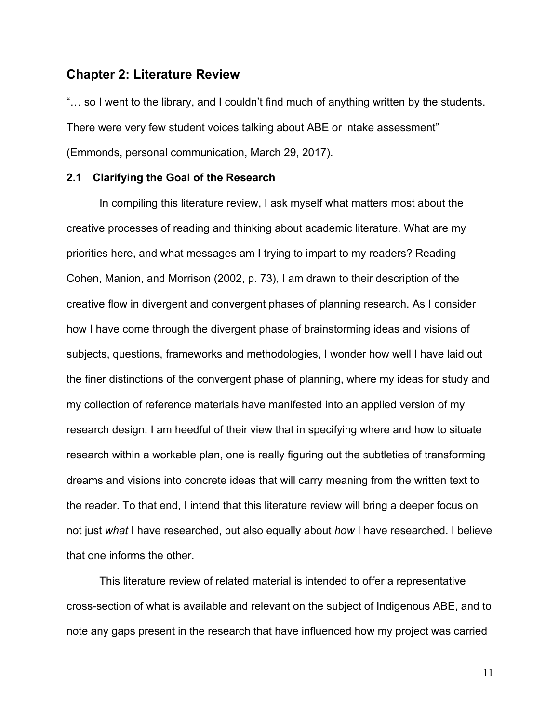### **Chapter 2: Literature Review**

"… so I went to the library, and I couldn't find much of anything written by the students. There were very few student voices talking about ABE or intake assessment" (Emmonds, personal communication, March 29, 2017).

#### **2.1 Clarifying the Goal of the Research**

In compiling this literature review, I ask myself what matters most about the creative processes of reading and thinking about academic literature. What are my priorities here, and what messages am I trying to impart to my readers? Reading Cohen, Manion, and Morrison (2002, p. 73), I am drawn to their description of the creative flow in divergent and convergent phases of planning research. As I consider how I have come through the divergent phase of brainstorming ideas and visions of subjects, questions, frameworks and methodologies, I wonder how well I have laid out the finer distinctions of the convergent phase of planning, where my ideas for study and my collection of reference materials have manifested into an applied version of my research design. I am heedful of their view that in specifying where and how to situate research within a workable plan, one is really figuring out the subtleties of transforming dreams and visions into concrete ideas that will carry meaning from the written text to the reader. To that end, I intend that this literature review will bring a deeper focus on not just *what* I have researched, but also equally about *how* I have researched. I believe that one informs the other.

This literature review of related material is intended to offer a representative cross-section of what is available and relevant on the subject of Indigenous ABE, and to note any gaps present in the research that have influenced how my project was carried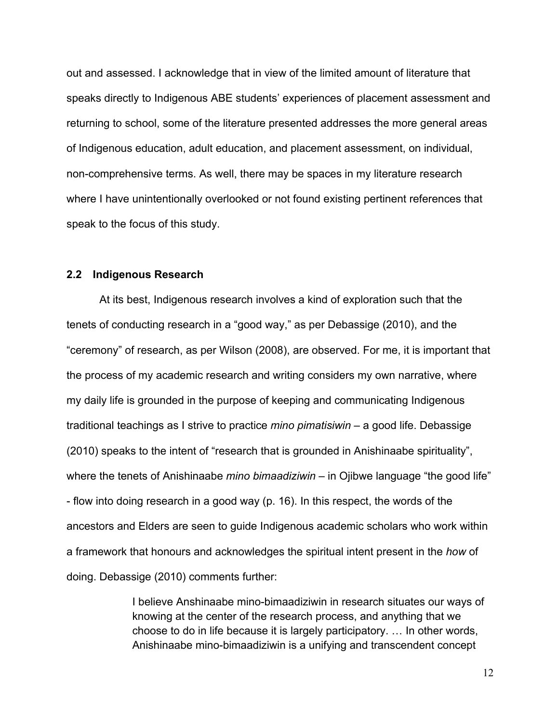out and assessed. I acknowledge that in view of the limited amount of literature that speaks directly to Indigenous ABE students' experiences of placement assessment and returning to school, some of the literature presented addresses the more general areas of Indigenous education, adult education, and placement assessment, on individual, non-comprehensive terms. As well, there may be spaces in my literature research where I have unintentionally overlooked or not found existing pertinent references that speak to the focus of this study.

#### **2.2 Indigenous Research**

At its best, Indigenous research involves a kind of exploration such that the tenets of conducting research in a "good way," as per Debassige (2010), and the "ceremony" of research, as per Wilson (2008), are observed. For me, it is important that the process of my academic research and writing considers my own narrative, where my daily life is grounded in the purpose of keeping and communicating Indigenous traditional teachings as I strive to practice *mino pimatisiwin* – a good life. Debassige (2010) speaks to the intent of "research that is grounded in Anishinaabe spirituality", where the tenets of Anishinaabe *mino bimaadiziwin* – in Ojibwe language "the good life" - flow into doing research in a good way (p. 16). In this respect, the words of the ancestors and Elders are seen to guide Indigenous academic scholars who work within a framework that honours and acknowledges the spiritual intent present in the *how* of doing. Debassige (2010) comments further:

> I believe Anshinaabe mino-bimaadiziwin in research situates our ways of knowing at the center of the research process, and anything that we choose to do in life because it is largely participatory. … In other words, Anishinaabe mino-bimaadiziwin is a unifying and transcendent concept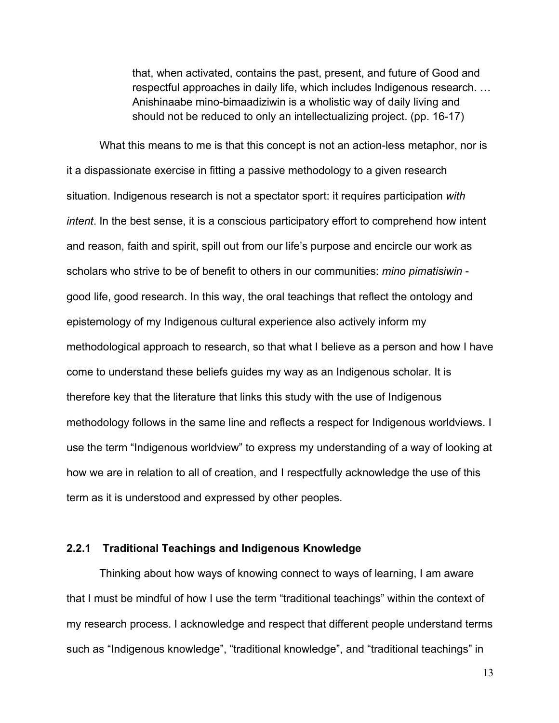that, when activated, contains the past, present, and future of Good and respectful approaches in daily life, which includes Indigenous research. … Anishinaabe mino-bimaadiziwin is a wholistic way of daily living and should not be reduced to only an intellectualizing project. (pp. 16-17)

What this means to me is that this concept is not an action-less metaphor, nor is it a dispassionate exercise in fitting a passive methodology to a given research situation. Indigenous research is not a spectator sport: it requires participation *with intent*. In the best sense, it is a conscious participatory effort to comprehend how intent and reason, faith and spirit, spill out from our life's purpose and encircle our work as scholars who strive to be of benefit to others in our communities: *mino pimatisiwin*  good life, good research. In this way, the oral teachings that reflect the ontology and epistemology of my Indigenous cultural experience also actively inform my methodological approach to research, so that what I believe as a person and how I have come to understand these beliefs guides my way as an Indigenous scholar. It is therefore key that the literature that links this study with the use of Indigenous methodology follows in the same line and reflects a respect for Indigenous worldviews. I use the term "Indigenous worldview" to express my understanding of a way of looking at how we are in relation to all of creation, and I respectfully acknowledge the use of this term as it is understood and expressed by other peoples.

### **2.2.1 Traditional Teachings and Indigenous Knowledge**

Thinking about how ways of knowing connect to ways of learning, I am aware that I must be mindful of how I use the term "traditional teachings" within the context of my research process. I acknowledge and respect that different people understand terms such as "Indigenous knowledge", "traditional knowledge", and "traditional teachings" in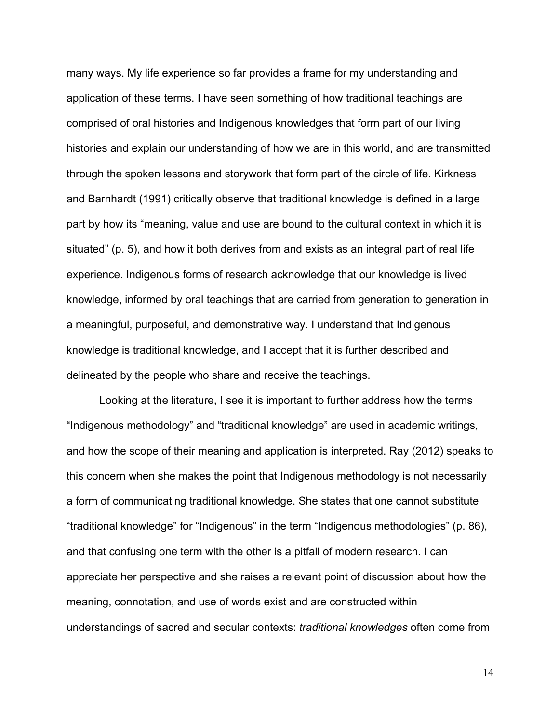many ways. My life experience so far provides a frame for my understanding and application of these terms. I have seen something of how traditional teachings are comprised of oral histories and Indigenous knowledges that form part of our living histories and explain our understanding of how we are in this world, and are transmitted through the spoken lessons and storywork that form part of the circle of life. Kirkness and Barnhardt (1991) critically observe that traditional knowledge is defined in a large part by how its "meaning, value and use are bound to the cultural context in which it is situated" (p. 5), and how it both derives from and exists as an integral part of real life experience. Indigenous forms of research acknowledge that our knowledge is lived knowledge, informed by oral teachings that are carried from generation to generation in a meaningful, purposeful, and demonstrative way. I understand that Indigenous knowledge is traditional knowledge, and I accept that it is further described and delineated by the people who share and receive the teachings.

Looking at the literature, I see it is important to further address how the terms "Indigenous methodology" and "traditional knowledge" are used in academic writings, and how the scope of their meaning and application is interpreted. Ray (2012) speaks to this concern when she makes the point that Indigenous methodology is not necessarily a form of communicating traditional knowledge. She states that one cannot substitute "traditional knowledge" for "Indigenous" in the term "Indigenous methodologies" (p. 86), and that confusing one term with the other is a pitfall of modern research. I can appreciate her perspective and she raises a relevant point of discussion about how the meaning, connotation, and use of words exist and are constructed within understandings of sacred and secular contexts: *traditional knowledges* often come from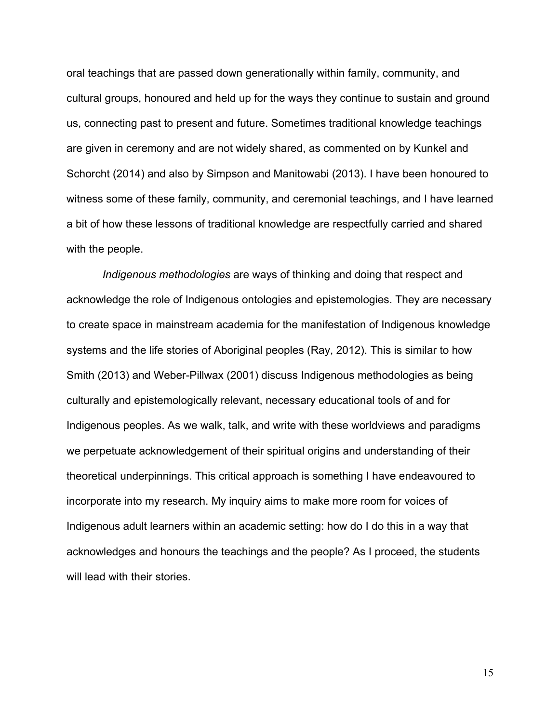oral teachings that are passed down generationally within family, community, and cultural groups, honoured and held up for the ways they continue to sustain and ground us, connecting past to present and future. Sometimes traditional knowledge teachings are given in ceremony and are not widely shared, as commented on by Kunkel and Schorcht (2014) and also by Simpson and Manitowabi (2013). I have been honoured to witness some of these family, community, and ceremonial teachings, and I have learned a bit of how these lessons of traditional knowledge are respectfully carried and shared with the people.

*Indigenous methodologies* are ways of thinking and doing that respect and acknowledge the role of Indigenous ontologies and epistemologies. They are necessary to create space in mainstream academia for the manifestation of Indigenous knowledge systems and the life stories of Aboriginal peoples (Ray, 2012). This is similar to how Smith (2013) and Weber-Pillwax (2001) discuss Indigenous methodologies as being culturally and epistemologically relevant, necessary educational tools of and for Indigenous peoples. As we walk, talk, and write with these worldviews and paradigms we perpetuate acknowledgement of their spiritual origins and understanding of their theoretical underpinnings. This critical approach is something I have endeavoured to incorporate into my research. My inquiry aims to make more room for voices of Indigenous adult learners within an academic setting: how do I do this in a way that acknowledges and honours the teachings and the people? As I proceed, the students will lead with their stories.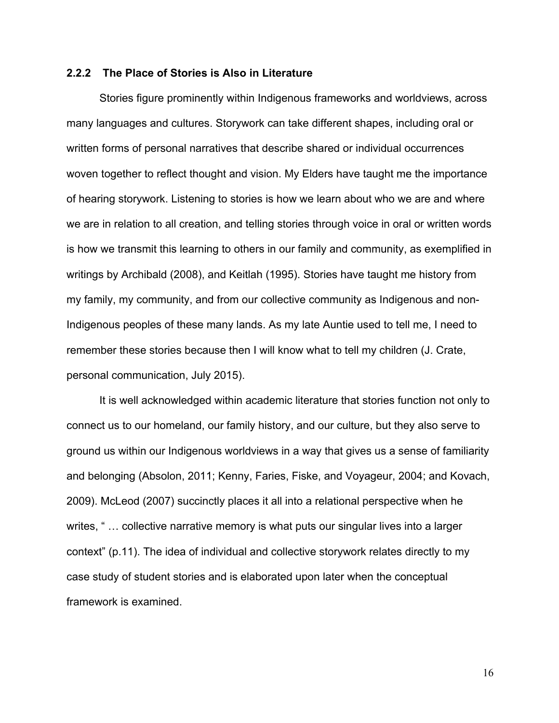#### **2.2.2 The Place of Stories is Also in Literature**

Stories figure prominently within Indigenous frameworks and worldviews, across many languages and cultures. Storywork can take different shapes, including oral or written forms of personal narratives that describe shared or individual occurrences woven together to reflect thought and vision. My Elders have taught me the importance of hearing storywork. Listening to stories is how we learn about who we are and where we are in relation to all creation, and telling stories through voice in oral or written words is how we transmit this learning to others in our family and community, as exemplified in writings by Archibald (2008), and Keitlah (1995). Stories have taught me history from my family, my community, and from our collective community as Indigenous and non-Indigenous peoples of these many lands. As my late Auntie used to tell me, I need to remember these stories because then I will know what to tell my children (J. Crate, personal communication, July 2015).

It is well acknowledged within academic literature that stories function not only to connect us to our homeland, our family history, and our culture, but they also serve to ground us within our Indigenous worldviews in a way that gives us a sense of familiarity and belonging (Absolon, 2011; Kenny, Faries, Fiske, and Voyageur, 2004; and Kovach, 2009). McLeod (2007) succinctly places it all into a relational perspective when he writes, "... collective narrative memory is what puts our singular lives into a larger context" (p.11). The idea of individual and collective storywork relates directly to my case study of student stories and is elaborated upon later when the conceptual framework is examined.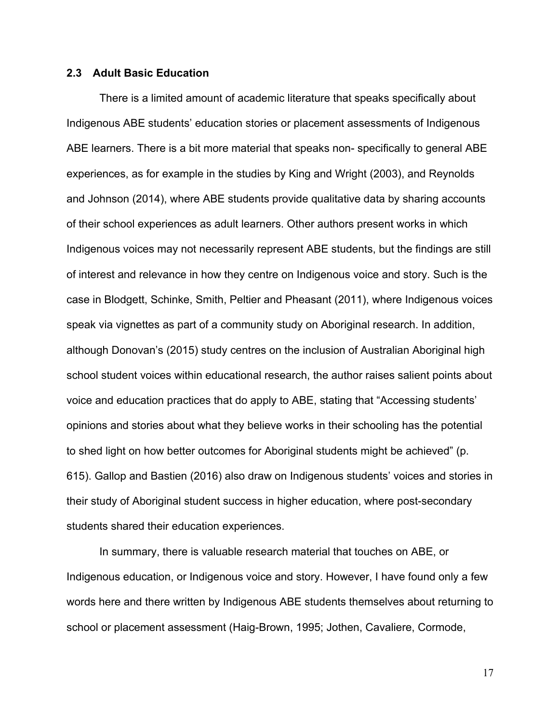#### **2.3 Adult Basic Education**

There is a limited amount of academic literature that speaks specifically about Indigenous ABE students' education stories or placement assessments of Indigenous ABE learners. There is a bit more material that speaks non- specifically to general ABE experiences, as for example in the studies by King and Wright (2003), and Reynolds and Johnson (2014), where ABE students provide qualitative data by sharing accounts of their school experiences as adult learners. Other authors present works in which Indigenous voices may not necessarily represent ABE students, but the findings are still of interest and relevance in how they centre on Indigenous voice and story. Such is the case in Blodgett, Schinke, Smith, Peltier and Pheasant (2011), where Indigenous voices speak via vignettes as part of a community study on Aboriginal research. In addition, although Donovan's (2015) study centres on the inclusion of Australian Aboriginal high school student voices within educational research, the author raises salient points about voice and education practices that do apply to ABE, stating that "Accessing students' opinions and stories about what they believe works in their schooling has the potential to shed light on how better outcomes for Aboriginal students might be achieved" (p. 615). Gallop and Bastien (2016) also draw on Indigenous students' voices and stories in their study of Aboriginal student success in higher education, where post-secondary students shared their education experiences.

In summary, there is valuable research material that touches on ABE, or Indigenous education, or Indigenous voice and story. However, I have found only a few words here and there written by Indigenous ABE students themselves about returning to school or placement assessment (Haig-Brown, 1995; Jothen, Cavaliere, Cormode,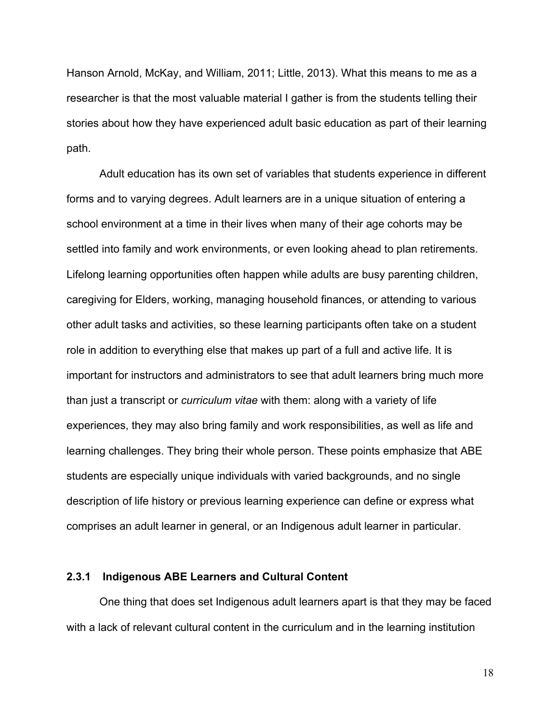Hanson Arnold, McKay, and William, 2011; Little, 2013). What this means to me as a researcher is that the most valuable material I gather is from the students telling their stories about how they have experienced adult basic education as part of their learning path.

Adult education has its own set of variables that students experience in different forms and to varying degrees. Adult learners are in a unique situation of entering a school environment at a time in their lives when many of their age cohorts may be settled into family and work environments, or even looking ahead to plan retirements. Lifelong learning opportunities often happen while adults are busy parenting children, caregiving for Elders, working, managing household finances, or attending to various other adult tasks and activities, so these learning participants often take on a student role in addition to everything else that makes up part of a full and active life. It is important for instructors and administrators to see that adult learners bring much more than just a transcript or *curriculum vitae* with them: along with a variety of life experiences, they may also bring family and work responsibilities, as well as life and learning challenges. They bring their whole person. These points emphasize that ABE students are especially unique individuals with varied backgrounds, and no single description of life history or previous learning experience can define or express what comprises an adult learner in general, or an Indigenous adult learner in particular.

#### **2.3.1 Indigenous ABE Learners and Cultural Content**

One thing that does set Indigenous adult learners apart is that they may be faced with a lack of relevant cultural content in the curriculum and in the learning institution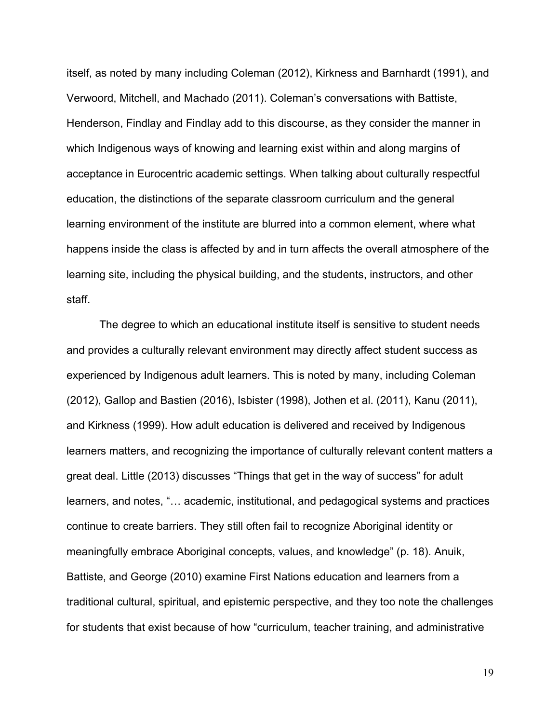itself, as noted by many including Coleman (2012), Kirkness and Barnhardt (1991), and Verwoord, Mitchell, and Machado (2011). Coleman's conversations with Battiste, Henderson, Findlay and Findlay add to this discourse, as they consider the manner in which Indigenous ways of knowing and learning exist within and along margins of acceptance in Eurocentric academic settings. When talking about culturally respectful education, the distinctions of the separate classroom curriculum and the general learning environment of the institute are blurred into a common element, where what happens inside the class is affected by and in turn affects the overall atmosphere of the learning site, including the physical building, and the students, instructors, and other staff.

The degree to which an educational institute itself is sensitive to student needs and provides a culturally relevant environment may directly affect student success as experienced by Indigenous adult learners. This is noted by many, including Coleman (2012), Gallop and Bastien (2016), Isbister (1998), Jothen et al. (2011), Kanu (2011), and Kirkness (1999). How adult education is delivered and received by Indigenous learners matters, and recognizing the importance of culturally relevant content matters a great deal. Little (2013) discusses "Things that get in the way of success" for adult learners, and notes, "… academic, institutional, and pedagogical systems and practices continue to create barriers. They still often fail to recognize Aboriginal identity or meaningfully embrace Aboriginal concepts, values, and knowledge" (p. 18). Anuik, Battiste, and George (2010) examine First Nations education and learners from a traditional cultural, spiritual, and epistemic perspective, and they too note the challenges for students that exist because of how "curriculum, teacher training, and administrative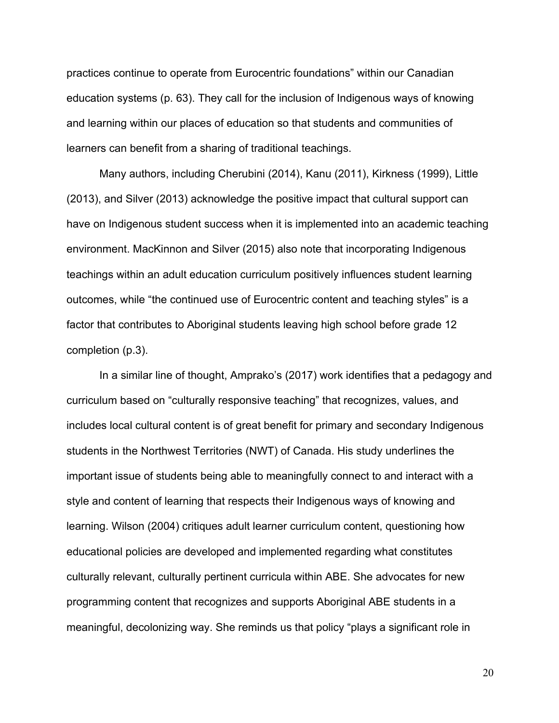practices continue to operate from Eurocentric foundations" within our Canadian education systems (p. 63). They call for the inclusion of Indigenous ways of knowing and learning within our places of education so that students and communities of learners can benefit from a sharing of traditional teachings.

Many authors, including Cherubini (2014), Kanu (2011), Kirkness (1999), Little (2013), and Silver (2013) acknowledge the positive impact that cultural support can have on Indigenous student success when it is implemented into an academic teaching environment. MacKinnon and Silver (2015) also note that incorporating Indigenous teachings within an adult education curriculum positively influences student learning outcomes, while "the continued use of Eurocentric content and teaching styles" is a factor that contributes to Aboriginal students leaving high school before grade 12 completion (p.3).

In a similar line of thought, Amprako's (2017) work identifies that a pedagogy and curriculum based on "culturally responsive teaching" that recognizes, values, and includes local cultural content is of great benefit for primary and secondary Indigenous students in the Northwest Territories (NWT) of Canada. His study underlines the important issue of students being able to meaningfully connect to and interact with a style and content of learning that respects their Indigenous ways of knowing and learning. Wilson (2004) critiques adult learner curriculum content, questioning how educational policies are developed and implemented regarding what constitutes culturally relevant, culturally pertinent curricula within ABE. She advocates for new programming content that recognizes and supports Aboriginal ABE students in a meaningful, decolonizing way. She reminds us that policy "plays a significant role in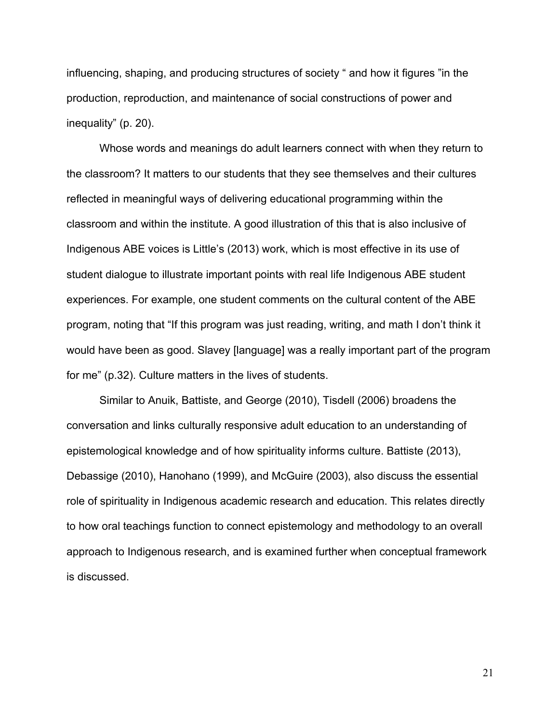influencing, shaping, and producing structures of society " and how it figures "in the production, reproduction, and maintenance of social constructions of power and inequality" (p. 20).

Whose words and meanings do adult learners connect with when they return to the classroom? It matters to our students that they see themselves and their cultures reflected in meaningful ways of delivering educational programming within the classroom and within the institute. A good illustration of this that is also inclusive of Indigenous ABE voices is Little's (2013) work, which is most effective in its use of student dialogue to illustrate important points with real life Indigenous ABE student experiences. For example, one student comments on the cultural content of the ABE program, noting that "If this program was just reading, writing, and math I don't think it would have been as good. Slavey [language] was a really important part of the program for me" (p.32). Culture matters in the lives of students.

Similar to Anuik, Battiste, and George (2010), Tisdell (2006) broadens the conversation and links culturally responsive adult education to an understanding of epistemological knowledge and of how spirituality informs culture. Battiste (2013), Debassige (2010), Hanohano (1999), and McGuire (2003), also discuss the essential role of spirituality in Indigenous academic research and education. This relates directly to how oral teachings function to connect epistemology and methodology to an overall approach to Indigenous research, and is examined further when conceptual framework is discussed.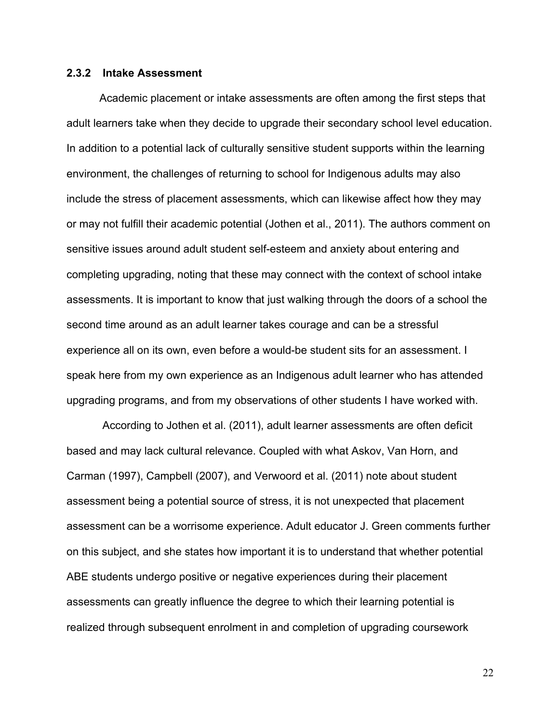#### **2.3.2 Intake Assessment**

Academic placement or intake assessments are often among the first steps that adult learners take when they decide to upgrade their secondary school level education. In addition to a potential lack of culturally sensitive student supports within the learning environment, the challenges of returning to school for Indigenous adults may also include the stress of placement assessments, which can likewise affect how they may or may not fulfill their academic potential (Jothen et al., 2011). The authors comment on sensitive issues around adult student self-esteem and anxiety about entering and completing upgrading, noting that these may connect with the context of school intake assessments. It is important to know that just walking through the doors of a school the second time around as an adult learner takes courage and can be a stressful experience all on its own, even before a would-be student sits for an assessment. I speak here from my own experience as an Indigenous adult learner who has attended upgrading programs, and from my observations of other students I have worked with.

According to Jothen et al. (2011), adult learner assessments are often deficit based and may lack cultural relevance. Coupled with what Askov, Van Horn, and Carman (1997), Campbell (2007), and Verwoord et al. (2011) note about student assessment being a potential source of stress, it is not unexpected that placement assessment can be a worrisome experience. Adult educator J. Green comments further on this subject, and she states how important it is to understand that whether potential ABE students undergo positive or negative experiences during their placement assessments can greatly influence the degree to which their learning potential is realized through subsequent enrolment in and completion of upgrading coursework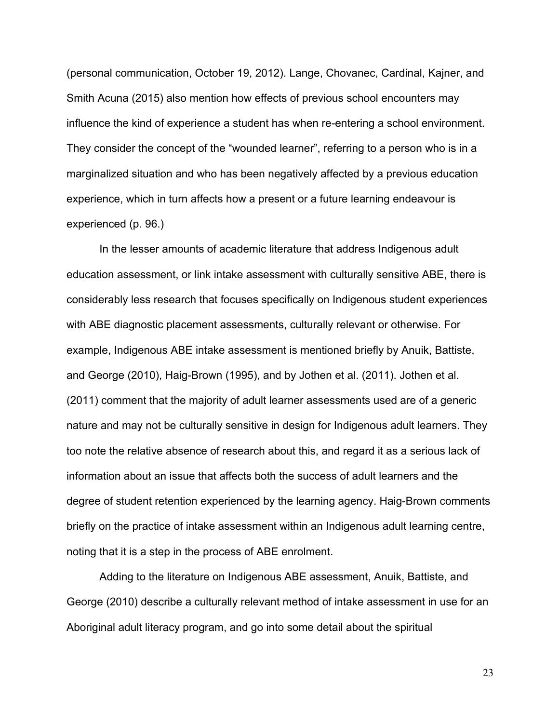(personal communication, October 19, 2012). Lange, Chovanec, Cardinal, Kajner, and Smith Acuna (2015) also mention how effects of previous school encounters may influence the kind of experience a student has when re-entering a school environment. They consider the concept of the "wounded learner", referring to a person who is in a marginalized situation and who has been negatively affected by a previous education experience, which in turn affects how a present or a future learning endeavour is experienced (p. 96.)

In the lesser amounts of academic literature that address Indigenous adult education assessment, or link intake assessment with culturally sensitive ABE, there is considerably less research that focuses specifically on Indigenous student experiences with ABE diagnostic placement assessments, culturally relevant or otherwise. For example, Indigenous ABE intake assessment is mentioned briefly by Anuik, Battiste, and George (2010), Haig-Brown (1995), and by Jothen et al. (2011). Jothen et al. (2011) comment that the majority of adult learner assessments used are of a generic nature and may not be culturally sensitive in design for Indigenous adult learners. They too note the relative absence of research about this, and regard it as a serious lack of information about an issue that affects both the success of adult learners and the degree of student retention experienced by the learning agency. Haig-Brown comments briefly on the practice of intake assessment within an Indigenous adult learning centre, noting that it is a step in the process of ABE enrolment.

Adding to the literature on Indigenous ABE assessment, Anuik, Battiste, and George (2010) describe a culturally relevant method of intake assessment in use for an Aboriginal adult literacy program, and go into some detail about the spiritual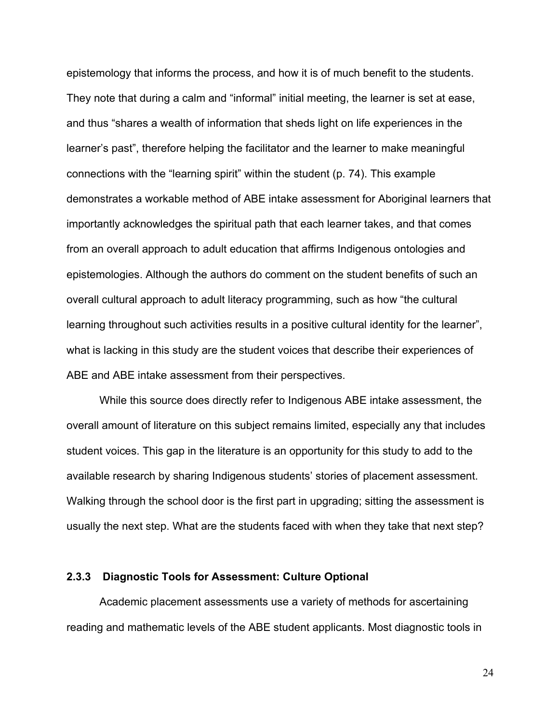epistemology that informs the process, and how it is of much benefit to the students. They note that during a calm and "informal" initial meeting, the learner is set at ease, and thus "shares a wealth of information that sheds light on life experiences in the learner's past", therefore helping the facilitator and the learner to make meaningful connections with the "learning spirit" within the student (p. 74). This example demonstrates a workable method of ABE intake assessment for Aboriginal learners that importantly acknowledges the spiritual path that each learner takes, and that comes from an overall approach to adult education that affirms Indigenous ontologies and epistemologies. Although the authors do comment on the student benefits of such an overall cultural approach to adult literacy programming, such as how "the cultural learning throughout such activities results in a positive cultural identity for the learner", what is lacking in this study are the student voices that describe their experiences of ABE and ABE intake assessment from their perspectives.

While this source does directly refer to Indigenous ABE intake assessment, the overall amount of literature on this subject remains limited, especially any that includes student voices. This gap in the literature is an opportunity for this study to add to the available research by sharing Indigenous students' stories of placement assessment. Walking through the school door is the first part in upgrading; sitting the assessment is usually the next step. What are the students faced with when they take that next step?

## **2.3.3 Diagnostic Tools for Assessment: Culture Optional**

Academic placement assessments use a variety of methods for ascertaining reading and mathematic levels of the ABE student applicants. Most diagnostic tools in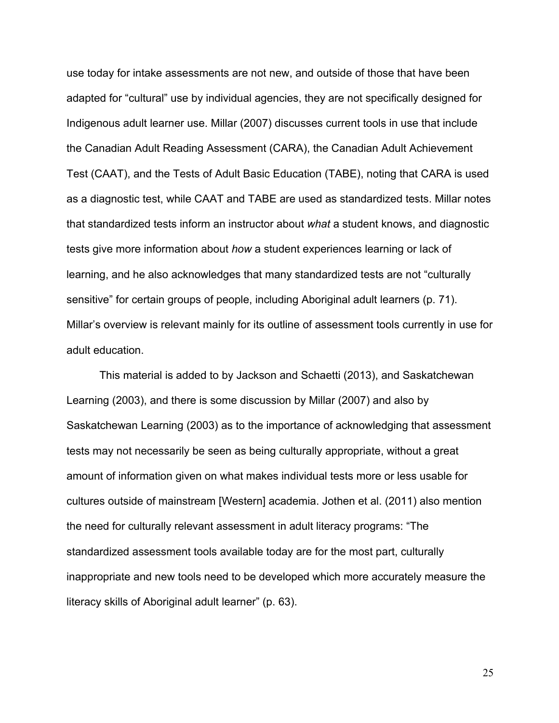use today for intake assessments are not new, and outside of those that have been adapted for "cultural" use by individual agencies, they are not specifically designed for Indigenous adult learner use. Millar (2007) discusses current tools in use that include the Canadian Adult Reading Assessment (CARA), the Canadian Adult Achievement Test (CAAT), and the Tests of Adult Basic Education (TABE), noting that CARA is used as a diagnostic test, while CAAT and TABE are used as standardized tests. Millar notes that standardized tests inform an instructor about *what* a student knows, and diagnostic tests give more information about *how* a student experiences learning or lack of learning, and he also acknowledges that many standardized tests are not "culturally sensitive" for certain groups of people, including Aboriginal adult learners (p. 71). Millar's overview is relevant mainly for its outline of assessment tools currently in use for adult education.

This material is added to by Jackson and Schaetti (2013), and Saskatchewan Learning (2003), and there is some discussion by Millar (2007) and also by Saskatchewan Learning (2003) as to the importance of acknowledging that assessment tests may not necessarily be seen as being culturally appropriate, without a great amount of information given on what makes individual tests more or less usable for cultures outside of mainstream [Western] academia. Jothen et al. (2011) also mention the need for culturally relevant assessment in adult literacy programs: "The standardized assessment tools available today are for the most part, culturally inappropriate and new tools need to be developed which more accurately measure the literacy skills of Aboriginal adult learner" (p. 63).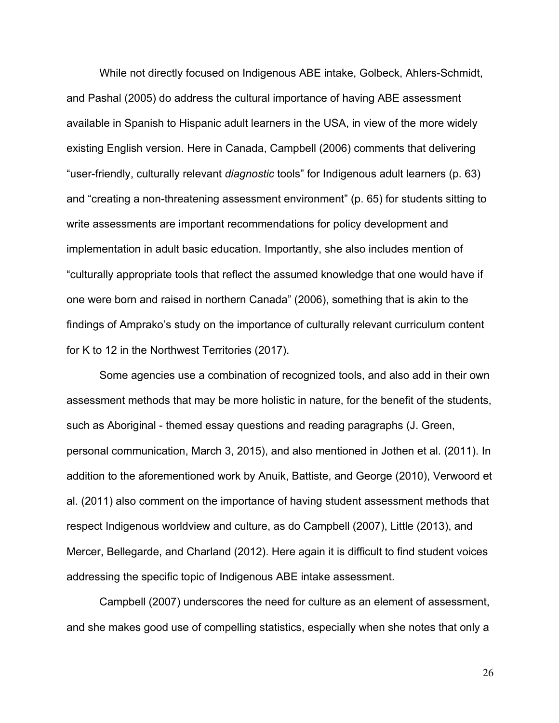While not directly focused on Indigenous ABE intake, Golbeck, Ahlers-Schmidt, and Pashal (2005) do address the cultural importance of having ABE assessment available in Spanish to Hispanic adult learners in the USA, in view of the more widely existing English version. Here in Canada, Campbell (2006) comments that delivering "user-friendly, culturally relevant *diagnostic* tools" for Indigenous adult learners (p. 63) and "creating a non-threatening assessment environment" (p. 65) for students sitting to write assessments are important recommendations for policy development and implementation in adult basic education. Importantly, she also includes mention of "culturally appropriate tools that reflect the assumed knowledge that one would have if one were born and raised in northern Canada" (2006), something that is akin to the findings of Amprako's study on the importance of culturally relevant curriculum content for K to 12 in the Northwest Territories (2017).

Some agencies use a combination of recognized tools, and also add in their own assessment methods that may be more holistic in nature, for the benefit of the students, such as Aboriginal - themed essay questions and reading paragraphs (J. Green, personal communication, March 3, 2015), and also mentioned in Jothen et al. (2011). In addition to the aforementioned work by Anuik, Battiste, and George (2010), Verwoord et al. (2011) also comment on the importance of having student assessment methods that respect Indigenous worldview and culture, as do Campbell (2007), Little (2013), and Mercer, Bellegarde, and Charland (2012). Here again it is difficult to find student voices addressing the specific topic of Indigenous ABE intake assessment.

Campbell (2007) underscores the need for culture as an element of assessment, and she makes good use of compelling statistics, especially when she notes that only a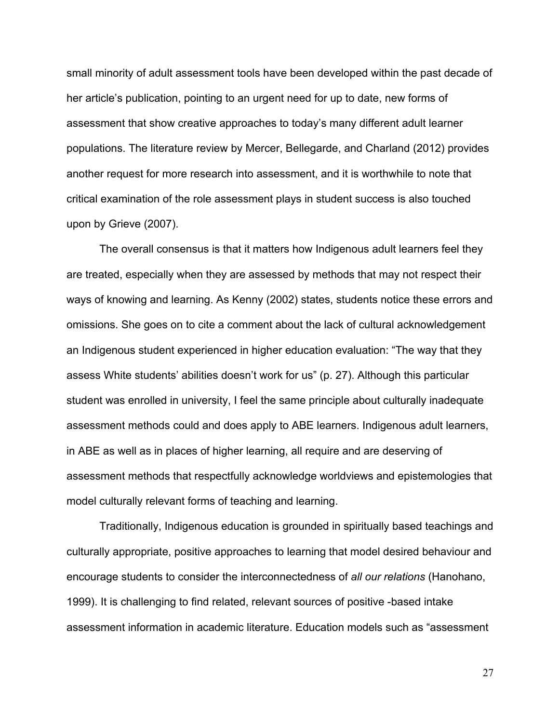small minority of adult assessment tools have been developed within the past decade of her article's publication, pointing to an urgent need for up to date, new forms of assessment that show creative approaches to today's many different adult learner populations. The literature review by Mercer, Bellegarde, and Charland (2012) provides another request for more research into assessment, and it is worthwhile to note that critical examination of the role assessment plays in student success is also touched upon by Grieve (2007).

The overall consensus is that it matters how Indigenous adult learners feel they are treated, especially when they are assessed by methods that may not respect their ways of knowing and learning. As Kenny (2002) states, students notice these errors and omissions. She goes on to cite a comment about the lack of cultural acknowledgement an Indigenous student experienced in higher education evaluation: "The way that they assess White students' abilities doesn't work for us" (p. 27). Although this particular student was enrolled in university, I feel the same principle about culturally inadequate assessment methods could and does apply to ABE learners. Indigenous adult learners, in ABE as well as in places of higher learning, all require and are deserving of assessment methods that respectfully acknowledge worldviews and epistemologies that model culturally relevant forms of teaching and learning.

Traditionally, Indigenous education is grounded in spiritually based teachings and culturally appropriate, positive approaches to learning that model desired behaviour and encourage students to consider the interconnectedness of *all our relations* (Hanohano, 1999). It is challenging to find related, relevant sources of positive -based intake assessment information in academic literature. Education models such as "assessment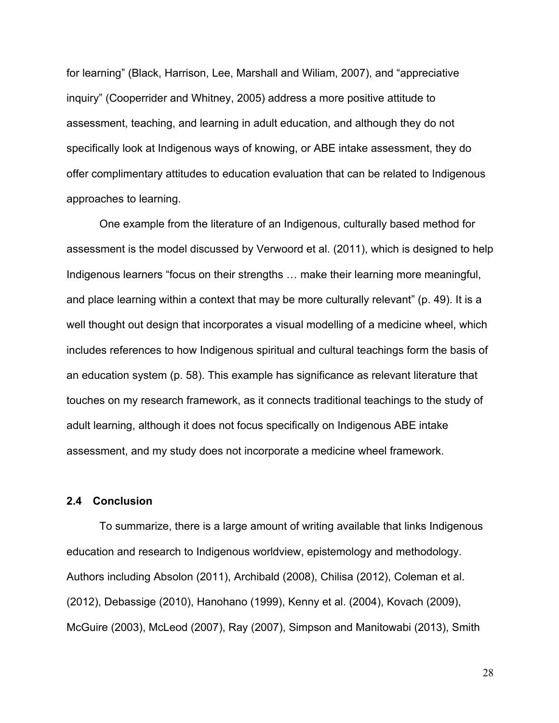for learning" (Black, Harrison, Lee, Marshall and Wiliam, 2007), and "appreciative inquiry" (Cooperrider and Whitney, 2005) address a more positive attitude to assessment, teaching, and learning in adult education, and although they do not specifically look at Indigenous ways of knowing, or ABE intake assessment, they do offer complimentary attitudes to education evaluation that can be related to Indigenous approaches to learning.

One example from the literature of an Indigenous, culturally based method for assessment is the model discussed by Verwoord et al. (2011), which is designed to help Indigenous learners "focus on their strengths … make their learning more meaningful, and place learning within a context that may be more culturally relevant" (p. 49). It is a well thought out design that incorporates a visual modelling of a medicine wheel, which includes references to how Indigenous spiritual and cultural teachings form the basis of an education system (p. 58). This example has significance as relevant literature that touches on my research framework, as it connects traditional teachings to the study of adult learning, although it does not focus specifically on Indigenous ABE intake assessment, and my study does not incorporate a medicine wheel framework.

## **2.4 Conclusion**

To summarize, there is a large amount of writing available that links Indigenous education and research to Indigenous worldview, epistemology and methodology. Authors including Absolon (2011), Archibald (2008), Chilisa (2012), Coleman et al. (2012), Debassige (2010), Hanohano (1999), Kenny et al. (2004), Kovach (2009), McGuire (2003), McLeod (2007), Ray (2007), Simpson and Manitowabi (2013), Smith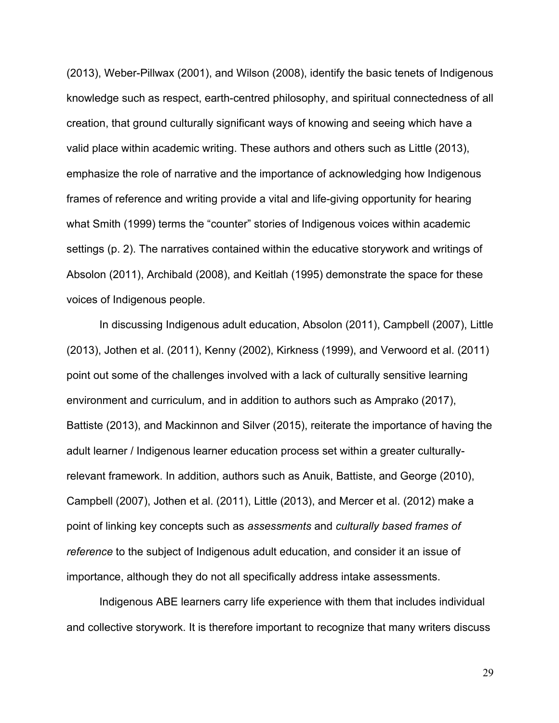(2013), Weber-Pillwax (2001), and Wilson (2008), identify the basic tenets of Indigenous knowledge such as respect, earth-centred philosophy, and spiritual connectedness of all creation, that ground culturally significant ways of knowing and seeing which have a valid place within academic writing. These authors and others such as Little (2013), emphasize the role of narrative and the importance of acknowledging how Indigenous frames of reference and writing provide a vital and life-giving opportunity for hearing what Smith (1999) terms the "counter" stories of Indigenous voices within academic settings (p. 2). The narratives contained within the educative storywork and writings of Absolon (2011), Archibald (2008), and Keitlah (1995) demonstrate the space for these voices of Indigenous people.

In discussing Indigenous adult education, Absolon (2011), Campbell (2007), Little (2013), Jothen et al. (2011), Kenny (2002), Kirkness (1999), and Verwoord et al. (2011) point out some of the challenges involved with a lack of culturally sensitive learning environment and curriculum, and in addition to authors such as Amprako (2017), Battiste (2013), and Mackinnon and Silver (2015), reiterate the importance of having the adult learner / Indigenous learner education process set within a greater culturallyrelevant framework. In addition, authors such as Anuik, Battiste, and George (2010), Campbell (2007), Jothen et al. (2011), Little (2013), and Mercer et al. (2012) make a point of linking key concepts such as *assessments* and *culturally based frames of reference* to the subject of Indigenous adult education, and consider it an issue of importance, although they do not all specifically address intake assessments.

Indigenous ABE learners carry life experience with them that includes individual and collective storywork. It is therefore important to recognize that many writers discuss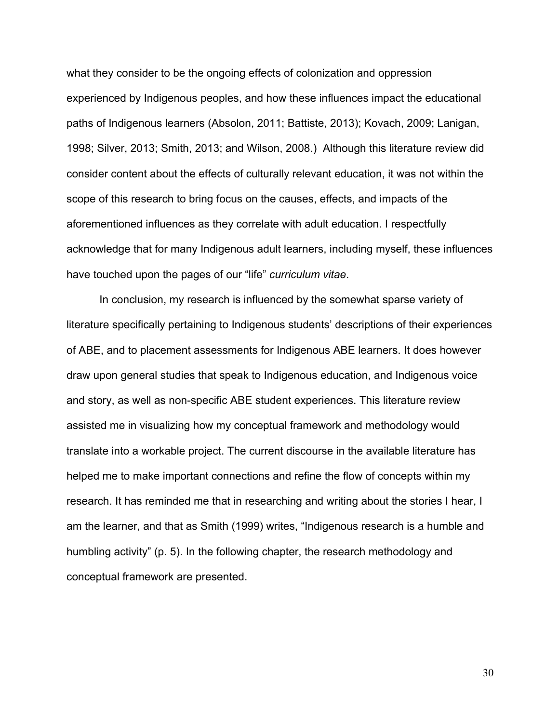what they consider to be the ongoing effects of colonization and oppression experienced by Indigenous peoples, and how these influences impact the educational paths of Indigenous learners (Absolon, 2011; Battiste, 2013); Kovach, 2009; Lanigan, 1998; Silver, 2013; Smith, 2013; and Wilson, 2008.) Although this literature review did consider content about the effects of culturally relevant education, it was not within the scope of this research to bring focus on the causes, effects, and impacts of the aforementioned influences as they correlate with adult education. I respectfully acknowledge that for many Indigenous adult learners, including myself, these influences have touched upon the pages of our "life" *curriculum vitae*.

In conclusion, my research is influenced by the somewhat sparse variety of literature specifically pertaining to Indigenous students' descriptions of their experiences of ABE, and to placement assessments for Indigenous ABE learners. It does however draw upon general studies that speak to Indigenous education, and Indigenous voice and story, as well as non-specific ABE student experiences. This literature review assisted me in visualizing how my conceptual framework and methodology would translate into a workable project. The current discourse in the available literature has helped me to make important connections and refine the flow of concepts within my research. It has reminded me that in researching and writing about the stories I hear, I am the learner, and that as Smith (1999) writes, "Indigenous research is a humble and humbling activity" (p. 5). In the following chapter, the research methodology and conceptual framework are presented.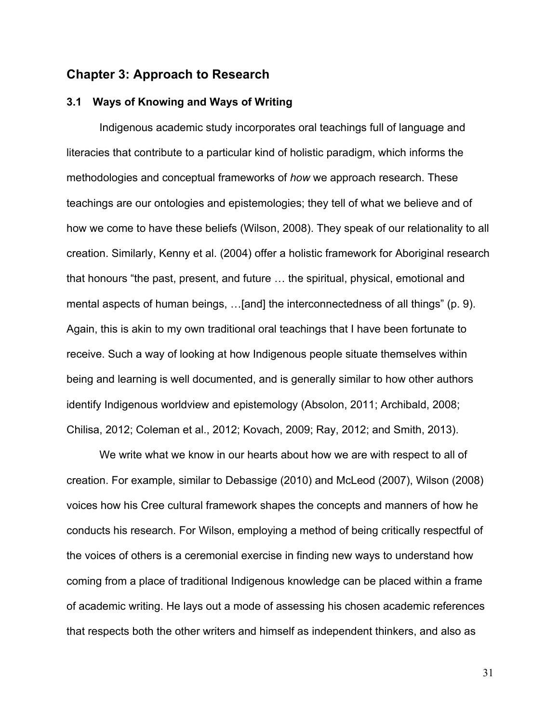## **Chapter 3: Approach to Research**

## **3.1 Ways of Knowing and Ways of Writing**

Indigenous academic study incorporates oral teachings full of language and literacies that contribute to a particular kind of holistic paradigm, which informs the methodologies and conceptual frameworks of *how* we approach research. These teachings are our ontologies and epistemologies; they tell of what we believe and of how we come to have these beliefs (Wilson, 2008). They speak of our relationality to all creation. Similarly, Kenny et al. (2004) offer a holistic framework for Aboriginal research that honours "the past, present, and future … the spiritual, physical, emotional and mental aspects of human beings, …[and] the interconnectedness of all things" (p. 9). Again, this is akin to my own traditional oral teachings that I have been fortunate to receive. Such a way of looking at how Indigenous people situate themselves within being and learning is well documented, and is generally similar to how other authors identify Indigenous worldview and epistemology (Absolon, 2011; Archibald, 2008; Chilisa, 2012; Coleman et al., 2012; Kovach, 2009; Ray, 2012; and Smith, 2013).

We write what we know in our hearts about how we are with respect to all of creation. For example, similar to Debassige (2010) and McLeod (2007), Wilson (2008) voices how his Cree cultural framework shapes the concepts and manners of how he conducts his research. For Wilson, employing a method of being critically respectful of the voices of others is a ceremonial exercise in finding new ways to understand how coming from a place of traditional Indigenous knowledge can be placed within a frame of academic writing. He lays out a mode of assessing his chosen academic references that respects both the other writers and himself as independent thinkers, and also as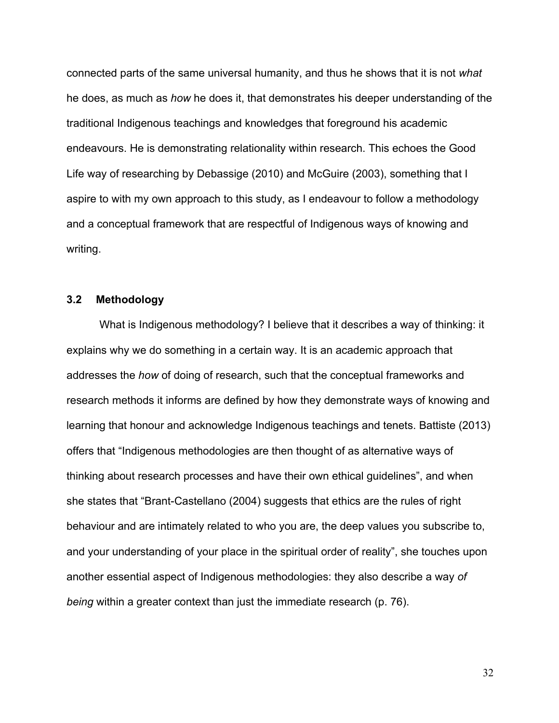connected parts of the same universal humanity, and thus he shows that it is not *what* he does, as much as *how* he does it, that demonstrates his deeper understanding of the traditional Indigenous teachings and knowledges that foreground his academic endeavours. He is demonstrating relationality within research. This echoes the Good Life way of researching by Debassige (2010) and McGuire (2003), something that I aspire to with my own approach to this study, as I endeavour to follow a methodology and a conceptual framework that are respectful of Indigenous ways of knowing and writing.

## **3.2 Methodology**

What is Indigenous methodology? I believe that it describes a way of thinking: it explains why we do something in a certain way. It is an academic approach that addresses the *how* of doing of research, such that the conceptual frameworks and research methods it informs are defined by how they demonstrate ways of knowing and learning that honour and acknowledge Indigenous teachings and tenets. Battiste (2013) offers that "Indigenous methodologies are then thought of as alternative ways of thinking about research processes and have their own ethical guidelines", and when she states that "Brant-Castellano (2004) suggests that ethics are the rules of right behaviour and are intimately related to who you are, the deep values you subscribe to, and your understanding of your place in the spiritual order of reality", she touches upon another essential aspect of Indigenous methodologies: they also describe a way *of being* within a greater context than just the immediate research (p. 76).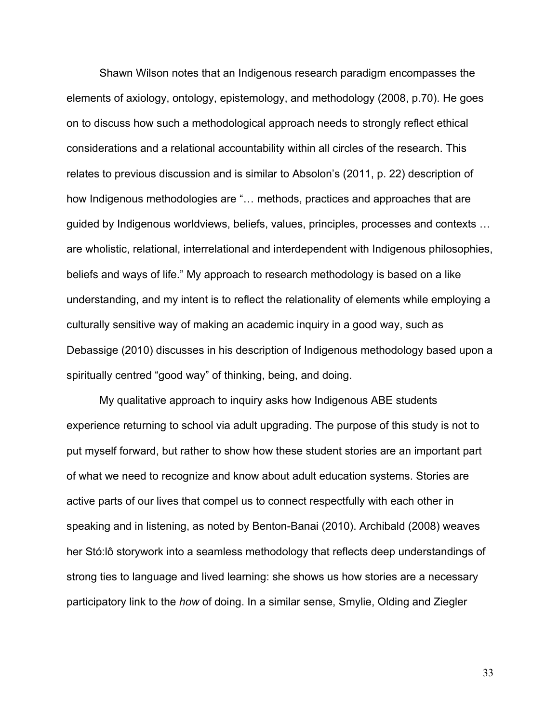Shawn Wilson notes that an Indigenous research paradigm encompasses the elements of axiology, ontology, epistemology, and methodology (2008, p.70). He goes on to discuss how such a methodological approach needs to strongly reflect ethical considerations and a relational accountability within all circles of the research. This relates to previous discussion and is similar to Absolon's (2011, p. 22) description of how Indigenous methodologies are "… methods, practices and approaches that are guided by Indigenous worldviews, beliefs, values, principles, processes and contexts … are wholistic, relational, interrelational and interdependent with Indigenous philosophies, beliefs and ways of life." My approach to research methodology is based on a like understanding, and my intent is to reflect the relationality of elements while employing a culturally sensitive way of making an academic inquiry in a good way, such as Debassige (2010) discusses in his description of Indigenous methodology based upon a spiritually centred "good way" of thinking, being, and doing.

My qualitative approach to inquiry asks how Indigenous ABE students experience returning to school via adult upgrading. The purpose of this study is not to put myself forward, but rather to show how these student stories are an important part of what we need to recognize and know about adult education systems. Stories are active parts of our lives that compel us to connect respectfully with each other in speaking and in listening, as noted by Benton-Banai (2010). Archibald (2008) weaves her Stó:lô storywork into a seamless methodology that reflects deep understandings of strong ties to language and lived learning: she shows us how stories are a necessary participatory link to the *how* of doing. In a similar sense, Smylie, Olding and Ziegler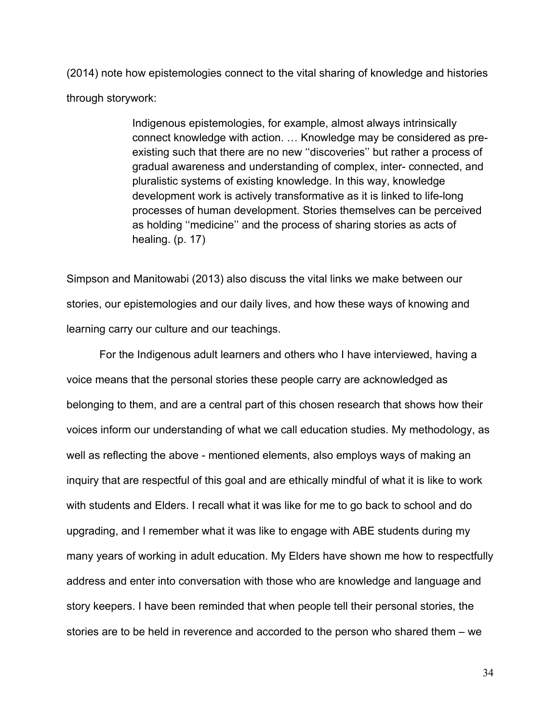(2014) note how epistemologies connect to the vital sharing of knowledge and histories through storywork:

> Indigenous epistemologies, for example, almost always intrinsically connect knowledge with action. … Knowledge may be considered as preexisting such that there are no new ''discoveries'' but rather a process of gradual awareness and understanding of complex, inter- connected, and pluralistic systems of existing knowledge. In this way, knowledge development work is actively transformative as it is linked to life-long processes of human development. Stories themselves can be perceived as holding ''medicine'' and the process of sharing stories as acts of healing. (p. 17)

Simpson and Manitowabi (2013) also discuss the vital links we make between our stories, our epistemologies and our daily lives, and how these ways of knowing and learning carry our culture and our teachings.

For the Indigenous adult learners and others who I have interviewed, having a voice means that the personal stories these people carry are acknowledged as belonging to them, and are a central part of this chosen research that shows how their voices inform our understanding of what we call education studies. My methodology, as well as reflecting the above - mentioned elements, also employs ways of making an inquiry that are respectful of this goal and are ethically mindful of what it is like to work with students and Elders. I recall what it was like for me to go back to school and do upgrading, and I remember what it was like to engage with ABE students during my many years of working in adult education. My Elders have shown me how to respectfully address and enter into conversation with those who are knowledge and language and story keepers. I have been reminded that when people tell their personal stories, the stories are to be held in reverence and accorded to the person who shared them – we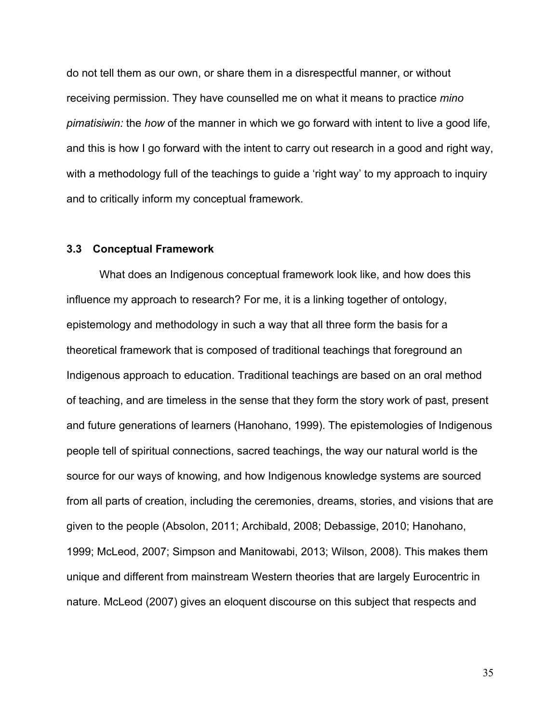do not tell them as our own, or share them in a disrespectful manner, or without receiving permission. They have counselled me on what it means to practice *mino pimatisiwin:* the *how* of the manner in which we go forward with intent to live a good life, and this is how I go forward with the intent to carry out research in a good and right way, with a methodology full of the teachings to guide a 'right way' to my approach to inquiry and to critically inform my conceptual framework.

#### **3.3 Conceptual Framework**

What does an Indigenous conceptual framework look like, and how does this influence my approach to research? For me, it is a linking together of ontology, epistemology and methodology in such a way that all three form the basis for a theoretical framework that is composed of traditional teachings that foreground an Indigenous approach to education. Traditional teachings are based on an oral method of teaching, and are timeless in the sense that they form the story work of past, present and future generations of learners (Hanohano, 1999). The epistemologies of Indigenous people tell of spiritual connections, sacred teachings, the way our natural world is the source for our ways of knowing, and how Indigenous knowledge systems are sourced from all parts of creation, including the ceremonies, dreams, stories, and visions that are given to the people (Absolon, 2011; Archibald, 2008; Debassige, 2010; Hanohano, 1999; McLeod, 2007; Simpson and Manitowabi, 2013; Wilson, 2008). This makes them unique and different from mainstream Western theories that are largely Eurocentric in nature. McLeod (2007) gives an eloquent discourse on this subject that respects and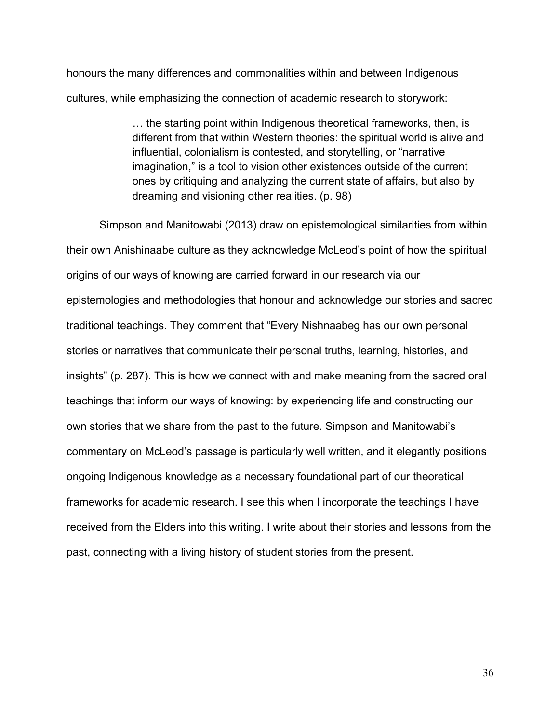honours the many differences and commonalities within and between Indigenous cultures, while emphasizing the connection of academic research to storywork:

> … the starting point within Indigenous theoretical frameworks, then, is different from that within Western theories: the spiritual world is alive and influential, colonialism is contested, and storytelling, or "narrative imagination," is a tool to vision other existences outside of the current ones by critiquing and analyzing the current state of affairs, but also by dreaming and visioning other realities. (p. 98)

Simpson and Manitowabi (2013) draw on epistemological similarities from within their own Anishinaabe culture as they acknowledge McLeod's point of how the spiritual origins of our ways of knowing are carried forward in our research via our epistemologies and methodologies that honour and acknowledge our stories and sacred traditional teachings. They comment that "Every Nishnaabeg has our own personal stories or narratives that communicate their personal truths, learning, histories, and insights" (p. 287). This is how we connect with and make meaning from the sacred oral teachings that inform our ways of knowing: by experiencing life and constructing our own stories that we share from the past to the future. Simpson and Manitowabi's commentary on McLeod's passage is particularly well written, and it elegantly positions ongoing Indigenous knowledge as a necessary foundational part of our theoretical frameworks for academic research. I see this when I incorporate the teachings I have received from the Elders into this writing. I write about their stories and lessons from the past, connecting with a living history of student stories from the present.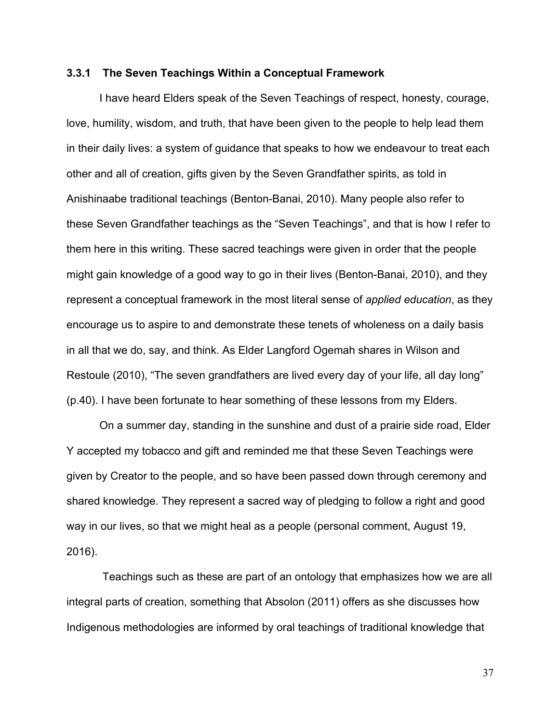#### **3.3.1 The Seven Teachings Within a Conceptual Framework**

I have heard Elders speak of the Seven Teachings of respect, honesty, courage, love, humility, wisdom, and truth, that have been given to the people to help lead them in their daily lives: a system of guidance that speaks to how we endeavour to treat each other and all of creation, gifts given by the Seven Grandfather spirits, as told in Anishinaabe traditional teachings (Benton-Banai, 2010). Many people also refer to these Seven Grandfather teachings as the "Seven Teachings", and that is how I refer to them here in this writing. These sacred teachings were given in order that the people might gain knowledge of a good way to go in their lives (Benton-Banai, 2010), and they represent a conceptual framework in the most literal sense of *applied education*, as they encourage us to aspire to and demonstrate these tenets of wholeness on a daily basis in all that we do, say, and think. As Elder Langford Ogemah shares in Wilson and Restoule (2010), "The seven grandfathers are lived every day of your life, all day long" (p.40). I have been fortunate to hear something of these lessons from my Elders.

On a summer day, standing in the sunshine and dust of a prairie side road, Elder Y accepted my tobacco and gift and reminded me that these Seven Teachings were given by Creator to the people, and so have been passed down through ceremony and shared knowledge. They represent a sacred way of pledging to follow a right and good way in our lives, so that we might heal as a people (personal comment, August 19, 2016).

Teachings such as these are part of an ontology that emphasizes how we are all integral parts of creation, something that Absolon (2011) offers as she discusses how Indigenous methodologies are informed by oral teachings of traditional knowledge that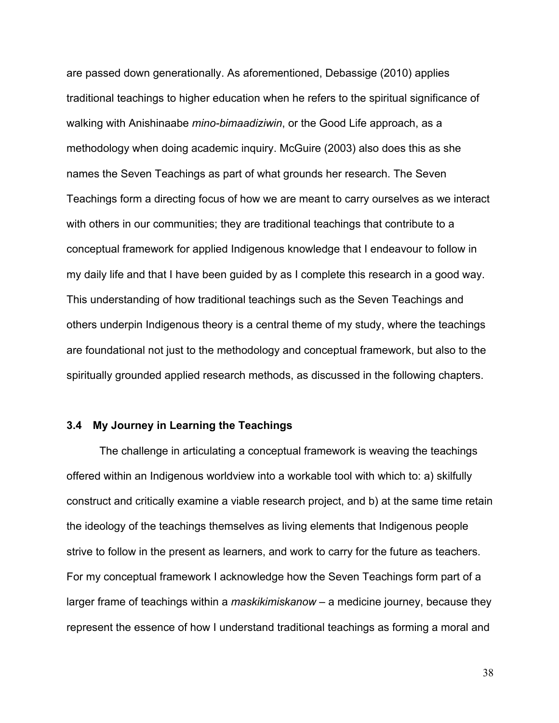are passed down generationally. As aforementioned, Debassige (2010) applies traditional teachings to higher education when he refers to the spiritual significance of walking with Anishinaabe *mino-bimaadiziwin*, or the Good Life approach, as a methodology when doing academic inquiry. McGuire (2003) also does this as she names the Seven Teachings as part of what grounds her research. The Seven Teachings form a directing focus of how we are meant to carry ourselves as we interact with others in our communities; they are traditional teachings that contribute to a conceptual framework for applied Indigenous knowledge that I endeavour to follow in my daily life and that I have been guided by as I complete this research in a good way. This understanding of how traditional teachings such as the Seven Teachings and others underpin Indigenous theory is a central theme of my study, where the teachings are foundational not just to the methodology and conceptual framework, but also to the spiritually grounded applied research methods, as discussed in the following chapters.

#### **3.4 My Journey in Learning the Teachings**

The challenge in articulating a conceptual framework is weaving the teachings offered within an Indigenous worldview into a workable tool with which to: a) skilfully construct and critically examine a viable research project, and b) at the same time retain the ideology of the teachings themselves as living elements that Indigenous people strive to follow in the present as learners, and work to carry for the future as teachers. For my conceptual framework I acknowledge how the Seven Teachings form part of a larger frame of teachings within a *maskikimiskanow* – a medicine journey, because they represent the essence of how I understand traditional teachings as forming a moral and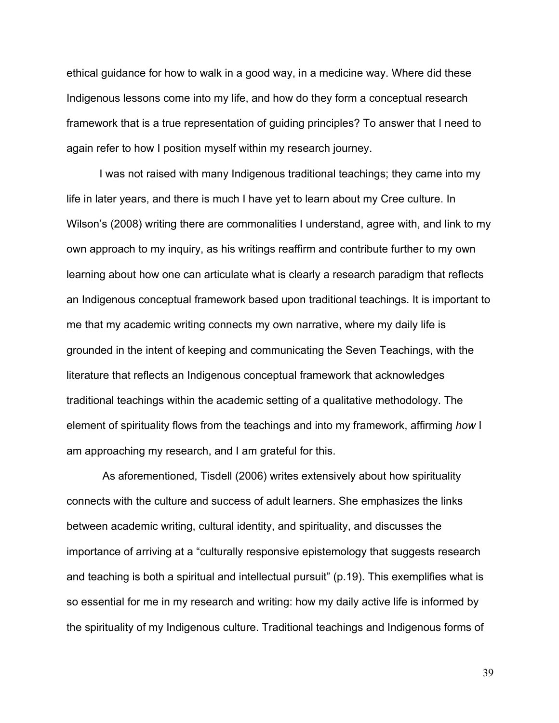ethical guidance for how to walk in a good way, in a medicine way. Where did these Indigenous lessons come into my life, and how do they form a conceptual research framework that is a true representation of guiding principles? To answer that I need to again refer to how I position myself within my research journey.

I was not raised with many Indigenous traditional teachings; they came into my life in later years, and there is much I have yet to learn about my Cree culture. In Wilson's (2008) writing there are commonalities I understand, agree with, and link to my own approach to my inquiry, as his writings reaffirm and contribute further to my own learning about how one can articulate what is clearly a research paradigm that reflects an Indigenous conceptual framework based upon traditional teachings. It is important to me that my academic writing connects my own narrative, where my daily life is grounded in the intent of keeping and communicating the Seven Teachings, with the literature that reflects an Indigenous conceptual framework that acknowledges traditional teachings within the academic setting of a qualitative methodology. The element of spirituality flows from the teachings and into my framework, affirming *how* I am approaching my research, and I am grateful for this.

As aforementioned, Tisdell (2006) writes extensively about how spirituality connects with the culture and success of adult learners. She emphasizes the links between academic writing, cultural identity, and spirituality, and discusses the importance of arriving at a "culturally responsive epistemology that suggests research and teaching is both a spiritual and intellectual pursuit" (p.19). This exemplifies what is so essential for me in my research and writing: how my daily active life is informed by the spirituality of my Indigenous culture. Traditional teachings and Indigenous forms of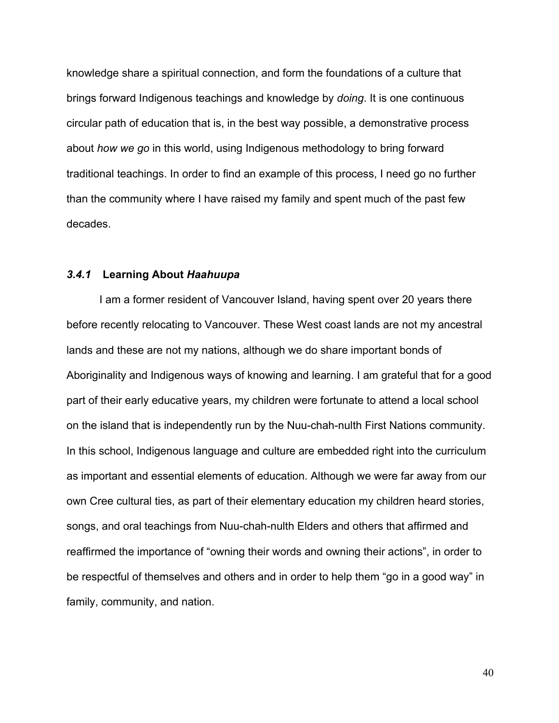knowledge share a spiritual connection, and form the foundations of a culture that brings forward Indigenous teachings and knowledge by *doing*. It is one continuous circular path of education that is, in the best way possible, a demonstrative process about *how we go* in this world, using Indigenous methodology to bring forward traditional teachings. In order to find an example of this process, I need go no further than the community where I have raised my family and spent much of the past few decades.

#### *3.4.1* **Learning About** *Haahuupa*

I am a former resident of Vancouver Island, having spent over 20 years there before recently relocating to Vancouver. These West coast lands are not my ancestral lands and these are not my nations, although we do share important bonds of Aboriginality and Indigenous ways of knowing and learning. I am grateful that for a good part of their early educative years, my children were fortunate to attend a local school on the island that is independently run by the Nuu-chah-nulth First Nations community. In this school, Indigenous language and culture are embedded right into the curriculum as important and essential elements of education. Although we were far away from our own Cree cultural ties, as part of their elementary education my children heard stories, songs, and oral teachings from Nuu-chah-nulth Elders and others that affirmed and reaffirmed the importance of "owning their words and owning their actions", in order to be respectful of themselves and others and in order to help them "go in a good way" in family, community, and nation.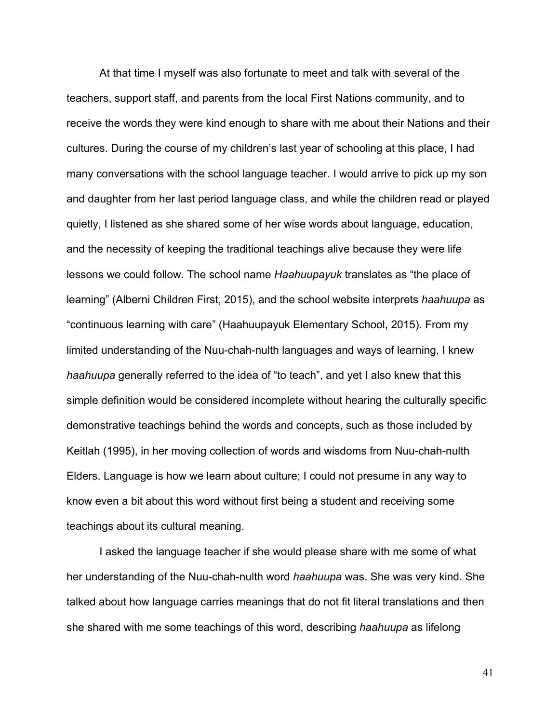At that time I myself was also fortunate to meet and talk with several of the teachers, support staff, and parents from the local First Nations community, and to receive the words they were kind enough to share with me about their Nations and their cultures. During the course of my children's last year of schooling at this place, I had many conversations with the school language teacher. I would arrive to pick up my son and daughter from her last period language class, and while the children read or played quietly, I listened as she shared some of her wise words about language, education, and the necessity of keeping the traditional teachings alive because they were life lessons we could follow. The school name *Haahuupayuk* translates as "the place of learning" (Alberni Children First, 2015), and the school website interprets *haahuupa* as "continuous learning with care" (Haahuupayuk Elementary School, 2015). From my limited understanding of the Nuu-chah-nulth languages and ways of learning, I knew *haahuupa* generally referred to the idea of "to teach", and yet I also knew that this simple definition would be considered incomplete without hearing the culturally specific demonstrative teachings behind the words and concepts, such as those included by Keitlah (1995), in her moving collection of words and wisdoms from Nuu-chah-nulth Elders. Language is how we learn about culture; I could not presume in any way to know even a bit about this word without first being a student and receiving some teachings about its cultural meaning.

I asked the language teacher if she would please share with me some of what her understanding of the Nuu-chah-nulth word *haahuupa* was. She was very kind. She talked about how language carries meanings that do not fit literal translations and then she shared with me some teachings of this word, describing *haahuupa* as lifelong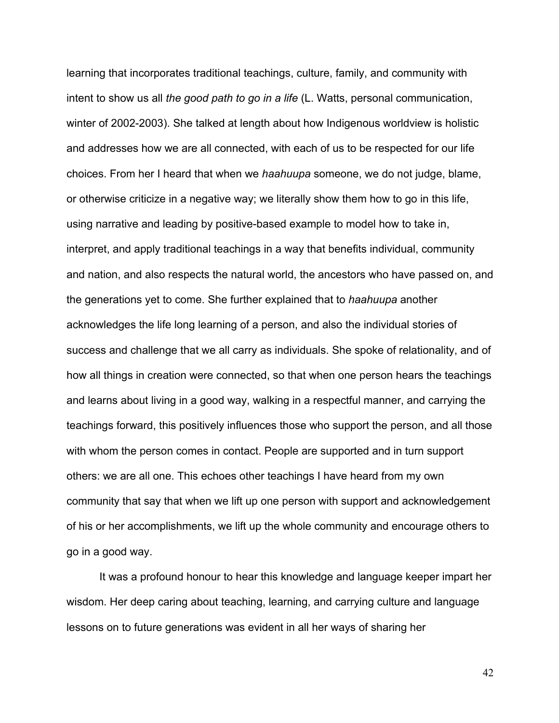learning that incorporates traditional teachings, culture, family, and community with intent to show us all *the good path to go in a life* (L. Watts, personal communication, winter of 2002-2003). She talked at length about how Indigenous worldview is holistic and addresses how we are all connected, with each of us to be respected for our life choices. From her I heard that when we *haahuupa* someone, we do not judge, blame, or otherwise criticize in a negative way; we literally show them how to go in this life, using narrative and leading by positive-based example to model how to take in, interpret, and apply traditional teachings in a way that benefits individual, community and nation, and also respects the natural world, the ancestors who have passed on, and the generations yet to come. She further explained that to *haahuupa* another acknowledges the life long learning of a person, and also the individual stories of success and challenge that we all carry as individuals. She spoke of relationality, and of how all things in creation were connected, so that when one person hears the teachings and learns about living in a good way, walking in a respectful manner, and carrying the teachings forward, this positively influences those who support the person, and all those with whom the person comes in contact. People are supported and in turn support others: we are all one. This echoes other teachings I have heard from my own community that say that when we lift up one person with support and acknowledgement of his or her accomplishments, we lift up the whole community and encourage others to go in a good way.

It was a profound honour to hear this knowledge and language keeper impart her wisdom. Her deep caring about teaching, learning, and carrying culture and language lessons on to future generations was evident in all her ways of sharing her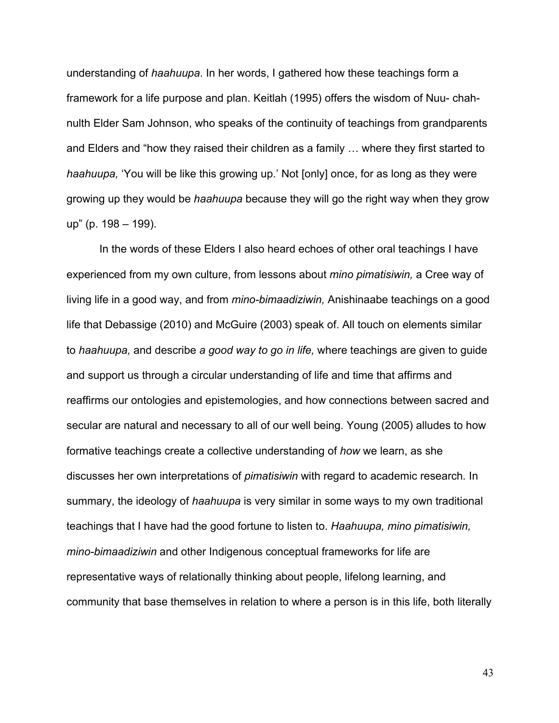understanding of *haahuupa*. In her words, I gathered how these teachings form a framework for a life purpose and plan. Keitlah (1995) offers the wisdom of Nuu- chahnulth Elder Sam Johnson, who speaks of the continuity of teachings from grandparents and Elders and "how they raised their children as a family … where they first started to *haahuupa,* 'You will be like this growing up.' Not [only] once, for as long as they were growing up they would be *haahuupa* because they will go the right way when they grow up" (p. 198 – 199).

In the words of these Elders I also heard echoes of other oral teachings I have experienced from my own culture, from lessons about *mino pimatisiwin,* a Cree way of living life in a good way, and from *mino-bimaadiziwin,* Anishinaabe teachings on a good life that Debassige (2010) and McGuire (2003) speak of. All touch on elements similar to *haahuupa,* and describe *a good way to go in life,* where teachings are given to guide and support us through a circular understanding of life and time that affirms and reaffirms our ontologies and epistemologies, and how connections between sacred and secular are natural and necessary to all of our well being. Young (2005) alludes to how formative teachings create a collective understanding of *how* we learn, as she discusses her own interpretations of *pimatisiwin* with regard to academic research*.* In summary, the ideology of *haahuupa* is very similar in some ways to my own traditional teachings that I have had the good fortune to listen to. *Haahuupa, mino pimatisiwin, mino-bimaadiziwin* and other Indigenous conceptual frameworks for life are representative ways of relationally thinking about people, lifelong learning, and community that base themselves in relation to where a person is in this life, both literally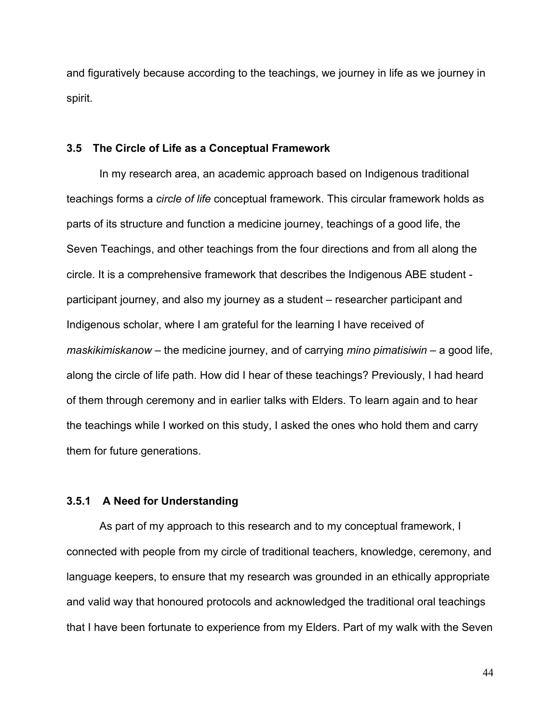and figuratively because according to the teachings, we journey in life as we journey in spirit.

#### **3.5 The Circle of Life as a Conceptual Framework**

In my research area, an academic approach based on Indigenous traditional teachings forms a *circle of life* conceptual framework. This circular framework holds as parts of its structure and function a medicine journey, teachings of a good life, the Seven Teachings, and other teachings from the four directions and from all along the circle. It is a comprehensive framework that describes the Indigenous ABE student participant journey, and also my journey as a student – researcher participant and Indigenous scholar, where I am grateful for the learning I have received of *maskikimiskanow* – the medicine journey, and of carrying *mino pimatisiwin –* a good life, along the circle of life path. How did I hear of these teachings? Previously, I had heard of them through ceremony and in earlier talks with Elders. To learn again and to hear the teachings while I worked on this study, I asked the ones who hold them and carry them for future generations.

## **3.5.1 A Need for Understanding**

As part of my approach to this research and to my conceptual framework, I connected with people from my circle of traditional teachers, knowledge, ceremony, and language keepers, to ensure that my research was grounded in an ethically appropriate and valid way that honoured protocols and acknowledged the traditional oral teachings that I have been fortunate to experience from my Elders. Part of my walk with the Seven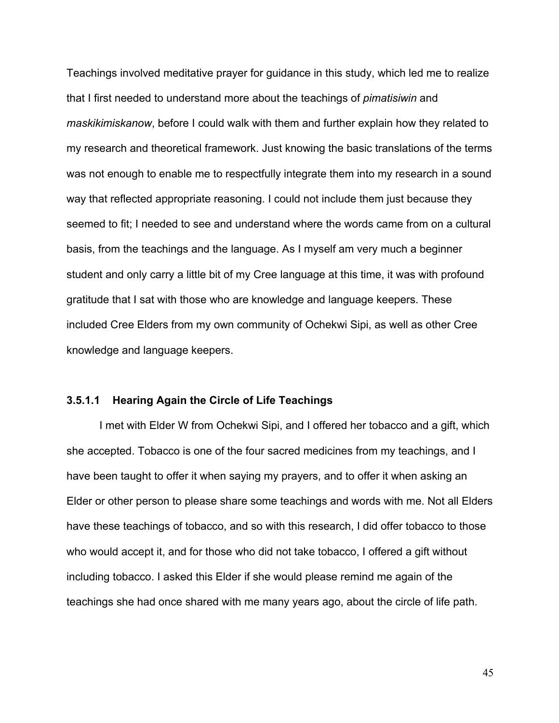Teachings involved meditative prayer for guidance in this study, which led me to realize that I first needed to understand more about the teachings of *pimatisiwin* and *maskikimiskanow*, before I could walk with them and further explain how they related to my research and theoretical framework. Just knowing the basic translations of the terms was not enough to enable me to respectfully integrate them into my research in a sound way that reflected appropriate reasoning. I could not include them just because they seemed to fit; I needed to see and understand where the words came from on a cultural basis, from the teachings and the language. As I myself am very much a beginner student and only carry a little bit of my Cree language at this time, it was with profound gratitude that I sat with those who are knowledge and language keepers. These included Cree Elders from my own community of Ochekwi Sipi, as well as other Cree knowledge and language keepers.

#### **3.5.1.1 Hearing Again the Circle of Life Teachings**

I met with Elder W from Ochekwi Sipi, and I offered her tobacco and a gift, which she accepted. Tobacco is one of the four sacred medicines from my teachings, and I have been taught to offer it when saying my prayers, and to offer it when asking an Elder or other person to please share some teachings and words with me. Not all Elders have these teachings of tobacco, and so with this research, I did offer tobacco to those who would accept it, and for those who did not take tobacco, I offered a gift without including tobacco. I asked this Elder if she would please remind me again of the teachings she had once shared with me many years ago, about the circle of life path.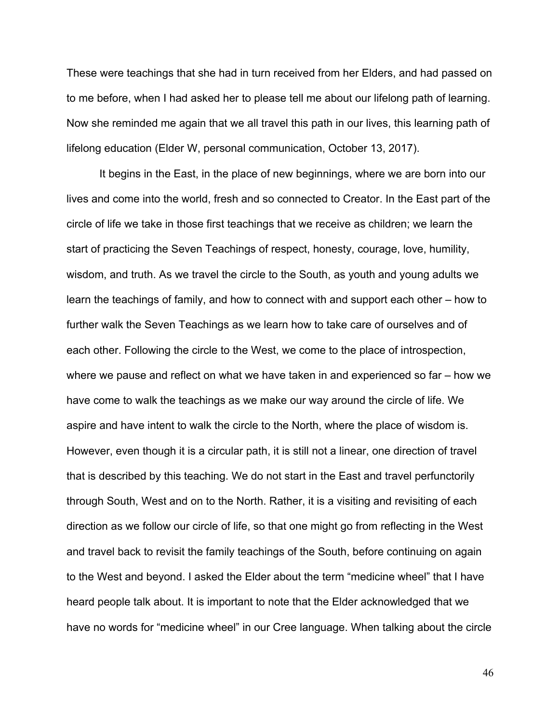These were teachings that she had in turn received from her Elders, and had passed on to me before, when I had asked her to please tell me about our lifelong path of learning. Now she reminded me again that we all travel this path in our lives, this learning path of lifelong education (Elder W, personal communication, October 13, 2017).

It begins in the East, in the place of new beginnings, where we are born into our lives and come into the world, fresh and so connected to Creator. In the East part of the circle of life we take in those first teachings that we receive as children; we learn the start of practicing the Seven Teachings of respect, honesty, courage, love, humility, wisdom, and truth. As we travel the circle to the South, as youth and young adults we learn the teachings of family, and how to connect with and support each other – how to further walk the Seven Teachings as we learn how to take care of ourselves and of each other. Following the circle to the West, we come to the place of introspection, where we pause and reflect on what we have taken in and experienced so far – how we have come to walk the teachings as we make our way around the circle of life. We aspire and have intent to walk the circle to the North, where the place of wisdom is. However, even though it is a circular path, it is still not a linear, one direction of travel that is described by this teaching. We do not start in the East and travel perfunctorily through South, West and on to the North. Rather, it is a visiting and revisiting of each direction as we follow our circle of life, so that one might go from reflecting in the West and travel back to revisit the family teachings of the South, before continuing on again to the West and beyond. I asked the Elder about the term "medicine wheel" that I have heard people talk about. It is important to note that the Elder acknowledged that we have no words for "medicine wheel" in our Cree language. When talking about the circle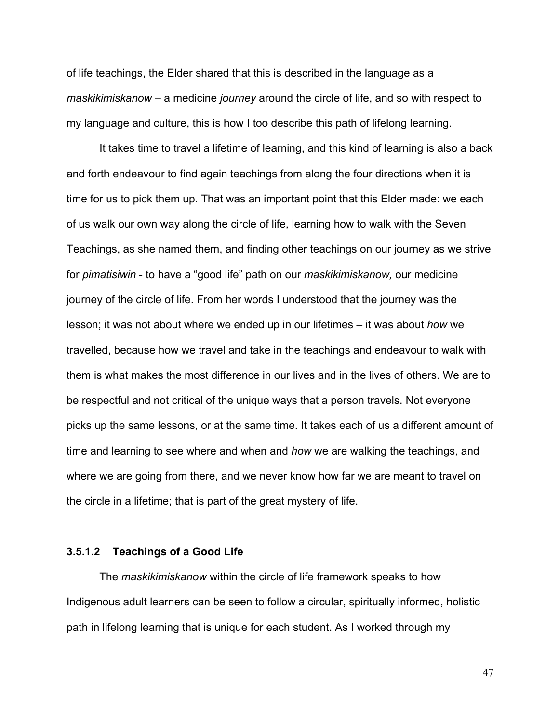of life teachings, the Elder shared that this is described in the language as a *maskikimiskanow* – a medicine *journey* around the circle of life, and so with respect to my language and culture, this is how I too describe this path of lifelong learning.

It takes time to travel a lifetime of learning, and this kind of learning is also a back and forth endeavour to find again teachings from along the four directions when it is time for us to pick them up. That was an important point that this Elder made: we each of us walk our own way along the circle of life, learning how to walk with the Seven Teachings, as she named them, and finding other teachings on our journey as we strive for *pimatisiwin* - to have a "good life" path on our *maskikimiskanow,* our medicine journey of the circle of life. From her words I understood that the journey was the lesson; it was not about where we ended up in our lifetimes – it was about *how* we travelled, because how we travel and take in the teachings and endeavour to walk with them is what makes the most difference in our lives and in the lives of others. We are to be respectful and not critical of the unique ways that a person travels. Not everyone picks up the same lessons, or at the same time. It takes each of us a different amount of time and learning to see where and when and *how* we are walking the teachings, and where we are going from there, and we never know how far we are meant to travel on the circle in a lifetime; that is part of the great mystery of life.

#### **3.5.1.2 Teachings of a Good Life**

The *maskikimiskanow* within the circle of life framework speaks to how Indigenous adult learners can be seen to follow a circular, spiritually informed, holistic path in lifelong learning that is unique for each student. As I worked through my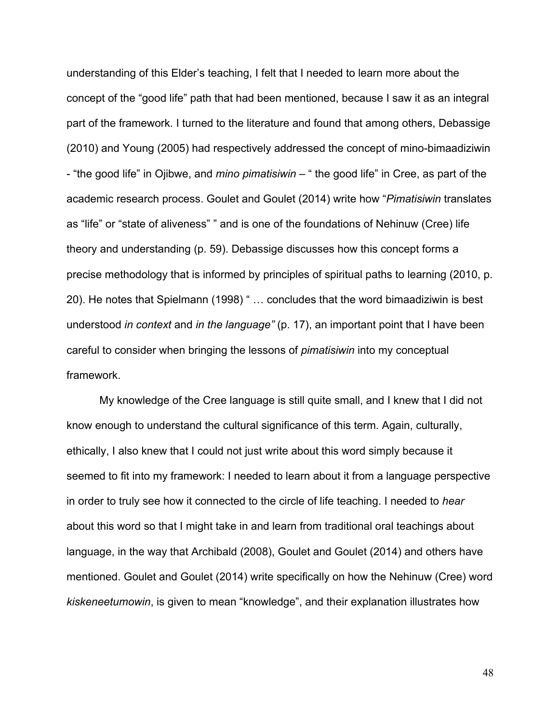understanding of this Elder's teaching, I felt that I needed to learn more about the concept of the "good life" path that had been mentioned, because I saw it as an integral part of the framework. I turned to the literature and found that among others, Debassige (2010) and Young (2005) had respectively addressed the concept of mino-bimaadiziwin - "the good life" in Ojibwe, and *mino pimatisiwin* – " the good life" in Cree, as part of the academic research process. Goulet and Goulet (2014) write how "*Pimatisiwin* translates as "life" or "state of aliveness" " and is one of the foundations of Nehinuw (Cree) life theory and understanding (p. 59). Debassige discusses how this concept forms a precise methodology that is informed by principles of spiritual paths to learning (2010, p. 20). He notes that Spielmann (1998) " … concludes that the word bimaadiziwin is best understood *in context* and *in the language"* (p. 17), an important point that I have been careful to consider when bringing the lessons of *pimatisiwin* into my conceptual framework.

My knowledge of the Cree language is still quite small, and I knew that I did not know enough to understand the cultural significance of this term. Again, culturally, ethically, I also knew that I could not just write about this word simply because it seemed to fit into my framework: I needed to learn about it from a language perspective in order to truly see how it connected to the circle of life teaching. I needed to *hear*  about this word so that I might take in and learn from traditional oral teachings about language, in the way that Archibald (2008), Goulet and Goulet (2014) and others have mentioned. Goulet and Goulet (2014) write specifically on how the Nehinuw (Cree) word *kiskeneetumowin*, is given to mean "knowledge", and their explanation illustrates how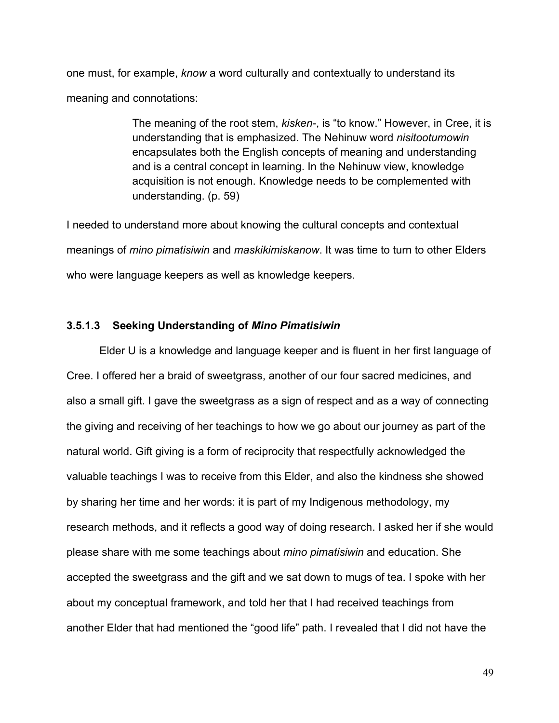one must, for example, *know* a word culturally and contextually to understand its meaning and connotations:

> The meaning of the root stem, *kisken-*, is "to know." However, in Cree, it is understanding that is emphasized. The Nehinuw word *nisitootumowin* encapsulates both the English concepts of meaning and understanding and is a central concept in learning. In the Nehinuw view, knowledge acquisition is not enough. Knowledge needs to be complemented with understanding. (p. 59)

I needed to understand more about knowing the cultural concepts and contextual meanings of *mino pimatisiwin* and *maskikimiskanow*. It was time to turn to other Elders who were language keepers as well as knowledge keepers.

## **3.5.1.3 Seeking Understanding of** *Mino Pimatisiwin*

Elder U is a knowledge and language keeper and is fluent in her first language of Cree. I offered her a braid of sweetgrass, another of our four sacred medicines, and also a small gift. I gave the sweetgrass as a sign of respect and as a way of connecting the giving and receiving of her teachings to how we go about our journey as part of the natural world. Gift giving is a form of reciprocity that respectfully acknowledged the valuable teachings I was to receive from this Elder, and also the kindness she showed by sharing her time and her words: it is part of my Indigenous methodology, my research methods, and it reflects a good way of doing research. I asked her if she would please share with me some teachings about *mino pimatisiwin* and education. She accepted the sweetgrass and the gift and we sat down to mugs of tea. I spoke with her about my conceptual framework, and told her that I had received teachings from another Elder that had mentioned the "good life" path. I revealed that I did not have the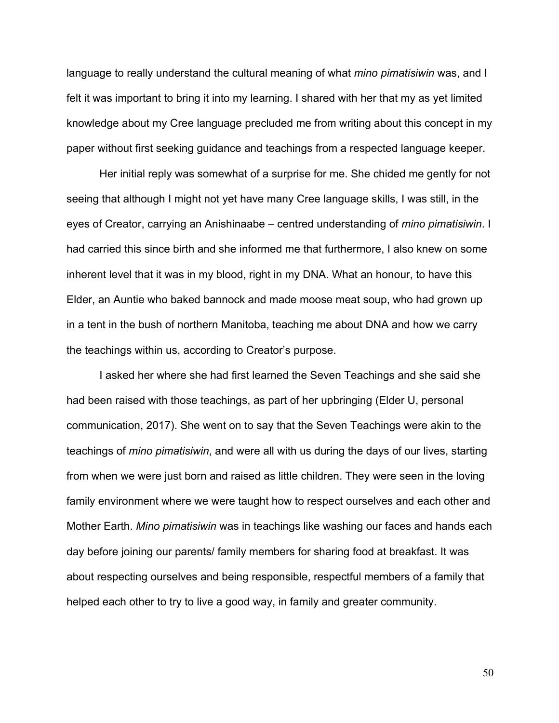language to really understand the cultural meaning of what *mino pimatisiwin* was, and I felt it was important to bring it into my learning. I shared with her that my as yet limited knowledge about my Cree language precluded me from writing about this concept in my paper without first seeking guidance and teachings from a respected language keeper.

Her initial reply was somewhat of a surprise for me. She chided me gently for not seeing that although I might not yet have many Cree language skills, I was still, in the eyes of Creator, carrying an Anishinaabe – centred understanding of *mino pimatisiwin*. I had carried this since birth and she informed me that furthermore, I also knew on some inherent level that it was in my blood, right in my DNA. What an honour, to have this Elder, an Auntie who baked bannock and made moose meat soup, who had grown up in a tent in the bush of northern Manitoba, teaching me about DNA and how we carry the teachings within us, according to Creator's purpose.

I asked her where she had first learned the Seven Teachings and she said she had been raised with those teachings, as part of her upbringing (Elder U, personal communication, 2017). She went on to say that the Seven Teachings were akin to the teachings of *mino pimatisiwin*, and were all with us during the days of our lives, starting from when we were just born and raised as little children. They were seen in the loving family environment where we were taught how to respect ourselves and each other and Mother Earth. *Mino pimatisiwin* was in teachings like washing our faces and hands each day before joining our parents/ family members for sharing food at breakfast. It was about respecting ourselves and being responsible, respectful members of a family that helped each other to try to live a good way, in family and greater community.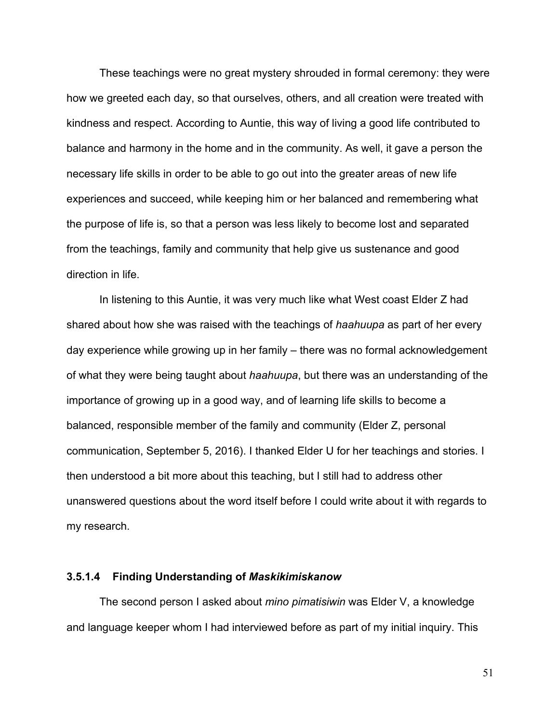These teachings were no great mystery shrouded in formal ceremony: they were how we greeted each day, so that ourselves, others, and all creation were treated with kindness and respect. According to Auntie, this way of living a good life contributed to balance and harmony in the home and in the community. As well, it gave a person the necessary life skills in order to be able to go out into the greater areas of new life experiences and succeed, while keeping him or her balanced and remembering what the purpose of life is, so that a person was less likely to become lost and separated from the teachings, family and community that help give us sustenance and good direction in life.

In listening to this Auntie, it was very much like what West coast Elder Z had shared about how she was raised with the teachings of *haahuupa* as part of her every day experience while growing up in her family – there was no formal acknowledgement of what they were being taught about *haahuupa*, but there was an understanding of the importance of growing up in a good way, and of learning life skills to become a balanced, responsible member of the family and community (Elder Z, personal communication, September 5, 2016). I thanked Elder U for her teachings and stories. I then understood a bit more about this teaching, but I still had to address other unanswered questions about the word itself before I could write about it with regards to my research.

#### **3.5.1.4 Finding Understanding of** *Maskikimiskanow*

The second person I asked about *mino pimatisiwin* was Elder V, a knowledge and language keeper whom I had interviewed before as part of my initial inquiry. This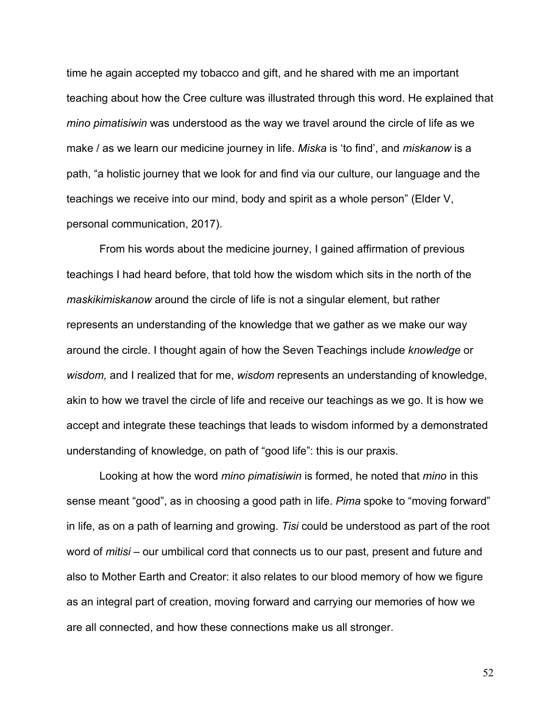time he again accepted my tobacco and gift, and he shared with me an important teaching about how the Cree culture was illustrated through this word. He explained that *mino pimatisiwin* was understood as the way we travel around the circle of life as we make / as we learn our medicine journey in life. *Miska* is 'to find', and *miskanow* is a path, "a holistic journey that we look for and find via our culture, our language and the teachings we receive into our mind, body and spirit as a whole person" (Elder V, personal communication, 2017).

From his words about the medicine journey, I gained affirmation of previous teachings I had heard before, that told how the wisdom which sits in the north of the *maskikimiskanow* around the circle of life is not a singular element, but rather represents an understanding of the knowledge that we gather as we make our way around the circle. I thought again of how the Seven Teachings include *knowledge* or *wisdom,* and I realized that for me, *wisdom* represents an understanding of knowledge, akin to how we travel the circle of life and receive our teachings as we go. It is how we accept and integrate these teachings that leads to wisdom informed by a demonstrated understanding of knowledge, on path of "good life": this is our praxis.

Looking at how the word *mino pimatisiwin* is formed, he noted that *mino* in this sense meant "good", as in choosing a good path in life. *Pima* spoke to "moving forward" in life, as on a path of learning and growing. *Tisi* could be understood as part of the root word of *mitisi* – our umbilical cord that connects us to our past, present and future and also to Mother Earth and Creator: it also relates to our blood memory of how we figure as an integral part of creation, moving forward and carrying our memories of how we are all connected, and how these connections make us all stronger.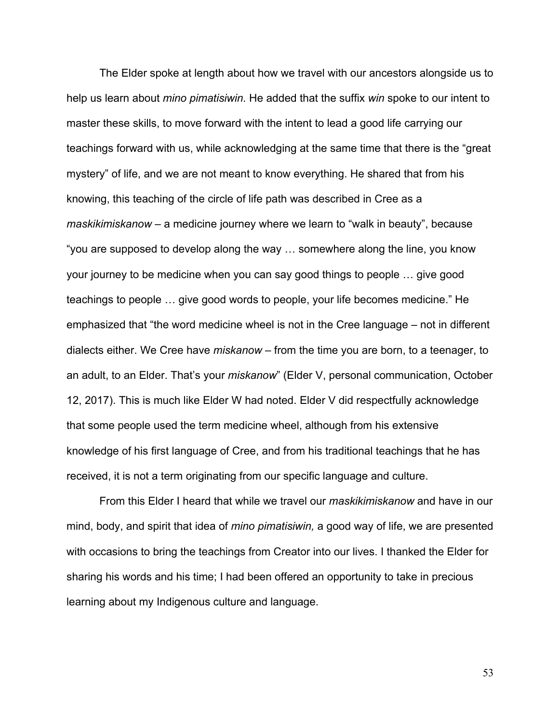The Elder spoke at length about how we travel with our ancestors alongside us to help us learn about *mino pimatisiwin.* He added that the suffix *win* spoke to our intent to master these skills, to move forward with the intent to lead a good life carrying our teachings forward with us, while acknowledging at the same time that there is the "great mystery" of life, and we are not meant to know everything. He shared that from his knowing, this teaching of the circle of life path was described in Cree as a *maskikimiskanow* – a medicine journey where we learn to "walk in beauty", because "you are supposed to develop along the way … somewhere along the line, you know your journey to be medicine when you can say good things to people … give good teachings to people … give good words to people, your life becomes medicine." He emphasized that "the word medicine wheel is not in the Cree language – not in different dialects either. We Cree have *miskanow* – from the time you are born, to a teenager, to an adult, to an Elder. That's your *miskanow*" (Elder V, personal communication, October 12, 2017). This is much like Elder W had noted. Elder V did respectfully acknowledge that some people used the term medicine wheel, although from his extensive knowledge of his first language of Cree, and from his traditional teachings that he has received, it is not a term originating from our specific language and culture.

From this Elder I heard that while we travel our *maskikimiskanow* and have in our mind, body, and spirit that idea of *mino pimatisiwin,* a good way of life, we are presented with occasions to bring the teachings from Creator into our lives. I thanked the Elder for sharing his words and his time; I had been offered an opportunity to take in precious learning about my Indigenous culture and language.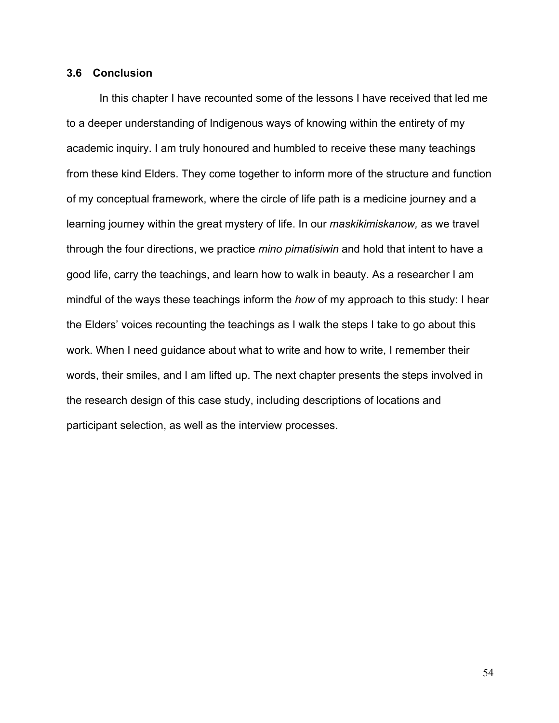## **3.6 Conclusion**

In this chapter I have recounted some of the lessons I have received that led me to a deeper understanding of Indigenous ways of knowing within the entirety of my academic inquiry. I am truly honoured and humbled to receive these many teachings from these kind Elders. They come together to inform more of the structure and function of my conceptual framework, where the circle of life path is a medicine journey and a learning journey within the great mystery of life. In our *maskikimiskanow,* as we travel through the four directions, we practice *mino pimatisiwin* and hold that intent to have a good life, carry the teachings, and learn how to walk in beauty. As a researcher I am mindful of the ways these teachings inform the *how* of my approach to this study: I hear the Elders' voices recounting the teachings as I walk the steps I take to go about this work. When I need guidance about what to write and how to write, I remember their words, their smiles, and I am lifted up. The next chapter presents the steps involved in the research design of this case study, including descriptions of locations and participant selection, as well as the interview processes.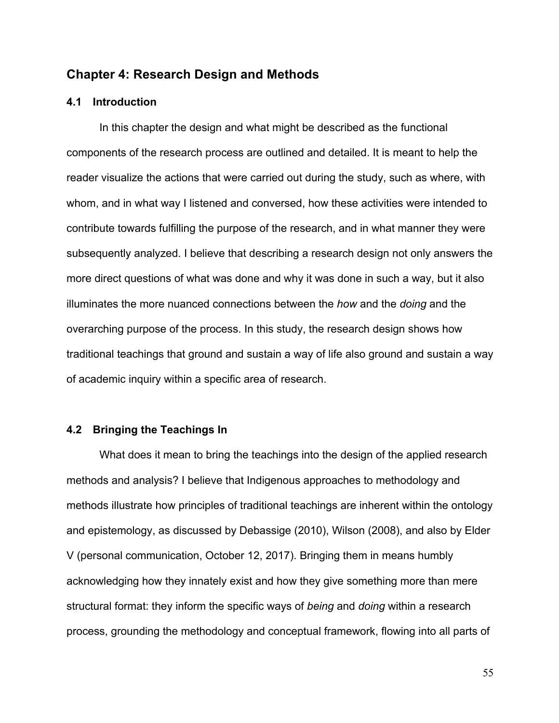# **Chapter 4: Research Design and Methods**

## **4.1 Introduction**

In this chapter the design and what might be described as the functional components of the research process are outlined and detailed. It is meant to help the reader visualize the actions that were carried out during the study, such as where, with whom, and in what way I listened and conversed, how these activities were intended to contribute towards fulfilling the purpose of the research, and in what manner they were subsequently analyzed. I believe that describing a research design not only answers the more direct questions of what was done and why it was done in such a way, but it also illuminates the more nuanced connections between the *how* and the *doing* and the overarching purpose of the process. In this study, the research design shows how traditional teachings that ground and sustain a way of life also ground and sustain a way of academic inquiry within a specific area of research.

#### **4.2 Bringing the Teachings In**

What does it mean to bring the teachings into the design of the applied research methods and analysis? I believe that Indigenous approaches to methodology and methods illustrate how principles of traditional teachings are inherent within the ontology and epistemology, as discussed by Debassige (2010), Wilson (2008), and also by Elder V (personal communication, October 12, 2017). Bringing them in means humbly acknowledging how they innately exist and how they give something more than mere structural format: they inform the specific ways of *being* and *doing* within a research process, grounding the methodology and conceptual framework, flowing into all parts of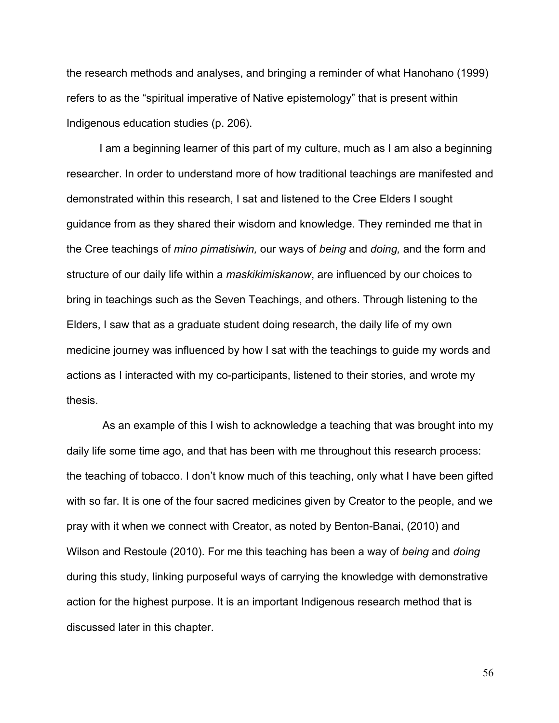the research methods and analyses, and bringing a reminder of what Hanohano (1999) refers to as the "spiritual imperative of Native epistemology" that is present within Indigenous education studies (p. 206).

I am a beginning learner of this part of my culture, much as I am also a beginning researcher. In order to understand more of how traditional teachings are manifested and demonstrated within this research, I sat and listened to the Cree Elders I sought guidance from as they shared their wisdom and knowledge. They reminded me that in the Cree teachings of *mino pimatisiwin,* our ways of *being* and *doing,* and the form and structure of our daily life within a *maskikimiskanow*, are influenced by our choices to bring in teachings such as the Seven Teachings, and others. Through listening to the Elders, I saw that as a graduate student doing research, the daily life of my own medicine journey was influenced by how I sat with the teachings to guide my words and actions as I interacted with my co-participants, listened to their stories, and wrote my thesis.

As an example of this I wish to acknowledge a teaching that was brought into my daily life some time ago, and that has been with me throughout this research process: the teaching of tobacco. I don't know much of this teaching, only what I have been gifted with so far. It is one of the four sacred medicines given by Creator to the people, and we pray with it when we connect with Creator, as noted by Benton-Banai, (2010) and Wilson and Restoule (2010). For me this teaching has been a way of *being* and *doing*  during this study, linking purposeful ways of carrying the knowledge with demonstrative action for the highest purpose. It is an important Indigenous research method that is discussed later in this chapter.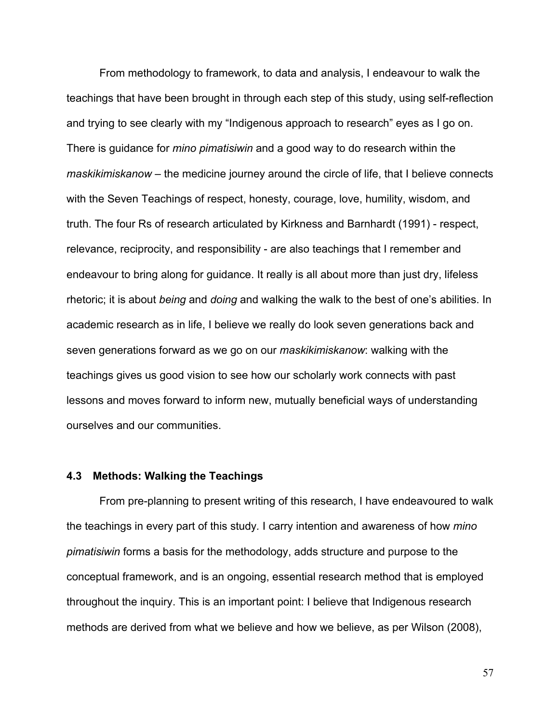From methodology to framework, to data and analysis, I endeavour to walk the teachings that have been brought in through each step of this study, using self-reflection and trying to see clearly with my "Indigenous approach to research" eyes as I go on. There is guidance for *mino pimatisiwin* and a good way to do research within the *maskikimiskanow* – the medicine journey around the circle of life, that I believe connects with the Seven Teachings of respect, honesty, courage, love, humility, wisdom, and truth. The four Rs of research articulated by Kirkness and Barnhardt (1991) - respect, relevance, reciprocity, and responsibility - are also teachings that I remember and endeavour to bring along for guidance. It really is all about more than just dry, lifeless rhetoric; it is about *being* and *doing* and walking the walk to the best of one's abilities. In academic research as in life, I believe we really do look seven generations back and seven generations forward as we go on our *maskikimiskanow*: walking with the teachings gives us good vision to see how our scholarly work connects with past lessons and moves forward to inform new, mutually beneficial ways of understanding ourselves and our communities.

## **4.3 Methods: Walking the Teachings**

From pre-planning to present writing of this research, I have endeavoured to walk the teachings in every part of this study*.* I carry intention and awareness of how *mino pimatisiwin* forms a basis for the methodology, adds structure and purpose to the conceptual framework, and is an ongoing, essential research method that is employed throughout the inquiry. This is an important point: I believe that Indigenous research methods are derived from what we believe and how we believe, as per Wilson (2008),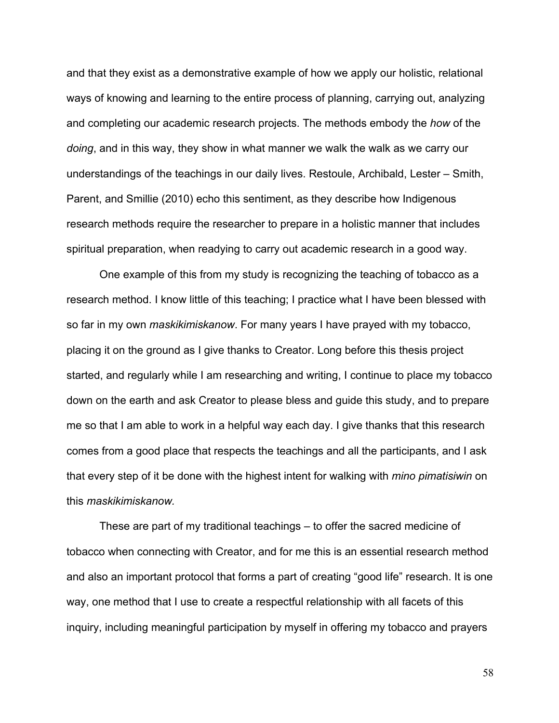and that they exist as a demonstrative example of how we apply our holistic, relational ways of knowing and learning to the entire process of planning, carrying out, analyzing and completing our academic research projects. The methods embody the *how* of the *doing*, and in this way, they show in what manner we walk the walk as we carry our understandings of the teachings in our daily lives. Restoule, Archibald, Lester – Smith, Parent, and Smillie (2010) echo this sentiment, as they describe how Indigenous research methods require the researcher to prepare in a holistic manner that includes spiritual preparation, when readying to carry out academic research in a good way.

One example of this from my study is recognizing the teaching of tobacco as a research method. I know little of this teaching; I practice what I have been blessed with so far in my own *maskikimiskanow*. For many years I have prayed with my tobacco, placing it on the ground as I give thanks to Creator. Long before this thesis project started, and regularly while I am researching and writing, I continue to place my tobacco down on the earth and ask Creator to please bless and guide this study, and to prepare me so that I am able to work in a helpful way each day. I give thanks that this research comes from a good place that respects the teachings and all the participants, and I ask that every step of it be done with the highest intent for walking with *mino pimatisiwin* on this *maskikimiskanow.*

These are part of my traditional teachings – to offer the sacred medicine of tobacco when connecting with Creator, and for me this is an essential research method and also an important protocol that forms a part of creating "good life" research. It is one way, one method that I use to create a respectful relationship with all facets of this inquiry, including meaningful participation by myself in offering my tobacco and prayers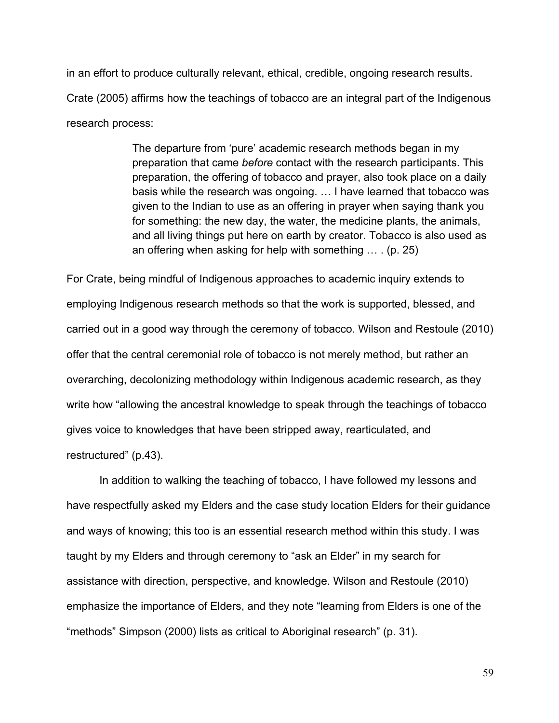in an effort to produce culturally relevant, ethical, credible, ongoing research results. Crate (2005) affirms how the teachings of tobacco are an integral part of the Indigenous research process:

> The departure from 'pure' academic research methods began in my preparation that came *before* contact with the research participants. This preparation, the offering of tobacco and prayer, also took place on a daily basis while the research was ongoing. … I have learned that tobacco was given to the Indian to use as an offering in prayer when saying thank you for something: the new day, the water, the medicine plants, the animals, and all living things put here on earth by creator. Tobacco is also used as an offering when asking for help with something … . (p. 25)

For Crate, being mindful of Indigenous approaches to academic inquiry extends to employing Indigenous research methods so that the work is supported, blessed, and carried out in a good way through the ceremony of tobacco. Wilson and Restoule (2010) offer that the central ceremonial role of tobacco is not merely method, but rather an overarching, decolonizing methodology within Indigenous academic research, as they write how "allowing the ancestral knowledge to speak through the teachings of tobacco gives voice to knowledges that have been stripped away, rearticulated, and restructured" (p.43).

In addition to walking the teaching of tobacco, I have followed my lessons and have respectfully asked my Elders and the case study location Elders for their guidance and ways of knowing; this too is an essential research method within this study. I was taught by my Elders and through ceremony to "ask an Elder" in my search for assistance with direction, perspective, and knowledge. Wilson and Restoule (2010) emphasize the importance of Elders, and they note "learning from Elders is one of the "methods" Simpson (2000) lists as critical to Aboriginal research" (p. 31).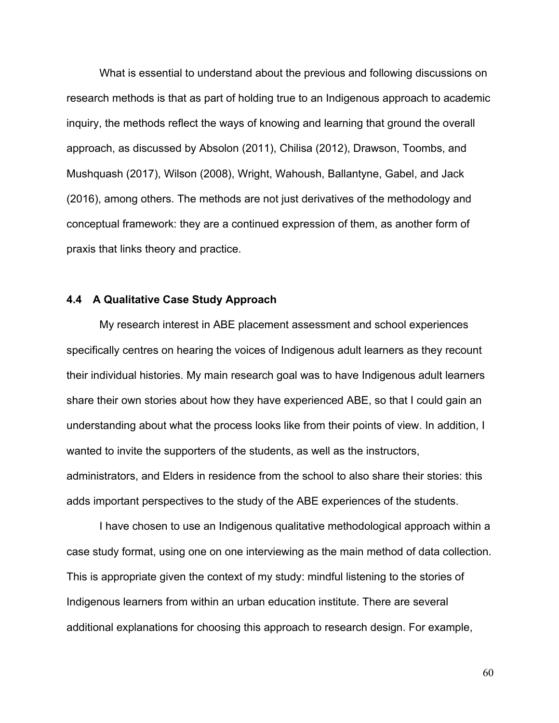What is essential to understand about the previous and following discussions on research methods is that as part of holding true to an Indigenous approach to academic inquiry, the methods reflect the ways of knowing and learning that ground the overall approach, as discussed by Absolon (2011), Chilisa (2012), Drawson, Toombs, and Mushquash (2017), Wilson (2008), Wright, Wahoush, Ballantyne, Gabel, and Jack (2016), among others. The methods are not just derivatives of the methodology and conceptual framework: they are a continued expression of them, as another form of praxis that links theory and practice.

## **4.4 A Qualitative Case Study Approach**

My research interest in ABE placement assessment and school experiences specifically centres on hearing the voices of Indigenous adult learners as they recount their individual histories. My main research goal was to have Indigenous adult learners share their own stories about how they have experienced ABE, so that I could gain an understanding about what the process looks like from their points of view. In addition, I wanted to invite the supporters of the students, as well as the instructors, administrators, and Elders in residence from the school to also share their stories: this adds important perspectives to the study of the ABE experiences of the students.

I have chosen to use an Indigenous qualitative methodological approach within a case study format, using one on one interviewing as the main method of data collection. This is appropriate given the context of my study: mindful listening to the stories of Indigenous learners from within an urban education institute. There are several additional explanations for choosing this approach to research design. For example,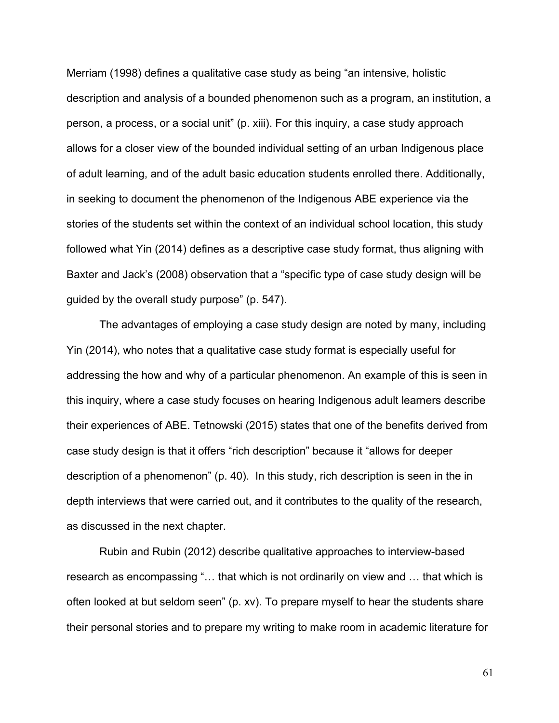Merriam (1998) defines a qualitative case study as being "an intensive, holistic description and analysis of a bounded phenomenon such as a program, an institution, a person, a process, or a social unit" (p. xiii). For this inquiry, a case study approach allows for a closer view of the bounded individual setting of an urban Indigenous place of adult learning, and of the adult basic education students enrolled there. Additionally, in seeking to document the phenomenon of the Indigenous ABE experience via the stories of the students set within the context of an individual school location, this study followed what Yin (2014) defines as a descriptive case study format, thus aligning with Baxter and Jack's (2008) observation that a "specific type of case study design will be guided by the overall study purpose" (p. 547).

The advantages of employing a case study design are noted by many, including Yin (2014), who notes that a qualitative case study format is especially useful for addressing the how and why of a particular phenomenon. An example of this is seen in this inquiry, where a case study focuses on hearing Indigenous adult learners describe their experiences of ABE. Tetnowski (2015) states that one of the benefits derived from case study design is that it offers "rich description" because it "allows for deeper description of a phenomenon" (p. 40). In this study, rich description is seen in the in depth interviews that were carried out, and it contributes to the quality of the research, as discussed in the next chapter.

Rubin and Rubin (2012) describe qualitative approaches to interview-based research as encompassing "… that which is not ordinarily on view and … that which is often looked at but seldom seen" (p. xv). To prepare myself to hear the students share their personal stories and to prepare my writing to make room in academic literature for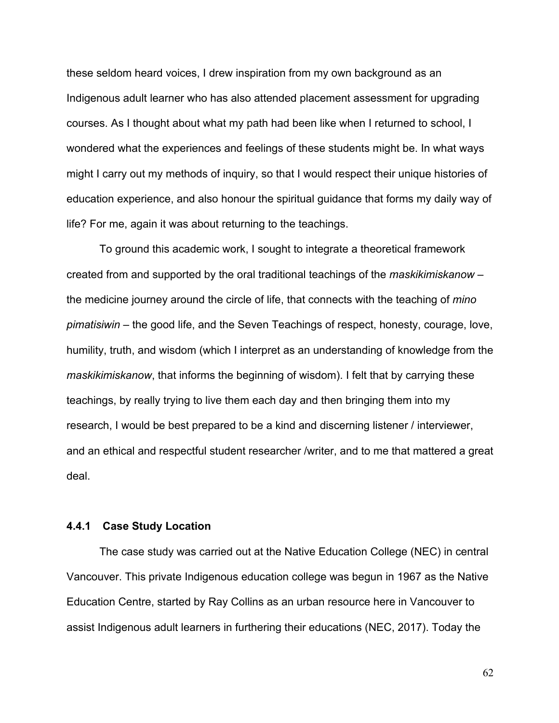these seldom heard voices, I drew inspiration from my own background as an Indigenous adult learner who has also attended placement assessment for upgrading courses. As I thought about what my path had been like when I returned to school, I wondered what the experiences and feelings of these students might be. In what ways might I carry out my methods of inquiry, so that I would respect their unique histories of education experience, and also honour the spiritual guidance that forms my daily way of life? For me, again it was about returning to the teachings.

To ground this academic work, I sought to integrate a theoretical framework created from and supported by the oral traditional teachings of the *maskikimiskanow* – the medicine journey around the circle of life, that connects with the teaching of *mino pimatisiwin –* the good life, and the Seven Teachings of respect, honesty, courage, love, humility, truth, and wisdom (which I interpret as an understanding of knowledge from the *maskikimiskanow*, that informs the beginning of wisdom). I felt that by carrying these teachings, by really trying to live them each day and then bringing them into my research, I would be best prepared to be a kind and discerning listener / interviewer, and an ethical and respectful student researcher /writer, and to me that mattered a great deal.

## **4.4.1 Case Study Location**

The case study was carried out at the Native Education College (NEC) in central Vancouver. This private Indigenous education college was begun in 1967 as the Native Education Centre, started by Ray Collins as an urban resource here in Vancouver to assist Indigenous adult learners in furthering their educations (NEC, 2017). Today the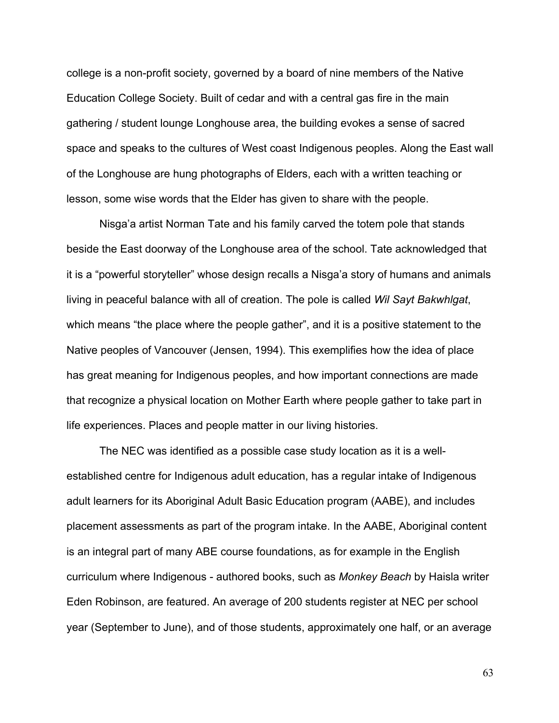college is a non-profit society, governed by a board of nine members of the Native Education College Society. Built of cedar and with a central gas fire in the main gathering / student lounge Longhouse area, the building evokes a sense of sacred space and speaks to the cultures of West coast Indigenous peoples. Along the East wall of the Longhouse are hung photographs of Elders, each with a written teaching or lesson, some wise words that the Elder has given to share with the people.

Nisga'a artist Norman Tate and his family carved the totem pole that stands beside the East doorway of the Longhouse area of the school. Tate acknowledged that it is a "powerful storyteller" whose design recalls a Nisga'a story of humans and animals living in peaceful balance with all of creation. The pole is called *Wil Sayt Bakwhlgat*, which means "the place where the people gather", and it is a positive statement to the Native peoples of Vancouver (Jensen, 1994). This exemplifies how the idea of place has great meaning for Indigenous peoples, and how important connections are made that recognize a physical location on Mother Earth where people gather to take part in life experiences. Places and people matter in our living histories.

The NEC was identified as a possible case study location as it is a wellestablished centre for Indigenous adult education, has a regular intake of Indigenous adult learners for its Aboriginal Adult Basic Education program (AABE), and includes placement assessments as part of the program intake. In the AABE, Aboriginal content is an integral part of many ABE course foundations, as for example in the English curriculum where Indigenous - authored books, such as *Monkey Beach* by Haisla writer Eden Robinson, are featured. An average of 200 students register at NEC per school year (September to June), and of those students, approximately one half, or an average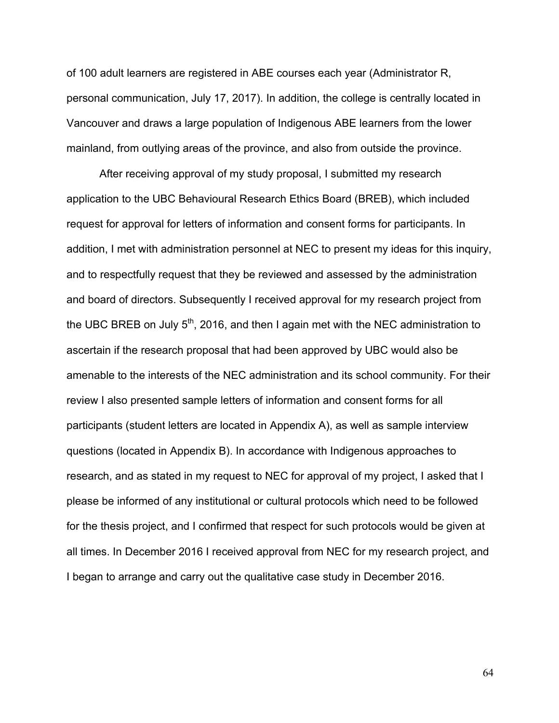of 100 adult learners are registered in ABE courses each year (Administrator R, personal communication, July 17, 2017). In addition, the college is centrally located in Vancouver and draws a large population of Indigenous ABE learners from the lower mainland, from outlying areas of the province, and also from outside the province.

After receiving approval of my study proposal, I submitted my research application to the UBC Behavioural Research Ethics Board (BREB), which included request for approval for letters of information and consent forms for participants. In addition, I met with administration personnel at NEC to present my ideas for this inquiry, and to respectfully request that they be reviewed and assessed by the administration and board of directors. Subsequently I received approval for my research project from the UBC BREB on July  $5<sup>th</sup>$ , 2016, and then I again met with the NEC administration to ascertain if the research proposal that had been approved by UBC would also be amenable to the interests of the NEC administration and its school community. For their review I also presented sample letters of information and consent forms for all participants (student letters are located in Appendix A), as well as sample interview questions (located in Appendix B). In accordance with Indigenous approaches to research, and as stated in my request to NEC for approval of my project, I asked that I please be informed of any institutional or cultural protocols which need to be followed for the thesis project, and I confirmed that respect for such protocols would be given at all times. In December 2016 I received approval from NEC for my research project, and I began to arrange and carry out the qualitative case study in December 2016.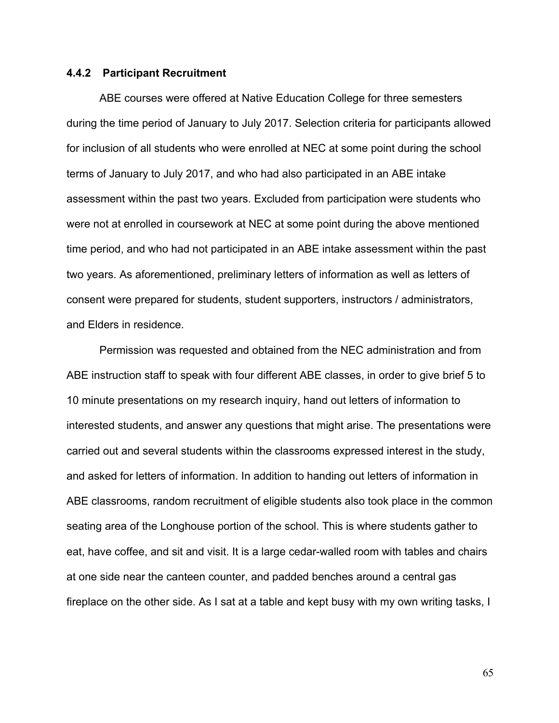#### **4.4.2 Participant Recruitment**

ABE courses were offered at Native Education College for three semesters during the time period of January to July 2017. Selection criteria for participants allowed for inclusion of all students who were enrolled at NEC at some point during the school terms of January to July 2017, and who had also participated in an ABE intake assessment within the past two years. Excluded from participation were students who were not at enrolled in coursework at NEC at some point during the above mentioned time period, and who had not participated in an ABE intake assessment within the past two years. As aforementioned, preliminary letters of information as well as letters of consent were prepared for students, student supporters, instructors / administrators, and Elders in residence.

Permission was requested and obtained from the NEC administration and from ABE instruction staff to speak with four different ABE classes, in order to give brief 5 to 10 minute presentations on my research inquiry, hand out letters of information to interested students, and answer any questions that might arise. The presentations were carried out and several students within the classrooms expressed interest in the study, and asked for letters of information. In addition to handing out letters of information in ABE classrooms, random recruitment of eligible students also took place in the common seating area of the Longhouse portion of the school. This is where students gather to eat, have coffee, and sit and visit. It is a large cedar-walled room with tables and chairs at one side near the canteen counter, and padded benches around a central gas fireplace on the other side. As I sat at a table and kept busy with my own writing tasks, I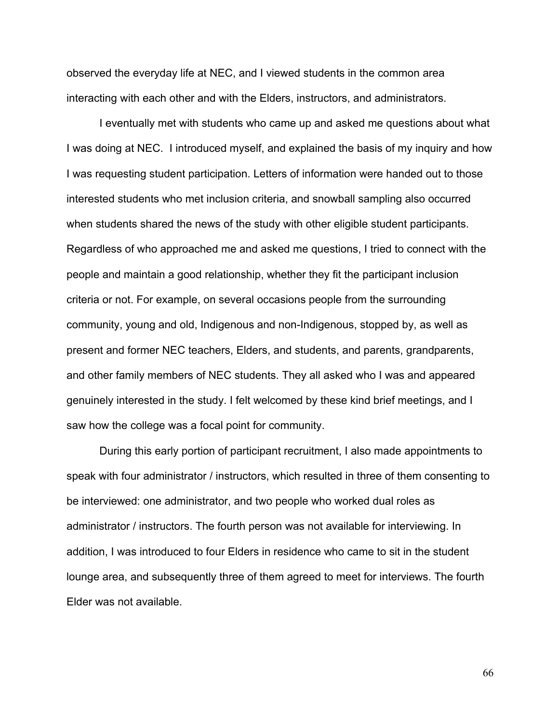observed the everyday life at NEC, and I viewed students in the common area interacting with each other and with the Elders, instructors, and administrators.

I eventually met with students who came up and asked me questions about what I was doing at NEC. I introduced myself, and explained the basis of my inquiry and how I was requesting student participation. Letters of information were handed out to those interested students who met inclusion criteria, and snowball sampling also occurred when students shared the news of the study with other eligible student participants. Regardless of who approached me and asked me questions, I tried to connect with the people and maintain a good relationship, whether they fit the participant inclusion criteria or not. For example, on several occasions people from the surrounding community, young and old, Indigenous and non-Indigenous, stopped by, as well as present and former NEC teachers, Elders, and students, and parents, grandparents, and other family members of NEC students. They all asked who I was and appeared genuinely interested in the study. I felt welcomed by these kind brief meetings, and I saw how the college was a focal point for community.

During this early portion of participant recruitment, I also made appointments to speak with four administrator / instructors, which resulted in three of them consenting to be interviewed: one administrator, and two people who worked dual roles as administrator / instructors. The fourth person was not available for interviewing. In addition, I was introduced to four Elders in residence who came to sit in the student lounge area, and subsequently three of them agreed to meet for interviews. The fourth Elder was not available.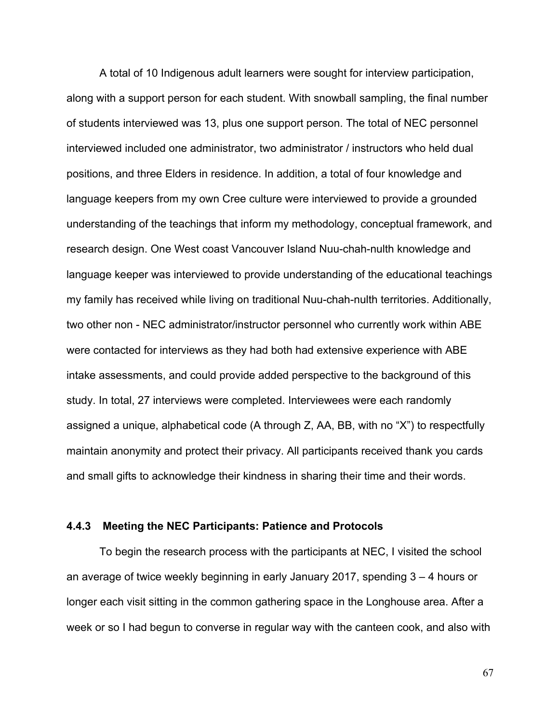A total of 10 Indigenous adult learners were sought for interview participation, along with a support person for each student. With snowball sampling, the final number of students interviewed was 13, plus one support person. The total of NEC personnel interviewed included one administrator, two administrator / instructors who held dual positions, and three Elders in residence. In addition, a total of four knowledge and language keepers from my own Cree culture were interviewed to provide a grounded understanding of the teachings that inform my methodology, conceptual framework, and research design. One West coast Vancouver Island Nuu-chah-nulth knowledge and language keeper was interviewed to provide understanding of the educational teachings my family has received while living on traditional Nuu-chah-nulth territories. Additionally, two other non - NEC administrator/instructor personnel who currently work within ABE were contacted for interviews as they had both had extensive experience with ABE intake assessments, and could provide added perspective to the background of this study. In total, 27 interviews were completed. Interviewees were each randomly assigned a unique, alphabetical code (A through Z, AA, BB, with no "X") to respectfully maintain anonymity and protect their privacy. All participants received thank you cards and small gifts to acknowledge their kindness in sharing their time and their words.

## **4.4.3 Meeting the NEC Participants: Patience and Protocols**

To begin the research process with the participants at NEC, I visited the school an average of twice weekly beginning in early January 2017, spending 3 – 4 hours or longer each visit sitting in the common gathering space in the Longhouse area. After a week or so I had begun to converse in regular way with the canteen cook, and also with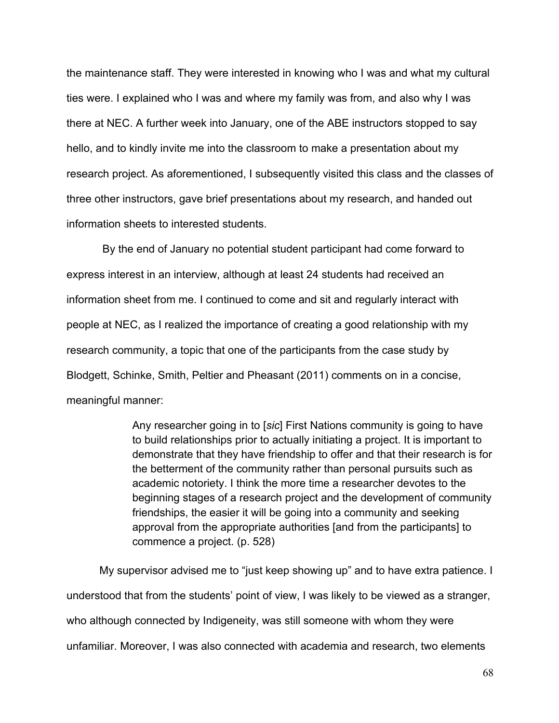the maintenance staff. They were interested in knowing who I was and what my cultural ties were. I explained who I was and where my family was from, and also why I was there at NEC. A further week into January, one of the ABE instructors stopped to say hello, and to kindly invite me into the classroom to make a presentation about my research project. As aforementioned, I subsequently visited this class and the classes of three other instructors, gave brief presentations about my research, and handed out information sheets to interested students.

By the end of January no potential student participant had come forward to express interest in an interview, although at least 24 students had received an information sheet from me. I continued to come and sit and regularly interact with people at NEC, as I realized the importance of creating a good relationship with my research community, a topic that one of the participants from the case study by Blodgett, Schinke, Smith, Peltier and Pheasant (2011) comments on in a concise, meaningful manner:

> Any researcher going in to [*sic*] First Nations community is going to have to build relationships prior to actually initiating a project. It is important to demonstrate that they have friendship to offer and that their research is for the betterment of the community rather than personal pursuits such as academic notoriety. I think the more time a researcher devotes to the beginning stages of a research project and the development of community friendships, the easier it will be going into a community and seeking approval from the appropriate authorities [and from the participants] to commence a project. (p. 528)

My supervisor advised me to "just keep showing up" and to have extra patience. I understood that from the students' point of view, I was likely to be viewed as a stranger, who although connected by Indigeneity, was still someone with whom they were unfamiliar. Moreover, I was also connected with academia and research, two elements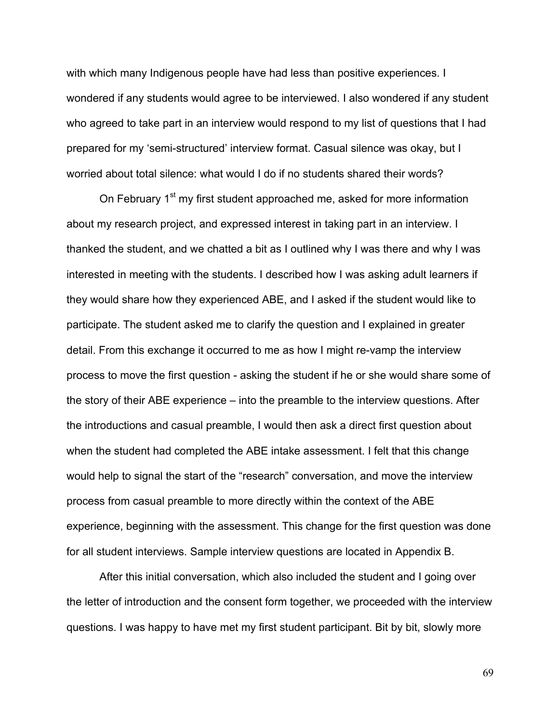with which many Indigenous people have had less than positive experiences. I wondered if any students would agree to be interviewed. I also wondered if any student who agreed to take part in an interview would respond to my list of questions that I had prepared for my 'semi-structured' interview format. Casual silence was okay, but I worried about total silence: what would I do if no students shared their words?

On February 1<sup>st</sup> my first student approached me, asked for more information about my research project, and expressed interest in taking part in an interview. I thanked the student, and we chatted a bit as I outlined why I was there and why I was interested in meeting with the students. I described how I was asking adult learners if they would share how they experienced ABE, and I asked if the student would like to participate. The student asked me to clarify the question and I explained in greater detail. From this exchange it occurred to me as how I might re-vamp the interview process to move the first question - asking the student if he or she would share some of the story of their ABE experience – into the preamble to the interview questions. After the introductions and casual preamble, I would then ask a direct first question about when the student had completed the ABE intake assessment. I felt that this change would help to signal the start of the "research" conversation, and move the interview process from casual preamble to more directly within the context of the ABE experience, beginning with the assessment. This change for the first question was done for all student interviews. Sample interview questions are located in Appendix B.

After this initial conversation, which also included the student and I going over the letter of introduction and the consent form together, we proceeded with the interview questions. I was happy to have met my first student participant. Bit by bit, slowly more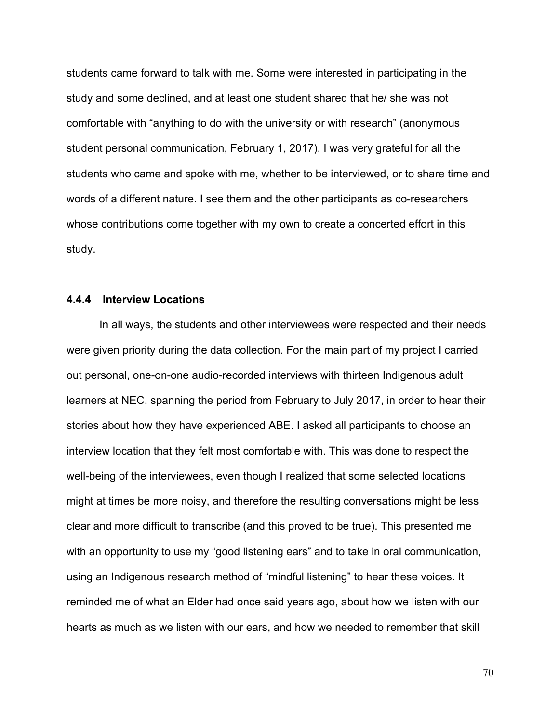students came forward to talk with me. Some were interested in participating in the study and some declined, and at least one student shared that he/ she was not comfortable with "anything to do with the university or with research" (anonymous student personal communication, February 1, 2017). I was very grateful for all the students who came and spoke with me, whether to be interviewed, or to share time and words of a different nature. I see them and the other participants as co-researchers whose contributions come together with my own to create a concerted effort in this study.

#### **4.4.4 Interview Locations**

In all ways, the students and other interviewees were respected and their needs were given priority during the data collection. For the main part of my project I carried out personal, one-on-one audio-recorded interviews with thirteen Indigenous adult learners at NEC, spanning the period from February to July 2017, in order to hear their stories about how they have experienced ABE. I asked all participants to choose an interview location that they felt most comfortable with. This was done to respect the well-being of the interviewees, even though I realized that some selected locations might at times be more noisy, and therefore the resulting conversations might be less clear and more difficult to transcribe (and this proved to be true). This presented me with an opportunity to use my "good listening ears" and to take in oral communication, using an Indigenous research method of "mindful listening" to hear these voices. It reminded me of what an Elder had once said years ago, about how we listen with our hearts as much as we listen with our ears, and how we needed to remember that skill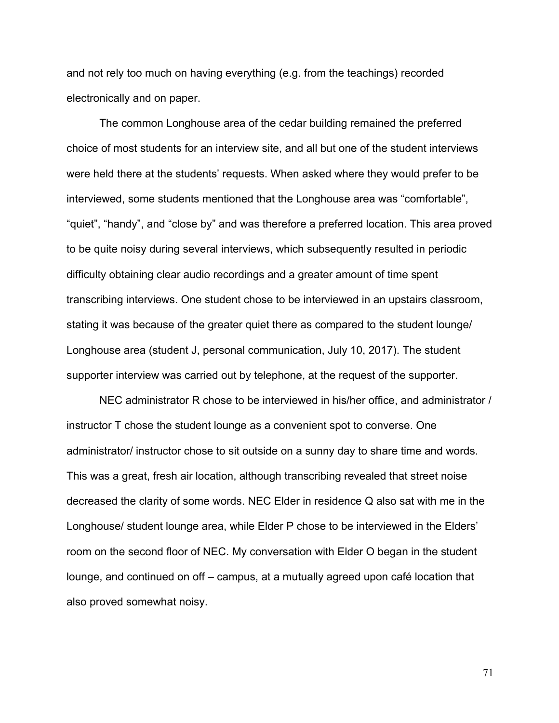and not rely too much on having everything (e.g. from the teachings) recorded electronically and on paper.

The common Longhouse area of the cedar building remained the preferred choice of most students for an interview site, and all but one of the student interviews were held there at the students' requests. When asked where they would prefer to be interviewed, some students mentioned that the Longhouse area was "comfortable", "quiet", "handy", and "close by" and was therefore a preferred location. This area proved to be quite noisy during several interviews, which subsequently resulted in periodic difficulty obtaining clear audio recordings and a greater amount of time spent transcribing interviews. One student chose to be interviewed in an upstairs classroom, stating it was because of the greater quiet there as compared to the student lounge/ Longhouse area (student J, personal communication, July 10, 2017). The student supporter interview was carried out by telephone, at the request of the supporter.

NEC administrator R chose to be interviewed in his/her office, and administrator / instructor T chose the student lounge as a convenient spot to converse. One administrator/ instructor chose to sit outside on a sunny day to share time and words. This was a great, fresh air location, although transcribing revealed that street noise decreased the clarity of some words. NEC Elder in residence Q also sat with me in the Longhouse/ student lounge area, while Elder P chose to be interviewed in the Elders' room on the second floor of NEC. My conversation with Elder O began in the student lounge, and continued on off – campus, at a mutually agreed upon café location that also proved somewhat noisy.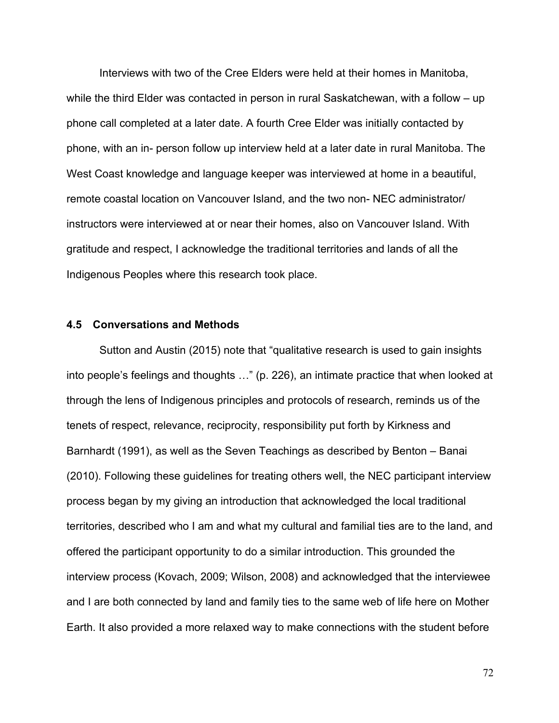Interviews with two of the Cree Elders were held at their homes in Manitoba, while the third Elder was contacted in person in rural Saskatchewan, with a follow – up phone call completed at a later date. A fourth Cree Elder was initially contacted by phone, with an in- person follow up interview held at a later date in rural Manitoba. The West Coast knowledge and language keeper was interviewed at home in a beautiful, remote coastal location on Vancouver Island, and the two non- NEC administrator/ instructors were interviewed at or near their homes, also on Vancouver Island. With gratitude and respect, I acknowledge the traditional territories and lands of all the Indigenous Peoples where this research took place.

#### **4.5 Conversations and Methods**

Sutton and Austin (2015) note that "qualitative research is used to gain insights into people's feelings and thoughts …" (p. 226), an intimate practice that when looked at through the lens of Indigenous principles and protocols of research, reminds us of the tenets of respect, relevance, reciprocity, responsibility put forth by Kirkness and Barnhardt (1991), as well as the Seven Teachings as described by Benton – Banai (2010). Following these guidelines for treating others well, the NEC participant interview process began by my giving an introduction that acknowledged the local traditional territories, described who I am and what my cultural and familial ties are to the land, and offered the participant opportunity to do a similar introduction. This grounded the interview process (Kovach, 2009; Wilson, 2008) and acknowledged that the interviewee and I are both connected by land and family ties to the same web of life here on Mother Earth. It also provided a more relaxed way to make connections with the student before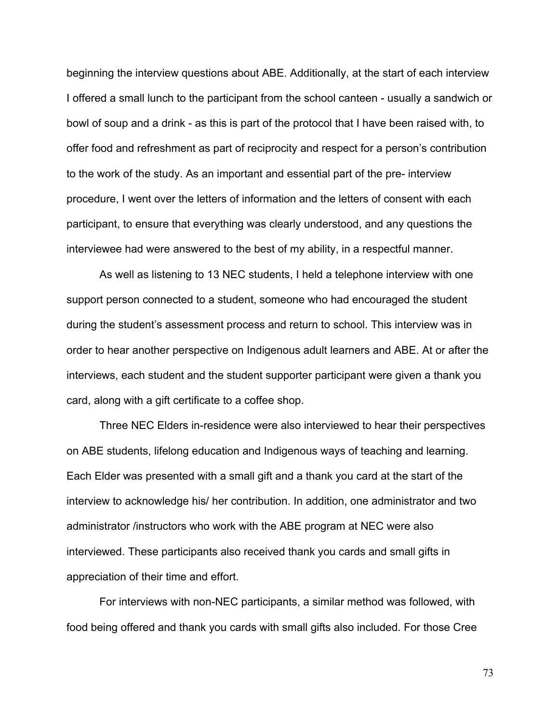beginning the interview questions about ABE. Additionally, at the start of each interview I offered a small lunch to the participant from the school canteen - usually a sandwich or bowl of soup and a drink - as this is part of the protocol that I have been raised with, to offer food and refreshment as part of reciprocity and respect for a person's contribution to the work of the study. As an important and essential part of the pre- interview procedure, I went over the letters of information and the letters of consent with each participant, to ensure that everything was clearly understood, and any questions the interviewee had were answered to the best of my ability, in a respectful manner.

As well as listening to 13 NEC students, I held a telephone interview with one support person connected to a student, someone who had encouraged the student during the student's assessment process and return to school. This interview was in order to hear another perspective on Indigenous adult learners and ABE. At or after the interviews, each student and the student supporter participant were given a thank you card, along with a gift certificate to a coffee shop.

Three NEC Elders in-residence were also interviewed to hear their perspectives on ABE students, lifelong education and Indigenous ways of teaching and learning. Each Elder was presented with a small gift and a thank you card at the start of the interview to acknowledge his/ her contribution. In addition, one administrator and two administrator /instructors who work with the ABE program at NEC were also interviewed. These participants also received thank you cards and small gifts in appreciation of their time and effort.

For interviews with non-NEC participants, a similar method was followed, with food being offered and thank you cards with small gifts also included. For those Cree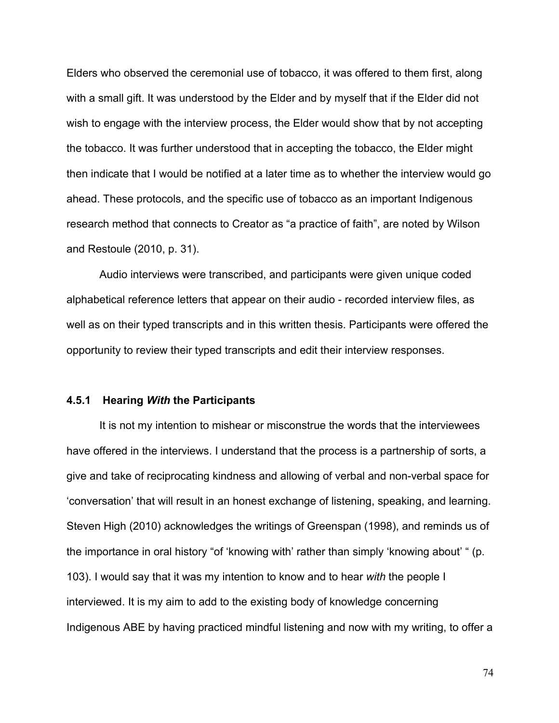Elders who observed the ceremonial use of tobacco, it was offered to them first, along with a small gift. It was understood by the Elder and by myself that if the Elder did not wish to engage with the interview process, the Elder would show that by not accepting the tobacco. It was further understood that in accepting the tobacco, the Elder might then indicate that I would be notified at a later time as to whether the interview would go ahead. These protocols, and the specific use of tobacco as an important Indigenous research method that connects to Creator as "a practice of faith", are noted by Wilson and Restoule (2010, p. 31).

Audio interviews were transcribed, and participants were given unique coded alphabetical reference letters that appear on their audio - recorded interview files, as well as on their typed transcripts and in this written thesis. Participants were offered the opportunity to review their typed transcripts and edit their interview responses.

#### **4.5.1 Hearing** *With* **the Participants**

It is not my intention to mishear or misconstrue the words that the interviewees have offered in the interviews. I understand that the process is a partnership of sorts, a give and take of reciprocating kindness and allowing of verbal and non-verbal space for 'conversation' that will result in an honest exchange of listening, speaking, and learning. Steven High (2010) acknowledges the writings of Greenspan (1998), and reminds us of the importance in oral history "of 'knowing with' rather than simply 'knowing about' " (p. 103). I would say that it was my intention to know and to hear *with* the people I interviewed. It is my aim to add to the existing body of knowledge concerning Indigenous ABE by having practiced mindful listening and now with my writing, to offer a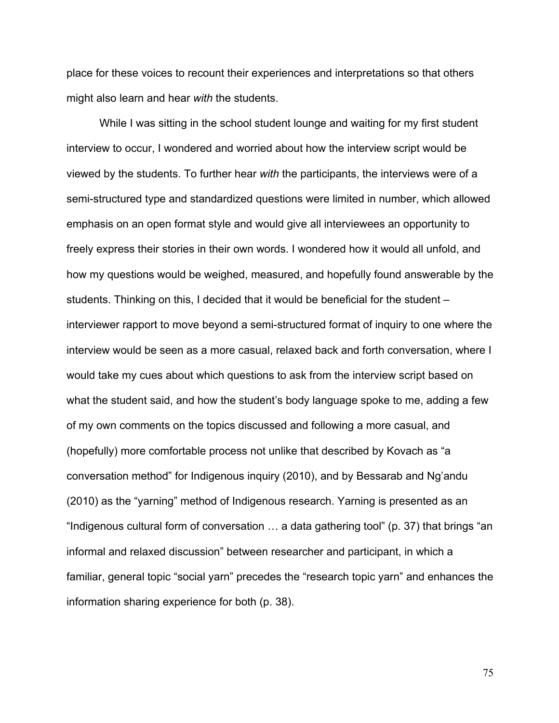place for these voices to recount their experiences and interpretations so that others might also learn and hear *with* the students.

While I was sitting in the school student lounge and waiting for my first student interview to occur, I wondered and worried about how the interview script would be viewed by the students. To further hear *with* the participants, the interviews were of a semi-structured type and standardized questions were limited in number, which allowed emphasis on an open format style and would give all interviewees an opportunity to freely express their stories in their own words. I wondered how it would all unfold, and how my questions would be weighed, measured, and hopefully found answerable by the students. Thinking on this, I decided that it would be beneficial for the student – interviewer rapport to move beyond a semi-structured format of inquiry to one where the interview would be seen as a more casual, relaxed back and forth conversation, where I would take my cues about which questions to ask from the interview script based on what the student said, and how the student's body language spoke to me, adding a few of my own comments on the topics discussed and following a more casual, and (hopefully) more comfortable process not unlike that described by Kovach as "a conversation method" for Indigenous inquiry (2010), and by Bessarab and Ng'andu (2010) as the "yarning" method of Indigenous research. Yarning is presented as an "Indigenous cultural form of conversation … a data gathering tool" (p. 37) that brings "an informal and relaxed discussion" between researcher and participant, in which a familiar, general topic "social yarn" precedes the "research topic yarn" and enhances the information sharing experience for both (p. 38).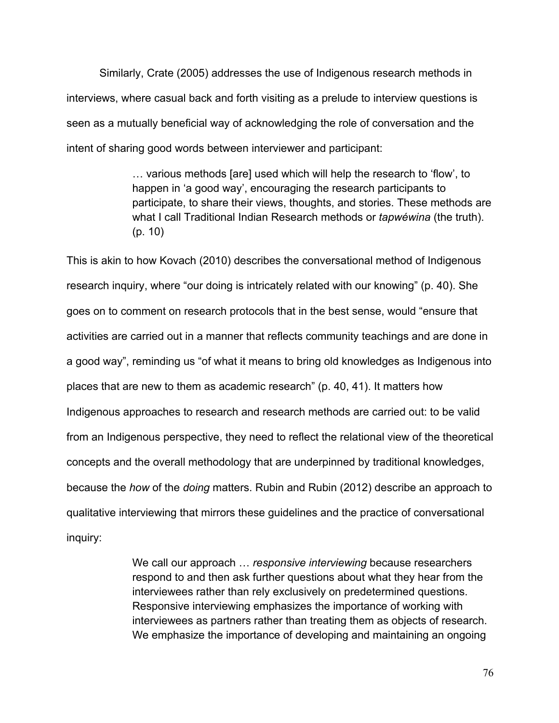Similarly, Crate (2005) addresses the use of Indigenous research methods in interviews, where casual back and forth visiting as a prelude to interview questions is seen as a mutually beneficial way of acknowledging the role of conversation and the intent of sharing good words between interviewer and participant:

> … various methods [are] used which will help the research to 'flow', to happen in 'a good way', encouraging the research participants to participate, to share their views, thoughts, and stories. These methods are what I call Traditional Indian Research methods or *tapwéwina* (the truth). (p. 10)

This is akin to how Kovach (2010) describes the conversational method of Indigenous research inquiry, where "our doing is intricately related with our knowing" (p. 40). She goes on to comment on research protocols that in the best sense, would "ensure that activities are carried out in a manner that reflects community teachings and are done in a good way", reminding us "of what it means to bring old knowledges as Indigenous into places that are new to them as academic research" (p. 40, 41). It matters how Indigenous approaches to research and research methods are carried out: to be valid from an Indigenous perspective, they need to reflect the relational view of the theoretical concepts and the overall methodology that are underpinned by traditional knowledges, because the *how* of the *doing* matters. Rubin and Rubin (2012) describe an approach to qualitative interviewing that mirrors these guidelines and the practice of conversational inquiry:

> We call our approach … *responsive interviewing* because researchers respond to and then ask further questions about what they hear from the interviewees rather than rely exclusively on predetermined questions. Responsive interviewing emphasizes the importance of working with interviewees as partners rather than treating them as objects of research. We emphasize the importance of developing and maintaining an ongoing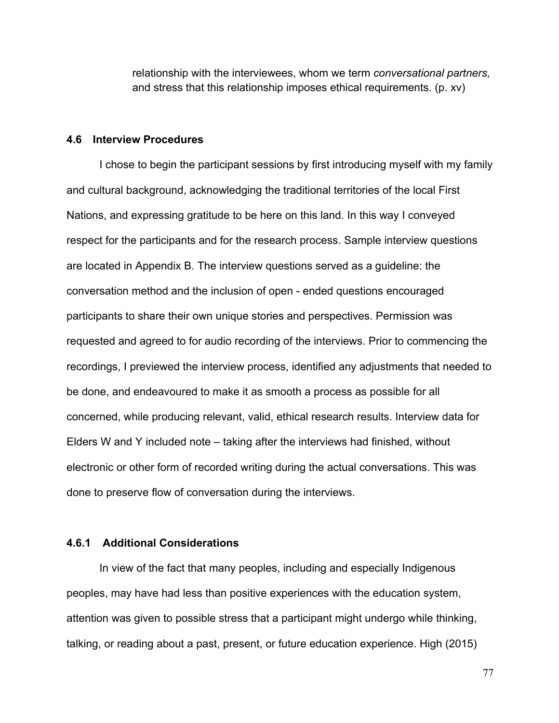relationship with the interviewees, whom we term *conversational partners,* and stress that this relationship imposes ethical requirements. (p. xv)

# **4.6 Interview Procedures**

I chose to begin the participant sessions by first introducing myself with my family and cultural background, acknowledging the traditional territories of the local First Nations, and expressing gratitude to be here on this land. In this way I conveyed respect for the participants and for the research process. Sample interview questions are located in Appendix B. The interview questions served as a guideline: the conversation method and the inclusion of open - ended questions encouraged participants to share their own unique stories and perspectives. Permission was requested and agreed to for audio recording of the interviews. Prior to commencing the recordings, I previewed the interview process, identified any adjustments that needed to be done, and endeavoured to make it as smooth a process as possible for all concerned, while producing relevant, valid, ethical research results. Interview data for Elders W and Y included note – taking after the interviews had finished, without electronic or other form of recorded writing during the actual conversations. This was done to preserve flow of conversation during the interviews.

# **4.6.1 Additional Considerations**

In view of the fact that many peoples, including and especially Indigenous peoples, may have had less than positive experiences with the education system, attention was given to possible stress that a participant might undergo while thinking, talking, or reading about a past, present, or future education experience. High (2015)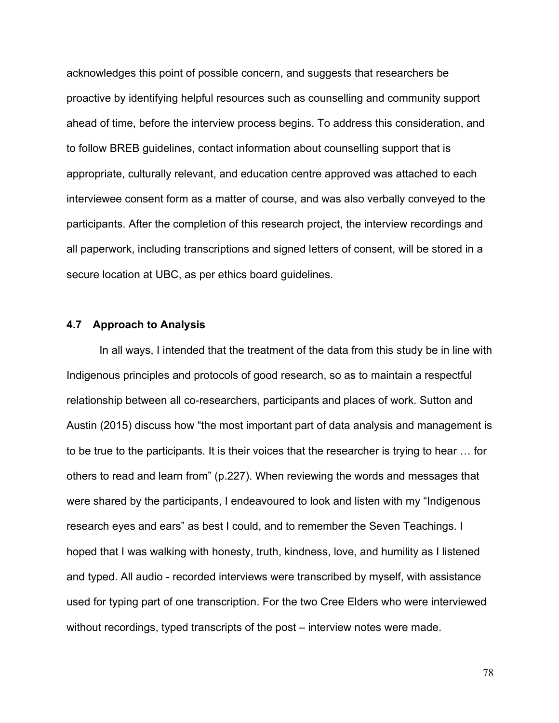acknowledges this point of possible concern, and suggests that researchers be proactive by identifying helpful resources such as counselling and community support ahead of time, before the interview process begins. To address this consideration, and to follow BREB guidelines, contact information about counselling support that is appropriate, culturally relevant, and education centre approved was attached to each interviewee consent form as a matter of course, and was also verbally conveyed to the participants. After the completion of this research project, the interview recordings and all paperwork, including transcriptions and signed letters of consent, will be stored in a secure location at UBC, as per ethics board guidelines.

## **4.7 Approach to Analysis**

In all ways, I intended that the treatment of the data from this study be in line with Indigenous principles and protocols of good research, so as to maintain a respectful relationship between all co-researchers, participants and places of work. Sutton and Austin (2015) discuss how "the most important part of data analysis and management is to be true to the participants. It is their voices that the researcher is trying to hear … for others to read and learn from" (p.227). When reviewing the words and messages that were shared by the participants, I endeavoured to look and listen with my "Indigenous research eyes and ears" as best I could, and to remember the Seven Teachings. I hoped that I was walking with honesty, truth, kindness, love, and humility as I listened and typed. All audio - recorded interviews were transcribed by myself, with assistance used for typing part of one transcription. For the two Cree Elders who were interviewed without recordings, typed transcripts of the post – interview notes were made.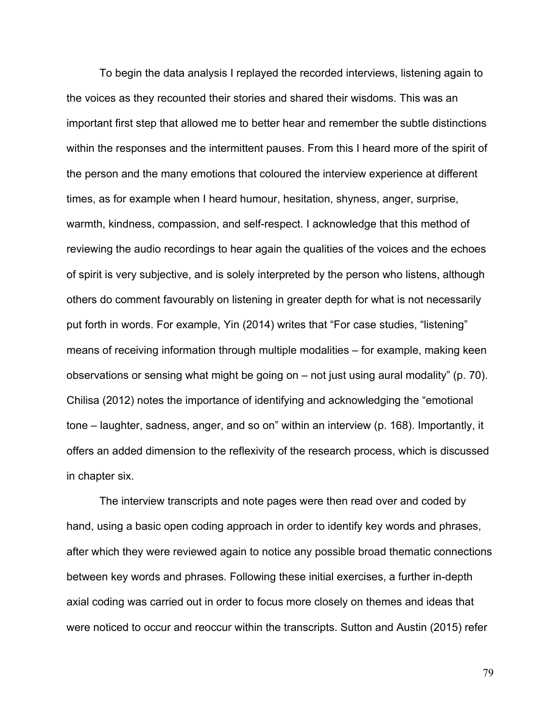To begin the data analysis I replayed the recorded interviews, listening again to the voices as they recounted their stories and shared their wisdoms. This was an important first step that allowed me to better hear and remember the subtle distinctions within the responses and the intermittent pauses. From this I heard more of the spirit of the person and the many emotions that coloured the interview experience at different times, as for example when I heard humour, hesitation, shyness, anger, surprise, warmth, kindness, compassion, and self-respect. I acknowledge that this method of reviewing the audio recordings to hear again the qualities of the voices and the echoes of spirit is very subjective, and is solely interpreted by the person who listens, although others do comment favourably on listening in greater depth for what is not necessarily put forth in words. For example, Yin (2014) writes that "For case studies, "listening" means of receiving information through multiple modalities – for example, making keen observations or sensing what might be going on – not just using aural modality" (p. 70). Chilisa (2012) notes the importance of identifying and acknowledging the "emotional tone – laughter, sadness, anger, and so on" within an interview (p. 168). Importantly, it offers an added dimension to the reflexivity of the research process, which is discussed in chapter six.

The interview transcripts and note pages were then read over and coded by hand, using a basic open coding approach in order to identify key words and phrases, after which they were reviewed again to notice any possible broad thematic connections between key words and phrases. Following these initial exercises, a further in-depth axial coding was carried out in order to focus more closely on themes and ideas that were noticed to occur and reoccur within the transcripts. Sutton and Austin (2015) refer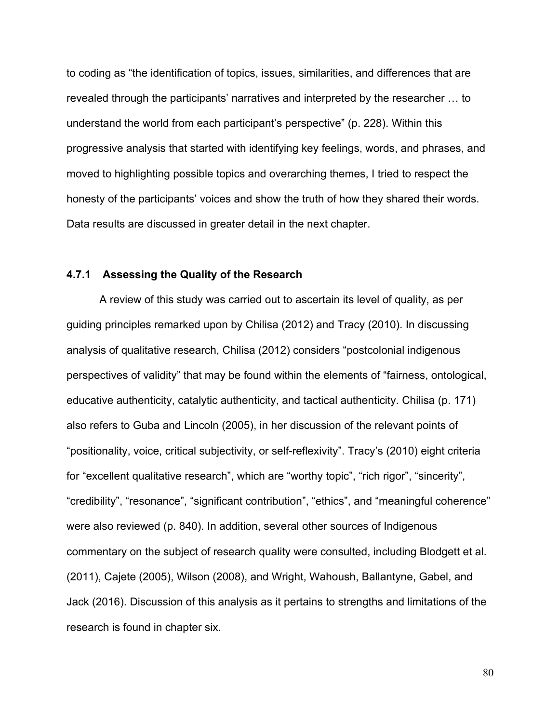to coding as "the identification of topics, issues, similarities, and differences that are revealed through the participants' narratives and interpreted by the researcher … to understand the world from each participant's perspective" (p. 228). Within this progressive analysis that started with identifying key feelings, words, and phrases, and moved to highlighting possible topics and overarching themes, I tried to respect the honesty of the participants' voices and show the truth of how they shared their words. Data results are discussed in greater detail in the next chapter.

## **4.7.1 Assessing the Quality of the Research**

A review of this study was carried out to ascertain its level of quality, as per guiding principles remarked upon by Chilisa (2012) and Tracy (2010). In discussing analysis of qualitative research, Chilisa (2012) considers "postcolonial indigenous perspectives of validity" that may be found within the elements of "fairness, ontological, educative authenticity, catalytic authenticity, and tactical authenticity. Chilisa (p. 171) also refers to Guba and Lincoln (2005), in her discussion of the relevant points of "positionality, voice, critical subjectivity, or self-reflexivity". Tracy's (2010) eight criteria for "excellent qualitative research", which are "worthy topic", "rich rigor", "sincerity", "credibility", "resonance", "significant contribution", "ethics", and "meaningful coherence" were also reviewed (p. 840). In addition, several other sources of Indigenous commentary on the subject of research quality were consulted, including Blodgett et al. (2011), Cajete (2005), Wilson (2008), and Wright, Wahoush, Ballantyne, Gabel, and Jack (2016). Discussion of this analysis as it pertains to strengths and limitations of the research is found in chapter six.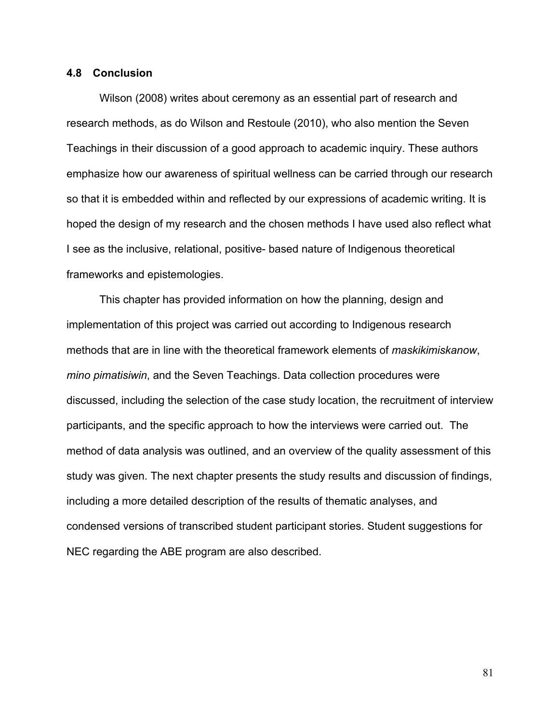# **4.8 Conclusion**

Wilson (2008) writes about ceremony as an essential part of research and research methods, as do Wilson and Restoule (2010), who also mention the Seven Teachings in their discussion of a good approach to academic inquiry. These authors emphasize how our awareness of spiritual wellness can be carried through our research so that it is embedded within and reflected by our expressions of academic writing. It is hoped the design of my research and the chosen methods I have used also reflect what I see as the inclusive, relational, positive- based nature of Indigenous theoretical frameworks and epistemologies.

This chapter has provided information on how the planning, design and implementation of this project was carried out according to Indigenous research methods that are in line with the theoretical framework elements of *maskikimiskanow*, *mino pimatisiwin*, and the Seven Teachings. Data collection procedures were discussed, including the selection of the case study location, the recruitment of interview participants, and the specific approach to how the interviews were carried out. The method of data analysis was outlined, and an overview of the quality assessment of this study was given. The next chapter presents the study results and discussion of findings, including a more detailed description of the results of thematic analyses, and condensed versions of transcribed student participant stories. Student suggestions for NEC regarding the ABE program are also described.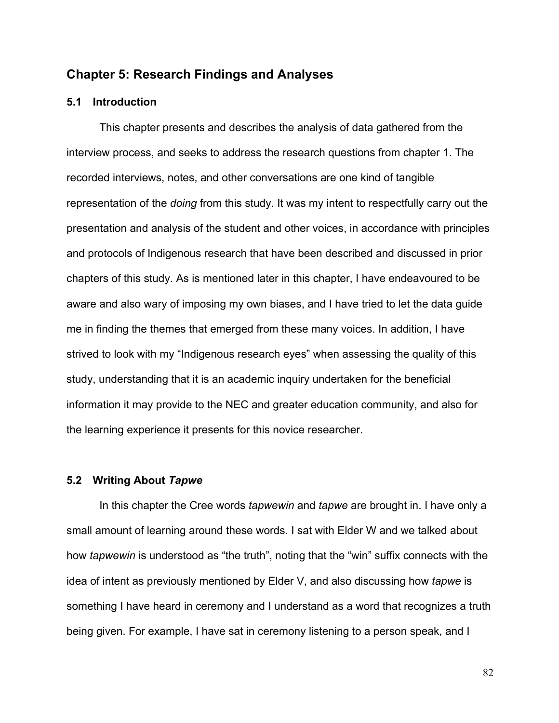# **Chapter 5: Research Findings and Analyses**

# **5.1 Introduction**

This chapter presents and describes the analysis of data gathered from the interview process, and seeks to address the research questions from chapter 1. The recorded interviews, notes, and other conversations are one kind of tangible representation of the *doing* from this study. It was my intent to respectfully carry out the presentation and analysis of the student and other voices, in accordance with principles and protocols of Indigenous research that have been described and discussed in prior chapters of this study. As is mentioned later in this chapter, I have endeavoured to be aware and also wary of imposing my own biases, and I have tried to let the data guide me in finding the themes that emerged from these many voices. In addition, I have strived to look with my "Indigenous research eyes" when assessing the quality of this study, understanding that it is an academic inquiry undertaken for the beneficial information it may provide to the NEC and greater education community, and also for the learning experience it presents for this novice researcher.

## **5.2 Writing About** *Tapwe*

In this chapter the Cree words *tapwewin* and *tapwe* are brought in. I have only a small amount of learning around these words. I sat with Elder W and we talked about how *tapwewin* is understood as "the truth", noting that the "win" suffix connects with the idea of intent as previously mentioned by Elder V, and also discussing how *tapwe* is something I have heard in ceremony and I understand as a word that recognizes a truth being given. For example, I have sat in ceremony listening to a person speak, and I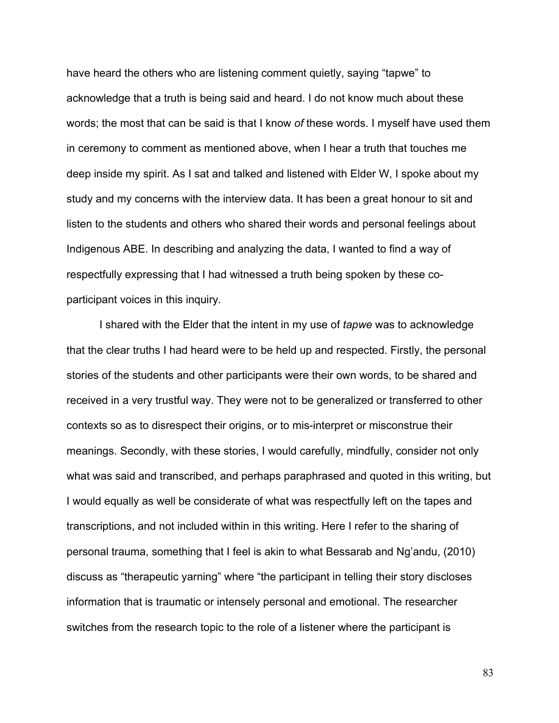have heard the others who are listening comment quietly, saying "tapwe" to acknowledge that a truth is being said and heard. I do not know much about these words; the most that can be said is that I know *of* these words. I myself have used them in ceremony to comment as mentioned above, when I hear a truth that touches me deep inside my spirit. As I sat and talked and listened with Elder W, I spoke about my study and my concerns with the interview data. It has been a great honour to sit and listen to the students and others who shared their words and personal feelings about Indigenous ABE. In describing and analyzing the data, I wanted to find a way of respectfully expressing that I had witnessed a truth being spoken by these coparticipant voices in this inquiry.

I shared with the Elder that the intent in my use of *tapwe* was to acknowledge that the clear truths I had heard were to be held up and respected. Firstly, the personal stories of the students and other participants were their own words, to be shared and received in a very trustful way. They were not to be generalized or transferred to other contexts so as to disrespect their origins, or to mis-interpret or misconstrue their meanings. Secondly, with these stories, I would carefully, mindfully, consider not only what was said and transcribed, and perhaps paraphrased and quoted in this writing, but I would equally as well be considerate of what was respectfully left on the tapes and transcriptions, and not included within in this writing. Here I refer to the sharing of personal trauma, something that I feel is akin to what Bessarab and Ng'andu, (2010) discuss as "therapeutic yarning" where "the participant in telling their story discloses information that is traumatic or intensely personal and emotional. The researcher switches from the research topic to the role of a listener where the participant is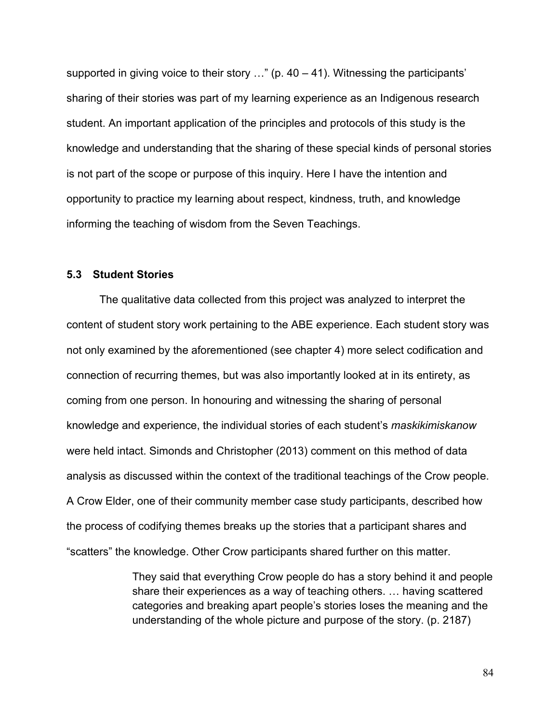supported in giving voice to their story  $\ldots$ " (p. 40 – 41). Witnessing the participants' sharing of their stories was part of my learning experience as an Indigenous research student. An important application of the principles and protocols of this study is the knowledge and understanding that the sharing of these special kinds of personal stories is not part of the scope or purpose of this inquiry. Here I have the intention and opportunity to practice my learning about respect, kindness, truth, and knowledge informing the teaching of wisdom from the Seven Teachings.

## **5.3 Student Stories**

The qualitative data collected from this project was analyzed to interpret the content of student story work pertaining to the ABE experience. Each student story was not only examined by the aforementioned (see chapter 4) more select codification and connection of recurring themes, but was also importantly looked at in its entirety, as coming from one person. In honouring and witnessing the sharing of personal knowledge and experience, the individual stories of each student's *maskikimiskanow*  were held intact. Simonds and Christopher (2013) comment on this method of data analysis as discussed within the context of the traditional teachings of the Crow people. A Crow Elder, one of their community member case study participants, described how the process of codifying themes breaks up the stories that a participant shares and "scatters" the knowledge. Other Crow participants shared further on this matter.

> They said that everything Crow people do has a story behind it and people share their experiences as a way of teaching others. … having scattered categories and breaking apart people's stories loses the meaning and the understanding of the whole picture and purpose of the story. (p. 2187)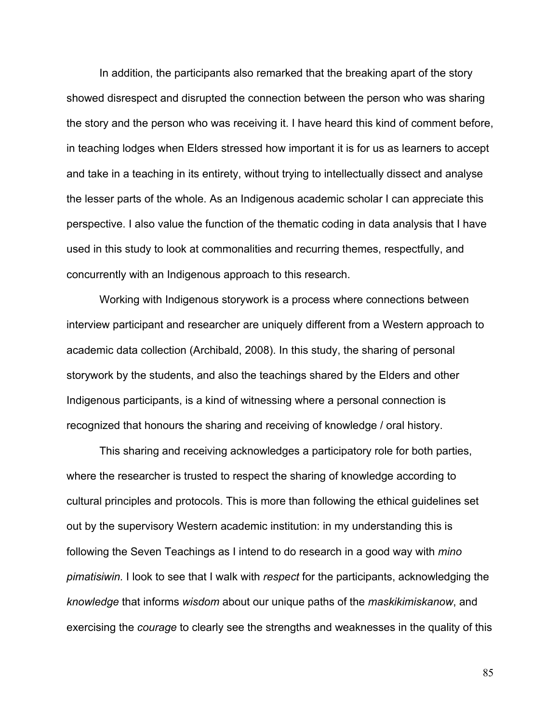In addition, the participants also remarked that the breaking apart of the story showed disrespect and disrupted the connection between the person who was sharing the story and the person who was receiving it. I have heard this kind of comment before, in teaching lodges when Elders stressed how important it is for us as learners to accept and take in a teaching in its entirety, without trying to intellectually dissect and analyse the lesser parts of the whole. As an Indigenous academic scholar I can appreciate this perspective. I also value the function of the thematic coding in data analysis that I have used in this study to look at commonalities and recurring themes, respectfully, and concurrently with an Indigenous approach to this research.

Working with Indigenous storywork is a process where connections between interview participant and researcher are uniquely different from a Western approach to academic data collection (Archibald, 2008). In this study, the sharing of personal storywork by the students, and also the teachings shared by the Elders and other Indigenous participants, is a kind of witnessing where a personal connection is recognized that honours the sharing and receiving of knowledge / oral history.

This sharing and receiving acknowledges a participatory role for both parties, where the researcher is trusted to respect the sharing of knowledge according to cultural principles and protocols. This is more than following the ethical guidelines set out by the supervisory Western academic institution: in my understanding this is following the Seven Teachings as I intend to do research in a good way with *mino pimatisiwin.* I look to see that I walk with *respect* for the participants, acknowledging the *knowledge* that informs *wisdom* about our unique paths of the *maskikimiskanow*, and exercising the *courage* to clearly see the strengths and weaknesses in the quality of this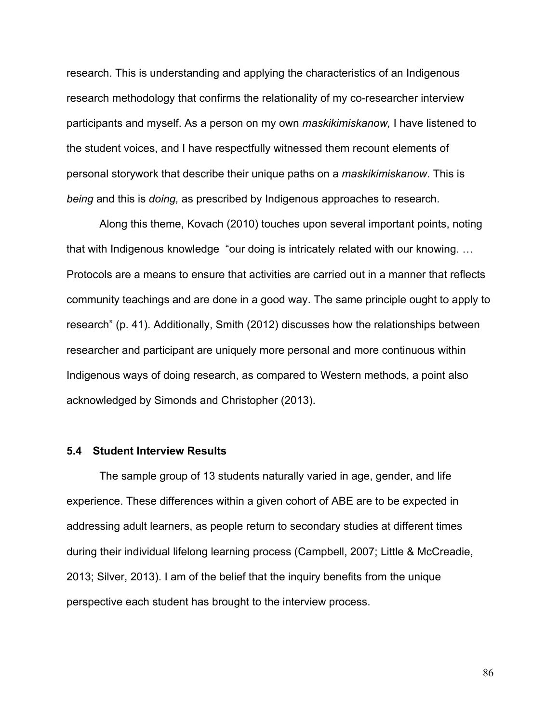research. This is understanding and applying the characteristics of an Indigenous research methodology that confirms the relationality of my co-researcher interview participants and myself. As a person on my own *maskikimiskanow,* I have listened to the student voices, and I have respectfully witnessed them recount elements of personal storywork that describe their unique paths on a *maskikimiskanow*. This is *being* and this is *doing,* as prescribed by Indigenous approaches to research.

Along this theme, Kovach (2010) touches upon several important points, noting that with Indigenous knowledge "our doing is intricately related with our knowing. … Protocols are a means to ensure that activities are carried out in a manner that reflects community teachings and are done in a good way. The same principle ought to apply to research" (p. 41). Additionally, Smith (2012) discusses how the relationships between researcher and participant are uniquely more personal and more continuous within Indigenous ways of doing research, as compared to Western methods, a point also acknowledged by Simonds and Christopher (2013).

#### **5.4 Student Interview Results**

The sample group of 13 students naturally varied in age, gender, and life experience. These differences within a given cohort of ABE are to be expected in addressing adult learners, as people return to secondary studies at different times during their individual lifelong learning process (Campbell, 2007; Little & McCreadie, 2013; Silver, 2013). I am of the belief that the inquiry benefits from the unique perspective each student has brought to the interview process.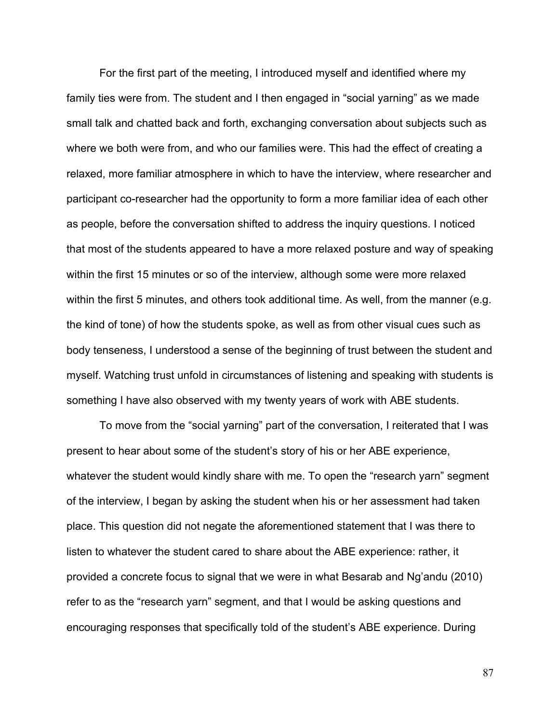For the first part of the meeting, I introduced myself and identified where my family ties were from. The student and I then engaged in "social yarning" as we made small talk and chatted back and forth, exchanging conversation about subjects such as where we both were from, and who our families were. This had the effect of creating a relaxed, more familiar atmosphere in which to have the interview, where researcher and participant co-researcher had the opportunity to form a more familiar idea of each other as people, before the conversation shifted to address the inquiry questions. I noticed that most of the students appeared to have a more relaxed posture and way of speaking within the first 15 minutes or so of the interview, although some were more relaxed within the first 5 minutes, and others took additional time. As well, from the manner (e.g. the kind of tone) of how the students spoke, as well as from other visual cues such as body tenseness, I understood a sense of the beginning of trust between the student and myself. Watching trust unfold in circumstances of listening and speaking with students is something I have also observed with my twenty years of work with ABE students.

To move from the "social yarning" part of the conversation, I reiterated that I was present to hear about some of the student's story of his or her ABE experience, whatever the student would kindly share with me. To open the "research yarn" segment of the interview, I began by asking the student when his or her assessment had taken place. This question did not negate the aforementioned statement that I was there to listen to whatever the student cared to share about the ABE experience: rather, it provided a concrete focus to signal that we were in what Besarab and Ng'andu (2010) refer to as the "research yarn" segment, and that I would be asking questions and encouraging responses that specifically told of the student's ABE experience. During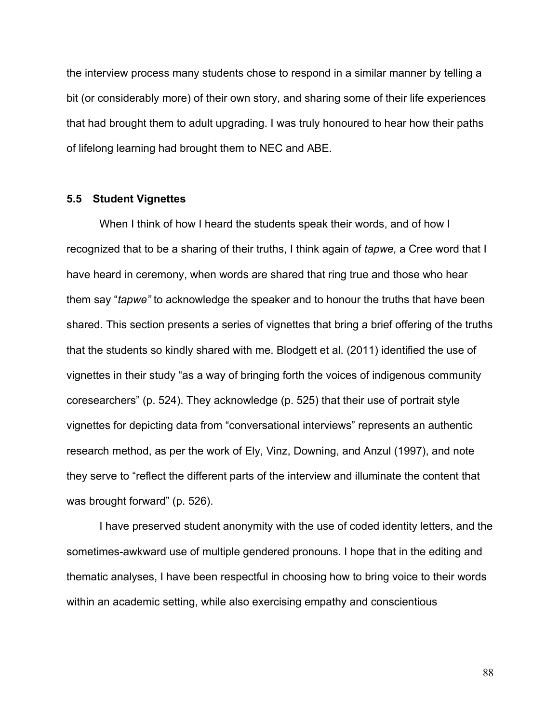the interview process many students chose to respond in a similar manner by telling a bit (or considerably more) of their own story, and sharing some of their life experiences that had brought them to adult upgrading. I was truly honoured to hear how their paths of lifelong learning had brought them to NEC and ABE.

## **5.5 Student Vignettes**

When I think of how I heard the students speak their words, and of how I recognized that to be a sharing of their truths, I think again of *tapwe,* a Cree word that I have heard in ceremony, when words are shared that ring true and those who hear them say "*tapwe"* to acknowledge the speaker and to honour the truths that have been shared. This section presents a series of vignettes that bring a brief offering of the truths that the students so kindly shared with me. Blodgett et al. (2011) identified the use of vignettes in their study "as a way of bringing forth the voices of indigenous community coresearchers" (p. 524). They acknowledge (p. 525) that their use of portrait style vignettes for depicting data from "conversational interviews" represents an authentic research method, as per the work of Ely, Vinz, Downing, and Anzul (1997), and note they serve to "reflect the different parts of the interview and illuminate the content that was brought forward" (p. 526).

I have preserved student anonymity with the use of coded identity letters, and the sometimes-awkward use of multiple gendered pronouns. I hope that in the editing and thematic analyses, I have been respectful in choosing how to bring voice to their words within an academic setting, while also exercising empathy and conscientious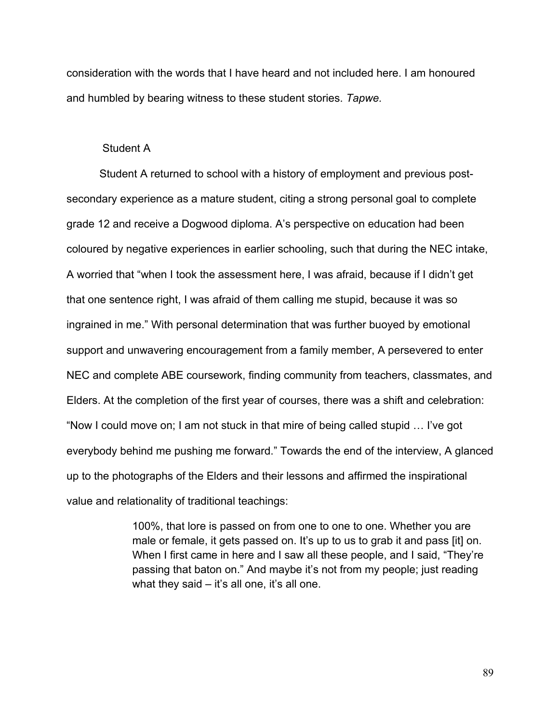consideration with the words that I have heard and not included here. I am honoured and humbled by bearing witness to these student stories. *Tapwe.* 

# Student A

Student A returned to school with a history of employment and previous postsecondary experience as a mature student, citing a strong personal goal to complete grade 12 and receive a Dogwood diploma. A's perspective on education had been coloured by negative experiences in earlier schooling, such that during the NEC intake, A worried that "when I took the assessment here, I was afraid, because if I didn't get that one sentence right, I was afraid of them calling me stupid, because it was so ingrained in me." With personal determination that was further buoyed by emotional support and unwavering encouragement from a family member, A persevered to enter NEC and complete ABE coursework, finding community from teachers, classmates, and Elders. At the completion of the first year of courses, there was a shift and celebration: "Now I could move on; I am not stuck in that mire of being called stupid … I've got everybody behind me pushing me forward." Towards the end of the interview, A glanced up to the photographs of the Elders and their lessons and affirmed the inspirational value and relationality of traditional teachings:

> 100%, that lore is passed on from one to one to one. Whether you are male or female, it gets passed on. It's up to us to grab it and pass [it] on. When I first came in here and I saw all these people, and I said, "They're passing that baton on." And maybe it's not from my people; just reading what they said  $-$  it's all one, it's all one.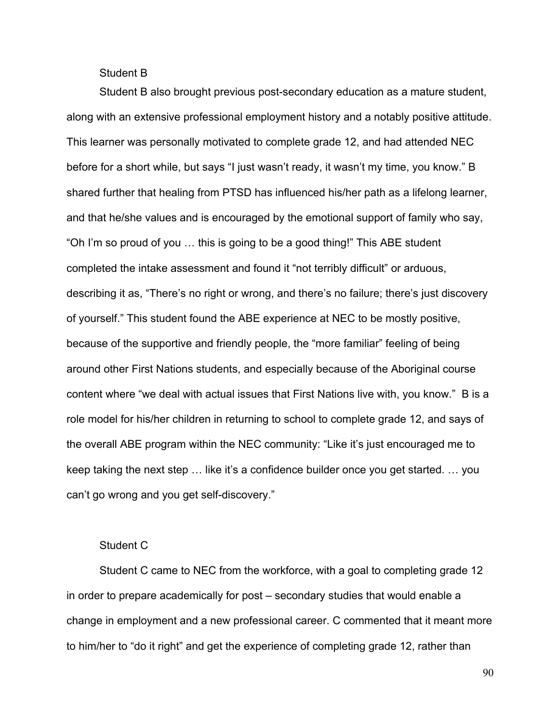# Student B

Student B also brought previous post-secondary education as a mature student, along with an extensive professional employment history and a notably positive attitude. This learner was personally motivated to complete grade 12, and had attended NEC before for a short while, but says "I just wasn't ready, it wasn't my time, you know." B shared further that healing from PTSD has influenced his/her path as a lifelong learner, and that he/she values and is encouraged by the emotional support of family who say, "Oh I'm so proud of you … this is going to be a good thing!" This ABE student completed the intake assessment and found it "not terribly difficult" or arduous, describing it as, "There's no right or wrong, and there's no failure; there's just discovery of yourself." This student found the ABE experience at NEC to be mostly positive, because of the supportive and friendly people, the "more familiar" feeling of being around other First Nations students, and especially because of the Aboriginal course content where "we deal with actual issues that First Nations live with, you know." B is a role model for his/her children in returning to school to complete grade 12, and says of the overall ABE program within the NEC community: "Like it's just encouraged me to keep taking the next step … like it's a confidence builder once you get started. … you can't go wrong and you get self-discovery."

# Student C

Student C came to NEC from the workforce, with a goal to completing grade 12 in order to prepare academically for post – secondary studies that would enable a change in employment and a new professional career. C commented that it meant more to him/her to "do it right" and get the experience of completing grade 12, rather than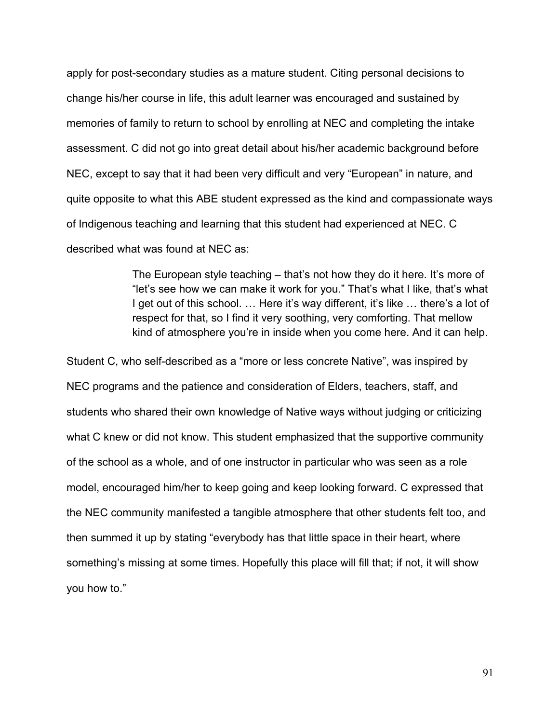apply for post-secondary studies as a mature student. Citing personal decisions to change his/her course in life, this adult learner was encouraged and sustained by memories of family to return to school by enrolling at NEC and completing the intake assessment. C did not go into great detail about his/her academic background before NEC, except to say that it had been very difficult and very "European" in nature, and quite opposite to what this ABE student expressed as the kind and compassionate ways of Indigenous teaching and learning that this student had experienced at NEC. C described what was found at NEC as:

> The European style teaching – that's not how they do it here. It's more of "let's see how we can make it work for you." That's what I like, that's what I get out of this school. ... Here it's way different, it's like ... there's a lot of respect for that, so I find it very soothing, very comforting. That mellow kind of atmosphere you're in inside when you come here. And it can help.

Student C, who self-described as a "more or less concrete Native", was inspired by NEC programs and the patience and consideration of Elders, teachers, staff, and students who shared their own knowledge of Native ways without judging or criticizing what C knew or did not know. This student emphasized that the supportive community of the school as a whole, and of one instructor in particular who was seen as a role model, encouraged him/her to keep going and keep looking forward. C expressed that the NEC community manifested a tangible atmosphere that other students felt too, and then summed it up by stating "everybody has that little space in their heart, where something's missing at some times. Hopefully this place will fill that; if not, it will show you how to."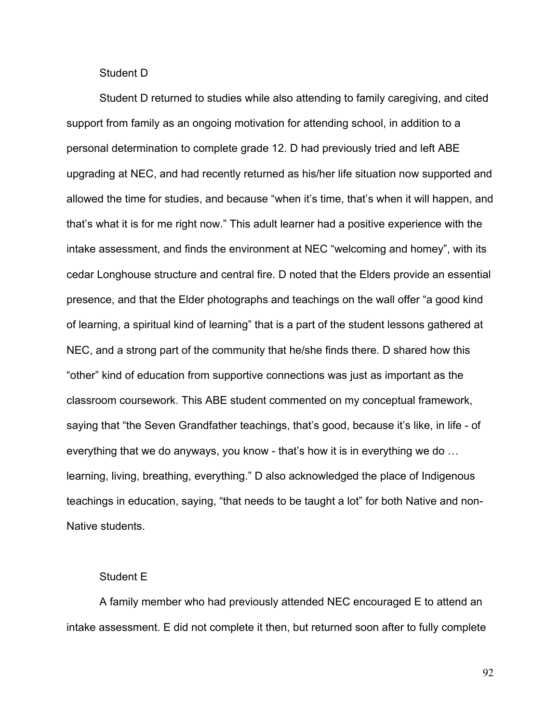## Student D

Student D returned to studies while also attending to family caregiving, and cited support from family as an ongoing motivation for attending school, in addition to a personal determination to complete grade 12. D had previously tried and left ABE upgrading at NEC, and had recently returned as his/her life situation now supported and allowed the time for studies, and because "when it's time, that's when it will happen, and that's what it is for me right now." This adult learner had a positive experience with the intake assessment, and finds the environment at NEC "welcoming and homey", with its cedar Longhouse structure and central fire. D noted that the Elders provide an essential presence, and that the Elder photographs and teachings on the wall offer "a good kind of learning, a spiritual kind of learning" that is a part of the student lessons gathered at NEC, and a strong part of the community that he/she finds there. D shared how this "other" kind of education from supportive connections was just as important as the classroom coursework. This ABE student commented on my conceptual framework, saying that "the Seven Grandfather teachings, that's good, because it's like, in life - of everything that we do anyways, you know - that's how it is in everything we do … learning, living, breathing, everything." D also acknowledged the place of Indigenous teachings in education, saying, "that needs to be taught a lot" for both Native and non-Native students.

## Student E

A family member who had previously attended NEC encouraged E to attend an intake assessment. E did not complete it then, but returned soon after to fully complete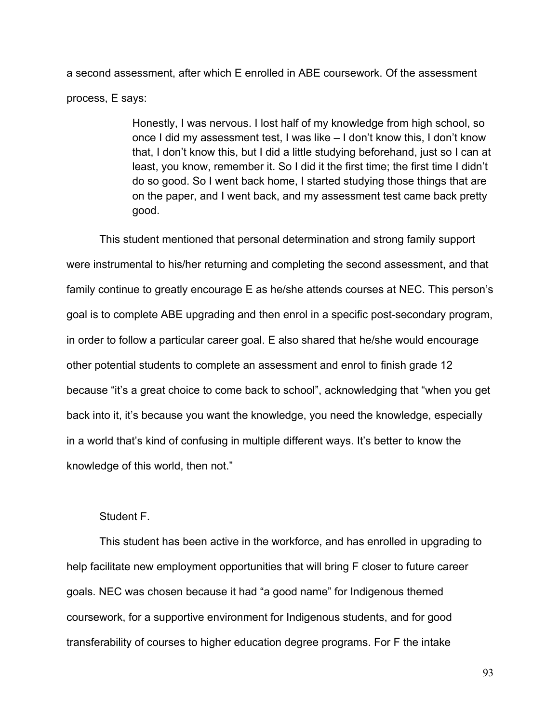a second assessment, after which E enrolled in ABE coursework. Of the assessment process, E says:

> Honestly, I was nervous. I lost half of my knowledge from high school, so once I did my assessment test, I was like – I don't know this, I don't know that, I don't know this, but I did a little studying beforehand, just so I can at least, you know, remember it. So I did it the first time; the first time I didn't do so good. So I went back home, I started studying those things that are on the paper, and I went back, and my assessment test came back pretty good.

This student mentioned that personal determination and strong family support were instrumental to his/her returning and completing the second assessment, and that family continue to greatly encourage E as he/she attends courses at NEC. This person's goal is to complete ABE upgrading and then enrol in a specific post-secondary program, in order to follow a particular career goal. E also shared that he/she would encourage other potential students to complete an assessment and enrol to finish grade 12 because "it's a great choice to come back to school", acknowledging that "when you get back into it, it's because you want the knowledge, you need the knowledge, especially in a world that's kind of confusing in multiple different ways. It's better to know the knowledge of this world, then not."

# Student F.

This student has been active in the workforce, and has enrolled in upgrading to help facilitate new employment opportunities that will bring F closer to future career goals. NEC was chosen because it had "a good name" for Indigenous themed coursework, for a supportive environment for Indigenous students, and for good transferability of courses to higher education degree programs. For F the intake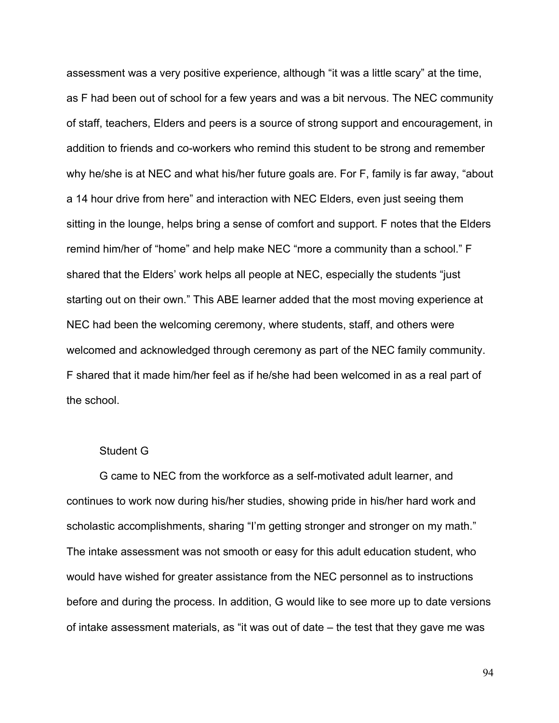assessment was a very positive experience, although "it was a little scary" at the time, as F had been out of school for a few years and was a bit nervous. The NEC community of staff, teachers, Elders and peers is a source of strong support and encouragement, in addition to friends and co-workers who remind this student to be strong and remember why he/she is at NEC and what his/her future goals are. For F, family is far away, "about a 14 hour drive from here" and interaction with NEC Elders, even just seeing them sitting in the lounge, helps bring a sense of comfort and support. F notes that the Elders remind him/her of "home" and help make NEC "more a community than a school." F shared that the Elders' work helps all people at NEC, especially the students "just starting out on their own." This ABE learner added that the most moving experience at NEC had been the welcoming ceremony, where students, staff, and others were welcomed and acknowledged through ceremony as part of the NEC family community. F shared that it made him/her feel as if he/she had been welcomed in as a real part of the school.

#### Student G

G came to NEC from the workforce as a self-motivated adult learner, and continues to work now during his/her studies, showing pride in his/her hard work and scholastic accomplishments, sharing "I'm getting stronger and stronger on my math." The intake assessment was not smooth or easy for this adult education student, who would have wished for greater assistance from the NEC personnel as to instructions before and during the process. In addition, G would like to see more up to date versions of intake assessment materials, as "it was out of date – the test that they gave me was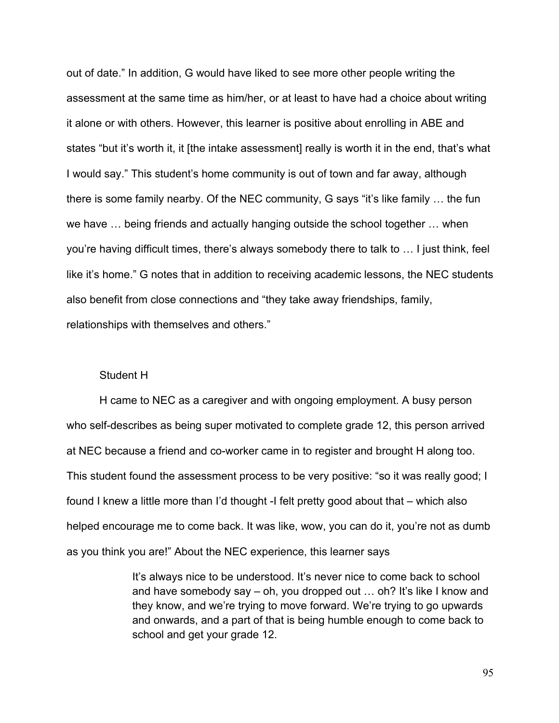out of date." In addition, G would have liked to see more other people writing the assessment at the same time as him/her, or at least to have had a choice about writing it alone or with others. However, this learner is positive about enrolling in ABE and states "but it's worth it, it [the intake assessment] really is worth it in the end, that's what I would say." This student's home community is out of town and far away, although there is some family nearby. Of the NEC community, G says "it's like family … the fun we have … being friends and actually hanging outside the school together … when you're having difficult times, there's always somebody there to talk to … I just think, feel like it's home." G notes that in addition to receiving academic lessons, the NEC students also benefit from close connections and "they take away friendships, family, relationships with themselves and others."

### Student H

H came to NEC as a caregiver and with ongoing employment. A busy person who self-describes as being super motivated to complete grade 12, this person arrived at NEC because a friend and co-worker came in to register and brought H along too. This student found the assessment process to be very positive: "so it was really good; I found I knew a little more than I'd thought -I felt pretty good about that – which also helped encourage me to come back. It was like, wow, you can do it, you're not as dumb as you think you are!" About the NEC experience, this learner says

> It's always nice to be understood. It's never nice to come back to school and have somebody say – oh, you dropped out … oh? It's like I know and they know, and we're trying to move forward. We're trying to go upwards and onwards, and a part of that is being humble enough to come back to school and get your grade 12.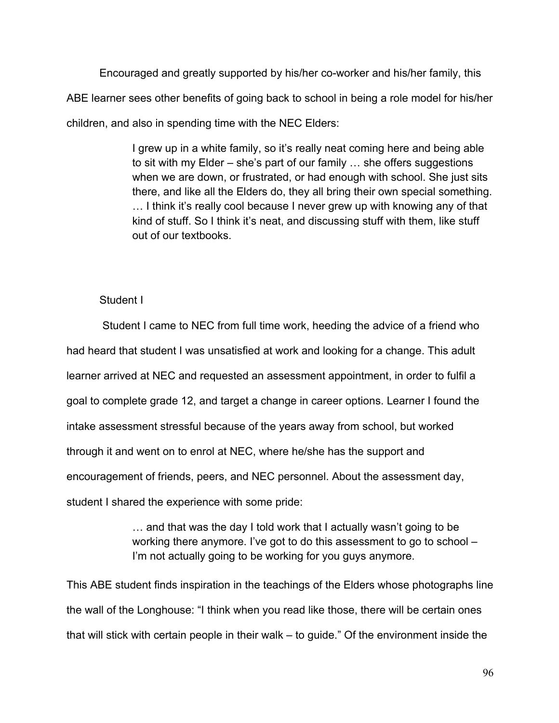Encouraged and greatly supported by his/her co-worker and his/her family, this ABE learner sees other benefits of going back to school in being a role model for his/her children, and also in spending time with the NEC Elders:

> I grew up in a white family, so it's really neat coming here and being able to sit with my Elder – she's part of our family … she offers suggestions when we are down, or frustrated, or had enough with school. She just sits there, and like all the Elders do, they all bring their own special something. … I think it's really cool because I never grew up with knowing any of that kind of stuff. So I think it's neat, and discussing stuff with them, like stuff out of our textbooks.

# Student I

Student I came to NEC from full time work, heeding the advice of a friend who had heard that student I was unsatisfied at work and looking for a change. This adult learner arrived at NEC and requested an assessment appointment, in order to fulfil a goal to complete grade 12, and target a change in career options. Learner I found the intake assessment stressful because of the years away from school, but worked through it and went on to enrol at NEC, where he/she has the support and encouragement of friends, peers, and NEC personnel. About the assessment day, student I shared the experience with some pride:

> … and that was the day I told work that I actually wasn't going to be working there anymore. I've got to do this assessment to go to school – I'm not actually going to be working for you guys anymore.

This ABE student finds inspiration in the teachings of the Elders whose photographs line the wall of the Longhouse: "I think when you read like those, there will be certain ones that will stick with certain people in their walk – to guide." Of the environment inside the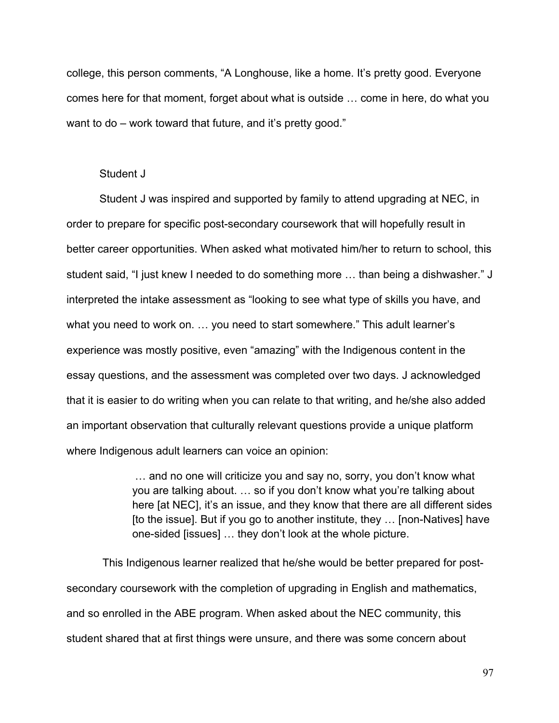college, this person comments, "A Longhouse, like a home. It's pretty good. Everyone comes here for that moment, forget about what is outside … come in here, do what you want to do – work toward that future, and it's pretty good."

#### Student J

Student J was inspired and supported by family to attend upgrading at NEC, in order to prepare for specific post-secondary coursework that will hopefully result in better career opportunities. When asked what motivated him/her to return to school, this student said, "I just knew I needed to do something more … than being a dishwasher." J interpreted the intake assessment as "looking to see what type of skills you have, and what you need to work on. … you need to start somewhere." This adult learner's experience was mostly positive, even "amazing" with the Indigenous content in the essay questions, and the assessment was completed over two days. J acknowledged that it is easier to do writing when you can relate to that writing, and he/she also added an important observation that culturally relevant questions provide a unique platform where Indigenous adult learners can voice an opinion:

> … and no one will criticize you and say no, sorry, you don't know what you are talking about. … so if you don't know what you're talking about here [at NEC], it's an issue, and they know that there are all different sides [to the issue]. But if you go to another institute, they … [non-Natives] have one-sided [issues] … they don't look at the whole picture.

This Indigenous learner realized that he/she would be better prepared for postsecondary coursework with the completion of upgrading in English and mathematics, and so enrolled in the ABE program. When asked about the NEC community, this student shared that at first things were unsure, and there was some concern about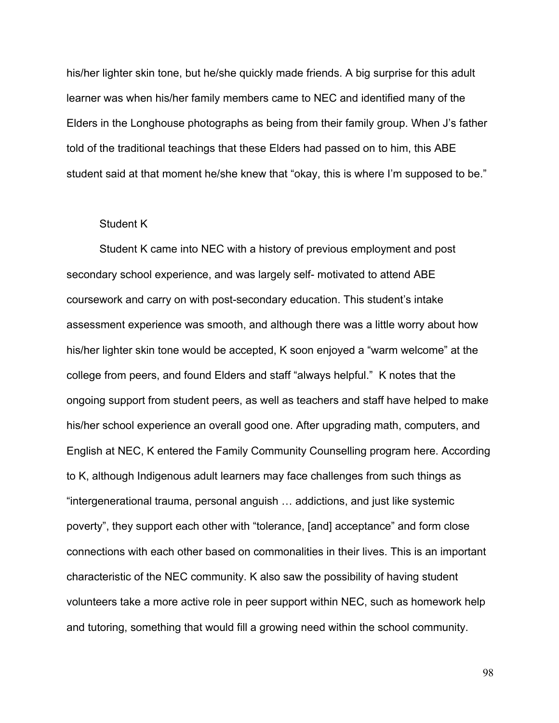his/her lighter skin tone, but he/she quickly made friends. A big surprise for this adult learner was when his/her family members came to NEC and identified many of the Elders in the Longhouse photographs as being from their family group. When J's father told of the traditional teachings that these Elders had passed on to him, this ABE student said at that moment he/she knew that "okay, this is where I'm supposed to be."

#### Student K

Student K came into NEC with a history of previous employment and post secondary school experience, and was largely self- motivated to attend ABE coursework and carry on with post-secondary education. This student's intake assessment experience was smooth, and although there was a little worry about how his/her lighter skin tone would be accepted, K soon enjoyed a "warm welcome" at the college from peers, and found Elders and staff "always helpful." K notes that the ongoing support from student peers, as well as teachers and staff have helped to make his/her school experience an overall good one. After upgrading math, computers, and English at NEC, K entered the Family Community Counselling program here. According to K, although Indigenous adult learners may face challenges from such things as "intergenerational trauma, personal anguish … addictions, and just like systemic poverty", they support each other with "tolerance, [and] acceptance" and form close connections with each other based on commonalities in their lives. This is an important characteristic of the NEC community. K also saw the possibility of having student volunteers take a more active role in peer support within NEC, such as homework help and tutoring, something that would fill a growing need within the school community.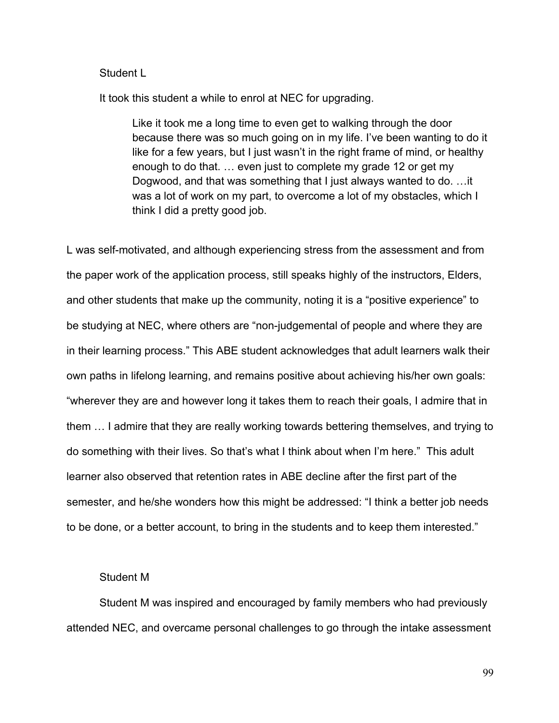## Student L

It took this student a while to enrol at NEC for upgrading.

Like it took me a long time to even get to walking through the door because there was so much going on in my life. I've been wanting to do it like for a few years, but I just wasn't in the right frame of mind, or healthy enough to do that. … even just to complete my grade 12 or get my Dogwood, and that was something that I just always wanted to do. …it was a lot of work on my part, to overcome a lot of my obstacles, which I think I did a pretty good job.

L was self-motivated, and although experiencing stress from the assessment and from the paper work of the application process, still speaks highly of the instructors, Elders, and other students that make up the community, noting it is a "positive experience" to be studying at NEC, where others are "non-judgemental of people and where they are in their learning process." This ABE student acknowledges that adult learners walk their own paths in lifelong learning, and remains positive about achieving his/her own goals: "wherever they are and however long it takes them to reach their goals, I admire that in them … I admire that they are really working towards bettering themselves, and trying to do something with their lives. So that's what I think about when I'm here." This adult learner also observed that retention rates in ABE decline after the first part of the semester, and he/she wonders how this might be addressed: "I think a better job needs to be done, or a better account, to bring in the students and to keep them interested."

## Student M

Student M was inspired and encouraged by family members who had previously attended NEC, and overcame personal challenges to go through the intake assessment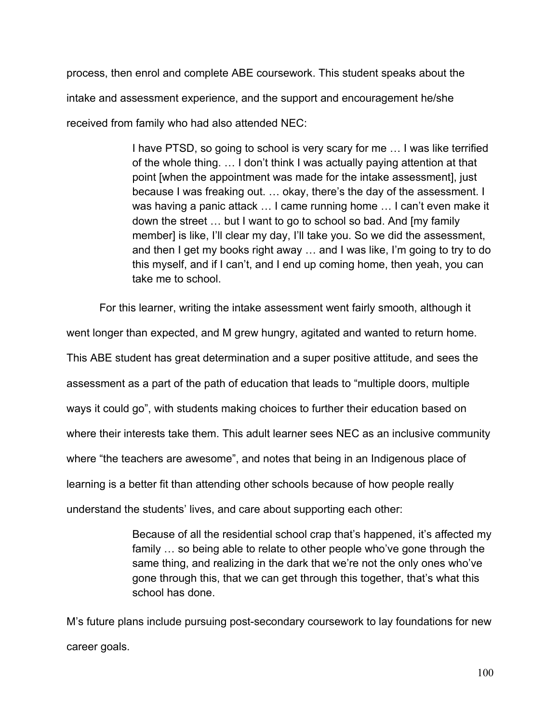process, then enrol and complete ABE coursework. This student speaks about the intake and assessment experience, and the support and encouragement he/she received from family who had also attended NEC:

> I have PTSD, so going to school is very scary for me … I was like terrified of the whole thing. … I don't think I was actually paying attention at that point [when the appointment was made for the intake assessment], just because I was freaking out. … okay, there's the day of the assessment. I was having a panic attack … I came running home … I can't even make it down the street … but I want to go to school so bad. And [my family member] is like, I'll clear my day, I'll take you. So we did the assessment, and then I get my books right away … and I was like, I'm going to try to do this myself, and if I can't, and I end up coming home, then yeah, you can take me to school.

For this learner, writing the intake assessment went fairly smooth, although it went longer than expected, and M grew hungry, agitated and wanted to return home. This ABE student has great determination and a super positive attitude, and sees the assessment as a part of the path of education that leads to "multiple doors, multiple ways it could go", with students making choices to further their education based on where their interests take them. This adult learner sees NEC as an inclusive community where "the teachers are awesome", and notes that being in an Indigenous place of learning is a better fit than attending other schools because of how people really understand the students' lives, and care about supporting each other:

> Because of all the residential school crap that's happened, it's affected my family … so being able to relate to other people who've gone through the same thing, and realizing in the dark that we're not the only ones who've gone through this, that we can get through this together, that's what this school has done.

M's future plans include pursuing post-secondary coursework to lay foundations for new career goals.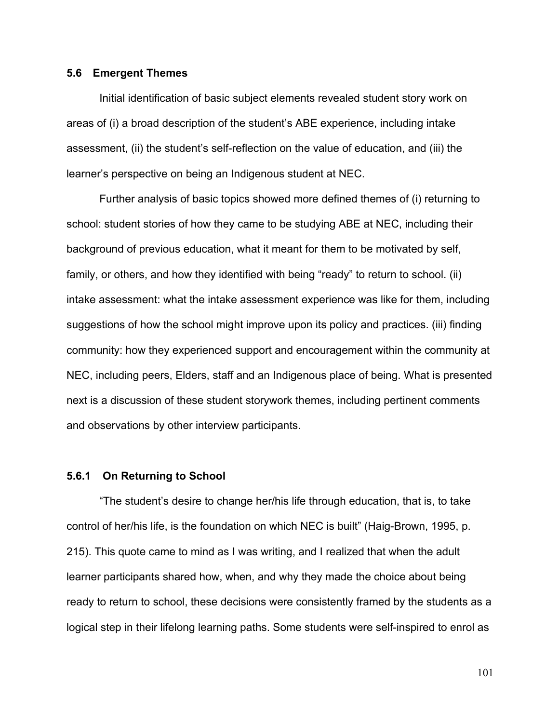#### **5.6 Emergent Themes**

Initial identification of basic subject elements revealed student story work on areas of (i) a broad description of the student's ABE experience, including intake assessment, (ii) the student's self-reflection on the value of education, and (iii) the learner's perspective on being an Indigenous student at NEC.

Further analysis of basic topics showed more defined themes of (i) returning to school: student stories of how they came to be studying ABE at NEC, including their background of previous education, what it meant for them to be motivated by self, family, or others, and how they identified with being "ready" to return to school. (ii) intake assessment: what the intake assessment experience was like for them, including suggestions of how the school might improve upon its policy and practices. (iii) finding community: how they experienced support and encouragement within the community at NEC, including peers, Elders, staff and an Indigenous place of being. What is presented next is a discussion of these student storywork themes, including pertinent comments and observations by other interview participants.

### **5.6.1 On Returning to School**

"The student's desire to change her/his life through education, that is, to take control of her/his life, is the foundation on which NEC is built" (Haig-Brown, 1995, p. 215). This quote came to mind as I was writing, and I realized that when the adult learner participants shared how, when, and why they made the choice about being ready to return to school, these decisions were consistently framed by the students as a logical step in their lifelong learning paths. Some students were self-inspired to enrol as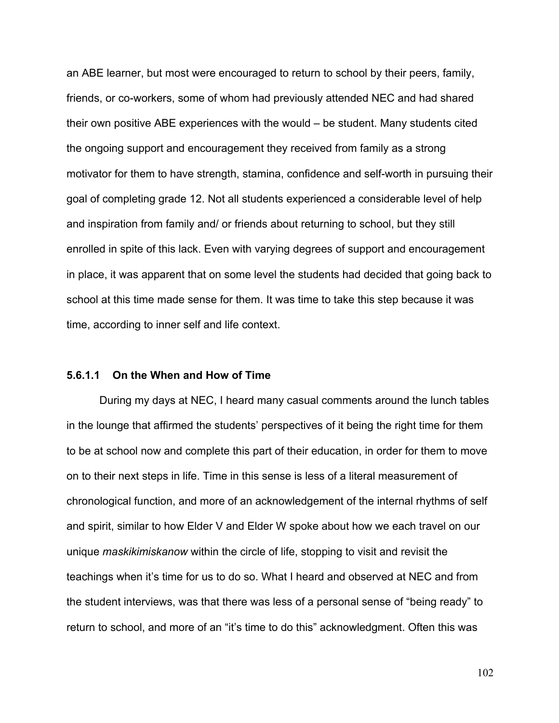an ABE learner, but most were encouraged to return to school by their peers, family, friends, or co-workers, some of whom had previously attended NEC and had shared their own positive ABE experiences with the would – be student. Many students cited the ongoing support and encouragement they received from family as a strong motivator for them to have strength, stamina, confidence and self-worth in pursuing their goal of completing grade 12. Not all students experienced a considerable level of help and inspiration from family and/ or friends about returning to school, but they still enrolled in spite of this lack. Even with varying degrees of support and encouragement in place, it was apparent that on some level the students had decided that going back to school at this time made sense for them. It was time to take this step because it was time, according to inner self and life context.

## **5.6.1.1 On the When and How of Time**

During my days at NEC, I heard many casual comments around the lunch tables in the lounge that affirmed the students' perspectives of it being the right time for them to be at school now and complete this part of their education, in order for them to move on to their next steps in life. Time in this sense is less of a literal measurement of chronological function, and more of an acknowledgement of the internal rhythms of self and spirit, similar to how Elder V and Elder W spoke about how we each travel on our unique *maskikimiskanow* within the circle of life, stopping to visit and revisit the teachings when it's time for us to do so. What I heard and observed at NEC and from the student interviews, was that there was less of a personal sense of "being ready" to return to school, and more of an "it's time to do this" acknowledgment. Often this was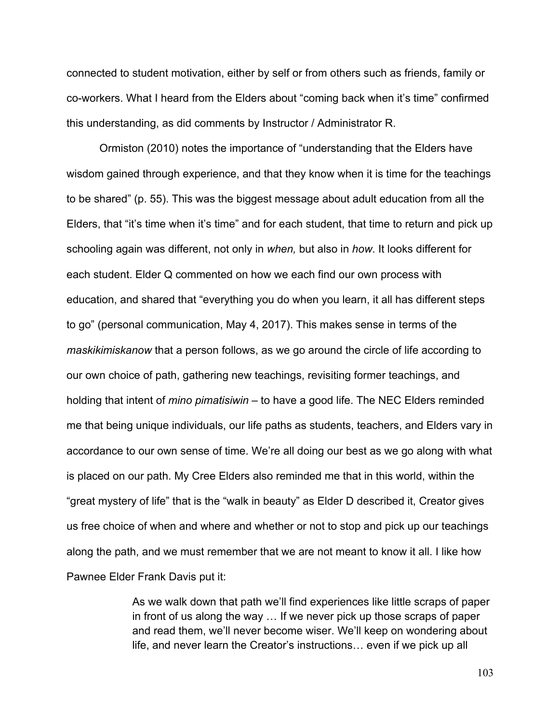connected to student motivation, either by self or from others such as friends, family or co-workers. What I heard from the Elders about "coming back when it's time" confirmed this understanding, as did comments by Instructor / Administrator R.

Ormiston (2010) notes the importance of "understanding that the Elders have wisdom gained through experience, and that they know when it is time for the teachings to be shared" (p. 55). This was the biggest message about adult education from all the Elders, that "it's time when it's time" and for each student, that time to return and pick up schooling again was different, not only in *when,* but also in *how*. It looks different for each student. Elder Q commented on how we each find our own process with education, and shared that "everything you do when you learn, it all has different steps to go" (personal communication, May 4, 2017). This makes sense in terms of the *maskikimiskanow* that a person follows, as we go around the circle of life according to our own choice of path, gathering new teachings, revisiting former teachings, and holding that intent of *mino pimatisiwin* – to have a good life. The NEC Elders reminded me that being unique individuals, our life paths as students, teachers, and Elders vary in accordance to our own sense of time. We're all doing our best as we go along with what is placed on our path. My Cree Elders also reminded me that in this world, within the "great mystery of life" that is the "walk in beauty" as Elder D described it, Creator gives us free choice of when and where and whether or not to stop and pick up our teachings along the path, and we must remember that we are not meant to know it all. I like how Pawnee Elder Frank Davis put it:

> As we walk down that path we'll find experiences like little scraps of paper in front of us along the way … If we never pick up those scraps of paper and read them, we'll never become wiser. We'll keep on wondering about life, and never learn the Creator's instructions… even if we pick up all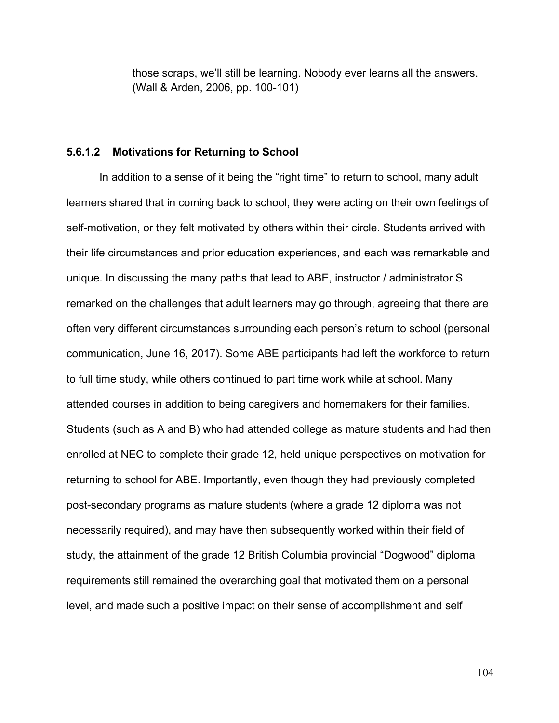those scraps, we'll still be learning. Nobody ever learns all the answers. (Wall & Arden, 2006, pp. 100-101)

### **5.6.1.2 Motivations for Returning to School**

In addition to a sense of it being the "right time" to return to school, many adult learners shared that in coming back to school, they were acting on their own feelings of self-motivation, or they felt motivated by others within their circle. Students arrived with their life circumstances and prior education experiences, and each was remarkable and unique. In discussing the many paths that lead to ABE, instructor / administrator S remarked on the challenges that adult learners may go through, agreeing that there are often very different circumstances surrounding each person's return to school (personal communication, June 16, 2017). Some ABE participants had left the workforce to return to full time study, while others continued to part time work while at school. Many attended courses in addition to being caregivers and homemakers for their families. Students (such as A and B) who had attended college as mature students and had then enrolled at NEC to complete their grade 12, held unique perspectives on motivation for returning to school for ABE. Importantly, even though they had previously completed post-secondary programs as mature students (where a grade 12 diploma was not necessarily required), and may have then subsequently worked within their field of study, the attainment of the grade 12 British Columbia provincial "Dogwood" diploma requirements still remained the overarching goal that motivated them on a personal level, and made such a positive impact on their sense of accomplishment and self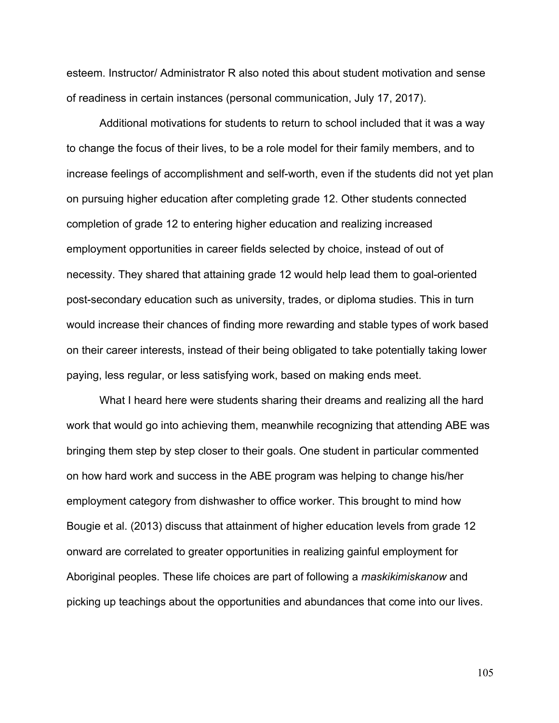esteem. Instructor/ Administrator R also noted this about student motivation and sense of readiness in certain instances (personal communication, July 17, 2017).

Additional motivations for students to return to school included that it was a way to change the focus of their lives, to be a role model for their family members, and to increase feelings of accomplishment and self-worth, even if the students did not yet plan on pursuing higher education after completing grade 12. Other students connected completion of grade 12 to entering higher education and realizing increased employment opportunities in career fields selected by choice, instead of out of necessity. They shared that attaining grade 12 would help lead them to goal-oriented post-secondary education such as university, trades, or diploma studies. This in turn would increase their chances of finding more rewarding and stable types of work based on their career interests, instead of their being obligated to take potentially taking lower paying, less regular, or less satisfying work, based on making ends meet.

What I heard here were students sharing their dreams and realizing all the hard work that would go into achieving them, meanwhile recognizing that attending ABE was bringing them step by step closer to their goals. One student in particular commented on how hard work and success in the ABE program was helping to change his/her employment category from dishwasher to office worker. This brought to mind how Bougie et al. (2013) discuss that attainment of higher education levels from grade 12 onward are correlated to greater opportunities in realizing gainful employment for Aboriginal peoples. These life choices are part of following a *maskikimiskanow* and picking up teachings about the opportunities and abundances that come into our lives.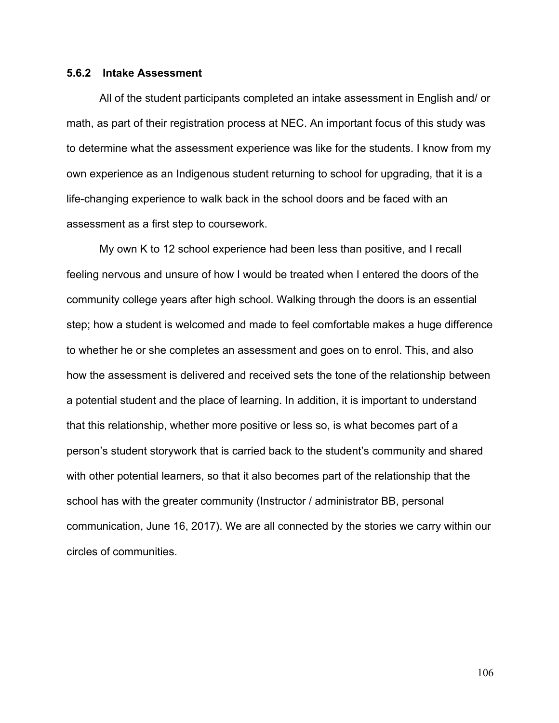### **5.6.2 Intake Assessment**

All of the student participants completed an intake assessment in English and/ or math, as part of their registration process at NEC. An important focus of this study was to determine what the assessment experience was like for the students. I know from my own experience as an Indigenous student returning to school for upgrading, that it is a life-changing experience to walk back in the school doors and be faced with an assessment as a first step to coursework.

My own K to 12 school experience had been less than positive, and I recall feeling nervous and unsure of how I would be treated when I entered the doors of the community college years after high school. Walking through the doors is an essential step; how a student is welcomed and made to feel comfortable makes a huge difference to whether he or she completes an assessment and goes on to enrol. This, and also how the assessment is delivered and received sets the tone of the relationship between a potential student and the place of learning. In addition, it is important to understand that this relationship, whether more positive or less so, is what becomes part of a person's student storywork that is carried back to the student's community and shared with other potential learners, so that it also becomes part of the relationship that the school has with the greater community (Instructor / administrator BB, personal communication, June 16, 2017). We are all connected by the stories we carry within our circles of communities.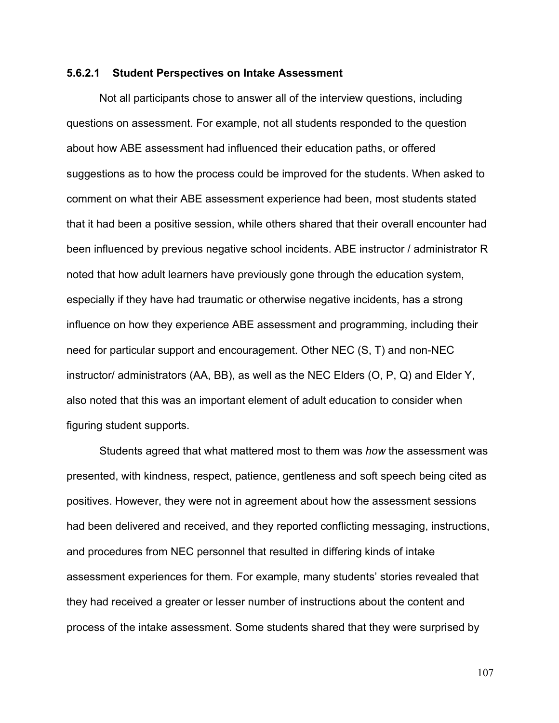### **5.6.2.1 Student Perspectives on Intake Assessment**

Not all participants chose to answer all of the interview questions, including questions on assessment. For example, not all students responded to the question about how ABE assessment had influenced their education paths, or offered suggestions as to how the process could be improved for the students. When asked to comment on what their ABE assessment experience had been, most students stated that it had been a positive session, while others shared that their overall encounter had been influenced by previous negative school incidents. ABE instructor / administrator R noted that how adult learners have previously gone through the education system, especially if they have had traumatic or otherwise negative incidents, has a strong influence on how they experience ABE assessment and programming, including their need for particular support and encouragement. Other NEC (S, T) and non-NEC instructor/ administrators (AA, BB), as well as the NEC Elders (O, P, Q) and Elder Y, also noted that this was an important element of adult education to consider when figuring student supports.

Students agreed that what mattered most to them was *how* the assessment was presented, with kindness, respect, patience, gentleness and soft speech being cited as positives. However, they were not in agreement about how the assessment sessions had been delivered and received, and they reported conflicting messaging, instructions, and procedures from NEC personnel that resulted in differing kinds of intake assessment experiences for them. For example, many students' stories revealed that they had received a greater or lesser number of instructions about the content and process of the intake assessment. Some students shared that they were surprised by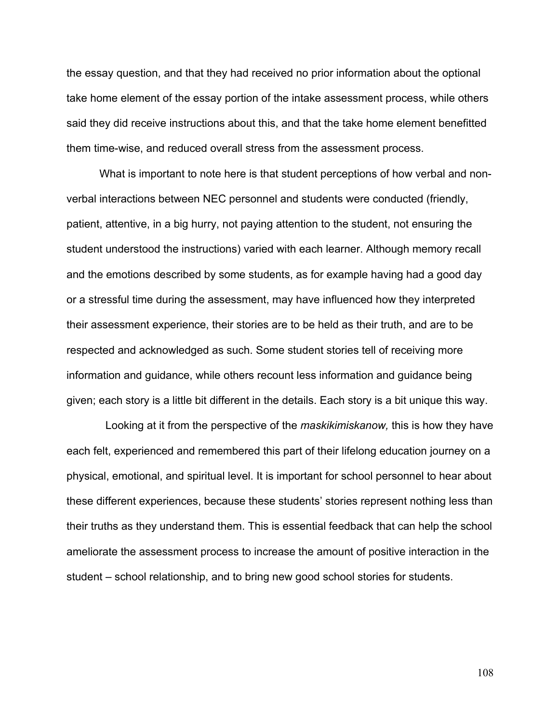the essay question, and that they had received no prior information about the optional take home element of the essay portion of the intake assessment process, while others said they did receive instructions about this, and that the take home element benefitted them time-wise, and reduced overall stress from the assessment process.

What is important to note here is that student perceptions of how verbal and nonverbal interactions between NEC personnel and students were conducted (friendly, patient, attentive, in a big hurry, not paying attention to the student, not ensuring the student understood the instructions) varied with each learner. Although memory recall and the emotions described by some students, as for example having had a good day or a stressful time during the assessment, may have influenced how they interpreted their assessment experience, their stories are to be held as their truth, and are to be respected and acknowledged as such. Some student stories tell of receiving more information and guidance, while others recount less information and guidance being given; each story is a little bit different in the details. Each story is a bit unique this way.

 Looking at it from the perspective of the *maskikimiskanow,* this is how they have each felt, experienced and remembered this part of their lifelong education journey on a physical, emotional, and spiritual level. It is important for school personnel to hear about these different experiences, because these students' stories represent nothing less than their truths as they understand them. This is essential feedback that can help the school ameliorate the assessment process to increase the amount of positive interaction in the student – school relationship, and to bring new good school stories for students.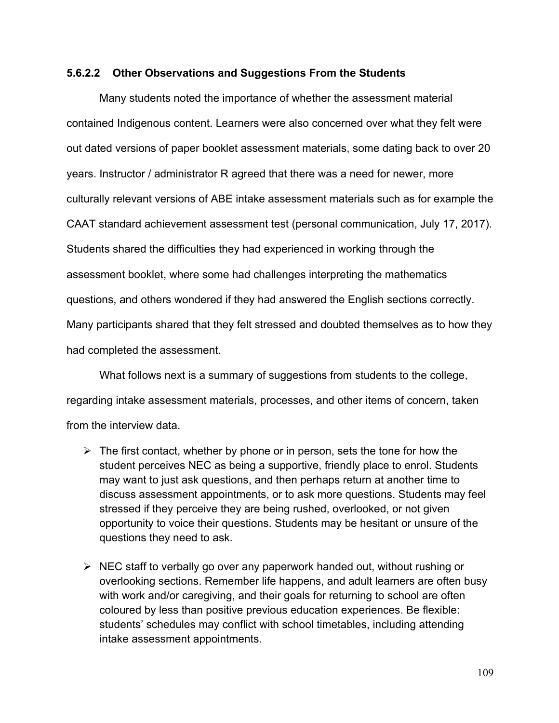## **5.6.2.2 Other Observations and Suggestions From the Students**

Many students noted the importance of whether the assessment material contained Indigenous content. Learners were also concerned over what they felt were out dated versions of paper booklet assessment materials, some dating back to over 20 years. Instructor / administrator R agreed that there was a need for newer, more culturally relevant versions of ABE intake assessment materials such as for example the CAAT standard achievement assessment test (personal communication, July 17, 2017). Students shared the difficulties they had experienced in working through the assessment booklet, where some had challenges interpreting the mathematics questions, and others wondered if they had answered the English sections correctly. Many participants shared that they felt stressed and doubted themselves as to how they had completed the assessment.

What follows next is a summary of suggestions from students to the college, regarding intake assessment materials, processes, and other items of concern, taken from the interview data.

- $\triangleright$  The first contact, whether by phone or in person, sets the tone for how the student perceives NEC as being a supportive, friendly place to enrol. Students may want to just ask questions, and then perhaps return at another time to discuss assessment appointments, or to ask more questions. Students may feel stressed if they perceive they are being rushed, overlooked, or not given opportunity to voice their questions. Students may be hesitant or unsure of the questions they need to ask.
- $\triangleright$  NEC staff to verbally go over any paperwork handed out, without rushing or overlooking sections. Remember life happens, and adult learners are often busy with work and/or caregiving, and their goals for returning to school are often coloured by less than positive previous education experiences. Be flexible: students' schedules may conflict with school timetables, including attending intake assessment appointments.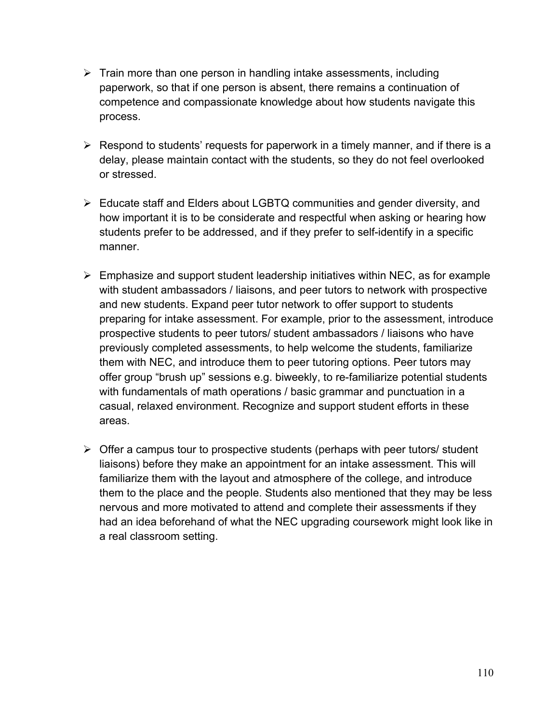- $\triangleright$  Train more than one person in handling intake assessments, including paperwork, so that if one person is absent, there remains a continuation of competence and compassionate knowledge about how students navigate this process.
- $\triangleright$  Respond to students' requests for paperwork in a timely manner, and if there is a delay, please maintain contact with the students, so they do not feel overlooked or stressed.
- $\triangleright$  Educate staff and Elders about LGBTQ communities and gender diversity, and how important it is to be considerate and respectful when asking or hearing how students prefer to be addressed, and if they prefer to self-identify in a specific manner.
- $\triangleright$  Emphasize and support student leadership initiatives within NEC, as for example with student ambassadors / liaisons, and peer tutors to network with prospective and new students. Expand peer tutor network to offer support to students preparing for intake assessment. For example, prior to the assessment, introduce prospective students to peer tutors/ student ambassadors / liaisons who have previously completed assessments, to help welcome the students, familiarize them with NEC, and introduce them to peer tutoring options. Peer tutors may offer group "brush up" sessions e.g. biweekly, to re-familiarize potential students with fundamentals of math operations / basic grammar and punctuation in a casual, relaxed environment. Recognize and support student efforts in these areas.
- $\triangleright$  Offer a campus tour to prospective students (perhaps with peer tutors/ student liaisons) before they make an appointment for an intake assessment. This will familiarize them with the layout and atmosphere of the college, and introduce them to the place and the people. Students also mentioned that they may be less nervous and more motivated to attend and complete their assessments if they had an idea beforehand of what the NEC upgrading coursework might look like in a real classroom setting.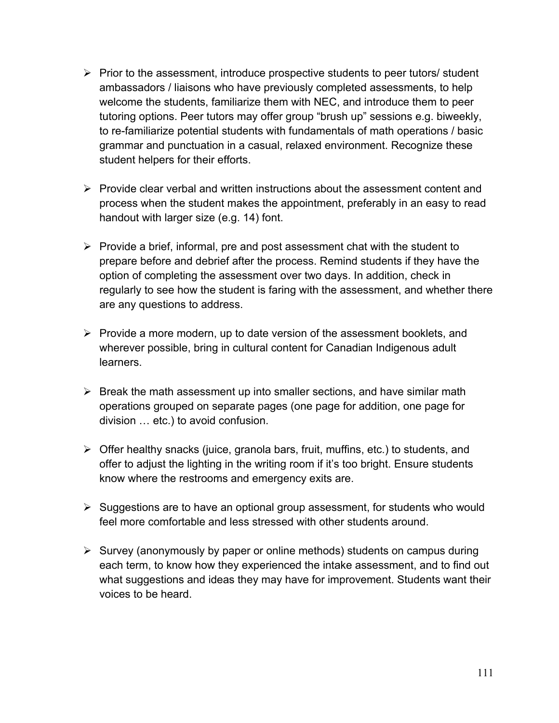- $\triangleright$  Prior to the assessment, introduce prospective students to peer tutors/ student ambassadors / liaisons who have previously completed assessments, to help welcome the students, familiarize them with NEC, and introduce them to peer tutoring options. Peer tutors may offer group "brush up" sessions e.g. biweekly, to re-familiarize potential students with fundamentals of math operations / basic grammar and punctuation in a casual, relaxed environment. Recognize these student helpers for their efforts.
- $\triangleright$  Provide clear verbal and written instructions about the assessment content and process when the student makes the appointment, preferably in an easy to read handout with larger size (e.g. 14) font.
- $\triangleright$  Provide a brief, informal, pre and post assessment chat with the student to prepare before and debrief after the process. Remind students if they have the option of completing the assessment over two days. In addition, check in regularly to see how the student is faring with the assessment, and whether there are any questions to address.
- $\triangleright$  Provide a more modern, up to date version of the assessment booklets, and wherever possible, bring in cultural content for Canadian Indigenous adult learners.
- $\triangleright$  Break the math assessment up into smaller sections, and have similar math operations grouped on separate pages (one page for addition, one page for division … etc.) to avoid confusion.
- $\triangleright$  Offer healthy snacks (juice, granola bars, fruit, muffins, etc.) to students, and offer to adjust the lighting in the writing room if it's too bright. Ensure students know where the restrooms and emergency exits are.
- $\triangleright$  Suggestions are to have an optional group assessment, for students who would feel more comfortable and less stressed with other students around.
- $\triangleright$  Survey (anonymously by paper or online methods) students on campus during each term, to know how they experienced the intake assessment, and to find out what suggestions and ideas they may have for improvement. Students want their voices to be heard.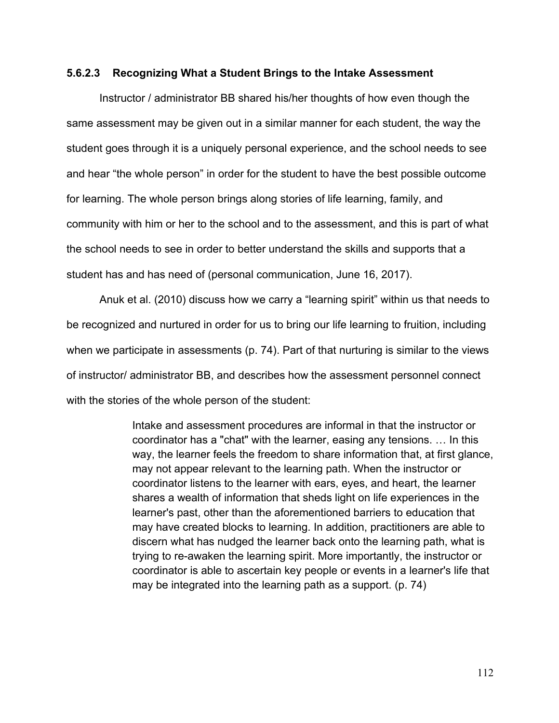### **5.6.2.3 Recognizing What a Student Brings to the Intake Assessment**

Instructor / administrator BB shared his/her thoughts of how even though the same assessment may be given out in a similar manner for each student, the way the student goes through it is a uniquely personal experience, and the school needs to see and hear "the whole person" in order for the student to have the best possible outcome for learning. The whole person brings along stories of life learning, family, and community with him or her to the school and to the assessment, and this is part of what the school needs to see in order to better understand the skills and supports that a student has and has need of (personal communication, June 16, 2017).

Anuk et al. (2010) discuss how we carry a "learning spirit" within us that needs to be recognized and nurtured in order for us to bring our life learning to fruition, including when we participate in assessments (p. 74). Part of that nurturing is similar to the views of instructor/ administrator BB, and describes how the assessment personnel connect with the stories of the whole person of the student:

> Intake and assessment procedures are informal in that the instructor or coordinator has a "chat" with the learner, easing any tensions. … In this way, the learner feels the freedom to share information that, at first glance, may not appear relevant to the learning path. When the instructor or coordinator listens to the learner with ears, eyes, and heart, the learner shares a wealth of information that sheds light on life experiences in the learner's past, other than the aforementioned barriers to education that may have created blocks to learning. In addition, practitioners are able to discern what has nudged the learner back onto the learning path, what is trying to re-awaken the learning spirit. More importantly, the instructor or coordinator is able to ascertain key people or events in a learner's life that may be integrated into the learning path as a support. (p. 74)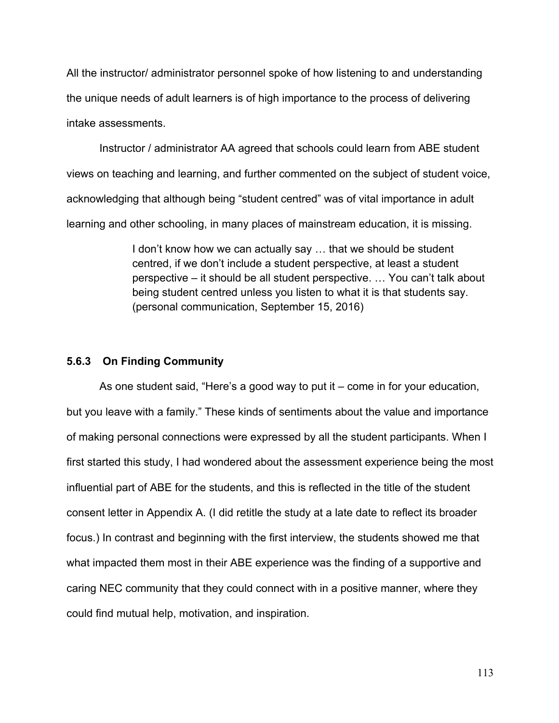All the instructor/ administrator personnel spoke of how listening to and understanding the unique needs of adult learners is of high importance to the process of delivering intake assessments.

Instructor / administrator AA agreed that schools could learn from ABE student views on teaching and learning, and further commented on the subject of student voice, acknowledging that although being "student centred" was of vital importance in adult learning and other schooling, in many places of mainstream education, it is missing.

> I don't know how we can actually say … that we should be student centred, if we don't include a student perspective, at least a student perspective – it should be all student perspective. … You can't talk about being student centred unless you listen to what it is that students say. (personal communication, September 15, 2016)

# **5.6.3 On Finding Community**

As one student said, "Here's a good way to put it – come in for your education, but you leave with a family." These kinds of sentiments about the value and importance of making personal connections were expressed by all the student participants. When I first started this study, I had wondered about the assessment experience being the most influential part of ABE for the students, and this is reflected in the title of the student consent letter in Appendix A. (I did retitle the study at a late date to reflect its broader focus.) In contrast and beginning with the first interview, the students showed me that what impacted them most in their ABE experience was the finding of a supportive and caring NEC community that they could connect with in a positive manner, where they could find mutual help, motivation, and inspiration.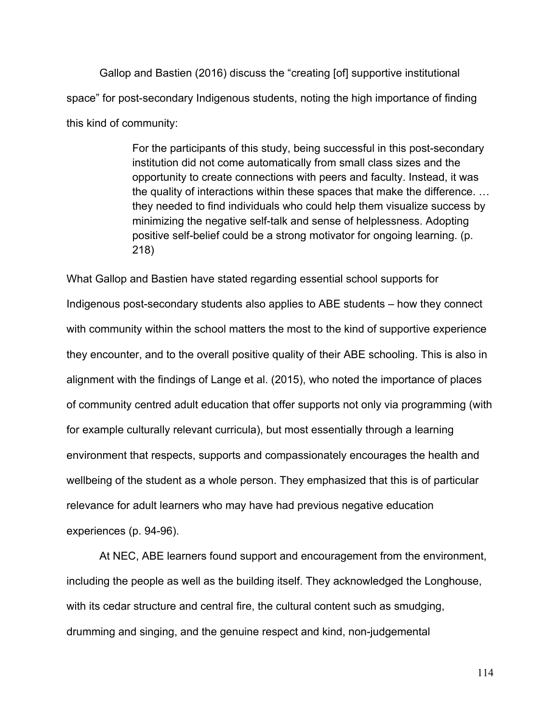Gallop and Bastien (2016) discuss the "creating [of] supportive institutional space" for post-secondary Indigenous students, noting the high importance of finding this kind of community:

> For the participants of this study, being successful in this post-secondary institution did not come automatically from small class sizes and the opportunity to create connections with peers and faculty. Instead, it was the quality of interactions within these spaces that make the difference. … they needed to find individuals who could help them visualize success by minimizing the negative self-talk and sense of helplessness. Adopting positive self-belief could be a strong motivator for ongoing learning. (p. 218)

What Gallop and Bastien have stated regarding essential school supports for Indigenous post-secondary students also applies to ABE students – how they connect with community within the school matters the most to the kind of supportive experience they encounter, and to the overall positive quality of their ABE schooling. This is also in alignment with the findings of Lange et al. (2015), who noted the importance of places of community centred adult education that offer supports not only via programming (with for example culturally relevant curricula), but most essentially through a learning environment that respects, supports and compassionately encourages the health and wellbeing of the student as a whole person. They emphasized that this is of particular relevance for adult learners who may have had previous negative education experiences (p. 94-96).

At NEC, ABE learners found support and encouragement from the environment, including the people as well as the building itself. They acknowledged the Longhouse, with its cedar structure and central fire, the cultural content such as smudging, drumming and singing, and the genuine respect and kind, non-judgemental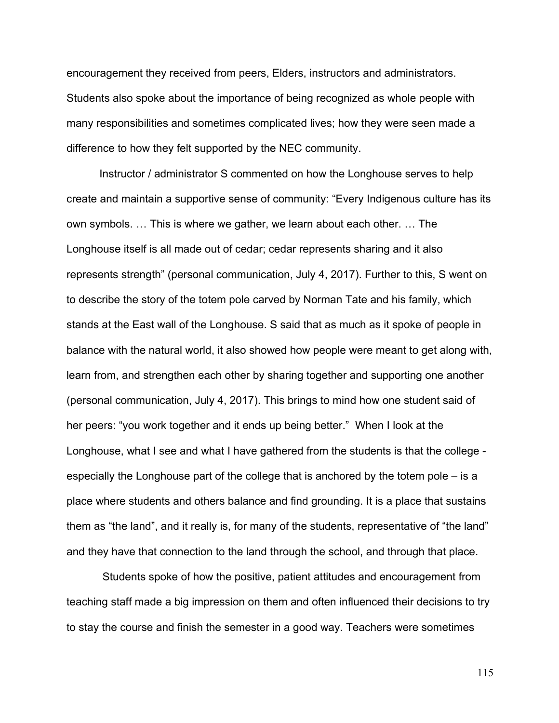encouragement they received from peers, Elders, instructors and administrators. Students also spoke about the importance of being recognized as whole people with many responsibilities and sometimes complicated lives; how they were seen made a difference to how they felt supported by the NEC community.

Instructor / administrator S commented on how the Longhouse serves to help create and maintain a supportive sense of community: "Every Indigenous culture has its own symbols. … This is where we gather, we learn about each other. … The Longhouse itself is all made out of cedar; cedar represents sharing and it also represents strength" (personal communication, July 4, 2017). Further to this, S went on to describe the story of the totem pole carved by Norman Tate and his family, which stands at the East wall of the Longhouse. S said that as much as it spoke of people in balance with the natural world, it also showed how people were meant to get along with, learn from, and strengthen each other by sharing together and supporting one another (personal communication, July 4, 2017). This brings to mind how one student said of her peers: "you work together and it ends up being better." When I look at the Longhouse, what I see and what I have gathered from the students is that the college especially the Longhouse part of the college that is anchored by the totem pole – is a place where students and others balance and find grounding. It is a place that sustains them as "the land", and it really is, for many of the students, representative of "the land" and they have that connection to the land through the school, and through that place.

Students spoke of how the positive, patient attitudes and encouragement from teaching staff made a big impression on them and often influenced their decisions to try to stay the course and finish the semester in a good way. Teachers were sometimes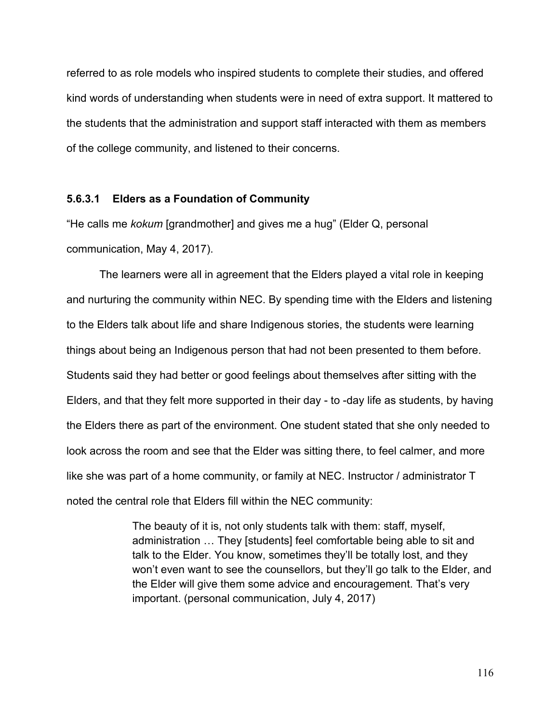referred to as role models who inspired students to complete their studies, and offered kind words of understanding when students were in need of extra support. It mattered to the students that the administration and support staff interacted with them as members of the college community, and listened to their concerns.

### **5.6.3.1 Elders as a Foundation of Community**

"He calls me *kokum* [grandmother] and gives me a hug" (Elder Q, personal communication, May 4, 2017).

The learners were all in agreement that the Elders played a vital role in keeping and nurturing the community within NEC. By spending time with the Elders and listening to the Elders talk about life and share Indigenous stories, the students were learning things about being an Indigenous person that had not been presented to them before. Students said they had better or good feelings about themselves after sitting with the Elders, and that they felt more supported in their day - to -day life as students, by having the Elders there as part of the environment. One student stated that she only needed to look across the room and see that the Elder was sitting there, to feel calmer, and more like she was part of a home community, or family at NEC. Instructor / administrator T noted the central role that Elders fill within the NEC community:

> The beauty of it is, not only students talk with them: staff, myself, administration … They [students] feel comfortable being able to sit and talk to the Elder. You know, sometimes they'll be totally lost, and they won't even want to see the counsellors, but they'll go talk to the Elder, and the Elder will give them some advice and encouragement. That's very important. (personal communication, July 4, 2017)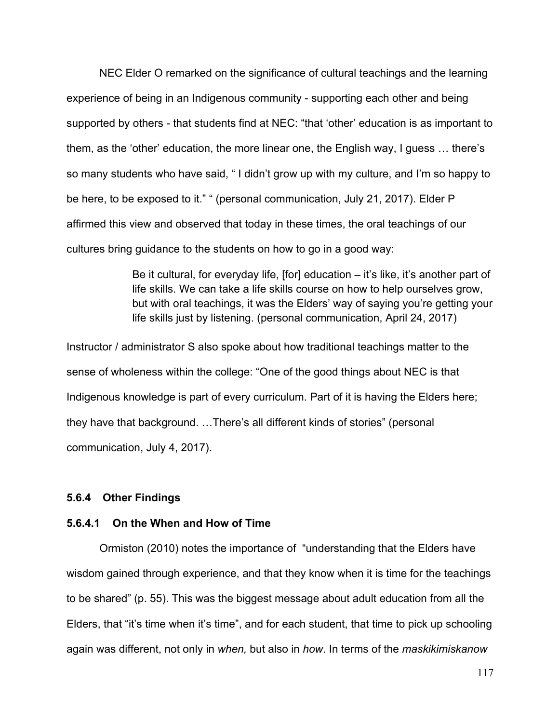NEC Elder O remarked on the significance of cultural teachings and the learning experience of being in an Indigenous community - supporting each other and being supported by others - that students find at NEC: "that 'other' education is as important to them, as the 'other' education, the more linear one, the English way, I guess … there's so many students who have said, " I didn't grow up with my culture, and I'm so happy to be here, to be exposed to it." " (personal communication, July 21, 2017). Elder P affirmed this view and observed that today in these times, the oral teachings of our cultures bring guidance to the students on how to go in a good way:

> Be it cultural, for everyday life, [for] education – it's like, it's another part of life skills. We can take a life skills course on how to help ourselves grow, but with oral teachings, it was the Elders' way of saying you're getting your life skills just by listening. (personal communication, April 24, 2017)

Instructor / administrator S also spoke about how traditional teachings matter to the sense of wholeness within the college: "One of the good things about NEC is that Indigenous knowledge is part of every curriculum. Part of it is having the Elders here; they have that background. …There's all different kinds of stories" (personal communication, July 4, 2017).

## **5.6.4 Other Findings**

## **5.6.4.1 On the When and How of Time**

Ormiston (2010) notes the importance of "understanding that the Elders have wisdom gained through experience, and that they know when it is time for the teachings to be shared" (p. 55). This was the biggest message about adult education from all the Elders, that "it's time when it's time", and for each student, that time to pick up schooling again was different, not only in *when,* but also in *how*. In terms of the *maskikimiskanow*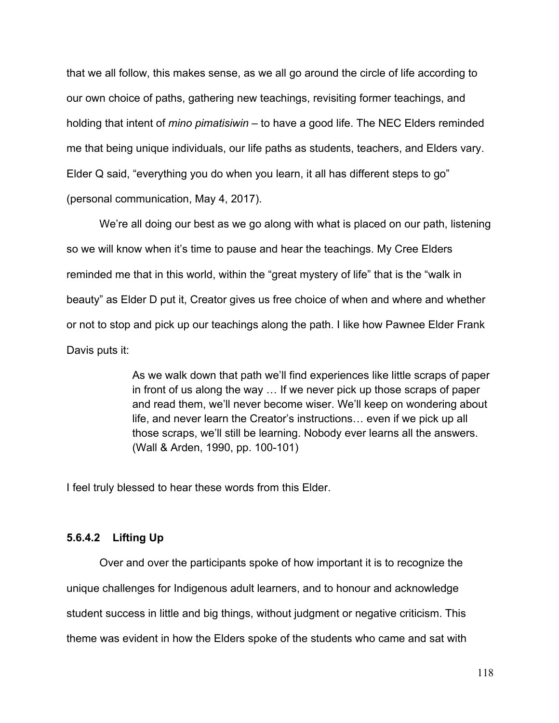that we all follow, this makes sense, as we all go around the circle of life according to our own choice of paths, gathering new teachings, revisiting former teachings, and holding that intent of *mino pimatisiwin* – to have a good life. The NEC Elders reminded me that being unique individuals, our life paths as students, teachers, and Elders vary. Elder Q said, "everything you do when you learn, it all has different steps to go" (personal communication, May 4, 2017).

We're all doing our best as we go along with what is placed on our path, listening so we will know when it's time to pause and hear the teachings. My Cree Elders reminded me that in this world, within the "great mystery of life" that is the "walk in beauty" as Elder D put it, Creator gives us free choice of when and where and whether or not to stop and pick up our teachings along the path. I like how Pawnee Elder Frank Davis puts it:

> As we walk down that path we'll find experiences like little scraps of paper in front of us along the way … If we never pick up those scraps of paper and read them, we'll never become wiser. We'll keep on wondering about life, and never learn the Creator's instructions… even if we pick up all those scraps, we'll still be learning. Nobody ever learns all the answers. (Wall & Arden, 1990, pp. 100-101)

I feel truly blessed to hear these words from this Elder.

## **5.6.4.2 Lifting Up**

Over and over the participants spoke of how important it is to recognize the unique challenges for Indigenous adult learners, and to honour and acknowledge student success in little and big things, without judgment or negative criticism. This theme was evident in how the Elders spoke of the students who came and sat with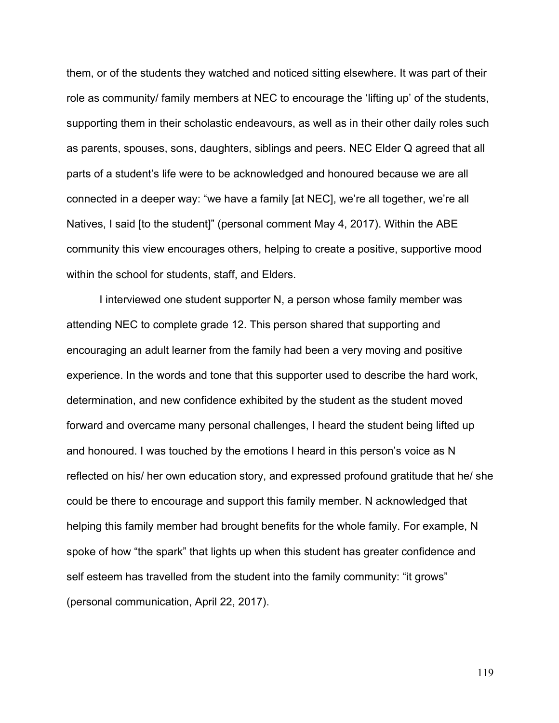them, or of the students they watched and noticed sitting elsewhere. It was part of their role as community/ family members at NEC to encourage the 'lifting up' of the students, supporting them in their scholastic endeavours, as well as in their other daily roles such as parents, spouses, sons, daughters, siblings and peers. NEC Elder Q agreed that all parts of a student's life were to be acknowledged and honoured because we are all connected in a deeper way: "we have a family [at NEC], we're all together, we're all Natives, I said [to the student]" (personal comment May 4, 2017). Within the ABE community this view encourages others, helping to create a positive, supportive mood within the school for students, staff, and Elders.

I interviewed one student supporter N, a person whose family member was attending NEC to complete grade 12. This person shared that supporting and encouraging an adult learner from the family had been a very moving and positive experience. In the words and tone that this supporter used to describe the hard work, determination, and new confidence exhibited by the student as the student moved forward and overcame many personal challenges, I heard the student being lifted up and honoured. I was touched by the emotions I heard in this person's voice as N reflected on his/ her own education story, and expressed profound gratitude that he/ she could be there to encourage and support this family member. N acknowledged that helping this family member had brought benefits for the whole family. For example, N spoke of how "the spark" that lights up when this student has greater confidence and self esteem has travelled from the student into the family community: "it grows" (personal communication, April 22, 2017).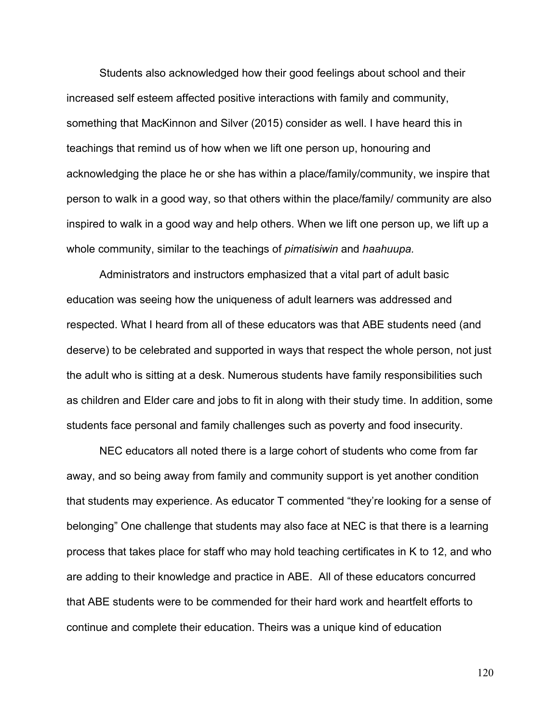Students also acknowledged how their good feelings about school and their increased self esteem affected positive interactions with family and community, something that MacKinnon and Silver (2015) consider as well. I have heard this in teachings that remind us of how when we lift one person up, honouring and acknowledging the place he or she has within a place/family/community, we inspire that person to walk in a good way, so that others within the place/family/ community are also inspired to walk in a good way and help others. When we lift one person up, we lift up a whole community, similar to the teachings of *pimatisiwin* and *haahuupa.*

Administrators and instructors emphasized that a vital part of adult basic education was seeing how the uniqueness of adult learners was addressed and respected. What I heard from all of these educators was that ABE students need (and deserve) to be celebrated and supported in ways that respect the whole person, not just the adult who is sitting at a desk. Numerous students have family responsibilities such as children and Elder care and jobs to fit in along with their study time. In addition, some students face personal and family challenges such as poverty and food insecurity.

NEC educators all noted there is a large cohort of students who come from far away, and so being away from family and community support is yet another condition that students may experience. As educator T commented "they're looking for a sense of belonging" One challenge that students may also face at NEC is that there is a learning process that takes place for staff who may hold teaching certificates in K to 12, and who are adding to their knowledge and practice in ABE. All of these educators concurred that ABE students were to be commended for their hard work and heartfelt efforts to continue and complete their education. Theirs was a unique kind of education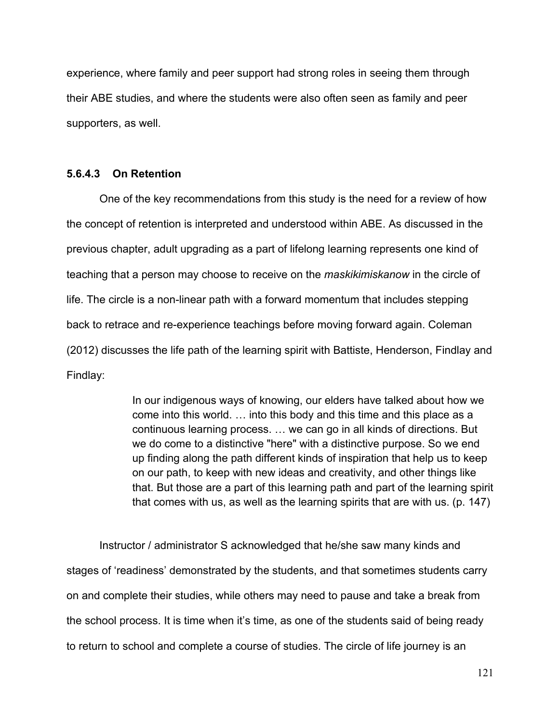experience, where family and peer support had strong roles in seeing them through their ABE studies, and where the students were also often seen as family and peer supporters, as well.

## **5.6.4.3 On Retention**

One of the key recommendations from this study is the need for a review of how the concept of retention is interpreted and understood within ABE. As discussed in the previous chapter, adult upgrading as a part of lifelong learning represents one kind of teaching that a person may choose to receive on the *maskikimiskanow* in the circle of life. The circle is a non-linear path with a forward momentum that includes stepping back to retrace and re-experience teachings before moving forward again. Coleman (2012) discusses the life path of the learning spirit with Battiste, Henderson, Findlay and Findlay:

> In our indigenous ways of knowing, our elders have talked about how we come into this world. … into this body and this time and this place as a continuous learning process. … we can go in all kinds of directions. But we do come to a distinctive "here" with a distinctive purpose. So we end up finding along the path different kinds of inspiration that help us to keep on our path, to keep with new ideas and creativity, and other things like that. But those are a part of this learning path and part of the learning spirit that comes with us, as well as the learning spirits that are with us. (p. 147)

Instructor / administrator S acknowledged that he/she saw many kinds and stages of 'readiness' demonstrated by the students, and that sometimes students carry on and complete their studies, while others may need to pause and take a break from the school process. It is time when it's time, as one of the students said of being ready to return to school and complete a course of studies. The circle of life journey is an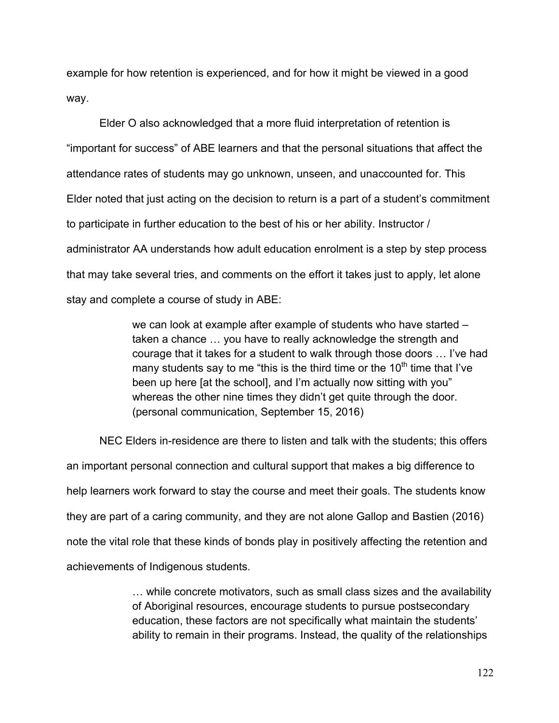example for how retention is experienced, and for how it might be viewed in a good way.

Elder O also acknowledged that a more fluid interpretation of retention is "important for success" of ABE learners and that the personal situations that affect the attendance rates of students may go unknown, unseen, and unaccounted for. This Elder noted that just acting on the decision to return is a part of a student's commitment to participate in further education to the best of his or her ability. Instructor / administrator AA understands how adult education enrolment is a step by step process that may take several tries, and comments on the effort it takes just to apply, let alone stay and complete a course of study in ABE:

> we can look at example after example of students who have started – taken a chance … you have to really acknowledge the strength and courage that it takes for a student to walk through those doors … I've had many students say to me "this is the third time or the  $10<sup>th</sup>$  time that I've been up here [at the school], and I'm actually now sitting with you" whereas the other nine times they didn't get quite through the door. (personal communication, September 15, 2016)

NEC Elders in-residence are there to listen and talk with the students; this offers an important personal connection and cultural support that makes a big difference to help learners work forward to stay the course and meet their goals. The students know they are part of a caring community, and they are not alone Gallop and Bastien (2016) note the vital role that these kinds of bonds play in positively affecting the retention and achievements of Indigenous students.

> … while concrete motivators, such as small class sizes and the availability of Aboriginal resources, encourage students to pursue postsecondary education, these factors are not specifically what maintain the students' ability to remain in their programs. Instead, the quality of the relationships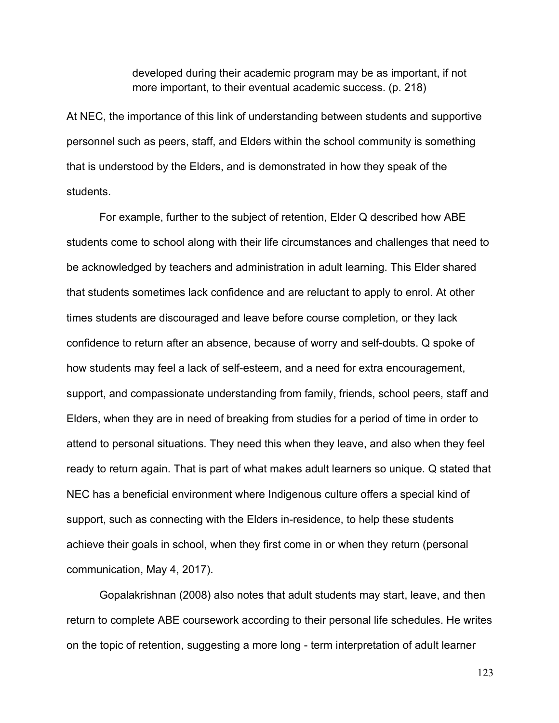developed during their academic program may be as important, if not more important, to their eventual academic success. (p. 218)

At NEC, the importance of this link of understanding between students and supportive personnel such as peers, staff, and Elders within the school community is something that is understood by the Elders, and is demonstrated in how they speak of the students.

For example, further to the subject of retention, Elder Q described how ABE students come to school along with their life circumstances and challenges that need to be acknowledged by teachers and administration in adult learning. This Elder shared that students sometimes lack confidence and are reluctant to apply to enrol. At other times students are discouraged and leave before course completion, or they lack confidence to return after an absence, because of worry and self-doubts. Q spoke of how students may feel a lack of self-esteem, and a need for extra encouragement, support, and compassionate understanding from family, friends, school peers, staff and Elders, when they are in need of breaking from studies for a period of time in order to attend to personal situations. They need this when they leave, and also when they feel ready to return again. That is part of what makes adult learners so unique. Q stated that NEC has a beneficial environment where Indigenous culture offers a special kind of support, such as connecting with the Elders in-residence, to help these students achieve their goals in school, when they first come in or when they return (personal communication, May 4, 2017).

Gopalakrishnan (2008) also notes that adult students may start, leave, and then return to complete ABE coursework according to their personal life schedules. He writes on the topic of retention, suggesting a more long - term interpretation of adult learner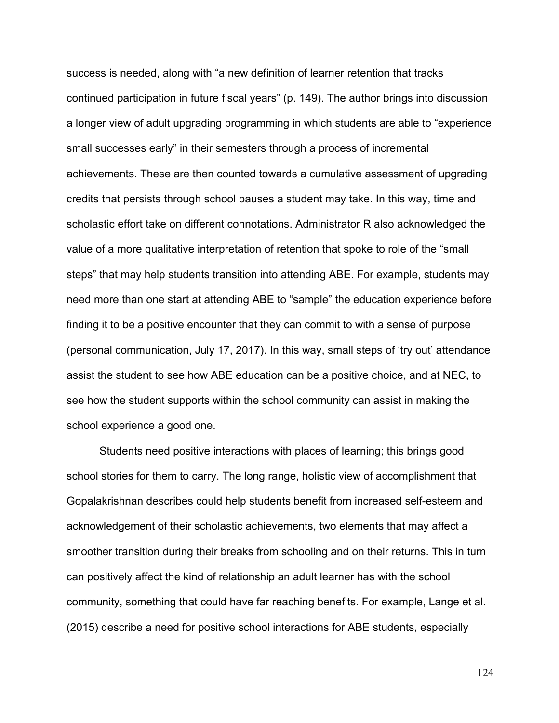success is needed, along with "a new definition of learner retention that tracks continued participation in future fiscal years" (p. 149). The author brings into discussion a longer view of adult upgrading programming in which students are able to "experience small successes early" in their semesters through a process of incremental achievements. These are then counted towards a cumulative assessment of upgrading credits that persists through school pauses a student may take. In this way, time and scholastic effort take on different connotations. Administrator R also acknowledged the value of a more qualitative interpretation of retention that spoke to role of the "small steps" that may help students transition into attending ABE. For example, students may need more than one start at attending ABE to "sample" the education experience before finding it to be a positive encounter that they can commit to with a sense of purpose (personal communication, July 17, 2017). In this way, small steps of 'try out' attendance assist the student to see how ABE education can be a positive choice, and at NEC, to see how the student supports within the school community can assist in making the school experience a good one.

Students need positive interactions with places of learning; this brings good school stories for them to carry. The long range, holistic view of accomplishment that Gopalakrishnan describes could help students benefit from increased self-esteem and acknowledgement of their scholastic achievements, two elements that may affect a smoother transition during their breaks from schooling and on their returns. This in turn can positively affect the kind of relationship an adult learner has with the school community, something that could have far reaching benefits. For example, Lange et al. (2015) describe a need for positive school interactions for ABE students, especially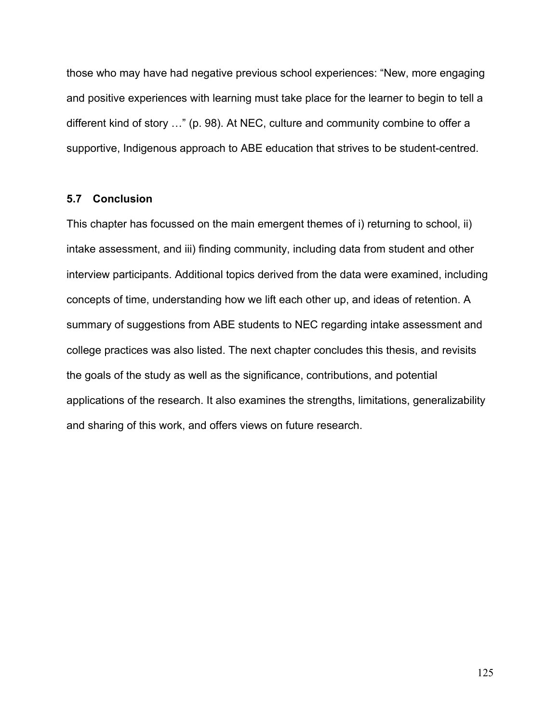those who may have had negative previous school experiences: "New, more engaging and positive experiences with learning must take place for the learner to begin to tell a different kind of story …" (p. 98). At NEC, culture and community combine to offer a supportive, Indigenous approach to ABE education that strives to be student-centred.

## **5.7 Conclusion**

This chapter has focussed on the main emergent themes of i) returning to school, ii) intake assessment, and iii) finding community, including data from student and other interview participants. Additional topics derived from the data were examined, including concepts of time, understanding how we lift each other up, and ideas of retention. A summary of suggestions from ABE students to NEC regarding intake assessment and college practices was also listed. The next chapter concludes this thesis, and revisits the goals of the study as well as the significance, contributions, and potential applications of the research. It also examines the strengths, limitations, generalizability and sharing of this work, and offers views on future research.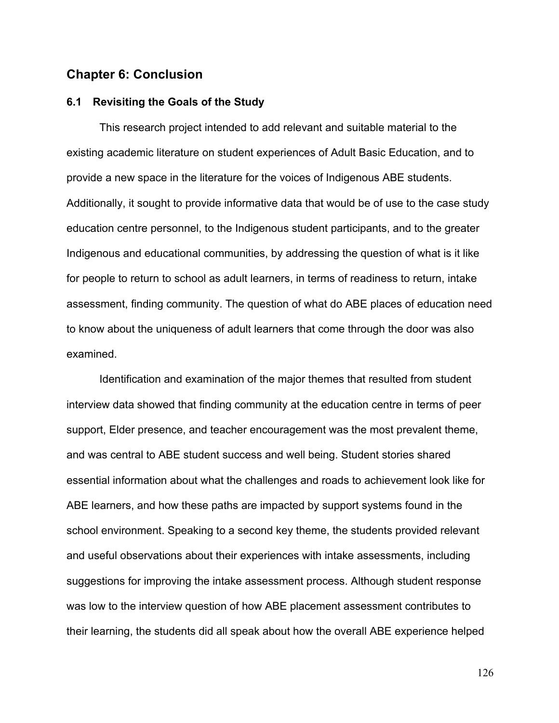# **Chapter 6: Conclusion**

## **6.1 Revisiting the Goals of the Study**

This research project intended to add relevant and suitable material to the existing academic literature on student experiences of Adult Basic Education, and to provide a new space in the literature for the voices of Indigenous ABE students. Additionally, it sought to provide informative data that would be of use to the case study education centre personnel, to the Indigenous student participants, and to the greater Indigenous and educational communities, by addressing the question of what is it like for people to return to school as adult learners, in terms of readiness to return, intake assessment, finding community. The question of what do ABE places of education need to know about the uniqueness of adult learners that come through the door was also examined.

Identification and examination of the major themes that resulted from student interview data showed that finding community at the education centre in terms of peer support, Elder presence, and teacher encouragement was the most prevalent theme, and was central to ABE student success and well being. Student stories shared essential information about what the challenges and roads to achievement look like for ABE learners, and how these paths are impacted by support systems found in the school environment. Speaking to a second key theme, the students provided relevant and useful observations about their experiences with intake assessments, including suggestions for improving the intake assessment process. Although student response was low to the interview question of how ABE placement assessment contributes to their learning, the students did all speak about how the overall ABE experience helped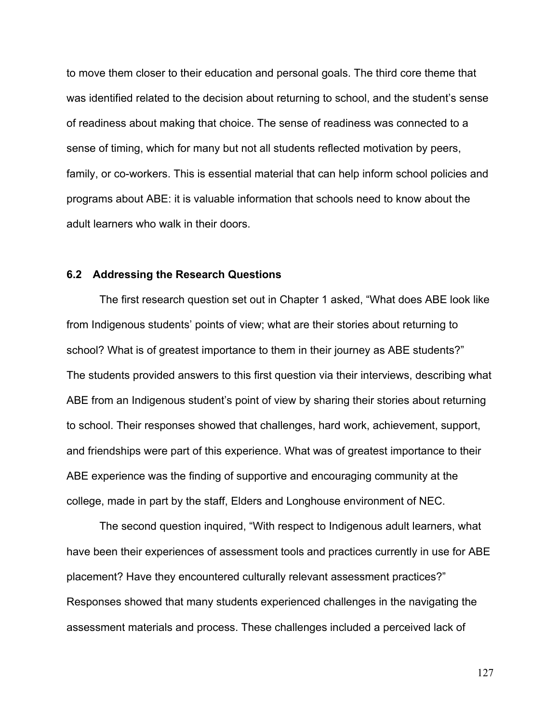to move them closer to their education and personal goals. The third core theme that was identified related to the decision about returning to school, and the student's sense of readiness about making that choice. The sense of readiness was connected to a sense of timing, which for many but not all students reflected motivation by peers, family, or co-workers. This is essential material that can help inform school policies and programs about ABE: it is valuable information that schools need to know about the adult learners who walk in their doors.

### **6.2 Addressing the Research Questions**

The first research question set out in Chapter 1 asked, "What does ABE look like from Indigenous students' points of view; what are their stories about returning to school? What is of greatest importance to them in their journey as ABE students?" The students provided answers to this first question via their interviews, describing what ABE from an Indigenous student's point of view by sharing their stories about returning to school. Their responses showed that challenges, hard work, achievement, support, and friendships were part of this experience. What was of greatest importance to their ABE experience was the finding of supportive and encouraging community at the college, made in part by the staff, Elders and Longhouse environment of NEC.

The second question inquired, "With respect to Indigenous adult learners, what have been their experiences of assessment tools and practices currently in use for ABE placement? Have they encountered culturally relevant assessment practices?" Responses showed that many students experienced challenges in the navigating the assessment materials and process. These challenges included a perceived lack of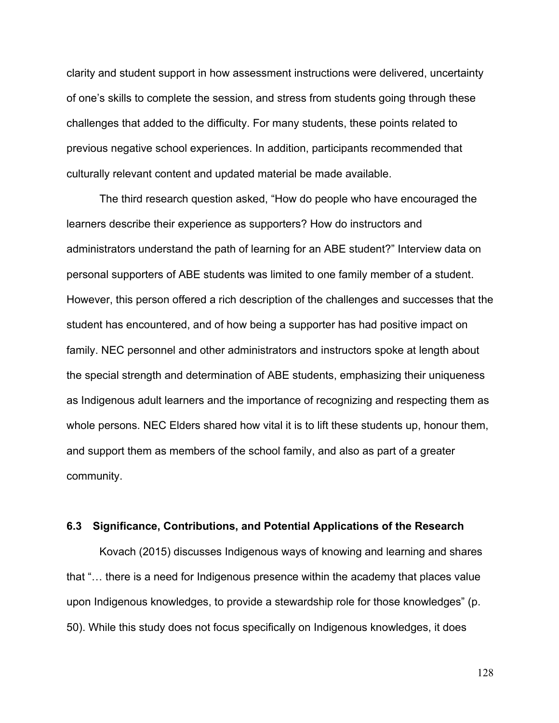clarity and student support in how assessment instructions were delivered, uncertainty of one's skills to complete the session, and stress from students going through these challenges that added to the difficulty. For many students, these points related to previous negative school experiences. In addition, participants recommended that culturally relevant content and updated material be made available.

The third research question asked, "How do people who have encouraged the learners describe their experience as supporters? How do instructors and administrators understand the path of learning for an ABE student?" Interview data on personal supporters of ABE students was limited to one family member of a student. However, this person offered a rich description of the challenges and successes that the student has encountered, and of how being a supporter has had positive impact on family. NEC personnel and other administrators and instructors spoke at length about the special strength and determination of ABE students, emphasizing their uniqueness as Indigenous adult learners and the importance of recognizing and respecting them as whole persons. NEC Elders shared how vital it is to lift these students up, honour them, and support them as members of the school family, and also as part of a greater community.

### **6.3 Significance, Contributions, and Potential Applications of the Research**

Kovach (2015) discusses Indigenous ways of knowing and learning and shares that "… there is a need for Indigenous presence within the academy that places value upon Indigenous knowledges, to provide a stewardship role for those knowledges" (p. 50). While this study does not focus specifically on Indigenous knowledges, it does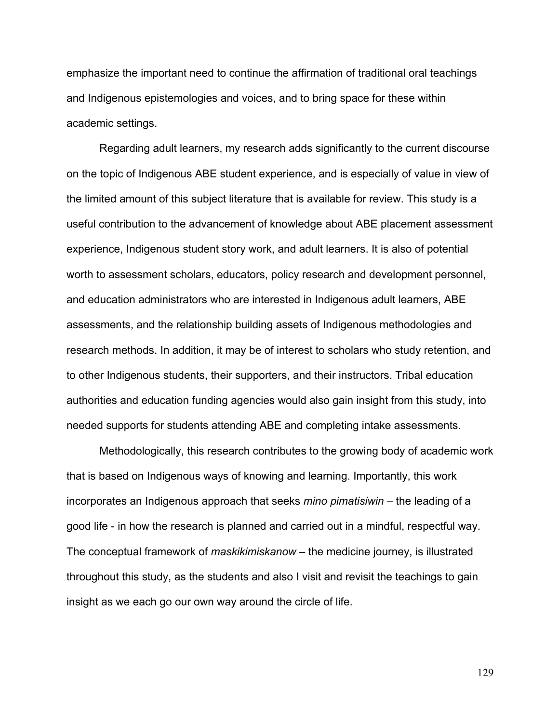emphasize the important need to continue the affirmation of traditional oral teachings and Indigenous epistemologies and voices, and to bring space for these within academic settings.

Regarding adult learners, my research adds significantly to the current discourse on the topic of Indigenous ABE student experience, and is especially of value in view of the limited amount of this subject literature that is available for review. This study is a useful contribution to the advancement of knowledge about ABE placement assessment experience, Indigenous student story work, and adult learners. It is also of potential worth to assessment scholars, educators, policy research and development personnel, and education administrators who are interested in Indigenous adult learners, ABE assessments, and the relationship building assets of Indigenous methodologies and research methods. In addition, it may be of interest to scholars who study retention, and to other Indigenous students, their supporters, and their instructors. Tribal education authorities and education funding agencies would also gain insight from this study, into needed supports for students attending ABE and completing intake assessments.

Methodologically, this research contributes to the growing body of academic work that is based on Indigenous ways of knowing and learning. Importantly, this work incorporates an Indigenous approach that seeks *mino pimatisiwin* – the leading of a good life - in how the research is planned and carried out in a mindful, respectful way. The conceptual framework of *maskikimiskanow* – the medicine journey, is illustrated throughout this study, as the students and also I visit and revisit the teachings to gain insight as we each go our own way around the circle of life.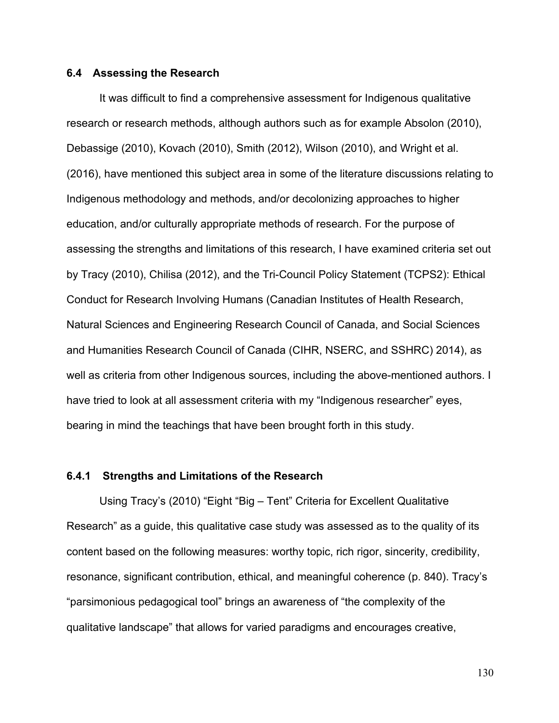#### **6.4 Assessing the Research**

It was difficult to find a comprehensive assessment for Indigenous qualitative research or research methods, although authors such as for example Absolon (2010), Debassige (2010), Kovach (2010), Smith (2012), Wilson (2010), and Wright et al. (2016), have mentioned this subject area in some of the literature discussions relating to Indigenous methodology and methods, and/or decolonizing approaches to higher education, and/or culturally appropriate methods of research. For the purpose of assessing the strengths and limitations of this research, I have examined criteria set out by Tracy (2010), Chilisa (2012), and the Tri-Council Policy Statement (TCPS2): Ethical Conduct for Research Involving Humans (Canadian Institutes of Health Research, Natural Sciences and Engineering Research Council of Canada, and Social Sciences and Humanities Research Council of Canada (CIHR, NSERC, and SSHRC) 2014), as well as criteria from other Indigenous sources, including the above-mentioned authors. I have tried to look at all assessment criteria with my "Indigenous researcher" eyes, bearing in mind the teachings that have been brought forth in this study.

#### **6.4.1 Strengths and Limitations of the Research**

Using Tracy's (2010) "Eight "Big – Tent" Criteria for Excellent Qualitative Research" as a guide, this qualitative case study was assessed as to the quality of its content based on the following measures: worthy topic, rich rigor, sincerity, credibility, resonance, significant contribution, ethical, and meaningful coherence (p. 840). Tracy's "parsimonious pedagogical tool" brings an awareness of "the complexity of the qualitative landscape" that allows for varied paradigms and encourages creative,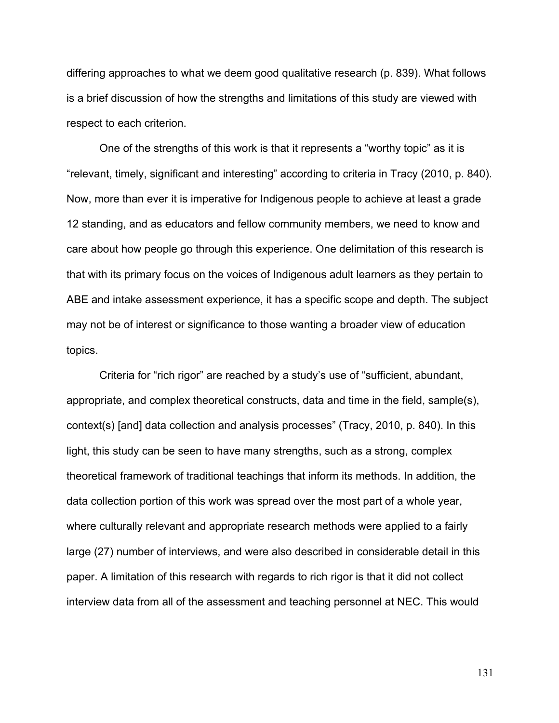differing approaches to what we deem good qualitative research (p. 839). What follows is a brief discussion of how the strengths and limitations of this study are viewed with respect to each criterion.

One of the strengths of this work is that it represents a "worthy topic" as it is "relevant, timely, significant and interesting" according to criteria in Tracy (2010, p. 840). Now, more than ever it is imperative for Indigenous people to achieve at least a grade 12 standing, and as educators and fellow community members, we need to know and care about how people go through this experience. One delimitation of this research is that with its primary focus on the voices of Indigenous adult learners as they pertain to ABE and intake assessment experience, it has a specific scope and depth. The subject may not be of interest or significance to those wanting a broader view of education topics.

Criteria for "rich rigor" are reached by a study's use of "sufficient, abundant, appropriate, and complex theoretical constructs, data and time in the field, sample(s), context(s) [and] data collection and analysis processes" (Tracy, 2010, p. 840). In this light, this study can be seen to have many strengths, such as a strong, complex theoretical framework of traditional teachings that inform its methods. In addition, the data collection portion of this work was spread over the most part of a whole year, where culturally relevant and appropriate research methods were applied to a fairly large (27) number of interviews, and were also described in considerable detail in this paper. A limitation of this research with regards to rich rigor is that it did not collect interview data from all of the assessment and teaching personnel at NEC. This would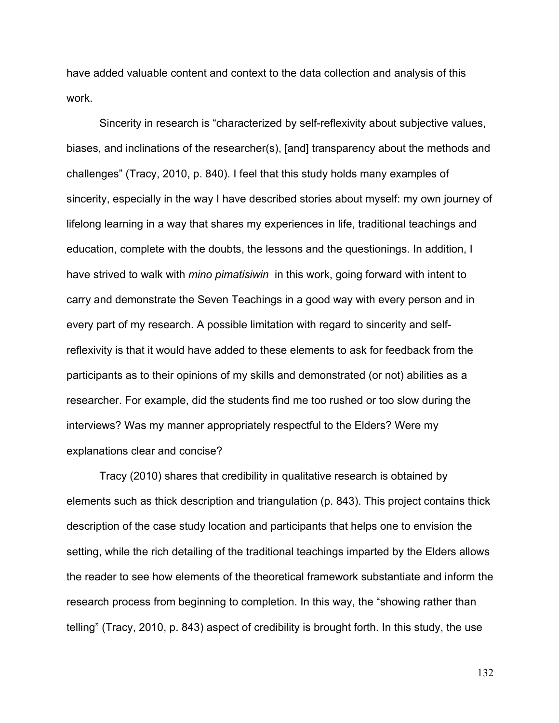have added valuable content and context to the data collection and analysis of this work.

Sincerity in research is "characterized by self-reflexivity about subjective values, biases, and inclinations of the researcher(s), [and] transparency about the methods and challenges" (Tracy, 2010, p. 840). I feel that this study holds many examples of sincerity, especially in the way I have described stories about myself: my own journey of lifelong learning in a way that shares my experiences in life, traditional teachings and education, complete with the doubts, the lessons and the questionings. In addition, I have strived to walk with *mino pimatisiwin* in this work, going forward with intent to carry and demonstrate the Seven Teachings in a good way with every person and in every part of my research. A possible limitation with regard to sincerity and selfreflexivity is that it would have added to these elements to ask for feedback from the participants as to their opinions of my skills and demonstrated (or not) abilities as a researcher. For example, did the students find me too rushed or too slow during the interviews? Was my manner appropriately respectful to the Elders? Were my explanations clear and concise?

Tracy (2010) shares that credibility in qualitative research is obtained by elements such as thick description and triangulation (p. 843). This project contains thick description of the case study location and participants that helps one to envision the setting, while the rich detailing of the traditional teachings imparted by the Elders allows the reader to see how elements of the theoretical framework substantiate and inform the research process from beginning to completion. In this way, the "showing rather than telling" (Tracy, 2010, p. 843) aspect of credibility is brought forth. In this study, the use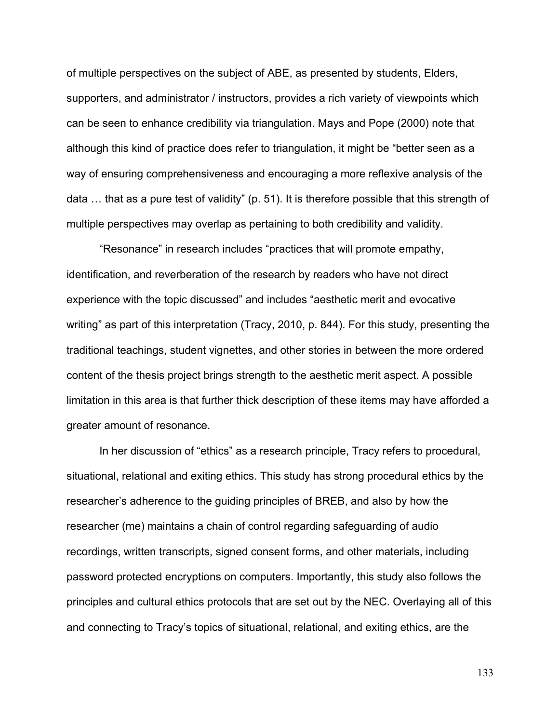of multiple perspectives on the subject of ABE, as presented by students, Elders, supporters, and administrator / instructors, provides a rich variety of viewpoints which can be seen to enhance credibility via triangulation. Mays and Pope (2000) note that although this kind of practice does refer to triangulation, it might be "better seen as a way of ensuring comprehensiveness and encouraging a more reflexive analysis of the data … that as a pure test of validity" (p. 51). It is therefore possible that this strength of multiple perspectives may overlap as pertaining to both credibility and validity.

"Resonance" in research includes "practices that will promote empathy, identification, and reverberation of the research by readers who have not direct experience with the topic discussed" and includes "aesthetic merit and evocative writing" as part of this interpretation (Tracy, 2010, p. 844). For this study, presenting the traditional teachings, student vignettes, and other stories in between the more ordered content of the thesis project brings strength to the aesthetic merit aspect. A possible limitation in this area is that further thick description of these items may have afforded a greater amount of resonance.

In her discussion of "ethics" as a research principle, Tracy refers to procedural, situational, relational and exiting ethics. This study has strong procedural ethics by the researcher's adherence to the guiding principles of BREB, and also by how the researcher (me) maintains a chain of control regarding safeguarding of audio recordings, written transcripts, signed consent forms, and other materials, including password protected encryptions on computers. Importantly, this study also follows the principles and cultural ethics protocols that are set out by the NEC. Overlaying all of this and connecting to Tracy's topics of situational, relational, and exiting ethics, are the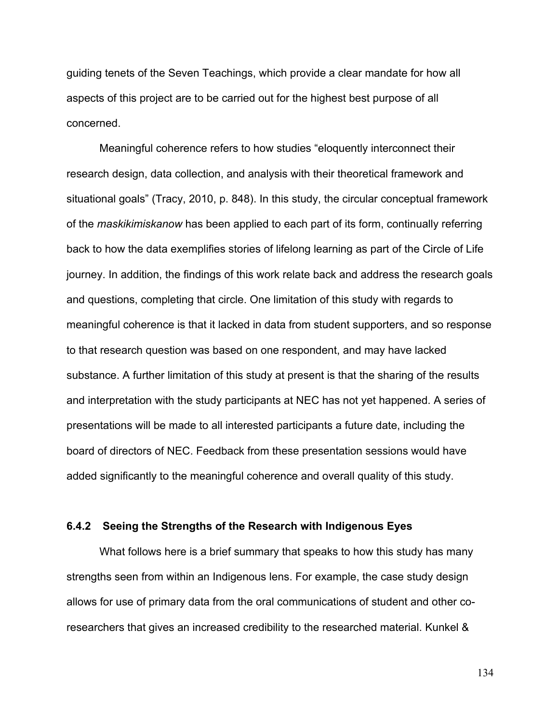guiding tenets of the Seven Teachings, which provide a clear mandate for how all aspects of this project are to be carried out for the highest best purpose of all concerned.

Meaningful coherence refers to how studies "eloquently interconnect their research design, data collection, and analysis with their theoretical framework and situational goals" (Tracy, 2010, p. 848). In this study, the circular conceptual framework of the *maskikimiskanow* has been applied to each part of its form, continually referring back to how the data exemplifies stories of lifelong learning as part of the Circle of Life journey. In addition, the findings of this work relate back and address the research goals and questions, completing that circle. One limitation of this study with regards to meaningful coherence is that it lacked in data from student supporters, and so response to that research question was based on one respondent, and may have lacked substance. A further limitation of this study at present is that the sharing of the results and interpretation with the study participants at NEC has not yet happened. A series of presentations will be made to all interested participants a future date, including the board of directors of NEC. Feedback from these presentation sessions would have added significantly to the meaningful coherence and overall quality of this study.

#### **6.4.2 Seeing the Strengths of the Research with Indigenous Eyes**

What follows here is a brief summary that speaks to how this study has many strengths seen from within an Indigenous lens. For example, the case study design allows for use of primary data from the oral communications of student and other coresearchers that gives an increased credibility to the researched material. Kunkel &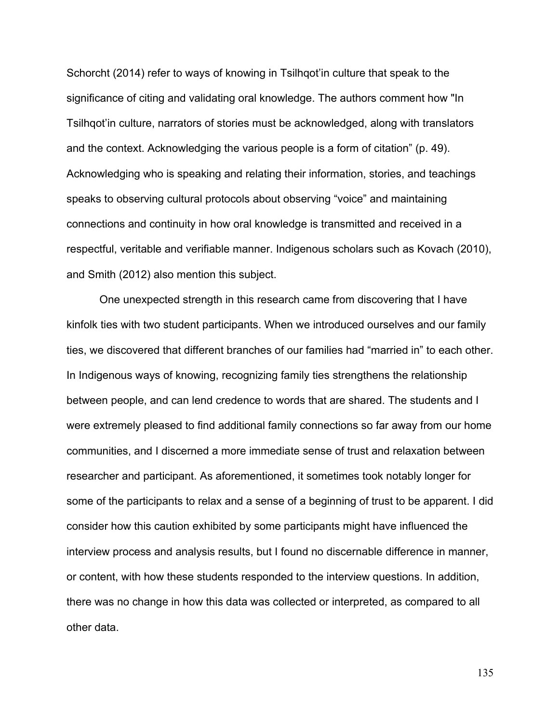Schorcht (2014) refer to ways of knowing in Tsilhqot'in culture that speak to the significance of citing and validating oral knowledge. The authors comment how "In Tsilhqot'in culture, narrators of stories must be acknowledged, along with translators and the context. Acknowledging the various people is a form of citation" (p. 49). Acknowledging who is speaking and relating their information, stories, and teachings speaks to observing cultural protocols about observing "voice" and maintaining connections and continuity in how oral knowledge is transmitted and received in a respectful, veritable and verifiable manner. Indigenous scholars such as Kovach (2010), and Smith (2012) also mention this subject.

One unexpected strength in this research came from discovering that I have kinfolk ties with two student participants. When we introduced ourselves and our family ties, we discovered that different branches of our families had "married in" to each other. In Indigenous ways of knowing, recognizing family ties strengthens the relationship between people, and can lend credence to words that are shared. The students and I were extremely pleased to find additional family connections so far away from our home communities, and I discerned a more immediate sense of trust and relaxation between researcher and participant. As aforementioned, it sometimes took notably longer for some of the participants to relax and a sense of a beginning of trust to be apparent. I did consider how this caution exhibited by some participants might have influenced the interview process and analysis results, but I found no discernable difference in manner, or content, with how these students responded to the interview questions. In addition, there was no change in how this data was collected or interpreted, as compared to all other data.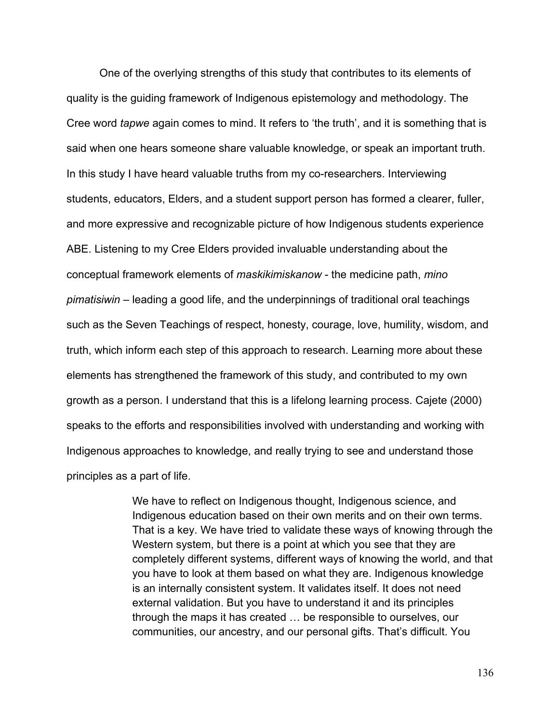One of the overlying strengths of this study that contributes to its elements of quality is the guiding framework of Indigenous epistemology and methodology. The Cree word *tapwe* again comes to mind. It refers to 'the truth', and it is something that is said when one hears someone share valuable knowledge, or speak an important truth. In this study I have heard valuable truths from my co-researchers. Interviewing students, educators, Elders, and a student support person has formed a clearer, fuller, and more expressive and recognizable picture of how Indigenous students experience ABE. Listening to my Cree Elders provided invaluable understanding about the conceptual framework elements of *maskikimiskanow* - the medicine path, *mino pimatisiwin* – leading a good life, and the underpinnings of traditional oral teachings such as the Seven Teachings of respect, honesty, courage, love, humility, wisdom, and truth, which inform each step of this approach to research. Learning more about these elements has strengthened the framework of this study, and contributed to my own growth as a person. I understand that this is a lifelong learning process. Cajete (2000) speaks to the efforts and responsibilities involved with understanding and working with Indigenous approaches to knowledge, and really trying to see and understand those principles as a part of life.

> We have to reflect on Indigenous thought, Indigenous science, and Indigenous education based on their own merits and on their own terms. That is a key. We have tried to validate these ways of knowing through the Western system, but there is a point at which you see that they are completely different systems, different ways of knowing the world, and that you have to look at them based on what they are. Indigenous knowledge is an internally consistent system. It validates itself. It does not need external validation. But you have to understand it and its principles through the maps it has created … be responsible to ourselves, our communities, our ancestry, and our personal gifts. That's difficult. You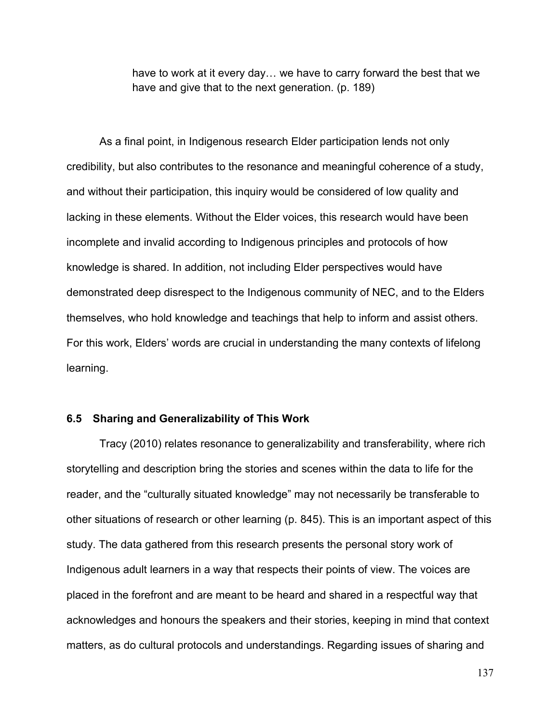have to work at it every day… we have to carry forward the best that we have and give that to the next generation. (p. 189)

As a final point, in Indigenous research Elder participation lends not only credibility, but also contributes to the resonance and meaningful coherence of a study, and without their participation, this inquiry would be considered of low quality and lacking in these elements. Without the Elder voices, this research would have been incomplete and invalid according to Indigenous principles and protocols of how knowledge is shared. In addition, not including Elder perspectives would have demonstrated deep disrespect to the Indigenous community of NEC, and to the Elders themselves, who hold knowledge and teachings that help to inform and assist others. For this work, Elders' words are crucial in understanding the many contexts of lifelong learning.

#### **6.5 Sharing and Generalizability of This Work**

Tracy (2010) relates resonance to generalizability and transferability, where rich storytelling and description bring the stories and scenes within the data to life for the reader, and the "culturally situated knowledge" may not necessarily be transferable to other situations of research or other learning (p. 845). This is an important aspect of this study. The data gathered from this research presents the personal story work of Indigenous adult learners in a way that respects their points of view. The voices are placed in the forefront and are meant to be heard and shared in a respectful way that acknowledges and honours the speakers and their stories, keeping in mind that context matters, as do cultural protocols and understandings. Regarding issues of sharing and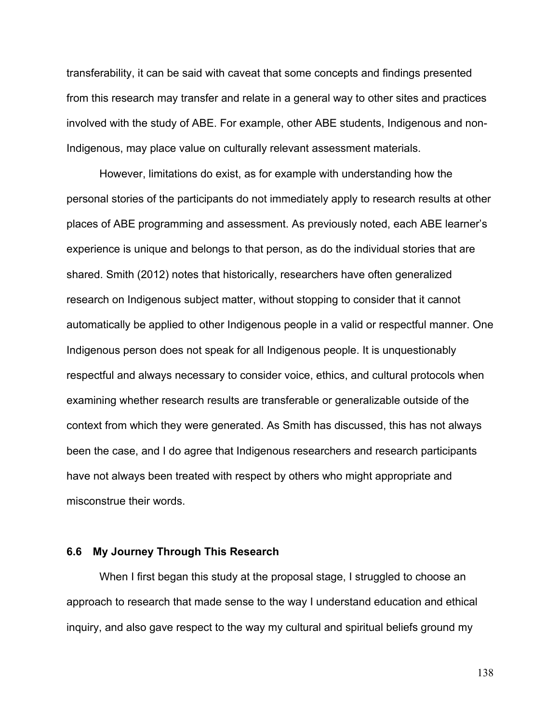transferability, it can be said with caveat that some concepts and findings presented from this research may transfer and relate in a general way to other sites and practices involved with the study of ABE. For example, other ABE students, Indigenous and non-Indigenous, may place value on culturally relevant assessment materials.

However, limitations do exist, as for example with understanding how the personal stories of the participants do not immediately apply to research results at other places of ABE programming and assessment. As previously noted, each ABE learner's experience is unique and belongs to that person, as do the individual stories that are shared. Smith (2012) notes that historically, researchers have often generalized research on Indigenous subject matter, without stopping to consider that it cannot automatically be applied to other Indigenous people in a valid or respectful manner. One Indigenous person does not speak for all Indigenous people. It is unquestionably respectful and always necessary to consider voice, ethics, and cultural protocols when examining whether research results are transferable or generalizable outside of the context from which they were generated. As Smith has discussed, this has not always been the case, and I do agree that Indigenous researchers and research participants have not always been treated with respect by others who might appropriate and misconstrue their words.

#### **6.6 My Journey Through This Research**

When I first began this study at the proposal stage, I struggled to choose an approach to research that made sense to the way I understand education and ethical inquiry, and also gave respect to the way my cultural and spiritual beliefs ground my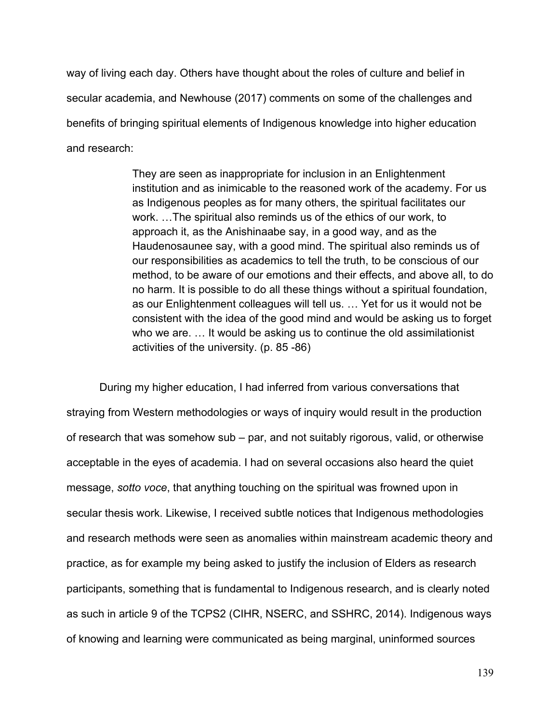way of living each day. Others have thought about the roles of culture and belief in secular academia, and Newhouse (2017) comments on some of the challenges and benefits of bringing spiritual elements of Indigenous knowledge into higher education and research:

> They are seen as inappropriate for inclusion in an Enlightenment institution and as inimicable to the reasoned work of the academy. For us as Indigenous peoples as for many others, the spiritual facilitates our work. …The spiritual also reminds us of the ethics of our work, to approach it, as the Anishinaabe say, in a good way, and as the Haudenosaunee say, with a good mind. The spiritual also reminds us of our responsibilities as academics to tell the truth, to be conscious of our method, to be aware of our emotions and their effects, and above all, to do no harm. It is possible to do all these things without a spiritual foundation, as our Enlightenment colleagues will tell us. … Yet for us it would not be consistent with the idea of the good mind and would be asking us to forget who we are. … It would be asking us to continue the old assimilationist activities of the university. (p. 85 -86)

During my higher education, I had inferred from various conversations that straying from Western methodologies or ways of inquiry would result in the production of research that was somehow sub – par, and not suitably rigorous, valid, or otherwise acceptable in the eyes of academia. I had on several occasions also heard the quiet message, *sotto voce*, that anything touching on the spiritual was frowned upon in secular thesis work. Likewise, I received subtle notices that Indigenous methodologies and research methods were seen as anomalies within mainstream academic theory and practice, as for example my being asked to justify the inclusion of Elders as research participants, something that is fundamental to Indigenous research, and is clearly noted as such in article 9 of the TCPS2 (CIHR, NSERC, and SSHRC, 2014). Indigenous ways of knowing and learning were communicated as being marginal, uninformed sources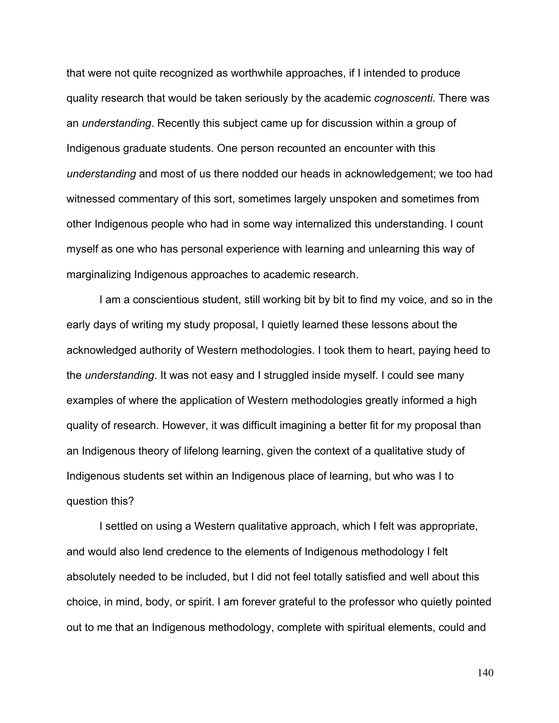that were not quite recognized as worthwhile approaches, if I intended to produce quality research that would be taken seriously by the academic *cognoscenti*. There was an *understanding*. Recently this subject came up for discussion within a group of Indigenous graduate students. One person recounted an encounter with this *understanding* and most of us there nodded our heads in acknowledgement; we too had witnessed commentary of this sort, sometimes largely unspoken and sometimes from other Indigenous people who had in some way internalized this understanding. I count myself as one who has personal experience with learning and unlearning this way of marginalizing Indigenous approaches to academic research.

I am a conscientious student, still working bit by bit to find my voice, and so in the early days of writing my study proposal, I quietly learned these lessons about the acknowledged authority of Western methodologies. I took them to heart, paying heed to the *understanding*. It was not easy and I struggled inside myself. I could see many examples of where the application of Western methodologies greatly informed a high quality of research. However, it was difficult imagining a better fit for my proposal than an Indigenous theory of lifelong learning, given the context of a qualitative study of Indigenous students set within an Indigenous place of learning, but who was I to question this?

I settled on using a Western qualitative approach, which I felt was appropriate, and would also lend credence to the elements of Indigenous methodology I felt absolutely needed to be included, but I did not feel totally satisfied and well about this choice, in mind, body, or spirit. I am forever grateful to the professor who quietly pointed out to me that an Indigenous methodology, complete with spiritual elements, could and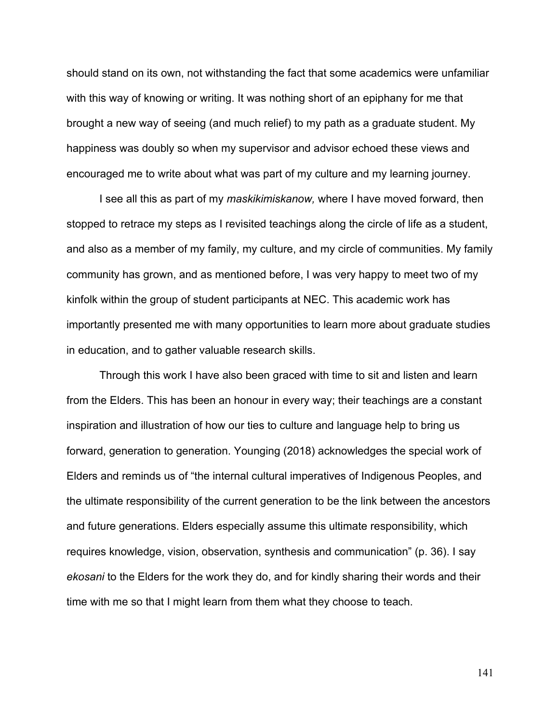should stand on its own, not withstanding the fact that some academics were unfamiliar with this way of knowing or writing. It was nothing short of an epiphany for me that brought a new way of seeing (and much relief) to my path as a graduate student. My happiness was doubly so when my supervisor and advisor echoed these views and encouraged me to write about what was part of my culture and my learning journey.

I see all this as part of my *maskikimiskanow,* where I have moved forward, then stopped to retrace my steps as I revisited teachings along the circle of life as a student, and also as a member of my family, my culture, and my circle of communities. My family community has grown, and as mentioned before, I was very happy to meet two of my kinfolk within the group of student participants at NEC. This academic work has importantly presented me with many opportunities to learn more about graduate studies in education, and to gather valuable research skills.

Through this work I have also been graced with time to sit and listen and learn from the Elders. This has been an honour in every way; their teachings are a constant inspiration and illustration of how our ties to culture and language help to bring us forward, generation to generation. Younging (2018) acknowledges the special work of Elders and reminds us of "the internal cultural imperatives of Indigenous Peoples, and the ultimate responsibility of the current generation to be the link between the ancestors and future generations. Elders especially assume this ultimate responsibility, which requires knowledge, vision, observation, synthesis and communication" (p. 36). I say *ekosani* to the Elders for the work they do, and for kindly sharing their words and their time with me so that I might learn from them what they choose to teach.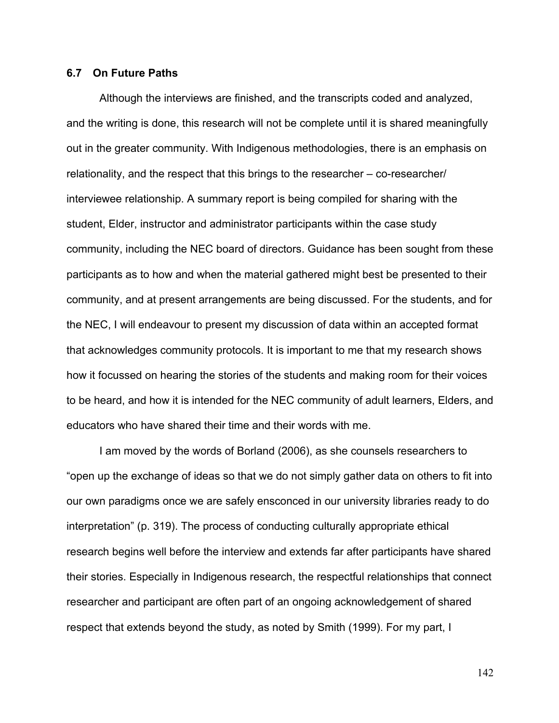#### **6.7 On Future Paths**

Although the interviews are finished, and the transcripts coded and analyzed, and the writing is done, this research will not be complete until it is shared meaningfully out in the greater community. With Indigenous methodologies, there is an emphasis on relationality, and the respect that this brings to the researcher – co-researcher/ interviewee relationship. A summary report is being compiled for sharing with the student, Elder, instructor and administrator participants within the case study community, including the NEC board of directors. Guidance has been sought from these participants as to how and when the material gathered might best be presented to their community, and at present arrangements are being discussed. For the students, and for the NEC, I will endeavour to present my discussion of data within an accepted format that acknowledges community protocols. It is important to me that my research shows how it focussed on hearing the stories of the students and making room for their voices to be heard, and how it is intended for the NEC community of adult learners, Elders, and educators who have shared their time and their words with me.

I am moved by the words of Borland (2006), as she counsels researchers to "open up the exchange of ideas so that we do not simply gather data on others to fit into our own paradigms once we are safely ensconced in our university libraries ready to do interpretation" (p. 319). The process of conducting culturally appropriate ethical research begins well before the interview and extends far after participants have shared their stories. Especially in Indigenous research, the respectful relationships that connect researcher and participant are often part of an ongoing acknowledgement of shared respect that extends beyond the study, as noted by Smith (1999). For my part, I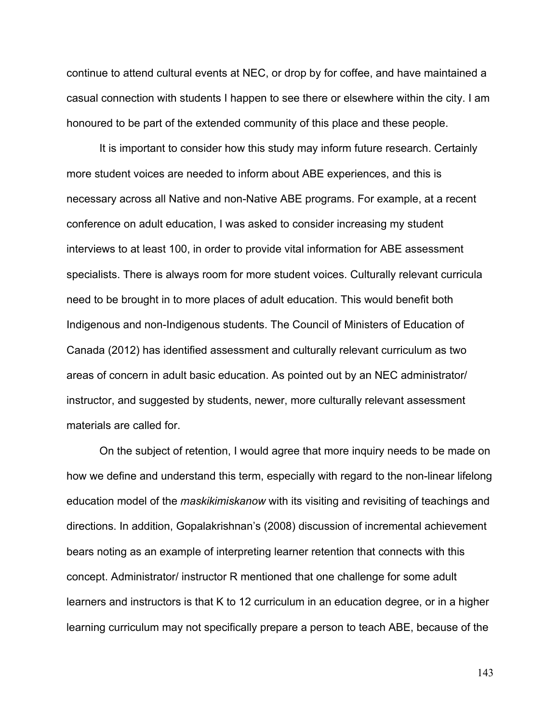continue to attend cultural events at NEC, or drop by for coffee, and have maintained a casual connection with students I happen to see there or elsewhere within the city. I am honoured to be part of the extended community of this place and these people.

It is important to consider how this study may inform future research. Certainly more student voices are needed to inform about ABE experiences, and this is necessary across all Native and non-Native ABE programs. For example, at a recent conference on adult education, I was asked to consider increasing my student interviews to at least 100, in order to provide vital information for ABE assessment specialists. There is always room for more student voices. Culturally relevant curricula need to be brought in to more places of adult education. This would benefit both Indigenous and non-Indigenous students. The Council of Ministers of Education of Canada (2012) has identified assessment and culturally relevant curriculum as two areas of concern in adult basic education. As pointed out by an NEC administrator/ instructor, and suggested by students, newer, more culturally relevant assessment materials are called for.

On the subject of retention, I would agree that more inquiry needs to be made on how we define and understand this term, especially with regard to the non-linear lifelong education model of the *maskikimiskanow* with its visiting and revisiting of teachings and directions. In addition, Gopalakrishnan's (2008) discussion of incremental achievement bears noting as an example of interpreting learner retention that connects with this concept. Administrator/ instructor R mentioned that one challenge for some adult learners and instructors is that K to 12 curriculum in an education degree, or in a higher learning curriculum may not specifically prepare a person to teach ABE, because of the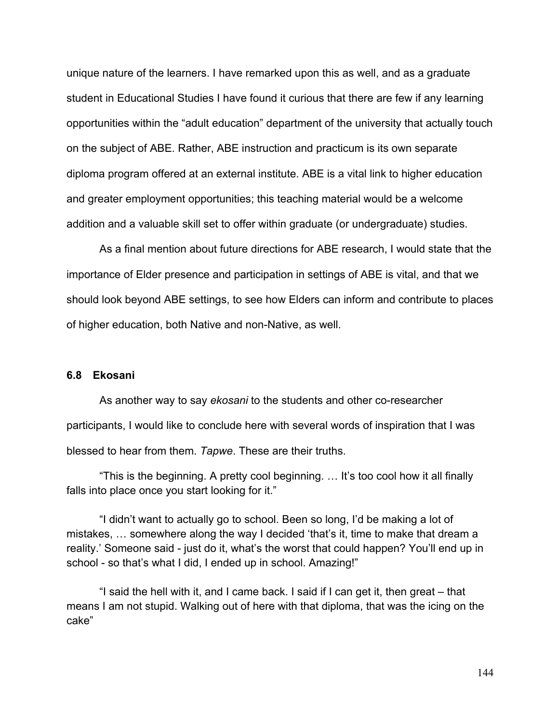unique nature of the learners. I have remarked upon this as well, and as a graduate student in Educational Studies I have found it curious that there are few if any learning opportunities within the "adult education" department of the university that actually touch on the subject of ABE. Rather, ABE instruction and practicum is its own separate diploma program offered at an external institute. ABE is a vital link to higher education and greater employment opportunities; this teaching material would be a welcome addition and a valuable skill set to offer within graduate (or undergraduate) studies.

As a final mention about future directions for ABE research, I would state that the importance of Elder presence and participation in settings of ABE is vital, and that we should look beyond ABE settings, to see how Elders can inform and contribute to places of higher education, both Native and non-Native, as well.

#### **6.8 Ekosani**

As another way to say *ekosani* to the students and other co-researcher participants, I would like to conclude here with several words of inspiration that I was blessed to hear from them. *Tapwe*. These are their truths.

"This is the beginning. A pretty cool beginning. … It's too cool how it all finally falls into place once you start looking for it."

"I didn't want to actually go to school. Been so long, I'd be making a lot of mistakes, … somewhere along the way I decided 'that's it, time to make that dream a reality.' Someone said - just do it, what's the worst that could happen? You'll end up in school - so that's what I did, I ended up in school. Amazing!"

"I said the hell with it, and I came back. I said if I can get it, then great – that means I am not stupid. Walking out of here with that diploma, that was the icing on the cake"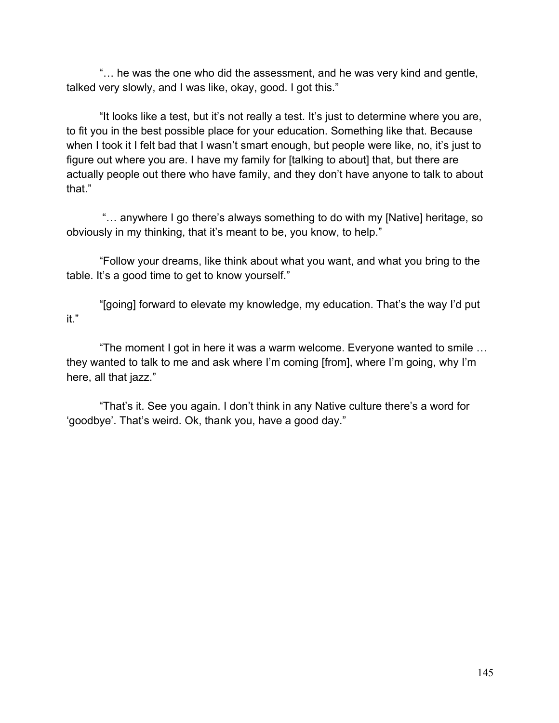"… he was the one who did the assessment, and he was very kind and gentle, talked very slowly, and I was like, okay, good. I got this."

"It looks like a test, but it's not really a test. It's just to determine where you are, to fit you in the best possible place for your education. Something like that. Because when I took it I felt bad that I wasn't smart enough, but people were like, no, it's just to figure out where you are. I have my family for [talking to about] that, but there are actually people out there who have family, and they don't have anyone to talk to about that"

"… anywhere I go there's always something to do with my [Native] heritage, so obviously in my thinking, that it's meant to be, you know, to help."

"Follow your dreams, like think about what you want, and what you bring to the table. It's a good time to get to know yourself."

"[going] forward to elevate my knowledge, my education. That's the way I'd put it."

"The moment I got in here it was a warm welcome. Everyone wanted to smile … they wanted to talk to me and ask where I'm coming [from], where I'm going, why I'm here, all that jazz."

"That's it. See you again. I don't think in any Native culture there's a word for 'goodbye'. That's weird. Ok, thank you, have a good day."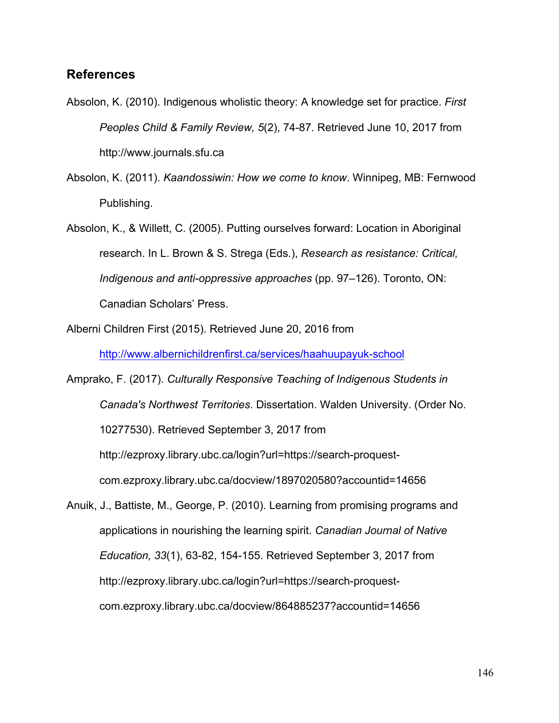#### **References**

- Absolon, K. (2010). Indigenous wholistic theory: A knowledge set for practice. *First Peoples Child & Family Review, 5*(2), 74-87. Retrieved June 10, 2017 from http://www.journals.sfu.ca
- Absolon, K. (2011). *Kaandossiwin: How we come to know*. Winnipeg, MB: Fernwood Publishing.
- Absolon, K., & Willett, C. (2005). Putting ourselves forward: Location in Aboriginal research. In L. Brown & S. Strega (Eds.), *Research as resistance: Critical, Indigenous and anti-oppressive approaches* (pp. 97–126). Toronto, ON: Canadian Scholars' Press.
- Alberni Children First (2015). Retrieved June 20, 2016 from

http://www.albernichildrenfirst.ca/services/haahuupayuk-school

Amprako, F. (2017). *Culturally Responsive Teaching of Indigenous Students in Canada's Northwest Territories*. Dissertation. Walden University. (Order No. 10277530). Retrieved September 3, 2017 from http://ezproxy.library.ubc.ca/login?url=https://search-proquestcom.ezproxy.library.ubc.ca/docview/1897020580?accountid=14656

Anuik, J., Battiste, M., George, P. (2010). Learning from promising programs and applications in nourishing the learning spirit. *Canadian Journal of Native Education, 33*(1), 63-82, 154-155. Retrieved September 3, 2017 from http://ezproxy.library.ubc.ca/login?url=https://search-proquestcom.ezproxy.library.ubc.ca/docview/864885237?accountid=14656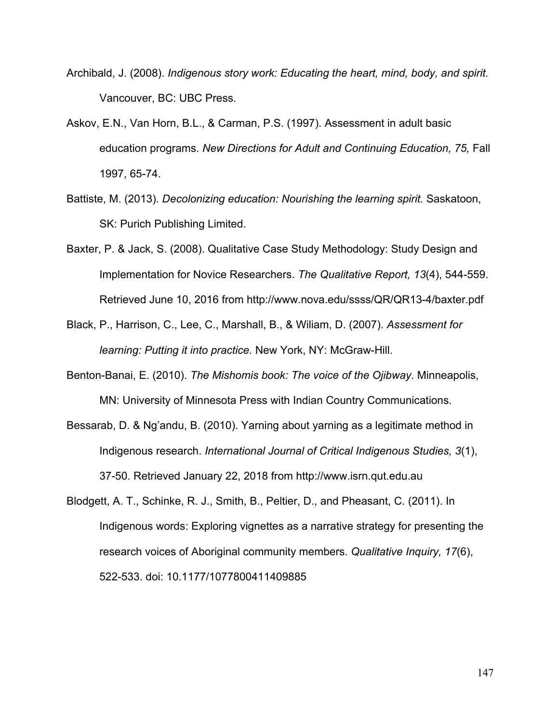- Archibald, J. (2008). *Indigenous story work: Educating the heart, mind, body, and spirit.* Vancouver, BC: UBC Press.
- Askov, E.N., Van Horn, B.L., & Carman, P.S. (1997). Assessment in adult basic education programs. *New Directions for Adult and Continuing Education, 75,* Fall 1997, 65-74.
- Battiste, M. (2013). *Decolonizing education: Nourishing the learning spirit.* Saskatoon, SK: Purich Publishing Limited.
- Baxter, P. & Jack, S. (2008). Qualitative Case Study Methodology: Study Design and Implementation for Novice Researchers. *The Qualitative Report, 13*(4), 544-559. Retrieved June 10, 2016 from http://www.nova.edu/ssss/QR/QR13-4/baxter.pdf
- Black, P., Harrison, C., Lee, C., Marshall, B., & Wiliam, D. (2007). *Assessment for learning: Putting it into practice.* New York, NY: McGraw-Hill.
- Benton-Banai, E. (2010). *The Mishomis book: The voice of the Ojibway.* Minneapolis, MN: University of Minnesota Press with Indian Country Communications.
- Bessarab, D. & Ng'andu, B. (2010). Yarning about yarning as a legitimate method in Indigenous research. *International Journal of Critical Indigenous Studies, 3*(1), 37-50. Retrieved January 22, 2018 from http://www.isrn.qut.edu.au
- Blodgett, A. T., Schinke, R. J., Smith, B., Peltier, D., and Pheasant, C. (2011). In Indigenous words: Exploring vignettes as a narrative strategy for presenting the research voices of Aboriginal community members. *Qualitative Inquiry, 17*(6), 522-533. doi: 10.1177/1077800411409885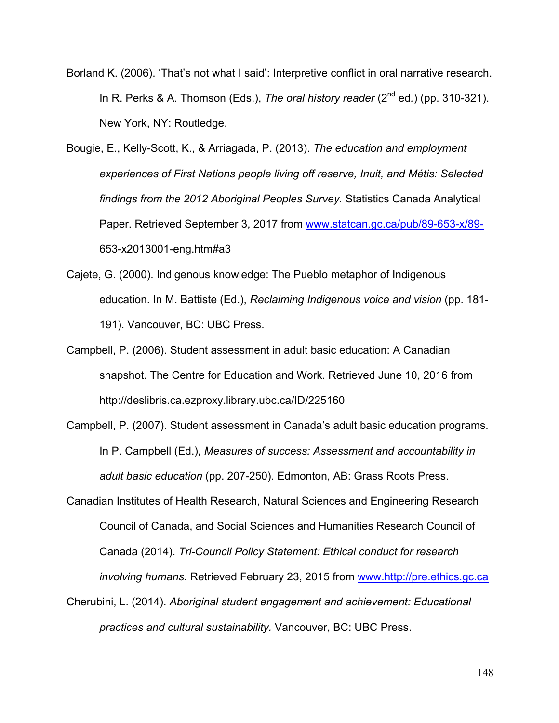- Borland K. (2006). 'That's not what I said': Interpretive conflict in oral narrative research. In R. Perks & A. Thomson (Eds.), *The oral history reader* (2<sup>nd</sup> ed.) (pp. 310-321). New York, NY: Routledge.
- Bougie, E., Kelly-Scott, K., & Arriagada, P. (2013). *The education and employment experiences of First Nations people living off reserve, Inuit, and Métis: Selected findings from the 2012 Aboriginal Peoples Survey.* Statistics Canada Analytical Paper. Retrieved September 3, 2017 from www.statcan.gc.ca/pub/89-653-x/89- 653-x2013001-eng.htm#a3
- Cajete, G. (2000). Indigenous knowledge: The Pueblo metaphor of Indigenous education. In M. Battiste (Ed.), *Reclaiming Indigenous voice and vision* (pp. 181- 191). Vancouver, BC: UBC Press.
- Campbell, P. (2006). Student assessment in adult basic education: A Canadian snapshot. The Centre for Education and Work. Retrieved June 10, 2016 from http://deslibris.ca.ezproxy.library.ubc.ca/ID/225160
- Campbell, P. (2007). Student assessment in Canada's adult basic education programs. In P. Campbell (Ed.), *Measures of success: Assessment and accountability in adult basic education* (pp. 207-250). Edmonton, AB: Grass Roots Press.
- Canadian Institutes of Health Research, Natural Sciences and Engineering Research Council of Canada, and Social Sciences and Humanities Research Council of Canada (2014). *Tri-Council Policy Statement: Ethical conduct for research involving humans.* Retrieved February 23, 2015 from www.http://pre.ethics.gc.ca
- Cherubini, L. (2014). *Aboriginal student engagement and achievement: Educational practices and cultural sustainability.* Vancouver, BC: UBC Press.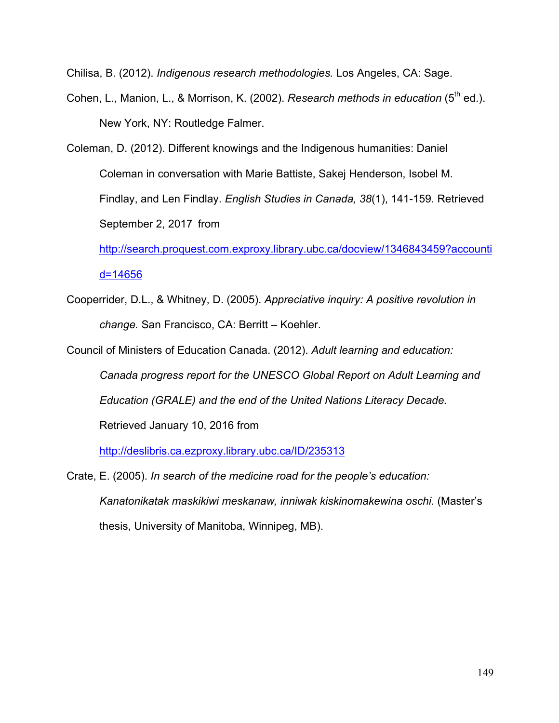Chilisa, B. (2012). *Indigenous research methodologies.* Los Angeles, CA: Sage.

- Cohen, L., Manion, L., & Morrison, K. (2002). *Research methods in education* (5<sup>th</sup> ed.). New York, NY: Routledge Falmer.
- Coleman, D. (2012). Different knowings and the Indigenous humanities: Daniel Coleman in conversation with Marie Battiste, Sakej Henderson, Isobel M. Findlay, and Len Findlay. *English Studies in Canada, 38*(1), 141-159. Retrieved September 2, 2017 from

http://search.proquest.com.exproxy.library.ubc.ca/docview/1346843459?accounti d=14656

Cooperrider, D.L., & Whitney, D. (2005). *Appreciative inquiry: A positive revolution in change.* San Francisco, CA: Berritt – Koehler.

Council of Ministers of Education Canada. (2012). *Adult learning and education:* 

*Canada progress report for the UNESCO Global Report on Adult Learning and Education (GRALE) and the end of the United Nations Literacy Decade.* 

Retrieved January 10, 2016 from

http://deslibris.ca.ezproxy.library.ubc.ca/ID/235313

Crate, E. (2005). *In search of the medicine road for the people's education: Kanatonikatak maskikiwi meskanaw, inniwak kiskinomakewina oschi.* (Master's thesis, University of Manitoba, Winnipeg, MB).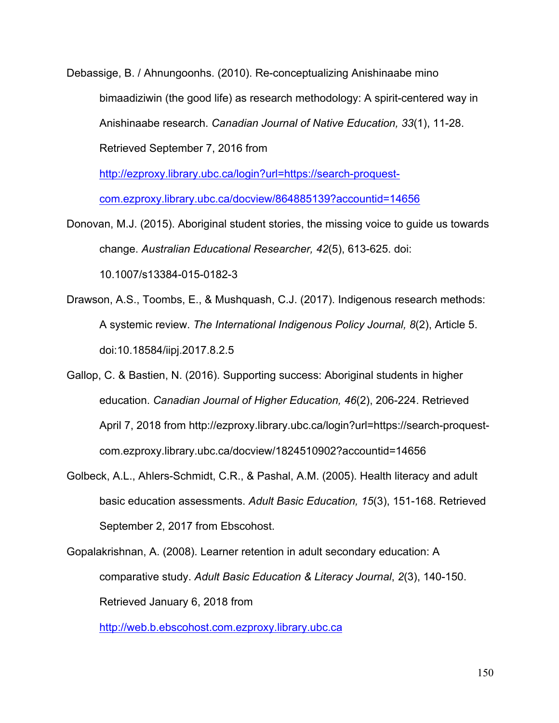Debassige, B. / Ahnungoonhs. (2010). Re-conceptualizing Anishinaabe mino bimaadiziwin (the good life) as research methodology: A spirit-centered way in Anishinaabe research. *Canadian Journal of Native Education, 33*(1), 11-28. Retrieved September 7, 2016 from

http://ezproxy.library.ubc.ca/login?url=https://search-proquest-

com.ezproxy.library.ubc.ca/docview/864885139?accountid=14656

- Donovan, M.J. (2015). Aboriginal student stories, the missing voice to guide us towards change. *Australian Educational Researcher, 42*(5), 613-625. doi: 10.1007/s13384-015-0182-3
- Drawson, A.S., Toombs, E., & Mushquash, C.J. (2017). Indigenous research methods: A systemic review. *The International Indigenous Policy Journal, 8*(2), Article 5. doi:10.18584/iipj.2017.8.2.5
- Gallop, C. & Bastien, N. (2016). Supporting success: Aboriginal students in higher education. *Canadian Journal of Higher Education, 46*(2), 206-224. Retrieved April 7, 2018 from http://ezproxy.library.ubc.ca/login?url=https://search-proquestcom.ezproxy.library.ubc.ca/docview/1824510902?accountid=14656
- Golbeck, A.L., Ahlers-Schmidt, C.R., & Pashal, A.M. (2005). Health literacy and adult basic education assessments. *Adult Basic Education, 15*(3), 151-168. Retrieved September 2, 2017 from Ebscohost.

Gopalakrishnan, A. (2008). Learner retention in adult secondary education: A comparative study. *Adult Basic Education & Literacy Journal*, *2*(3), 140-150. Retrieved January 6, 2018 from

http://web.b.ebscohost.com.ezproxy.library.ubc.ca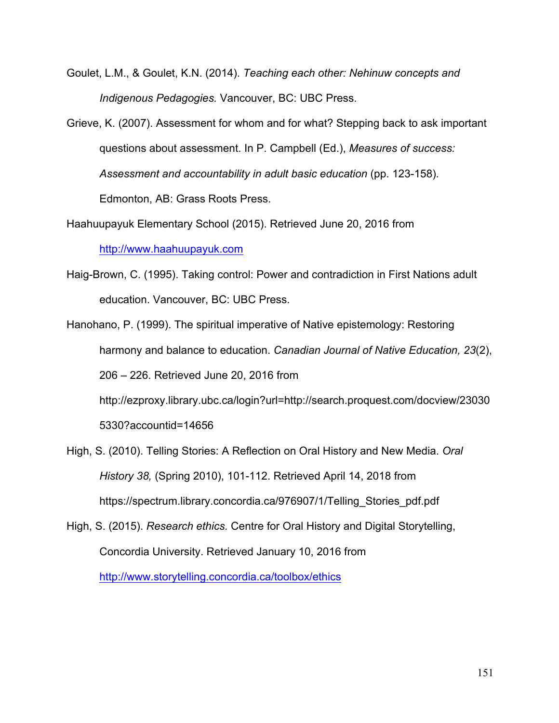- Goulet, L.M., & Goulet, K.N. (2014). *Teaching each other: Nehinuw concepts and Indigenous Pedagogies.* Vancouver, BC: UBC Press.
- Grieve, K. (2007). Assessment for whom and for what? Stepping back to ask important questions about assessment. In P. Campbell (Ed.), *Measures of success: Assessment and accountability in adult basic education* (pp. 123-158)*.* Edmonton, AB: Grass Roots Press.
- Haahuupayuk Elementary School (2015). Retrieved June 20, 2016 from http://www.haahuupayuk.com
- Haig-Brown, C. (1995). Taking control: Power and contradiction in First Nations adult education. Vancouver, BC: UBC Press.
- Hanohano, P. (1999). The spiritual imperative of Native epistemology: Restoring harmony and balance to education. *Canadian Journal of Native Education, 23*(2), 206 – 226. Retrieved June 20, 2016 from http://ezproxy.library.ubc.ca/login?url=http://search.proquest.com/docview/23030 5330?accountid=14656
- High, S. (2010). Telling Stories: A Reflection on Oral History and New Media. *Oral History 38,* (Spring 2010), 101-112. Retrieved April 14, 2018 from https://spectrum.library.concordia.ca/976907/1/Telling\_Stories\_pdf.pdf
- High, S. (2015). *Research ethics.* Centre for Oral History and Digital Storytelling, Concordia University. Retrieved January 10, 2016 from

http://www.storytelling.concordia.ca/toolbox/ethics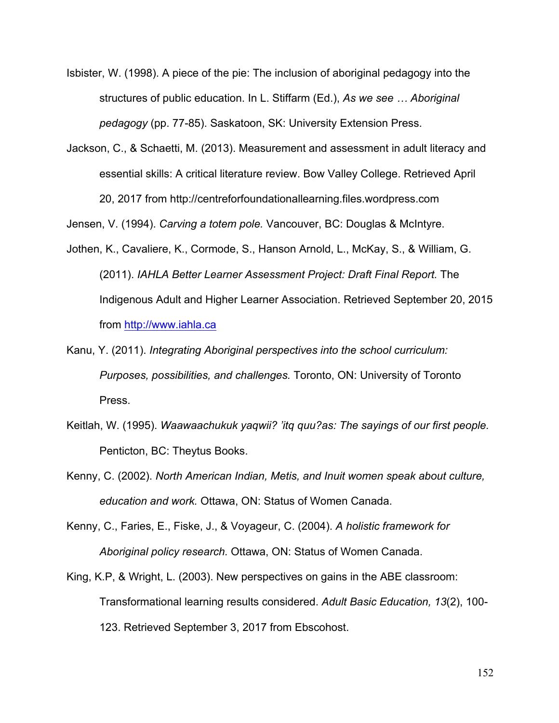- Isbister, W. (1998). A piece of the pie: The inclusion of aboriginal pedagogy into the structures of public education. In L. Stiffarm (Ed.), *As we see … Aboriginal pedagogy* (pp. 77-85). Saskatoon, SK: University Extension Press.
- Jackson, C., & Schaetti, M. (2013). Measurement and assessment in adult literacy and essential skills: A critical literature review. Bow Valley College. Retrieved April 20, 2017 from http://centreforfoundationallearning.files.wordpress.com

Jensen, V. (1994). *Carving a totem pole.* Vancouver, BC: Douglas & McIntyre.

- Jothen, K., Cavaliere, K., Cormode, S., Hanson Arnold, L., McKay, S., & William, G. (2011). *IAHLA Better Learner Assessment Project: Draft Final Report.* The Indigenous Adult and Higher Learner Association. Retrieved September 20, 2015 from http://www.iahla.ca
- Kanu, Y. (2011). *Integrating Aboriginal perspectives into the school curriculum: Purposes, possibilities, and challenges.* Toronto, ON: University of Toronto Press.
- Keitlah, W. (1995). *Waawaachukuk yaqwii? 'itq quu?as: The sayings of our first people.* Penticton, BC: Theytus Books.
- Kenny, C. (2002). *North American Indian, Metis, and Inuit women speak about culture, education and work.* Ottawa, ON: Status of Women Canada.
- Kenny, C., Faries, E., Fiske, J., & Voyageur, C. (2004). *A holistic framework for Aboriginal policy research.* Ottawa, ON: Status of Women Canada.
- King, K.P, & Wright, L. (2003). New perspectives on gains in the ABE classroom: Transformational learning results considered. *Adult Basic Education, 13*(2), 100- 123. Retrieved September 3, 2017 from Ebscohost.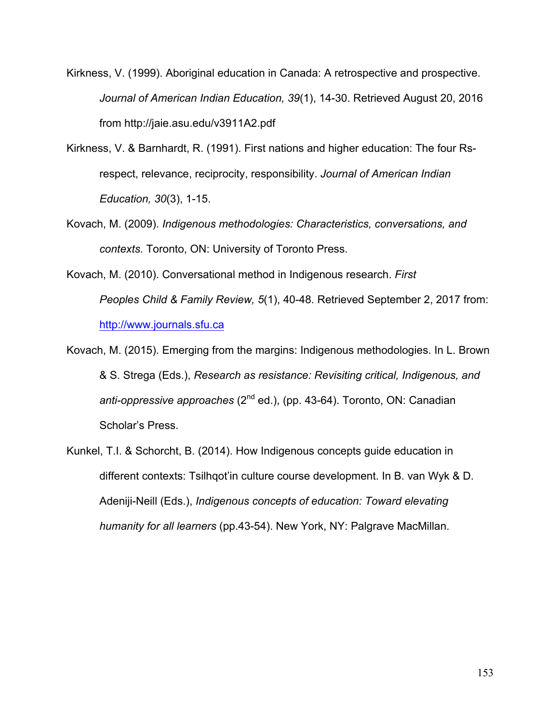- Kirkness, V. (1999). Aboriginal education in Canada: A retrospective and prospective. *Journal of American Indian Education, 39*(1), 14-30. Retrieved August 20, 2016 from http://jaie.asu.edu/v3911A2.pdf
- Kirkness, V. & Barnhardt, R. (1991). First nations and higher education: The four Rsrespect, relevance, reciprocity, responsibility. *Journal of American Indian Education, 30*(3), 1-15.
- Kovach, M. (2009). *Indigenous methodologies: Characteristics, conversations, and contexts.* Toronto, ON: University of Toronto Press.
- Kovach, M. (2010). Conversational method in Indigenous research. *First Peoples Child & Family Review, 5*(1), 40-48. Retrieved September 2, 2017 from: http://www.journals.sfu.ca
- Kovach, M. (2015). Emerging from the margins: Indigenous methodologies. In L. Brown & S. Strega (Eds.), *Research as resistance: Revisiting critical, Indigenous, and*  anti-oppressive approaches (2<sup>nd</sup> ed.), (pp. 43-64). Toronto, ON: Canadian Scholar's Press.
- Kunkel, T.I. & Schorcht, B. (2014). How Indigenous concepts guide education in different contexts: Tsilhqot'in culture course development. In B. van Wyk & D. Adeniji-Neill (Eds.), *Indigenous concepts of education: Toward elevating humanity for all learners* (pp.43-54). New York, NY: Palgrave MacMillan.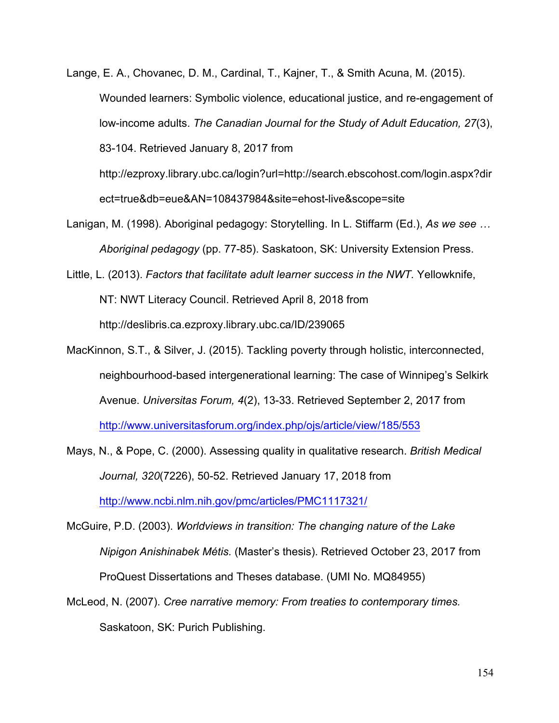- Lange, E. A., Chovanec, D. M., Cardinal, T., Kajner, T., & Smith Acuna, M. (2015). Wounded learners: Symbolic violence, educational justice, and re-engagement of low-income adults. *The Canadian Journal for the Study of Adult Education, 27*(3), 83-104. Retrieved January 8, 2017 from http://ezproxy.library.ubc.ca/login?url=http://search.ebscohost.com/login.aspx?dir
- Lanigan, M. (1998). Aboriginal pedagogy: Storytelling. In L. Stiffarm (Ed.), *As we see …*

ect=true&db=eue&AN=108437984&site=ehost-live&scope=site

*Aboriginal pedagogy* (pp. 77-85). Saskatoon, SK: University Extension Press.

- Little, L. (2013). *Factors that facilitate adult learner success in the NWT.* Yellowknife, NT: NWT Literacy Council. Retrieved April 8, 2018 from http://deslibris.ca.ezproxy.library.ubc.ca/ID/239065
- MacKinnon, S.T., & Silver, J. (2015). Tackling poverty through holistic, interconnected, neighbourhood-based intergenerational learning: The case of Winnipeg's Selkirk Avenue. *Universitas Forum, 4*(2), 13-33. Retrieved September 2, 2017 from http://www.universitasforum.org/index.php/ojs/article/view/185/553
- Mays, N., & Pope, C. (2000). Assessing quality in qualitative research. *British Medical Journal, 320*(7226), 50-52. Retrieved January 17, 2018 from http://www.ncbi.nlm.nih.gov/pmc/articles/PMC1117321/

McGuire, P.D. (2003). *Worldviews in transition: The changing nature of the Lake Nipigon Anishinabek Métis.* (Master's thesis). Retrieved October 23, 2017 from ProQuest Dissertations and Theses database. (UMI No. MQ84955)

McLeod, N. (2007). *Cree narrative memory: From treaties to contemporary times.* Saskatoon, SK: Purich Publishing.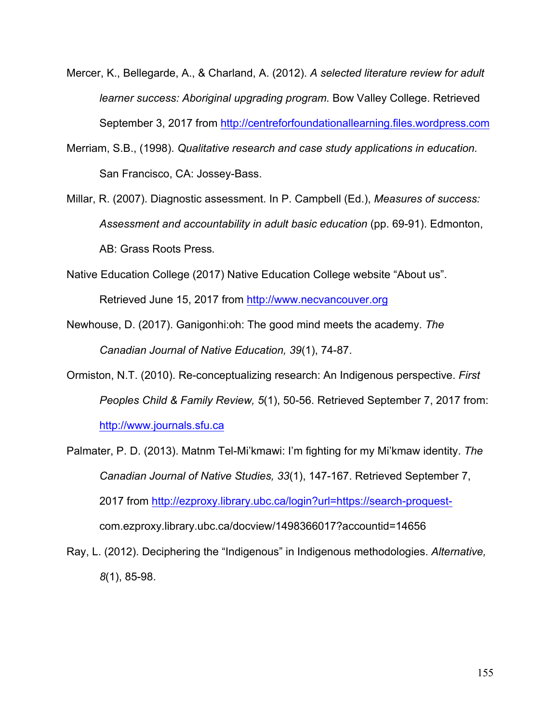- Mercer, K., Bellegarde, A., & Charland, A. (2012). *A selected literature review for adult learner success: Aboriginal upgrading program.* Bow Valley College. Retrieved September 3, 2017 from http://centreforfoundationallearning.files.wordpress.com
- Merriam, S.B., (1998). *Qualitative research and case study applications in education.* San Francisco, CA: Jossey-Bass.
- Millar, R. (2007). Diagnostic assessment. In P. Campbell (Ed.), *Measures of success: Assessment and accountability in adult basic education* (pp. 69-91). Edmonton, AB: Grass Roots Press*.*
- Native Education College (2017) Native Education College website "About us". Retrieved June 15, 2017 from http://www.necvancouver.org
- Newhouse, D. (2017). Ganigonhi:oh: The good mind meets the academy. *The Canadian Journal of Native Education, 39*(1), 74-87.
- Ormiston, N.T. (2010). Re-conceptualizing research: An Indigenous perspective. *First Peoples Child & Family Review, 5*(1), 50-56. Retrieved September 7, 2017 from: http://www.journals.sfu.ca
- Palmater, P. D. (2013). Matnm Tel-Mi'kmawi: I'm fighting for my Mi'kmaw identity. *The Canadian Journal of Native Studies, 33*(1), 147-167. Retrieved September 7, 2017 from http://ezproxy.library.ubc.ca/login?url=https://search-proquestcom.ezproxy.library.ubc.ca/docview/1498366017?accountid=14656
- Ray, L. (2012). Deciphering the "Indigenous" in Indigenous methodologies. *Alternative, 8*(1), 85-98.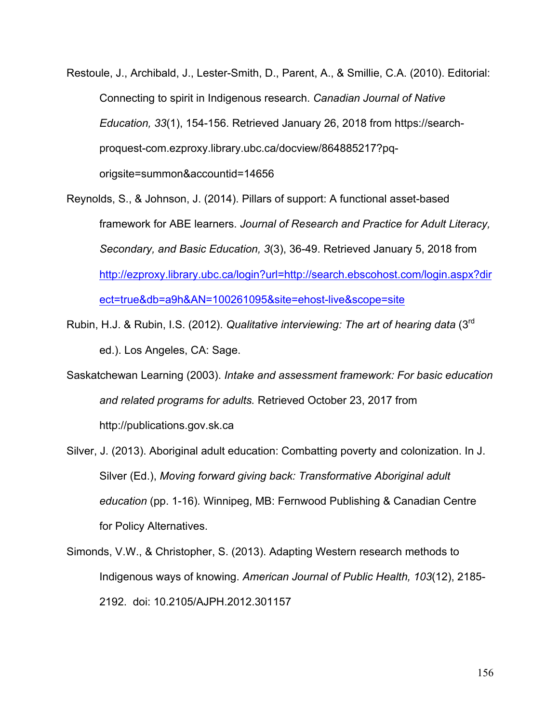- Restoule, J., Archibald, J., Lester-Smith, D., Parent, A., & Smillie, C.A. (2010). Editorial: Connecting to spirit in Indigenous research. *Canadian Journal of Native Education, 33*(1), 154-156. Retrieved January 26, 2018 from https://searchproquest-com.ezproxy.library.ubc.ca/docview/864885217?pqorigsite=summon&accountid=14656
- Reynolds, S., & Johnson, J. (2014). Pillars of support: A functional asset-based framework for ABE learners. *Journal of Research and Practice for Adult Literacy, Secondary, and Basic Education, 3*(3), 36-49. Retrieved January 5, 2018 from http://ezproxy.library.ubc.ca/login?url=http://search.ebscohost.com/login.aspx?dir ect=true&db=a9h&AN=100261095&site=ehost-live&scope=site
- Rubin, H.J. & Rubin, I.S. (2012). *Qualitative interviewing: The art of hearing data* (3rd ed.). Los Angeles, CA: Sage.
- Saskatchewan Learning (2003). *Intake and assessment framework: For basic education and related programs for adults.* Retrieved October 23, 2017 from http://publications.gov.sk.ca
- Silver, J. (2013). Aboriginal adult education: Combatting poverty and colonization. In J. Silver (Ed.), *Moving forward giving back: Transformative Aboriginal adult education* (pp. 1-16)*.* Winnipeg, MB: Fernwood Publishing & Canadian Centre for Policy Alternatives.
- Simonds, V.W., & Christopher, S. (2013). Adapting Western research methods to Indigenous ways of knowing. *American Journal of Public Health, 103*(12), 2185- 2192. doi: 10.2105/AJPH.2012.301157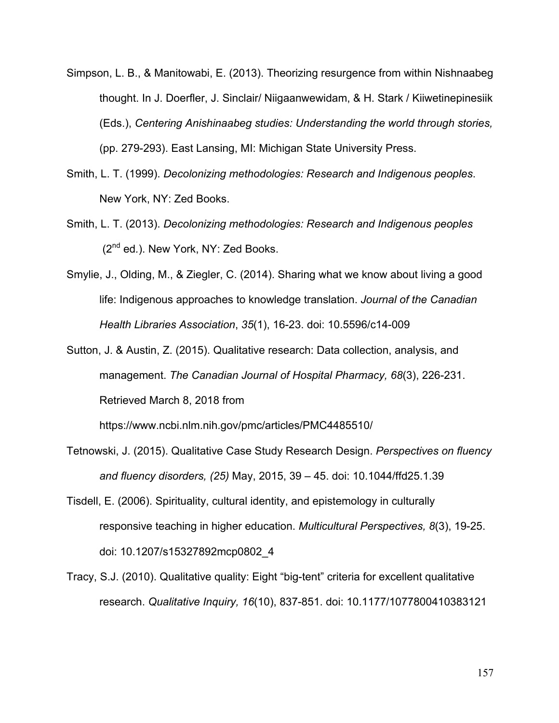- Simpson, L. B., & Manitowabi, E. (2013). Theorizing resurgence from within Nishnaabeg thought. In J. Doerfler, J. Sinclair/ Niigaanwewidam, & H. Stark / Kiiwetinepinesiik (Eds.), *Centering Anishinaabeg studies: Understanding the world through stories,*  (pp. 279-293). East Lansing, MI: Michigan State University Press.
- Smith, L. T. (1999). *Decolonizing methodologies: Research and Indigenous peoples*. New York, NY: Zed Books.
- Smith, L. T. (2013). *Decolonizing methodologies: Research and Indigenous peoples* (2nd ed*.*). New York, NY: Zed Books.
- Smylie, J., Olding, M., & Ziegler, C. (2014). Sharing what we know about living a good life: Indigenous approaches to knowledge translation. *Journal of the Canadian Health Libraries Association*, *35*(1), 16-23. doi: 10.5596/c14-009
- Sutton, J. & Austin, Z. (2015). Qualitative research: Data collection, analysis, and management. *The Canadian Journal of Hospital Pharmacy, 68*(3), 226-231. Retrieved March 8, 2018 from

https://www.ncbi.nlm.nih.gov/pmc/articles/PMC4485510/

- Tetnowski, J. (2015). Qualitative Case Study Research Design. *Perspectives on fluency and fluency disorders, (25)* May, 2015, 39 – 45. doi: 10.1044/ffd25.1.39
- Tisdell, E. (2006). Spirituality, cultural identity, and epistemology in culturally responsive teaching in higher education. *Multicultural Perspectives, 8*(3), 19-25. doi: 10.1207/s15327892mcp0802\_4
- Tracy, S.J. (2010). Qualitative quality: Eight "big-tent" criteria for excellent qualitative research. *Qualitative Inquiry, 16*(10), 837-851. doi: 10.1177/1077800410383121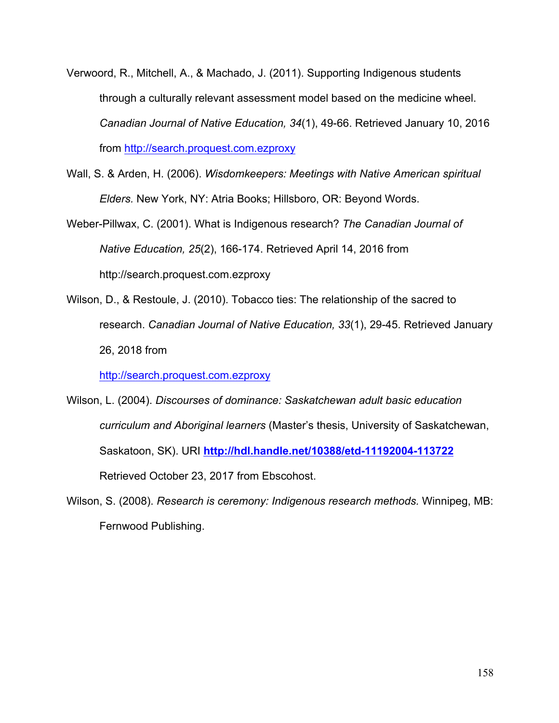- Verwoord, R., Mitchell, A., & Machado, J. (2011). Supporting Indigenous students through a culturally relevant assessment model based on the medicine wheel. *Canadian Journal of Native Education, 34*(1), 49-66. Retrieved January 10, 2016 from http://search.proquest.com.ezproxy
- Wall, S. & Arden, H. (2006). *Wisdomkeepers: Meetings with Native American spiritual Elders.* New York, NY: Atria Books; Hillsboro, OR: Beyond Words.

Weber-Pillwax, C. (2001). What is Indigenous research? *The Canadian Journal of Native Education, 25*(2), 166-174. Retrieved April 14, 2016 from http://search.proquest.com.ezproxy

Wilson, D., & Restoule, J. (2010). Tobacco ties: The relationship of the sacred to research. *Canadian Journal of Native Education, 33*(1), 29-45. Retrieved January 26, 2018 from

http://search.proquest.com.ezproxy

- Wilson, L. (2004). *Discourses of dominance: Saskatchewan adult basic education curriculum and Aboriginal learners* (Master's thesis, University of Saskatchewan, Saskatoon, SK). URI **http://hdl.handle.net/10388/etd-11192004-113722** Retrieved October 23, 2017 from Ebscohost.
- Wilson, S. (2008). *Research is ceremony: Indigenous research methods.* Winnipeg, MB: Fernwood Publishing.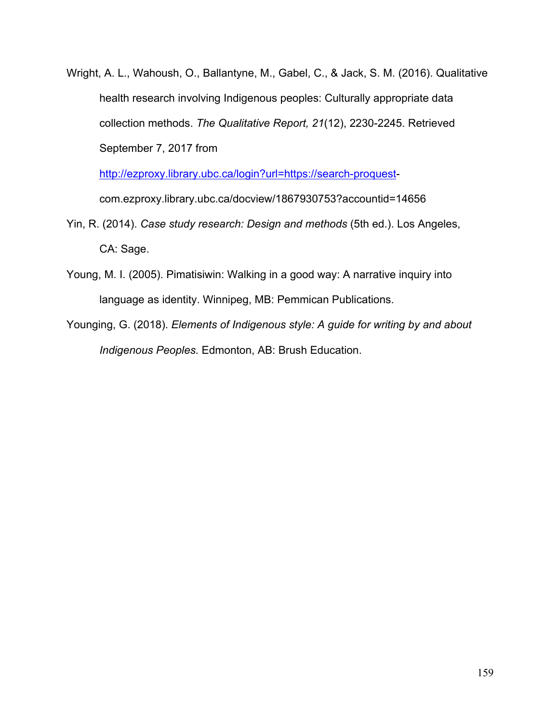Wright, A. L., Wahoush, O., Ballantyne, M., Gabel, C., & Jack, S. M. (2016). Qualitative health research involving Indigenous peoples: Culturally appropriate data collection methods. *The Qualitative Report, 21*(12), 2230-2245. Retrieved September 7, 2017 from

http://ezproxy.library.ubc.ca/login?url=https://search-proquest-

com.ezproxy.library.ubc.ca/docview/1867930753?accountid=14656

- Yin, R. (2014). *Case study research: Design and methods* (5th ed.). Los Angeles, CA: Sage.
- Young, M. I. (2005). Pimatisiwin: Walking in a good way: A narrative inquiry into language as identity. Winnipeg, MB: Pemmican Publications.
- Younging, G. (2018). *Elements of Indigenous style: A guide for writing by and about Indigenous Peoples.* Edmonton, AB: Brush Education.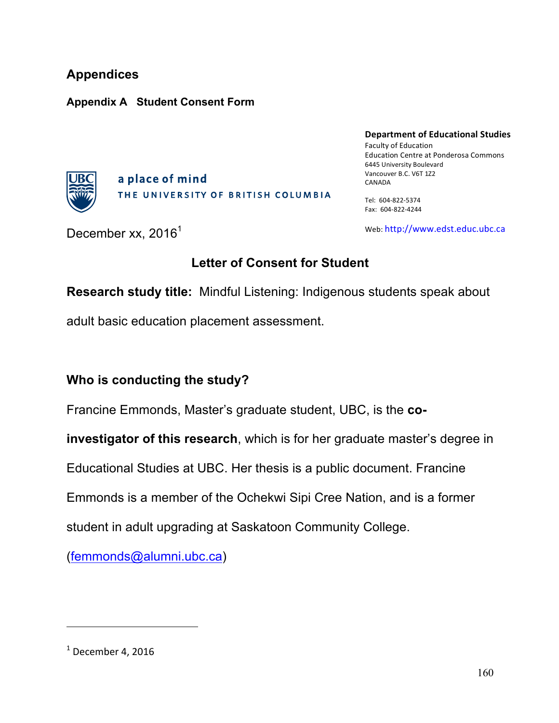# **Appendices**

#### **Appendix A Student Consent Form**



a place of mind THE UNIVERSITY OF BRITISH COLUMBIA **Department of Educational Studies** Faculty of Education Education Centre at Ponderosa Commons 6445 University Boulevard Vancouver B.C. V6T 1Z2 CANADA

Tel: 604-822-5374 Fax: 604-822-4244

December xx,  $2016<sup>1</sup>$ 

Web: http://www.edst.educ.ubc.ca

# **Letter of Consent for Student**

**Research study title:** Mindful Listening: Indigenous students speak about

adult basic education placement assessment.

## **Who is conducting the study?**

Francine Emmonds, Master's graduate student, UBC, is the **co-**

**investigator of this research**, which is for her graduate master's degree in

Educational Studies at UBC. Her thesis is a public document. Francine

Emmonds is a member of the Ochekwi Sipi Cree Nation, and is a former

student in adult upgrading at Saskatoon Community College.

(femmonds@alumni.ubc.ca)

 $<sup>1</sup>$  December 4, 2016</sup>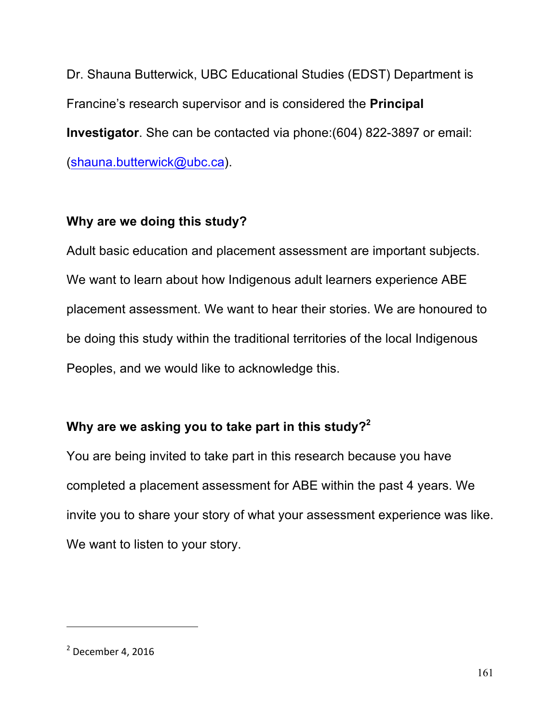Dr. Shauna Butterwick, UBC Educational Studies (EDST) Department is Francine's research supervisor and is considered the **Principal Investigator**. She can be contacted via phone:(604) 822-3897 or email: (shauna.butterwick@ubc.ca).

### **Why are we doing this study?**

Adult basic education and placement assessment are important subjects. We want to learn about how Indigenous adult learners experience ABE placement assessment. We want to hear their stories. We are honoured to be doing this study within the traditional territories of the local Indigenous Peoples, and we would like to acknowledge this.

## **Why are we asking you to take part in this study?2**

You are being invited to take part in this research because you have completed a placement assessment for ABE within the past 4 years. We invite you to share your story of what your assessment experience was like. We want to listen to your story.

 $2$  December 4, 2016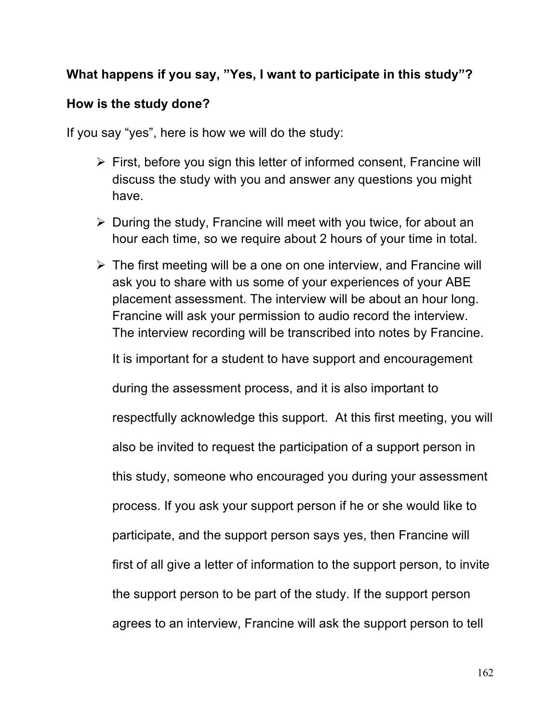## **What happens if you say, "Yes, I want to participate in this study"?**

#### **How is the study done?**

If you say "yes", here is how we will do the study:

- $\triangleright$  First, before you sign this letter of informed consent, Francine will discuss the study with you and answer any questions you might have.
- $\triangleright$  During the study, Francine will meet with you twice, for about an hour each time, so we require about 2 hours of your time in total.
- $\triangleright$  The first meeting will be a one on one interview, and Francine will ask you to share with us some of your experiences of your ABE placement assessment. The interview will be about an hour long. Francine will ask your permission to audio record the interview. The interview recording will be transcribed into notes by Francine.

It is important for a student to have support and encouragement

during the assessment process, and it is also important to respectfully acknowledge this support. At this first meeting, you will also be invited to request the participation of a support person in this study, someone who encouraged you during your assessment process. If you ask your support person if he or she would like to participate, and the support person says yes, then Francine will first of all give a letter of information to the support person, to invite the support person to be part of the study. If the support person agrees to an interview, Francine will ask the support person to tell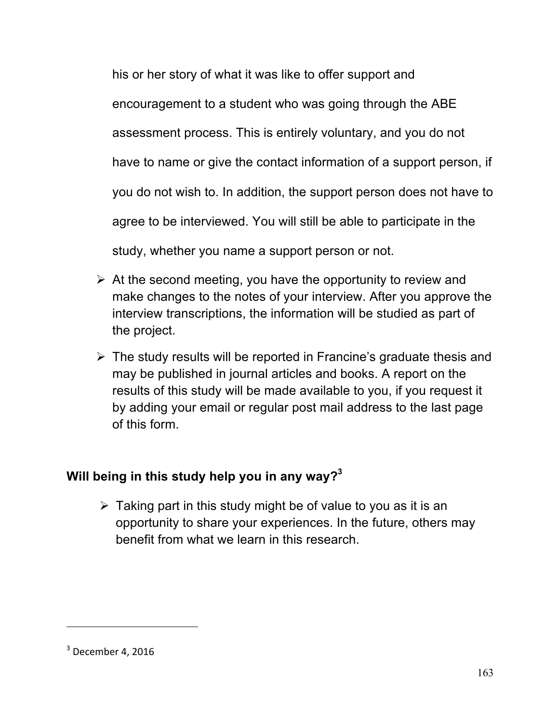his or her story of what it was like to offer support and encouragement to a student who was going through the ABE assessment process. This is entirely voluntary, and you do not have to name or give the contact information of a support person, if you do not wish to. In addition, the support person does not have to agree to be interviewed. You will still be able to participate in the study, whether you name a support person or not.

- $\triangleright$  At the second meeting, you have the opportunity to review and make changes to the notes of your interview. After you approve the interview transcriptions, the information will be studied as part of the project.
- $\triangleright$  The study results will be reported in Francine's graduate thesis and may be published in journal articles and books. A report on the results of this study will be made available to you, if you request it by adding your email or regular post mail address to the last page of this form.

# **Will being in this study help you in any way?3**

 $\triangleright$  Taking part in this study might be of value to you as it is an opportunity to share your experiences. In the future, others may benefit from what we learn in this research.

 $3$  December 4, 2016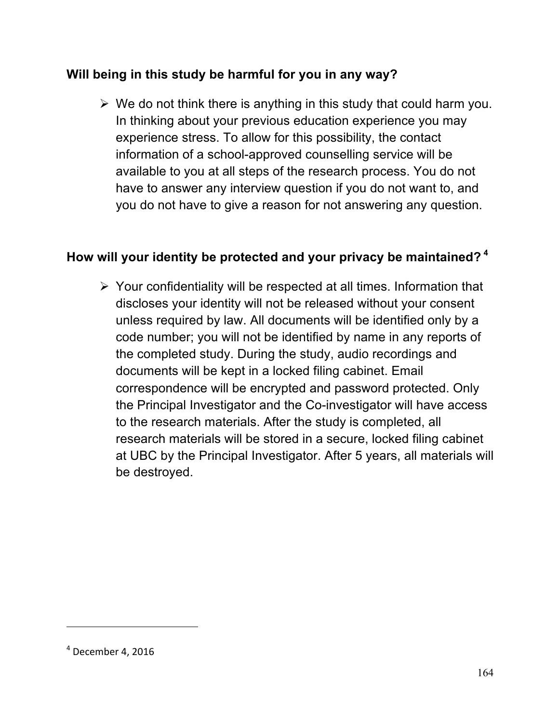## **Will being in this study be harmful for you in any way?**

 $\triangleright$  We do not think there is anything in this study that could harm you. In thinking about your previous education experience you may experience stress. To allow for this possibility, the contact information of a school-approved counselling service will be available to you at all steps of the research process. You do not have to answer any interview question if you do not want to, and you do not have to give a reason for not answering any question.

### **How will your identity be protected and your privacy be maintained? <sup>4</sup>**

 $\triangleright$  Your confidentiality will be respected at all times. Information that discloses your identity will not be released without your consent unless required by law. All documents will be identified only by a code number; you will not be identified by name in any reports of the completed study. During the study, audio recordings and documents will be kept in a locked filing cabinet. Email correspondence will be encrypted and password protected. Only the Principal Investigator and the Co-investigator will have access to the research materials. After the study is completed, all research materials will be stored in a secure, locked filing cabinet at UBC by the Principal Investigator. After 5 years, all materials will be destroyed.

 $4$  December 4, 2016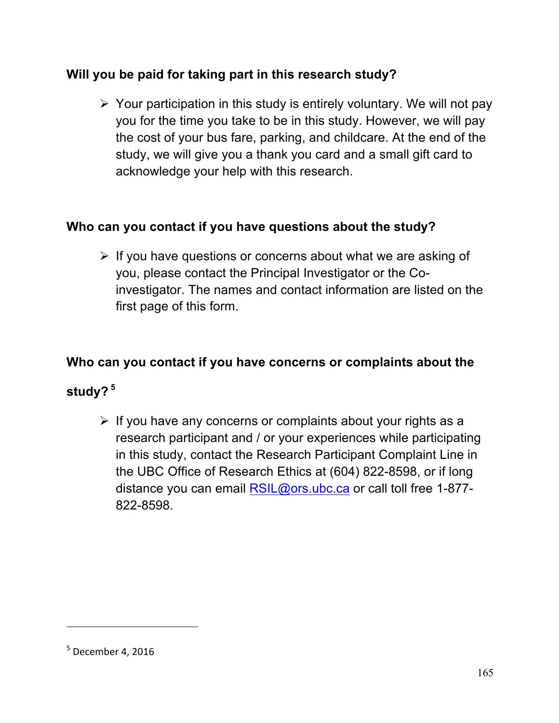# **Will you be paid for taking part in this research study?**

 $\triangleright$  Your participation in this study is entirely voluntary. We will not pay you for the time you take to be in this study. However, we will pay the cost of your bus fare, parking, and childcare. At the end of the study, we will give you a thank you card and a small gift card to acknowledge your help with this research.

### **Who can you contact if you have questions about the study?**

 $\triangleright$  If you have questions or concerns about what we are asking of you, please contact the Principal Investigator or the Coinvestigator. The names and contact information are listed on the first page of this form.

### **Who can you contact if you have concerns or complaints about the**

## **study? <sup>5</sup>**

 $\triangleright$  If you have any concerns or complaints about your rights as a research participant and / or your experiences while participating in this study, contact the Research Participant Complaint Line in the UBC Office of Research Ethics at (604) 822-8598, or if long distance you can email RSIL@ors.ubc.ca or call toll free 1-877-822-8598.

 $5$  December 4, 2016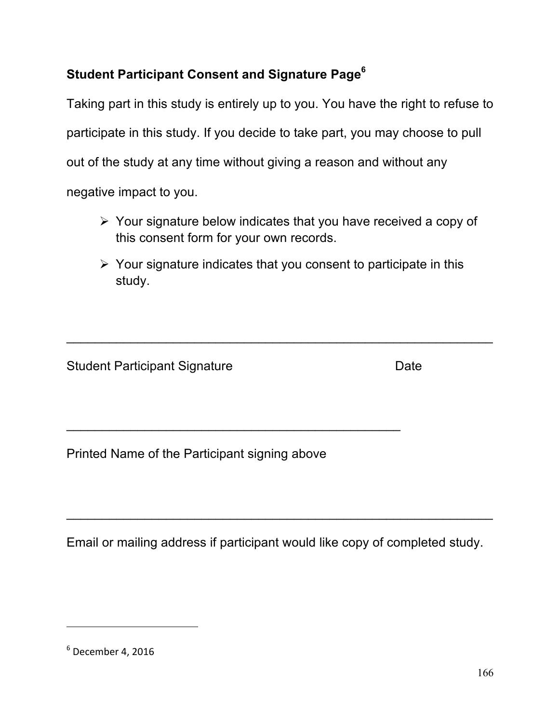# **Student Participant Consent and Signature Page6**

Taking part in this study is entirely up to you. You have the right to refuse to participate in this study. If you decide to take part, you may choose to pull out of the study at any time without giving a reason and without any negative impact to you.

- $\triangleright$  Your signature below indicates that you have received a copy of this consent form for your own records.
- $\triangleright$  Your signature indicates that you consent to participate in this study.

 $\mathcal{L}_\text{max}$  , and the contract of the contract of the contract of the contract of the contract of the contract of the contract of the contract of the contract of the contract of the contract of the contract of the contr

Student Participant Signature Date Date

Printed Name of the Participant signing above

\_\_\_\_\_\_\_\_\_\_\_\_\_\_\_\_\_\_\_\_\_\_\_\_\_\_\_\_\_\_\_\_\_\_\_\_\_\_\_\_\_\_\_\_\_\_\_

Email or mailing address if participant would like copy of completed study.

 $\_$  ,  $\_$  ,  $\_$  ,  $\_$  ,  $\_$  ,  $\_$  ,  $\_$  ,  $\_$  ,  $\_$  ,  $\_$  ,  $\_$  ,  $\_$  ,  $\_$  ,  $\_$  ,  $\_$  ,  $\_$  ,  $\_$  ,  $\_$  ,  $\_$  ,  $\_$  ,  $\_$  ,  $\_$  ,  $\_$  ,  $\_$  ,  $\_$  ,  $\_$  ,  $\_$  ,  $\_$  ,  $\_$  ,  $\_$  ,  $\_$  ,  $\_$  ,  $\_$  ,  $\_$  ,  $\_$  ,  $\_$  ,  $\_$  ,

1

 $6$  December 4, 2016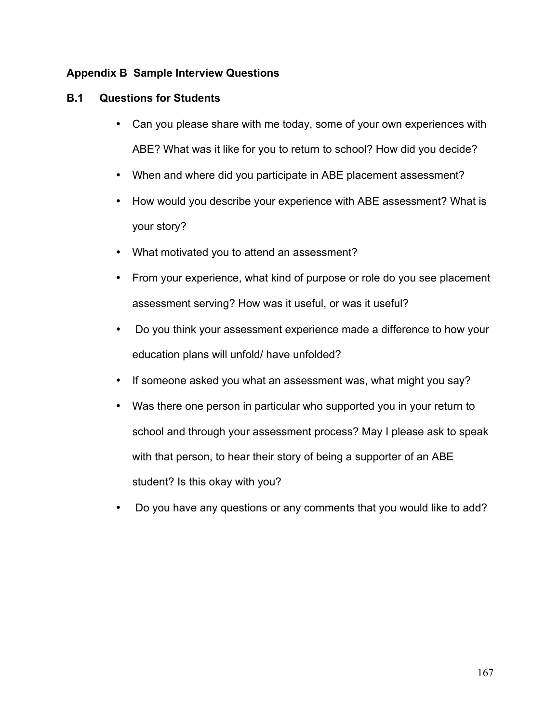## **Appendix B Sample Interview Questions**

#### **B.1 Questions for Students**

- Can you please share with me today, some of your own experiences with ABE? What was it like for you to return to school? How did you decide?
- When and where did you participate in ABE placement assessment?
- How would you describe your experience with ABE assessment? What is your story?
- What motivated you to attend an assessment?
- From your experience, what kind of purpose or role do you see placement assessment serving? How was it useful, or was it useful?
- Do you think your assessment experience made a difference to how your education plans will unfold/ have unfolded?
- If someone asked you what an assessment was, what might you say?
- Was there one person in particular who supported you in your return to school and through your assessment process? May I please ask to speak with that person, to hear their story of being a supporter of an ABE student? Is this okay with you?
- Do you have any questions or any comments that you would like to add?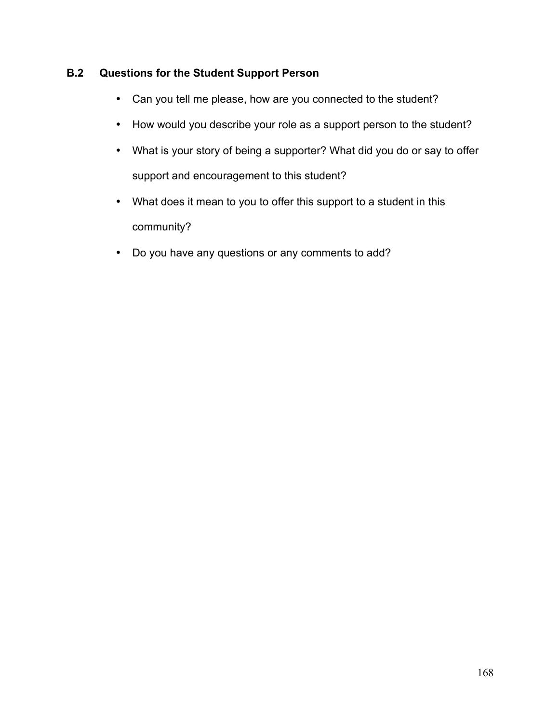# **B.2 Questions for the Student Support Person**

- Can you tell me please, how are you connected to the student?
- How would you describe your role as a support person to the student?
- What is your story of being a supporter? What did you do or say to offer support and encouragement to this student?
- What does it mean to you to offer this support to a student in this community?
- Do you have any questions or any comments to add?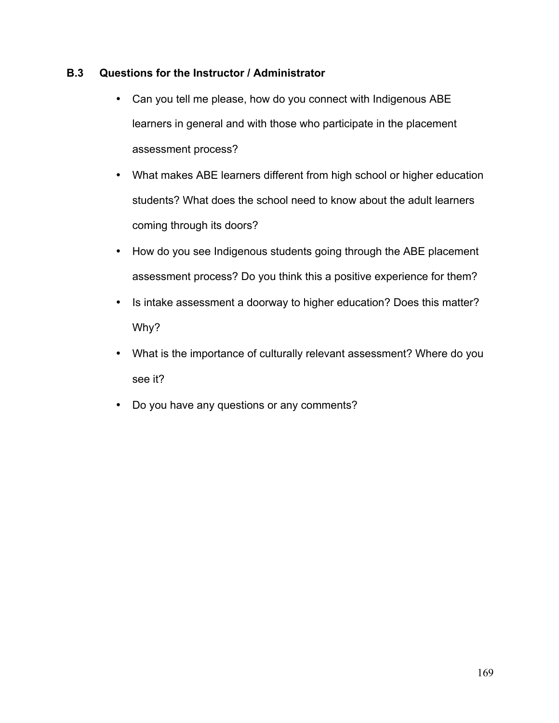### **B.3 Questions for the Instructor / Administrator**

- Can you tell me please, how do you connect with Indigenous ABE learners in general and with those who participate in the placement assessment process?
- What makes ABE learners different from high school or higher education students? What does the school need to know about the adult learners coming through its doors?
- How do you see Indigenous students going through the ABE placement assessment process? Do you think this a positive experience for them?
- Is intake assessment a doorway to higher education? Does this matter? Why?
- What is the importance of culturally relevant assessment? Where do you see it?
- Do you have any questions or any comments?